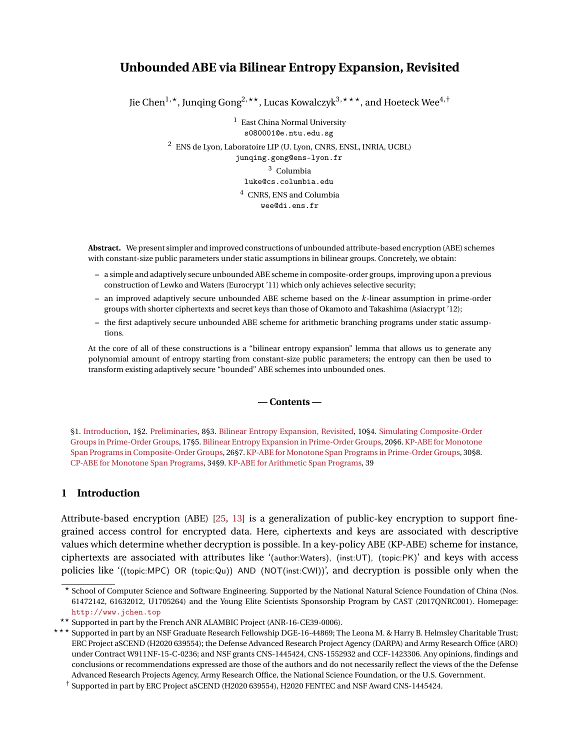# <span id="page-0-1"></span>**Unbounded ABE via Bilinear Entropy Expansion, Revisited**

Jie Chen<sup>1,\*</sup>, Junqing Gong<sup>2,\*\*</sup>, Lucas Kowalczyk<sup>3,\*\*\*</sup>, and Hoeteck Wee<sup>4,†</sup>

<sup>1</sup> East China Normal University s080001@e.ntu.edu.sg

<sup>2</sup> ENS de Lyon, Laboratoire LIP (U. Lyon, CNRS, ENSL, INRIA, UCBL)

junqing.gong@ens-lyon.fr <sup>3</sup> Columbia

luke@cs.columbia.edu

<sup>4</sup> CNRS, ENS and Columbia wee@di.ens.fr

**Abstract.** We present simpler and improved constructions of unbounded attribute-based encryption (ABE) schemes with constant-size public parameters under static assumptions in bilinear groups. Concretely, we obtain:

- **–** a simple and adaptively secure unbounded ABE scheme in composite-order groups, improving upon a previous construction of Lewko and Waters (Eurocrypt '11) which only achieves selective security;
- **–** an improved adaptively secure unbounded ABE scheme based on the *k*-linear assumption in prime-order groups with shorter ciphertexts and secret keys than those of Okamoto and Takashima (Asiacrypt '12);
- **–** the first adaptively secure unbounded ABE scheme for arithmetic branching programs under static assumptions.

At the core of all of these constructions is a "bilinear entropy expansion" lemma that allows us to generate any polynomial amount of entropy starting from constant-size public parameters; the entropy can then be used to transform existing adaptively secure "bounded" ABE schemes into unbounded ones.

### **— Contents —**

§1. [Introduction,](#page-0-0) 1§2. [Preliminaries,](#page-7-0) 8§3. [Bilinear Entropy Expansion, Revisited,](#page-9-0) 10§4. [Simulating Composite-Order](#page-16-0) [Groups in Prime-Order Groups,](#page-16-0) 17§5. [Bilinear Entropy Expansion in Prime-Order Groups,](#page-19-0) 20§6. [KP-ABE for Monotone](#page-25-0) [Span Programs in Composite-Order Groups,](#page-25-0) 26§7. [KP-ABE for Monotone Span Programs in Prime-Order Groups,](#page-29-0) 30§8. [CP-ABE for Monotone Span Programs,](#page-33-0) 34§9. [KP-ABE for Arithmetic Span Programs,](#page-38-0) 39

### <span id="page-0-0"></span>**1 Introduction**

Attribute-based encryption (ABE) [\[25,](#page-48-0) [13\]](#page-48-1) is a generalization of public-key encryption to support finegrained access control for encrypted data. Here, ciphertexts and keys are associated with descriptive values which determine whether decryption is possible. In a key-policy ABE (KP-ABE) scheme for instance, ciphertexts are associated with attributes like '(author:Waters), (inst:UT), (topic:PK)' and keys with access policies like '((topic:MPC) OR (topic:Qu)) AND (NOT(inst:CWI))', and decryption is possible only when the

<sup>?</sup> School of Computer Science and Software Engineering. Supported by the National Natural Science Foundation of China (Nos. 61472142, 61632012, U1705264) and the Young Elite Scientists Sponsorship Program by CAST (2017QNRC001). Homepage: <http://www.jchen.top>

<sup>\*\*</sup> Supported in part by the French ANR ALAMBIC Project (ANR-16-CE39-0006).

<sup>? ? ?</sup> Supported in part by an NSF Graduate Research Fellowship DGE-16-44869; The Leona M. & Harry B. Helmsley Charitable Trust; ERC Project aSCEND (H2020 639554); the Defense Advanced Research Project Agency (DARPA) and Army Research Office (ARO) under Contract W911NF-15-C-0236; and NSF grants CNS-1445424, CNS-1552932 and CCF-1423306. Any opinions, findings and conclusions or recommendations expressed are those of the authors and do not necessarily reflect the views of the the Defense Advanced Research Projects Agency, Army Research Office, the National Science Foundation, or the U.S. Government.

<sup>†</sup> Supported in part by ERC Project aSCEND (H2020 639554), H2020 FENTEC and NSF Award CNS-1445424.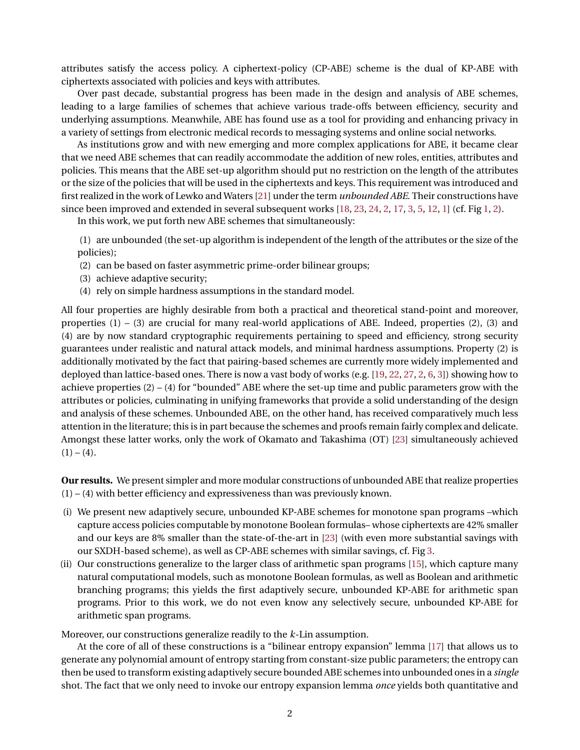attributes satisfy the access policy. A ciphertext-policy (CP-ABE) scheme is the dual of KP-ABE with ciphertexts associated with policies and keys with attributes.

Over past decade, substantial progress has been made in the design and analysis of ABE schemes, leading to a large families of schemes that achieve various trade-offs between efficiency, security and underlying assumptions. Meanwhile, ABE has found use as a tool for providing and enhancing privacy in a variety of settings from electronic medical records to messaging systems and online social networks.

As institutions grow and with new emerging and more complex applications for ABE, it became clear that we need ABE schemes that can readily accommodate the addition of new roles, entities, attributes and policies. This means that the ABE set-up algorithm should put no restriction on the length of the attributes or the size of the policies that will be used in the ciphertexts and keys. This requirement was introduced and first realized in the work of Lewko and Waters [\[21\]](#page-48-2) under the term *unbounded ABE*. Their constructions have since been improved and extended in several subsequent works [\[18,](#page-48-3) [23,](#page-48-4) [24,](#page-48-5) [2,](#page-47-0) [17,](#page-48-6) [3,](#page-47-1) [5,](#page-47-2) [12,](#page-48-7) [1\]](#page-47-3) (cf. Fig [1,](#page-2-0) [2\)](#page-2-1).

In this work, we put forth new ABE schemes that simultaneously:

(1) are unbounded (the set-up algorithm is independent of the length of the attributes or the size of the policies);

- (2) can be based on faster asymmetric prime-order bilinear groups;
- (3) achieve adaptive security;
- (4) rely on simple hardness assumptions in the standard model.

All four properties are highly desirable from both a practical and theoretical stand-point and moreover, properties (1) – (3) are crucial for many real-world applications of ABE. Indeed, properties (2), (3) and (4) are by now standard cryptographic requirements pertaining to speed and efficiency, strong security guarantees under realistic and natural attack models, and minimal hardness assumptions. Property (2) is additionally motivated by the fact that pairing-based schemes are currently more widely implemented and deployed than lattice-based ones. There is now a vast body of works (e.g. [\[19,](#page-48-8) [22,](#page-48-9) [27,](#page-48-10) [2,](#page-47-0) [6,](#page-47-4) [3\]](#page-47-1)) showing how to achieve properties (2) – (4) for "bounded" ABE where the set-up time and public parameters grow with the attributes or policies, culminating in unifying frameworks that provide a solid understanding of the design and analysis of these schemes. Unbounded ABE, on the other hand, has received comparatively much less attention in the literature; this is in part because the schemes and proofs remain fairly complex and delicate. Amongst these latter works, only the work of Okamato and Takashima (OT) [\[23\]](#page-48-4) simultaneously achieved  $(1) - (4)$ .

**Our results.** We present simpler and more modular constructions of unbounded ABE that realize properties (1) – (4) with better efficiency and expressiveness than was previously known.

- (i) We present new adaptively secure, unbounded KP-ABE schemes for monotone span programs –which capture access policies computable by monotone Boolean formulas– whose ciphertexts are 42% smaller and our keys are 8% smaller than the state-of-the-art in [\[23\]](#page-48-4) (with even more substantial savings with our SXDH-based scheme), as well as CP-ABE schemes with similar savings, cf. Fig [3.](#page-2-2)
- (ii) Our constructions generalize to the larger class of arithmetic span programs [\[15\]](#page-48-11), which capture many natural computational models, such as monotone Boolean formulas, as well as Boolean and arithmetic branching programs; this yields the first adaptively secure, unbounded KP-ABE for arithmetic span programs. Prior to this work, we do not even know any selectively secure, unbounded KP-ABE for arithmetic span programs.

Moreover, our constructions generalize readily to the *k*-Lin assumption.

At the core of all of these constructions is a "bilinear entropy expansion" lemma [\[17\]](#page-48-6) that allows us to generate any polynomial amount of entropy starting from constant-size public parameters; the entropy can then be used to transform existing adaptively secure bounded ABE schemes into unbounded ones in a *single* shot. The fact that we only need to invoke our entropy expansion lemma *once* yields both quantitative and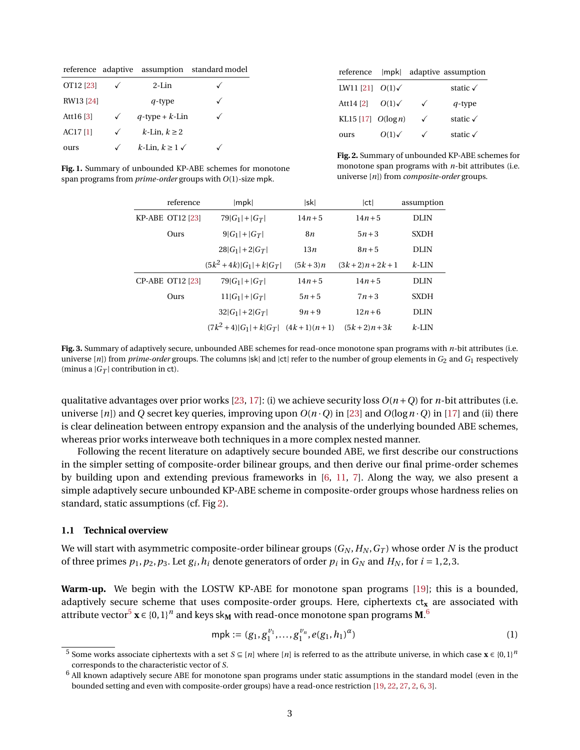| OT12 [23]  |              | $2-I$ in               |  |
|------------|--------------|------------------------|--|
| RW13 [24]  |              | q-type                 |  |
| Att16 [3]  | $\checkmark$ | $q$ -type + $k$ -Lin   |  |
| $AC17$ [1] | ✓            | $k$ -Lin, $k \geq 2$   |  |
| ours       |              | $k$ -Lin, $k \geq 1$ ✓ |  |

|                            |                |              | reference     mpk   adaptive assumption |
|----------------------------|----------------|--------------|-----------------------------------------|
| LW11 [21] $O(1)\checkmark$ |                |              | static $\sqrt{ }$                       |
| Att14 [2]                  | $O(1)\sqrt{2}$ | $\checkmark$ | $q$ -type                               |
| KL15 [17] $O(\log n)$      |                | ✓            | static $\checkmark$                     |
| ours                       | $O(1)\sqrt{2}$ |              | static $\sqrt{ }$                       |

<span id="page-2-0"></span>**Fig. 1.** Summary of unbounded KP-ABE schemes for monotone span programs from *prime-order* groups with *O*(1)-size mpk.

<span id="page-2-1"></span>**Fig. 2.** Summary of unbounded KP-ABE schemes for monotone span programs with *n*-bit attributes (i.e. universe [*n*]) from *composite-order* groups.

| reference               | mpk                                  | sk         | ct             | assumption  |
|-------------------------|--------------------------------------|------------|----------------|-------------|
| KP-ABE OT12 [23]        | $79 G_1 + G_T $                      | $14n + 5$  | $14n + 5$      | <b>DLIN</b> |
| Ours                    | $9 G_1 + G_T $                       | 8 <i>n</i> | $5n + 3$       | <b>SXDH</b> |
|                         | $28 G_1 +2 G_T $                     | 13n        | $8n + 5$       | DLIN        |
|                         | $(5k^2+4k) G_1 +k G_T $              | $(5k+3)n$  | $(3k+2)n+2k+1$ | $k$ -LIN    |
| <b>CP-ABE OT12 [23]</b> | $79 G_1 + G_T $                      | $14n + 5$  | $14n + 5$      | DLIN        |
| Ours                    | $11 G_1 + G_T $                      | $5n + 5$   | $7n+3$         | <b>SXDH</b> |
|                         | $32 G_1  + 2 G_T $                   | $9n+9$     | $12n + 6$      | DLIN        |
|                         | $(7k^2+4) G_1 +k G_T $ $(4k+1)(n+1)$ |            | $(5k+2)n+3k$   | $k$ -LIN    |

<span id="page-2-2"></span>**Fig. 3.** Summary of adaptively secure, unbounded ABE schemes for read-once monotone span programs with *n*-bit attributes (i.e. universe [*n*]) from *prime-order* groups. The columns |sk| and |ct| refer to the number of group elements in *G*<sup>2</sup> and *G*<sup>1</sup> respectively (minus a  $|G_T|$  contribution in ct).

qualitative advantages over prior works [\[23,](#page-48-4) [17\]](#page-48-6): (i) we achieve security loss  $O(n+Q)$  for *n*-bit attributes (i.e. universe [*n*]) and *Q* secret key queries, improving upon  $O(n \cdot Q)$  in [\[23\]](#page-48-4) and  $O(\log n \cdot Q)$  in [\[17\]](#page-48-6) and (ii) there is clear delineation between entropy expansion and the analysis of the underlying bounded ABE schemes, whereas prior works interweave both techniques in a more complex nested manner.

Following the recent literature on adaptively secure bounded ABE, we first describe our constructions in the simpler setting of composite-order bilinear groups, and then derive our final prime-order schemes by building upon and extending previous frameworks in [\[6,](#page-47-4) [11,](#page-48-12) [7\]](#page-47-5). Along the way, we also present a simple adaptively secure unbounded KP-ABE scheme in composite-order groups whose hardness relies on standard, static assumptions (cf. Fig [2\)](#page-2-1).

## **1.1 Technical overview**

We will start with asymmetric composite-order bilinear groups  $(G_N, H_N, G_T)$  whose order N is the product of three primes  $p_1, p_2, p_3$ . Let  $g_i, h_i$  denote generators of order  $p_i$  in  $G_N$  and  $H_N$ , for  $i = 1, 2, 3$ .

**Warm-up.** We begin with the LOSTW KP-ABE for monotone span programs [\[19\]](#page-48-8); this is a bounded, adaptively secure scheme that uses composite-order groups. Here, ciphertexts ctx are associated with attribute vector $^5$  $^5$  **x**  $\in$  {0, 1} $^n$  and keys sk<sub>M</sub> with read-once monotone span programs M. $^6$  $^6$ 

<span id="page-2-3"></span>
$$
mpk := (g_1, g_1^{\nu_1}, \dots, g_1^{\nu_n}, e(g_1, h_1)^{\alpha})
$$
\n(1)

<sup>5</sup> Some works associate ciphertexts with a set  $S \subseteq [n]$  where  $[n]$  is referred to as the attribute universe, in which case  $\mathbf{x} \in \{0,1\}^n$ corresponds to the characteristic vector of *S*.

 $6$  All known adaptively secure ABE for monotone span programs under static assumptions in the standard model (even in the bounded setting and even with composite-order groups) have a read-once restriction [\[19,](#page-48-8) [22,](#page-48-9) [27,](#page-48-10) [2,](#page-47-0) [6,](#page-47-4) [3\]](#page-47-1).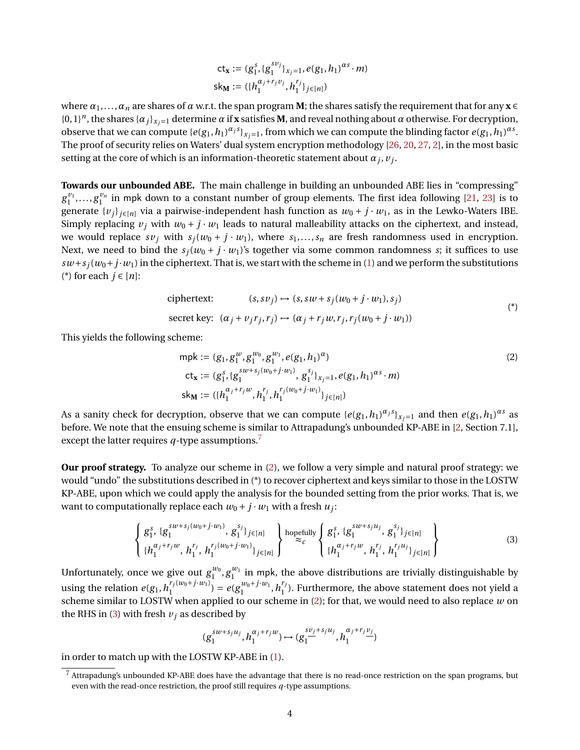$$
\mathsf{ct}_{\mathbf{x}} := (g_1^s, \{g_1^{s v_j}\}_{x_j=1}, e(g_1, h_1)^{\alpha s} \cdot m)
$$
  

$$
\mathsf{sk}_{\mathbf{M}} := (\{h_1^{\alpha_j + r_j v_j}, h_1^{r_j}\}_{j \in [n]})
$$

where  $\alpha_1, \ldots, \alpha_n$  are shares of  $\alpha$  w.r.t. the span program **M**; the shares satisfy the requirement that for any  $\mathbf{x} \in \mathbb{R}$  $\{0,1\}^n$ , the shares  $\{\alpha_j\}_{x_j=1}$  determine  $\alpha$  if **x** satisfies **M**, and reveal nothing about  $\alpha$  otherwise. For decryption, observe that we can compute  $\{e(g_1, h_1)^{\alpha_j s}\}_{x_j=1}$ , from which we can compute the blinding factor  $e(g_1, h_1)^{\alpha_s}$ . The proof of security relies on Waters' dual system encryption methodology [\[26,](#page-48-13) [20,](#page-48-14) [27,](#page-48-10) [2\]](#page-47-0), in the most basic setting at the core of which is an information-theoretic statement about  $\alpha_j$ ,  $v_j$ .

**Towards our unbounded ABE.** The main challenge in building an unbounded ABE lies in "compressing"  $g_1^{\nu_1},\ldots,g_1^{\nu_n}$  in mpk down to a constant number of group elements. The first idea following [\[21,](#page-48-2) [23\]](#page-48-4) is to generate  $\{v_j\}_{j \in [n]}$  via a pairwise-independent hash function as  $w_0 + j \cdot w_1$ , as in the Lewko-Waters IBE. Simply replacing  $v_i$  with  $w_0 + j \cdot w_1$  leads to natural malleability attacks on the ciphertext, and instead, we would replace  $s v_j$  with  $s_j(w_0 + j \cdot w_1)$ , where  $s_1, \ldots, s_n$  are fresh randomness used in encryption. Next, we need to bind the  $s_i(w_0 + j \cdot w_1)$ 's together via some common randomness *s*; it suffices to use  $sw+s<sub>i</sub>(w<sub>0</sub>+j·w<sub>1</sub>)$  in the ciphertext. That is, we start with the scheme in [\(1\)](#page-2-3) and we perform the substitutions (\*) for each *j* ∈ [*n*]:

$$
\text{ciphertext:} \qquad (s, s v_j) \mapsto (s, s w + s_j (w_0 + j \cdot w_1), s_j)
$$
\n
$$
\text{secret key: } (\alpha_j + v_j r_j, r_j) \mapsto (\alpha_j + r_j w, r_j, r_j (w_0 + j \cdot w_1))
$$
\n
$$
\tag{*}
$$

This yields the following scheme:

<span id="page-3-0"></span>mpk := 
$$
(g_1, g_1^{w}, g_1^{w_0}, g_1^{w_1}, e(g_1, h_1)^{\alpha})
$$
  
\n
$$
ct_x := (g_1^s, \{g_1^{sw+s_j(w_0+j\cdot w_1)}, g_1^{s_j}\}_{x_j=1}, e(g_1, h_1)^{\alpha s} \cdot m)
$$
\n
$$
sk_M := (\{h_1^{\alpha_j+r_jw}, h_1^{r_j}, h_1^{r_j(w_0+j\cdot w_1)}\}_{j\in[n]})
$$
\n(2)

As a sanity check for decryption, observe that we can compute  $\{e(g_1, h_1)^{\alpha_j s}\}_{x_j=1}$  and then  $e(g_1, h_1)^{\alpha_s}$  as before. We note that the ensuing scheme is similar to Attrapadung's unbounded KP-ABE in [\[2,](#page-47-0) Section 7.1], except the latter requires *q*-type assumptions.[7](#page-0-1)

**Our proof strategy.** To analyze our scheme in [\(2\)](#page-3-0), we follow a very simple and natural proof strategy: we would "undo" the substitutions described in (\*) to recover ciphertext and keys similar to those in the LOSTW KP-ABE, upon which we could apply the analysis for the bounded setting from the prior works. That is, we want to computationally replace each  $w_0 + j \cdot w_1$  with a fresh  $u_j$ :

<span id="page-3-1"></span>
$$
\left\{\begin{array}{l} g_1^s, \{g_1^{sw+s_j(w_0+j\cdot w_1)}, g_1^{s_j}\}_{j\in[n]} \\ \{h_1^{\alpha_j+r_jw}, h_1^{r_j}, h_1^{r_j(w_0+j\cdot w_1)}\}_{j\in[n]} \end{array}\right\} \text{hopefully} \left\{\begin{array}{l} g_1^s, \{g_1^{sw+s_ju_j}, g_1^{s_j}\}_{j\in[n]} \\ \approx_c \end{array}\right\} \left\{\n\begin{array}{l}\n\text{input} \\ \{h_1^{\alpha_j+r_jw}, h_1^{r_j}, h_1^{r_ju_j}\}_{j\in[n]} \end{array}\n\right\}\n\tag{3}
$$

Unfortunately, once we give out  $g_1^{w_0}, g_1^{w_1}$  in mpk, the above distributions are trivially distinguishable by using the relation  $e(g_1, h_1^{r_j(w_0+j \cdot w_1)})$  $\binom{r_j(w_0+j\cdot w_1)}{1} = e(g_1^{w_0+j\cdot w_1})$  $h_1^{w_0+j \cdot w_1}, h_1^{r_j}$  $1<sup>1</sup>$ ). Furthermore, the above statement does not yield a scheme similar to LOSTW when applied to our scheme in [\(2\)](#page-3-0); for that, we would need to also replace *w* on the RHS in [\(3\)](#page-3-1) with fresh  $v_j$  as described by

$$
(g_1^{sw+s_ju_j},h_1^{\alpha_j+r_jw})\mapsto (g_1^{sv_j+s_ju_j},h_1^{\alpha_j+r_jv_j})
$$

in order to match up with the LOSTW KP-ABE in [\(1\)](#page-2-3).

<sup>7</sup> Attrapadung's unbounded KP-ABE does have the advantage that there is no read-once restriction on the span programs, but even with the read-once restriction, the proof still requires *q*-type assumptions.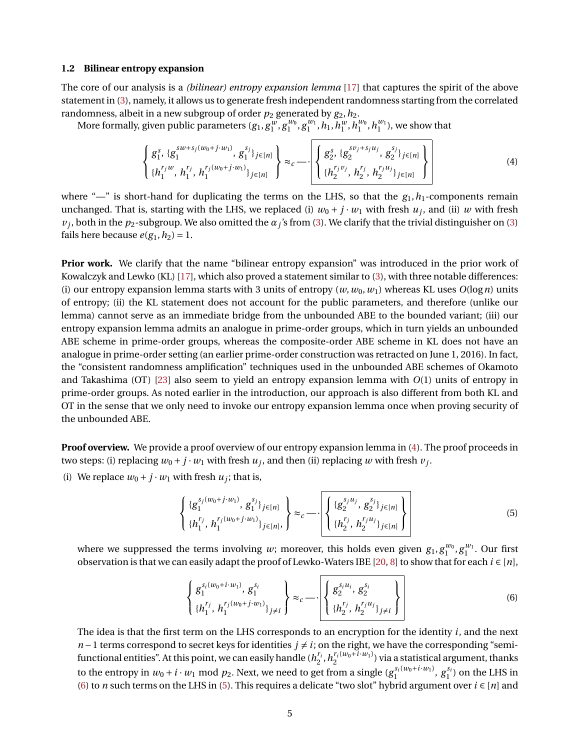### **1.2 Bilinear entropy expansion**

The core of our analysis is a *(bilinear) entropy expansion lemma* [\[17\]](#page-48-6) that captures the spirit of the above statement in [\(3\)](#page-3-1), namely, it allows us to generate fresh independent randomness starting from the correlated randomness, albeit in a new subgroup of order  $p_2$  generated by  $g_2,h_2.$ 

More formally, given public parameters  $(g_1, g_1^w, g_1^{w_0}, g_1^{w_1}, h_1, h_1^w, h_1^{w_0}, h_1^{w_1})$ , we show that

<span id="page-4-0"></span>
$$
\left\{\frac{g_1^{s}, \{g_1^{sw+s_j(w_0+j\cdot w_1)}, g_1^{s_j}\}_{j\in[n]}}{\{h_1^{r_jw}, h_1^{r_j}, h_1^{r_j(w_0+j\cdot w_1)}\}_{j\in[n]}}\right\} \approx_c \longrightarrow \left\{\left\{\frac{g_2^{s}, \{g_2^{sv_j+s_ju_j}, g_2^{s_j}\}_{j\in[n]}}{\{h_2^{r_jv_j}, h_2^{r_j}, h_2^{r_ju_j}\}_{j\in[n]}}\right\}\right\}
$$
(4)

where " $-$ " is short-hand for duplicating the terms on the LHS, so that the  $g_1, h_1$ -components remain unchanged. That is, starting with the LHS, we replaced (i)  $w_0 + j \cdot w_1$  with fresh  $u_j$ , and (ii) w with fresh  $v_j$ , both in the  $p_2$ -subgroup. We also omitted the  $\alpha_j$ 's from [\(3\)](#page-3-1). We clarify that the trivial distinguisher on (3) fails here because  $e(g_1, h_2) = 1$ .

**Prior work.** We clarify that the name "bilinear entropy expansion" was introduced in the prior work of Kowalczyk and Lewko (KL) [\[17\]](#page-48-6), which also proved a statement similar to [\(3\)](#page-3-1), with three notable differences: (i) our entropy expansion lemma starts with 3 units of entropy  $(w, w_0, w_1)$  whereas KL uses  $O(\log n)$  units of entropy; (ii) the KL statement does not account for the public parameters, and therefore (unlike our lemma) cannot serve as an immediate bridge from the unbounded ABE to the bounded variant; (iii) our entropy expansion lemma admits an analogue in prime-order groups, which in turn yields an unbounded ABE scheme in prime-order groups, whereas the composite-order ABE scheme in KL does not have an analogue in prime-order setting (an earlier prime-order construction was retracted on June 1, 2016). In fact, the "consistent randomness amplification" techniques used in the unbounded ABE schemes of Okamoto and Takashima (OT) [\[23\]](#page-48-4) also seem to yield an entropy expansion lemma with *O*(1) units of entropy in prime-order groups. As noted earlier in the introduction, our approach is also different from both KL and OT in the sense that we only need to invoke our entropy expansion lemma once when proving security of the unbounded ABE.

**Proof overview.** We provide a proof overview of our entropy expansion lemma in [\(4\)](#page-4-0). The proof proceeds in two steps: (i) replacing  $w_0 + j \cdot w_1$  with fresh  $u_j$ , and then (ii) replacing  $w$  with fresh  $v_j$ .

(i) We replace  $w_0 + j \cdot w_1$  with fresh  $u_j$ ; that is,

<span id="page-4-2"></span>
$$
\left\{\{g_1^{s_j(w_0+j\cdot w_1)}, g_1^{s_j}\}_{j\in[n]},\right\} \approx_c \cdots \cdot \left\{\left\{\{g_2^{s_ju_j}, g_2^{s_j}\}_{j\in[n]}\right\}_{\{h_1^{r_j}, h_1^{r_j(w_0+j\cdot w_1)}\}_{j\in[n]}}\right\}
$$
(5)

where we suppressed the terms involving *w*; moreover, this holds even given  $g_1, g_1^{w_0}, g_1^{w_1}$ . Our first observation is that we can easily adapt the proof of Lewko-Waters IBE [\[20,](#page-48-14) [8\]](#page-47-6) to show that for each  $i \in [n]$ ,

 $\overline{ }$ 

<span id="page-4-1"></span>
$$
\left\{\frac{g_1^{s_i(w_0+i\cdot w_1)}, g_1^{s_i}}{\{h_1^{r_j}, h_1^{r_j(w_0+j\cdot w_1)}\}_{j\neq i}}\right\} \approx_c \left\{-\left\{\frac{g_2^{s_i u_i}, g_2^{s_i}}{\{h_2^{r_j}, h_2^{r_j u_j}\}_{j\neq i}}\right\}\right\}
$$
(6)

The idea is that the first term on the LHS corresponds to an encryption for the identity *i*, and the next *n* − 1 terms correspond to secret keys for identities  $j \neq i$ ; on the right, we have the corresponding "semifunctional entities". At this point, we can easily handle  $(h_2^{r_i}, h_2^{r_i(w_0+i\cdot w_1)})$  via a statistical argument, thanks to the entropy in  $w_0 + i \cdot w_1$  mod  $p_2$ . Next, we need to get from a single  $(g_1^{s_i(w_0 + i \cdot w_1)}, g_1^{s_i})$  on the LHS in [\(6\)](#page-4-1) to *n* such terms on the LHS in [\(5\)](#page-4-2). This requires a delicate "two slot" hybrid argument over *i* ∈ [*n*] and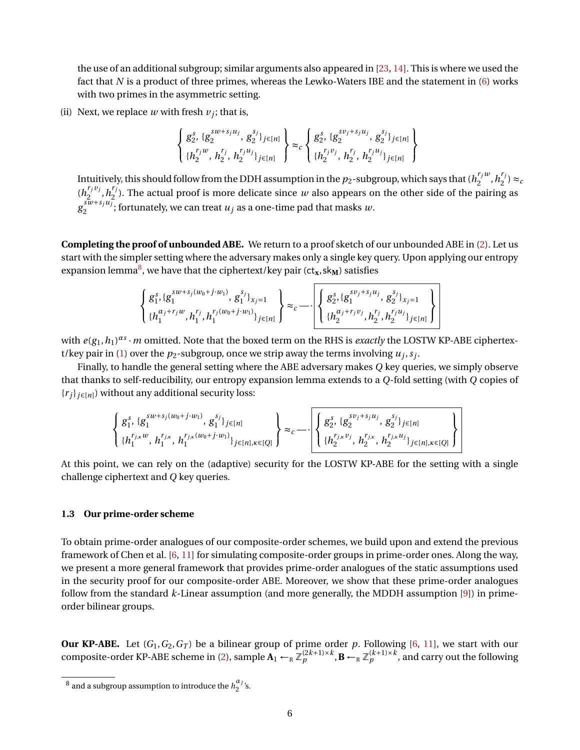the use of an additional subgroup; similar arguments also appeared in [\[23,](#page-48-4) [14\]](#page-48-15). This is where we used the fact that *N* is a product of three primes, whereas the Lewko-Waters IBE and the statement in [\(6\)](#page-4-1) works with two primes in the asymmetric setting.

(ii) Next, we replace  $w$  with fresh  $v_j$ ; that is,

$$
\left\{\frac{g_2^{s,} \{g_2^{sw+s_ju_j}, g_2^{s_j}\}_{j\in[n]}}{ \{h_2^{r_jw}, h_2^{r_j}, h_2^{r_ju_j}\}_{j\in[n]}}\right\} \approx_c \left\{\frac{g_2^{s,} \{g_2^{sv_j+s_ju_j}, g_2^{s_j}\}_{j\in[n]}}{ \{h_2^{r_jv_j}, h_2^{r_j}, h_2^{r_ju_j}\}_{j\in[n]}}\right\}
$$

Intuitively, this should follow from the DDH assumption in the  $p_2$ -subgroup, which says that ( $h^{{r_j}w}_2$  $n_1^{r_j w}, h_2^{r_j}$  $2^{r_j}$ )  $\approx_c$  $(h_2^{r_j v_j})$  $n_1^{r_j v_j}, h_2^{r_j}$  $\mathbb{Z}_2^{(1)}$ . The actual proof is more delicate since *w* also appears on the other side of the pairing as  $g_2^{\text{s\#}+s_ju_j}$  $\sum_{2}^{3w+3ju}$ ; fortunately, we can treat  $u_j$  as a one-time pad that masks  $w$ .

**Completing the proof of unbounded ABE.** We return to a proof sketch of our unbounded ABE in [\(2\)](#page-3-0). Let us start with the simpler setting where the adversary makes only a single key query. Upon applying our entropy expansion lemma<sup>[8](#page-0-1)</sup>, we have that the ciphertext/key pair (ct<sub>x</sub>,sk<sub>M</sub>) satisfies

$$
\left\{\begin{array}{l}g_{1}^{s},\{g_{1}^{sw+s_{j}(w_{0}+j\cdot w_{1})},g_{1}^{s_{j}}\}_{x_{j}=1}\\ \{h_{1}^{\alpha_{j}+r_{j}w},h_{1}^{r_{j}},h_{1}^{r_{j}(w_{0}+j\cdot w_{1})}\}_{j\in[n]}\end{array}\right\}\approx_{c} -\cdot\left\{\begin{array}{l}g_{2}^{s},\{g_{1}^{sv+s_{j}u_{j}},g_{2}^{s_{j}}\}_{x_{j}=1}\\\{h_{2}^{\alpha_{j}+r_{j}v_{j}},h_{2}^{r_{j}},h_{2}^{r_{j}u_{j}}\}_{j\in[n]}\end{array}\right\}
$$

with  $e(g_1, h_1)^{as} \cdot m$  omitted. Note that the boxed term on the RHS is *exactly* the LOSTW KP-ABE ciphertex-t/key pair in [\(1\)](#page-2-3) over the  $p_2$ -subgroup, once we strip away the terms involving  $u_j, s_j$ .

Finally, to handle the general setting where the ABE adversary makes *Q* key queries, we simply observe that thanks to self-reducibility, our entropy expansion lemma extends to a *Q*-fold setting (with *Q* copies of  ${r_i}_{i \in [n]}$ ) without any additional security loss:

$$
\left\{\begin{matrix}g_1^s,g_1^{sw+s_j(w_0+j\cdot w_1)},g_1^{s_j}\}_{j\in[n]}\\ \{h_1^{r_{j,x}w},h_1^{r_{j,x}},h_1^{r_{j,x}(w_0+j\cdot w_1)}\}_{j\in[n],\kappa\in[Q]}\end{matrix}\right\}\approx_c-\cdot\left\{\begin{matrix}g_2^s,\{g_2^{sv_j+s_ju_j},g_2^{s_j}\}_{j\in[n]}\\ \{h_2^{r_{j,x}v_j},h_2^{r_{j,x}}h_2^{r_{j,x}u_j}\}_{j\in[n],\kappa\in[Q]}\end{matrix}\right\}
$$

At this point, we can rely on the (adaptive) security for the LOSTW KP-ABE for the setting with a single challenge ciphertext and *Q* key queries.

### <span id="page-5-0"></span>**1.3 Our prime-order scheme**

To obtain prime-order analogues of our composite-order schemes, we build upon and extend the previous framework of Chen et al. [\[6,](#page-47-4) [11\]](#page-48-12) for simulating composite-order groups in prime-order ones. Along the way, we present a more general framework that provides prime-order analogues of the static assumptions used in the security proof for our composite-order ABE. Moreover, we show that these prime-order analogues follow from the standard *k*-Linear assumption (and more generally, the MDDH assumption [\[9\]](#page-47-7)) in primeorder bilinear groups.

**Our KP-ABE.** Let (*G*1,*G*2,*G<sup>T</sup>* ) be a bilinear group of prime order *p*. Following [\[6,](#page-47-4) [11\]](#page-48-12), we start with our composite-order KP-ABE scheme in [\(2\)](#page-3-0), sample  $\mathbf{A}_1 \leftarrow_R \mathbb{Z}_p^{(2k+1)\times k}$ ,  $\mathbf{B} \leftarrow_R \mathbb{Z}_p^{(k+1)\times k}$ , and carry out the following

 $^8$  and a subgroup assumption to introduce the  $h_j^{\alpha_j}$  $\frac{a}{2}$ 's.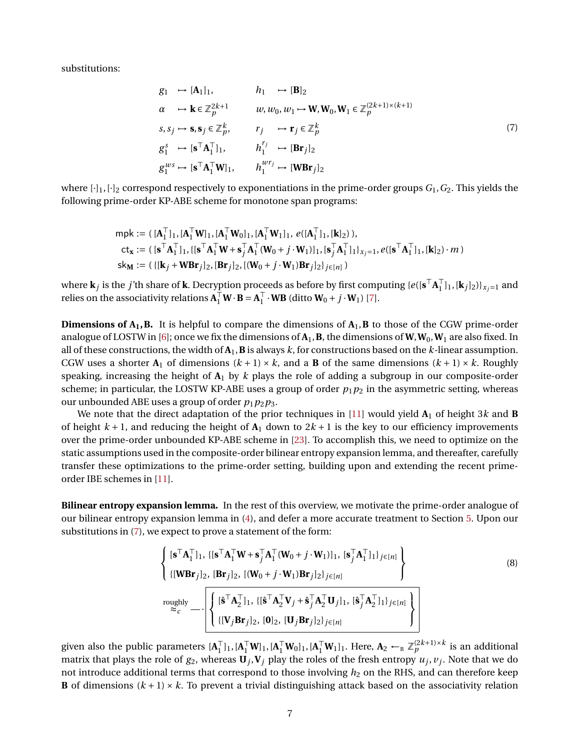substitutions:

<span id="page-6-0"></span>
$$
g_1 \rightarrow [A_1]_1, \qquad h_1 \rightarrow [B]_2
$$
  
\n
$$
\alpha \rightarrow k \in \mathbb{Z}_p^{2k+1} \qquad w, w_0, w_1 \rightarrow W, W_0, W_1 \in \mathbb{Z}_p^{(2k+1)\times(k+1)}
$$
  
\n
$$
s, s_j \rightarrow s, s_j \in \mathbb{Z}_p^k, \qquad r_j \rightarrow r_j \in \mathbb{Z}_p^k
$$
  
\n
$$
g_1^s \rightarrow [s^T A_1^T]_1, \qquad h_1^{r_j} \rightarrow [Br_j]_2
$$
  
\n
$$
g_1^{ws} \rightarrow [s^T A_1^T W]_1, \qquad h_1^{wr_j} \rightarrow [WBr_j]_2
$$
  
\n(7)

where [·]1, [·]<sup>2</sup> correspond respectively to exponentiations in the prime-order groups *G*1,*G*2. This yields the following prime-order KP-ABE scheme for monotone span programs:

$$
\begin{aligned} &\mathsf{mpk} := (\,[\mathbf{A}_1^\top]_1, [\mathbf{A}_1^\top \mathbf{W}]_1, [\mathbf{A}_1^\top \mathbf{W}_0]_1, [\mathbf{A}_1^\top \mathbf{W}_1]_1, e([\mathbf{A}_1^\top]_1, [\mathbf{k}]_2)), \\ &\mathsf{ct}_\mathbf{x} := (\,[\mathbf{s}^\top \mathbf{A}_1^\top]_1, \{[\mathbf{s}^\top \mathbf{A}_1^\top \mathbf{W} + \mathbf{s}_j^\top \mathbf{A}_1^\top (\mathbf{W}_0 + j \cdot \mathbf{W}_1)]_1, [\mathbf{s}_j^\top \mathbf{A}_1^\top]_1\}_{x_j = 1}, e([\mathbf{s}^\top \mathbf{A}_1^\top]_1, [\mathbf{k}]_2) \cdot m) \\ &\mathsf{sk}_\mathbf{M} := (\{[\mathbf{k}_j + \mathbf{W} \mathbf{B} \mathbf{r}_j]_2, [\mathbf{B} \mathbf{r}_j]_2, [(\mathbf{W}_0 + j \cdot \mathbf{W}_1) \mathbf{B} \mathbf{r}_j]_2\}_{j \in [n]}) \end{aligned}
$$

where  $\bf{k}_j$  is the *j'*th share of  $\bf{k}$ . Decryption proceeds as before by first computing { $e([{\bf s}^\top {\bf A}_1^\top$  $\prod_{1}^{1}$ ]<sub>1</sub>, [**k**<sub>*j*</sub>]<sub>2</sub>)}<sub>*x*<sub>*j*=1</sub> and</sub> relies on the associativity relations  $\mathbf{A}_1^\top \mathbf{W} \cdot \mathbf{B} = \mathbf{A}_1^\top$  $\int_1^\top \cdot \mathbf{W} \mathbf{B}$  (ditto  $\mathbf{W}_0 + j \cdot \mathbf{W}_1$ ) [\[7\]](#page-47-5).

**Dimensions of**  $A_1$ **, <b>B.** It is helpful to compare the dimensions of  $A_1$ , **B** to those of the CGW prime-order analogue of LOSTW in [\[6\]](#page-47-4); once we fix the dimensions of  $A_1$ ,  $B$ , the dimensions of  $W, W_0, W_1$  are also fixed. In all of these constructions, the width of  $A_1$ ,  $B$  is always  $k$ , for constructions based on the  $k$ -linear assumption. CGW uses a shorter  $A_1$  of dimensions  $(k + 1) \times k$ , and a **B** of the same dimensions  $(k + 1) \times k$ . Roughly speaking, increasing the height of **A**<sup>1</sup> by *k* plays the role of adding a subgroup in our composite-order scheme; in particular, the LOSTW KP-ABE uses a group of order  $p_1p_2$  in the asymmetric setting, whereas our unbounded ABE uses a group of order  $p_1p_2p_3$ .

We note that the direct adaptation of the prior techniques in [\[11\]](#page-48-12) would yield  $A_1$  of height 3*k* and **B** of height  $k + 1$ , and reducing the height of  $A_1$  down to  $2k + 1$  is the key to our efficiency improvements over the prime-order unbounded KP-ABE scheme in [\[23\]](#page-48-4). To accomplish this, we need to optimize on the static assumptions used in the composite-order bilinear entropy expansion lemma, and thereafter, carefully transfer these optimizations to the prime-order setting, building upon and extending the recent primeorder IBE schemes in [\[11\]](#page-48-12).

**Bilinear entropy expansion lemma.** In the rest of this overview, we motivate the prime-order analogue of our bilinear entropy expansion lemma in [\(4\)](#page-4-0), and defer a more accurate treatment to Section [5.](#page-19-0) Upon our substitutions in [\(7\)](#page-6-0), we expect to prove a statement of the form:

<span id="page-6-1"></span>
$$
\left\{\n\begin{array}{l}\n[\mathbf{s}^\top \mathbf{A}_1^\top]_1, \{[\mathbf{s}^\top \mathbf{A}_1^\top \mathbf{W} + \mathbf{s}_j^\top \mathbf{A}_1^\top (\mathbf{W}_0 + j \cdot \mathbf{W}_1)]_1, \, [\mathbf{s}_j^\top \mathbf{A}_1^\top]_1\}_{j \in [n]}\n\end{array}\n\right\}\n\text{(8)}
$$
\n
$$
\text{roughly}\n\left\{\n\begin{array}{l}\n[\mathbf{\hat{s}}^\top \mathbf{A}_2^\top]_1, \, \{[\mathbf{\hat{s}}^\top \mathbf{A}_2^\top \mathbf{V}_j + \mathbf{\hat{s}}_j^\top \mathbf{A}_2^\top \mathbf{U}_j]_1, \, [\mathbf{\hat{s}}_j^\top \mathbf{A}_2^\top]_1\}_{j \in [n]}\n\end{array}\n\right\}
$$
\n
$$
\left\{\n\begin{array}{l}\n[\mathbf{\hat{s}}^\top \mathbf{A}_2^\top]_1, \, \{[\mathbf{\hat{s}}^\top \mathbf{A}_2^\top \mathbf{V}_j + \mathbf{\hat{s}}_j^\top \mathbf{A}_2^\top \mathbf{U}_j]_1, \, [\mathbf{\hat{s}}_j^\top \mathbf{A}_2^\top]_1\}_{j \in [n]}\n\end{array}\n\right\}
$$
\n
$$
(8)
$$

given also the public parameters  $[A]$ <sup>T</sup>  $_{1}^{\top}$ ]<sub>1</sub>, [**A** $_{1}^{\top}$ **W**<sub>1</sub>], [**A** $_{1}^{\top}$ **W**<sub>1</sub>]<sub>1</sub>. Here, **A**<sub>2</sub> ←<sub>R</sub>  $\mathbb{Z}_{p}^{(2k+1)\times k}$  is an additional matrix that plays the role of  $g_2$ , whereas  $\mathbf{U}_j$ ,  $\mathbf{V}_j$  play the roles of the fresh entropy  $u_j$ ,  $v_j$ . Note that we do not introduce additional terms that correspond to those involving  $h_2$  on the RHS, and can therefore keep **B** of dimensions  $(k + 1) \times k$ . To prevent a trivial distinguishing attack based on the associativity relation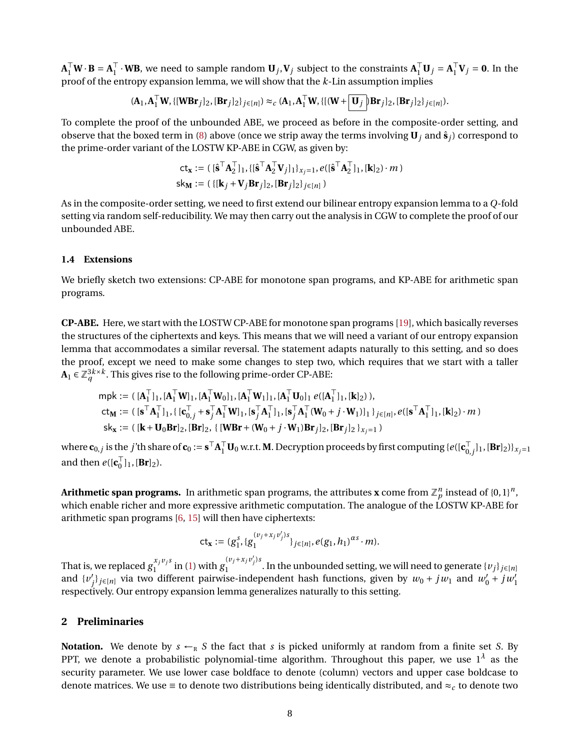$\mathbf{A}_1^\top \mathbf{W} \cdot \mathbf{B} = \mathbf{A}_1^\top$  $\mathbf{H}_1^{\top} \cdot \mathbf{W} \mathbf{B}$ , we need to sample random  $\mathbf{U}_j, \mathbf{V}_j$  subject to the constraints  $\mathbf{A}_1^{\top} \mathbf{U}_j = \mathbf{A}_1^{\top}$  $\int_1^\top \mathbf{V}_j = \mathbf{0}$ . In the proof of the entropy expansion lemma, we will show that the *k*-Lin assumption implies

$$
(\mathbf{A}_1, \mathbf{A}_1^\top \mathbf{W}, \{[\mathbf{WBr}_j]_2, [\mathbf{Br}_j]_2\}_{j \in [n]}) \approx_c (\mathbf{A}_1, \mathbf{A}_1^\top \mathbf{W}, \{[(\mathbf{W} + \boxed{\mathbf{U}_j}]\mathbf{Br}_j]_2, [\mathbf{Br}_j]_2\}_{j \in [n]}).
$$

To complete the proof of the unbounded ABE, we proceed as before in the composite-order setting, and observe that the boxed term in [\(8\)](#page-6-1) above (once we strip away the terms involving  $\mathbf{U}_i$  and  $\hat{\mathbf{s}}_i$ ) correspond to the prime-order variant of the LOSTW KP-ABE in CGW, as given by:

$$
\mathbf{ct}_{\mathbf{x}} := (\lbrack \hat{\mathbf{s}}^{\top} \mathbf{A}_{2}^{\top} \rbrack_{1}, \{\lbrack \hat{\mathbf{s}}^{\top} \mathbf{A}_{2}^{\top} \mathbf{V}_{j} \rbrack_{1} \rbrack_{x_{j}=1}, e(\lbrack \hat{\mathbf{s}}^{\top} \mathbf{A}_{2}^{\top} \rbrack_{1}, \lbrack \mathbf{k} \rbrack_{2}) \cdot m \}
$$
\n
$$
\mathsf{sk}_{\mathbf{M}} := (\{ \lbrack \mathbf{k}_{j} + \mathbf{V}_{j} \mathbf{Br}_{j} \rbrack_{2}, \lbrack \mathbf{Br}_{j} \rbrack_{2} \rbrack_{x \in [n]} )
$$

As in the composite-order setting, we need to first extend our bilinear entropy expansion lemma to a *Q*-fold setting via random self-reducibility. We may then carry out the analysis in CGW to complete the proof of our unbounded ABE.

### **1.4 Extensions**

We briefly sketch two extensions: CP-ABE for monotone span programs, and KP-ABE for arithmetic span programs.

**CP-ABE.** Here, we start with the LOSTW CP-ABE for monotone span programs [\[19\]](#page-48-8), which basically reverses the structures of the ciphertexts and keys. This means that we will need a variant of our entropy expansion lemma that accommodates a similar reversal. The statement adapts naturally to this setting, and so does the proof, except we need to make some changes to step two, which requires that we start with a taller  $\mathbf{A}_1$  ∈  $\mathbb{Z}_q^{3k \times k}$ . This gives rise to the following prime-order CP-ABE:

$$
\begin{aligned}\n\mathsf{mpk} &:= (\,[\mathbf{A}_1^\top]_1, [\mathbf{A}_1^\top \mathbf{W}]_1, [\mathbf{A}_1^\top \mathbf{W}_0]_1, [\mathbf{A}_1^\top \mathbf{W}_1]_1, [\mathbf{A}_1^\top \mathbf{U}_0]_1 \ e([\mathbf{A}_1^\top]_1, [\mathbf{k}]_2)), \\
\mathsf{ct}_\mathbf{M} &:= (\,[\mathbf{s}^\top \mathbf{A}_1^\top]_1, \{ [\mathbf{c}_{0,j}^\top + \mathbf{s}_{j}^\top \mathbf{A}_1^\top \mathbf{W}]_1, [\mathbf{s}_{j}^\top \mathbf{A}_1^\top]_1, [\mathbf{s}_{j}^\top \mathbf{A}_1^\top (\mathbf{W}_0 + j \cdot \mathbf{W}_1)]_1 \}_{j \in [n]}, e([\mathbf{s}^\top \mathbf{A}_1^\top]_1, [\mathbf{k}]_2) \cdot m) \\
\mathsf{sk}_\mathbf{x} &:= (\,[\mathbf{k} + \mathbf{U}_0 \mathbf{B} \mathbf{r}]_2, [\mathbf{B} \mathbf{r}]_2, \{ [\mathbf{W} \mathbf{B} \mathbf{r} + (\mathbf{W}_0 + j \cdot \mathbf{W}_1) \mathbf{B} \mathbf{r}_{j}]_2, [\mathbf{B} \mathbf{r}_{j}]_2 \}_{x_{j} = 1})\n\end{aligned}
$$

where  $\mathbf{c}_{0,j}$  is the *j*'th share of  $\mathbf{c}_0:=\mathbf{s}^\top\mathbf{A}_1^\top\mathbf{U}_0$  w.r.t. **M**. Decryption proceeds by first computing { $e([\mathbf{c}_{0,j}^\top]$  $\{0,j\}_1$ ,  $[\mathbf{Br}]_2$ ) $\}_{X_j=1}$ and then  $e([\mathbf{c}_0^{\top}$  $\begin{bmatrix} 1 \\ 0 \end{bmatrix}$  1,  $[\mathbf{Br}]_2$ ).

Arithmetic span programs. In arithmetic span programs, the attributes **x** come from  $\mathbb{Z}_p^n$  instead of {0, 1}*n*, which enable richer and more expressive arithmetic computation. The analogue of the LOSTW KP-ABE for arithmetic span programs  $[6, 15]$  $[6, 15]$  $[6, 15]$  will then have ciphertexts:

$$
\mathsf{ct}_{\mathbf{x}} := (g_1^s, \{g_1^{(v_j + x_j v'_j)s}\}_{j \in [n]}, e(g_1, h_1)^{\alpha s} \cdot m).
$$

That is, we replaced  $g_1^{x_j v_j s_j}$  $\int_{1}^{x_j v_j s}$  in [\(1\)](#page-2-3) with  $g_1^{(v_j + x_j v'_j)s}$  $\sum_{i=1}^{n}$   $\sum_{j=1}^{n}$  . In the unbounded setting, we will need to generate  $\{v_j\}_{j\in [n]}$ and  $\{v'\}$  $\int_{j}^{1}$ *j*∈[*n*] via two different pairwise-independent hash functions, given by  $w_0 + jw_1$  and  $w'_0 + jw'_1$ respectively. Our entropy expansion lemma generalizes naturally to this setting.

## <span id="page-7-0"></span>**2 Preliminaries**

**Notation.** We denote by  $s \leftarrow_R S$  the fact that *s* is picked uniformly at random from a finite set *S*. By PPT, we denote a probabilistic polynomial-time algorithm. Throughout this paper, we use  $1^\lambda$  as the security parameter. We use lower case boldface to denote (column) vectors and upper case boldcase to denote matrices. We use  $\equiv$  to denote two distributions being identically distributed, and  $\approx_c$  to denote two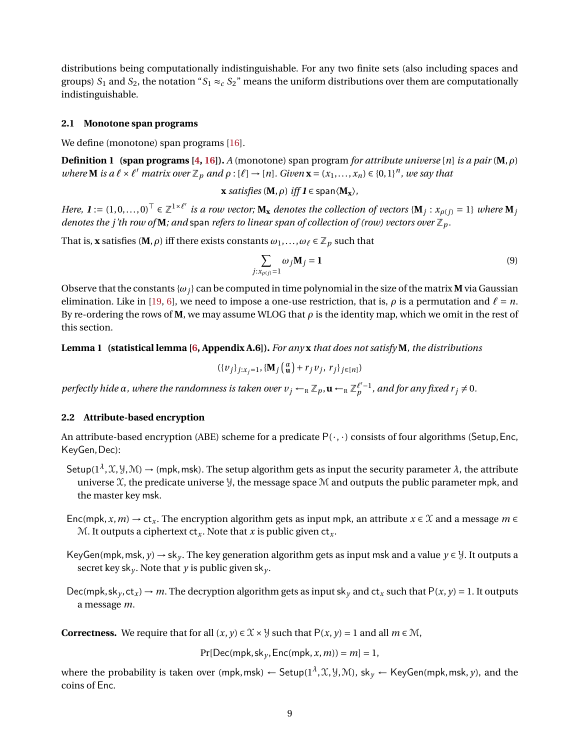distributions being computationally indistinguishable. For any two finite sets (also including spaces and groups)  $S_1$  and  $S_2$ , the notation " $S_1 \approx_c S_2$ " means the uniform distributions over them are computationally indistinguishable.

### **2.1 Monotone span programs**

We define (monotone) span programs [\[16\]](#page-48-16).

**Definition 1 (span programs [\[4,](#page-47-8) [16\]](#page-48-16)).** *A* (monotone) span program *for attribute universe* [*n*] *is a pair* (**M**,*ρ*) *where* **M** is a  $\ell \times \ell'$  *matrix over*  $\mathbb{Z}_p$  *and*  $\rho : [\ell] \to [n]$ *. Given*  $\mathbf{x} = (x_1, ..., x_n) \in \{0, 1\}^n$ *, we say that* 

**x** *satisfies* (**M**,  $\rho$ ) *iff*  $I \in span \langle M_x \rangle$ ,

*Here,*  $I := (1, 0, \ldots, 0)^\top \in \mathbb{Z}^{1 \times \ell'}$  is a row vector;  $\mathbf{M}_\mathbf{x}$  denotes the collection of vectors  $\{\mathbf{M}_j : x_{\rho(j)} = 1\}$  where  $\mathbf{M}_j$ *denotes the j'th row of* **M***; and span refers to linear span of collection of (row) vectors over*  $\mathbb{Z}_p$ *.* 

That is, **x** satisfies (**M**,  $\rho$ ) iff there exists constants  $\omega_1, \ldots, \omega_\ell \in \mathbb{Z}_p$  such that

$$
\sum_{j:x_{\rho(j)}=1}\omega_j\mathbf{M}_j=\mathbf{1}
$$
\n(9)

Observe that the constants  $\{\omega_i\}$  can be computed in time polynomial in the size of the matrix **M** via Gaussian elimination. Like in [\[19,](#page-48-8) [6\]](#page-47-4), we need to impose a one-use restriction, that is,  $\rho$  is a permutation and  $\ell = n$ . By re-ordering the rows of **M**, we may assume WLOG that *ρ* is the identity map, which we omit in the rest of this section.

<span id="page-8-0"></span>**Lemma 1 (statistical lemma [\[6,](#page-47-4) Appendix A.6]).** *For any* **x** *that does not satisfy* **M***, the distributions*

$$
(\{v_j\}_{j:x_j=1}, \{\mathbf{M}_j \begin{pmatrix} \alpha \\ \mathbf{u} \end{pmatrix} + r_j v_j, r_j\}_{j \in [n]})
$$

*perfectly hide*  $\alpha$ *, where the randomness is taken over*  $v_j \leftarrow_R \mathbb{Z}_p$ *,*  $\mathbf{u} \leftarrow_R \mathbb{Z}_p^{\ell'-1}$ *<i>, and for any fixed*  $r_j \neq 0$ *.* 

### <span id="page-8-1"></span>**2.2 Attribute-based encryption**

An attribute-based encryption (ABE) scheme for a predicate  $P(\cdot, \cdot)$  consists of four algorithms (Setup, Enc, KeyGen,Dec):

- Setup( $1^{\lambda}$ , $\mathfrak{X}, \mathfrak{Y}, \mathfrak{M}$ )  $\to$  (mpk, msk). The setup algorithm gets as input the security parameter  $\lambda$ , the attribute universe  $\mathfrak X$ , the predicate universe  $\mathfrak Y$ , the message space  $\mathfrak M$  and outputs the public parameter mpk, and the master key msk.
- Enc(mpk,  $x, m$ )  $\rightarrow$  ct<sub>x</sub>. The encryption algorithm gets as input mpk, an attribute  $x \in \mathcal{X}$  and a message  $m \in$ M. It outputs a ciphertext  $ct_x$ . Note that x is public given  $ct_x$ .
- KeyGen(mpk, msk, *y*)  $\rightarrow$  sk<sub>*v*</sub>. The key generation algorithm gets as input msk and a value *y*  $\in$  *y*. It outputs a secret key sk<sub>*y*</sub>. Note that *y* is public given sk<sub>*y*</sub>.
- Dec(mpk, sk<sub>y</sub>, ct<sub>x</sub>)  $\rightarrow$  *m*. The decryption algorithm gets as input sk<sub>y</sub> and ct<sub>x</sub> such that P(*x*, *y*) = 1. It outputs a message *m*.

**Correctness.** We require that for all  $(x, y) \in \mathcal{X} \times \mathcal{Y}$  such that  $P(x, y) = 1$  and all  $m \in \mathcal{M}$ ,

 $Pr[Dec(mpk, sk_v, Enc(mpk, x, m)) = m] = 1$ ,

where the probability is taken over (mpk,msk) ← Setup(1<sup> $\lambda$ </sup>,  $\mathfrak{X}, \mathfrak{Y}, \mathfrak{M}$ ), sk $_y$  ← KeyGen(mpk,msk,  $y$ ), and the coins of Enc.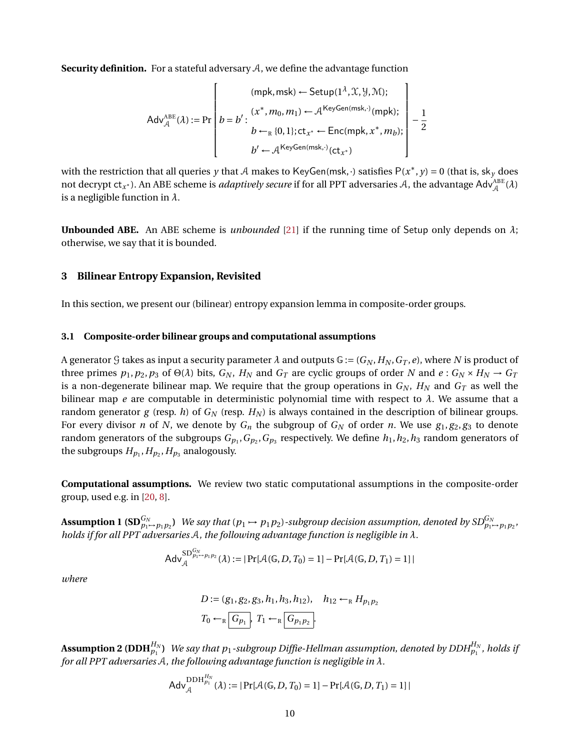<span id="page-9-2"></span>**Security definition.** For a stateful adversary  $A$ , we define the advantage function

$$
Adv_{\mathcal{A}}^{ABE}(\lambda) := \Pr \left[ b = b' : \begin{pmatrix} (mpk, msk) \leftarrow Setup(1^{\lambda}, \mathcal{X}, \mathcal{Y}, \mathcal{M}); \\ b = b' : (x^*, m_0, m_1) \leftarrow \mathcal{A}^{KeyGen(msk, \cdot)}(mpk); \\ b \leftarrow_R \{0, 1\}; ct_{x^*} \leftarrow Enc(mpk, x^*, m_b); \\ b' \leftarrow \mathcal{A}^{KeyGen(msk, \cdot)}(ct_{x^*}) \end{pmatrix} - \frac{1}{2} \right]
$$

with the restriction that all queries *y* that A makes to KeyGen(msk, ·) satisfies  $P(x^*, y) = 0$  (that is, sk<sub>y</sub> does not decrypt ct<sub>*x*\*</sub>). An ABE scheme is *adaptively secure* if for all PPT adversaries  $A$ , the advantage  $\mathsf{Adv}^{\mathrm{ABE}}_A(\lambda)$ is a negligible function in *λ*.

**Unbounded ABE.** An ABE scheme is *unbounded* [\[21\]](#page-48-2) if the running time of Setup only depends on *λ*; otherwise, we say that it is bounded.

## <span id="page-9-0"></span>**3 Bilinear Entropy Expansion, Revisited**

In this section, we present our (bilinear) entropy expansion lemma in composite-order groups.

#### <span id="page-9-1"></span>**3.1 Composite-order bilinear groups and computational assumptions**

A generator G takes as input a security parameter  $\lambda$  and outputs  $\mathbb{G} := (G_N, H_N, G_T, e)$ , where N is product of three primes  $p_1, p_2, p_3$  of  $\Theta(\lambda)$  bits,  $G_N$ ,  $H_N$  and  $G_T$  are cyclic groups of order N and  $e: G_N \times H_N \to G_T$ is a non-degenerate bilinear map. We require that the group operations in  $G_N$ ,  $H_N$  and  $G_T$  as well the bilinear map *e* are computable in deterministic polynomial time with respect to  $\lambda$ . We assume that a random generator *g* (resp. *h*) of *G<sup>N</sup>* (resp. *H<sup>N</sup>* ) is always contained in the description of bilinear groups. For every divisor *n* of *N*, we denote by  $G_n$  the subgroup of  $G_N$  of order *n*. We use  $g_1, g_2, g_3$  to denote random generators of the subgroups  $G_{p_1},G_{p_2},G_{p_3}$  respectively. We define  $h_1,h_2,h_3$  random generators of the subgroups  $H_{p_1}, H_{p_2}, H_{p_3}$  analogously.

**Computational assumptions.** We review two static computational assumptions in the composite-order group, used e.g. in [\[20,](#page-48-14) [8\]](#page-47-6).

**Assumption 1 (SD** $_{p_1\mapsto p_1p_2}^{G_N}$ ) We say that ( $p_1\mapsto p_1p_2$ )-subgroup decision assumption, denoted by SD $_{p_1\mapsto p_1p_2}^{G_N},$ *holds if for all PPT adversaries* A*, the following advantage function is negligible in λ.*

$$
Adv_{\mathcal{A}}^{SD_{p_1 \to p_1 p_2}^{G_N}}(\lambda) := |Pr[\mathcal{A}(\mathbb{G}, D, T_0) = 1] - Pr[\mathcal{A}(\mathbb{G}, D, T_1) = 1]|
$$

*where*

$$
D := (g_1, g_2, g_3, h_1, h_3, h_{12}), \quad h_{12} \leftarrow_R H_{p_1 p_2}
$$
  

$$
T_0 \leftarrow_R \boxed{G_{p_1}}, \quad T_1 \leftarrow_R \boxed{G_{p_1 p_2}}.
$$

 ${\bf Assumption~2~(DDH}_{p_1}^{H_N})$  . We say that  $p_1$  -subgroup Diffie-Hellman assumption, denoted by  $DDH_{p_1}^{H_N}$ , holds if *for all PPT adversaries* A*, the following advantage function is negligible in λ.*

$$
Adv_{\mathcal{A}}^{DDH_{p_1}^{H_N}}(\lambda) := |Pr[\mathcal{A}(\mathbb{G}, D, T_0) = 1] - Pr[\mathcal{A}(\mathbb{G}, D, T_1) = 1]|
$$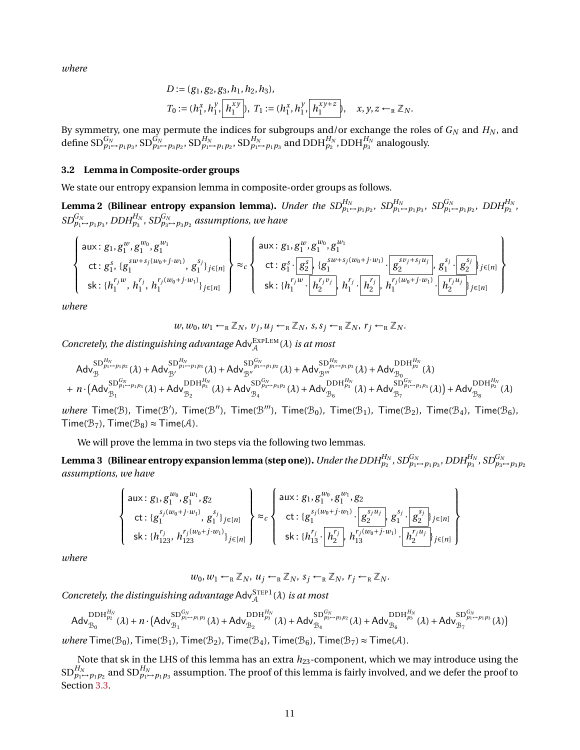*where*

$$
D := (g_1, g_2, g_3, h_1, h_2, h_3),
$$
  
\n
$$
T_0 := (h_1^x, h_1^y, \boxed{h_1^{xy}}, T_1 := (h_1^x, h_1^y, \boxed{h_1^{xy+z}}, \quad x, y, z \leftarrow_R \mathbb{Z}_N.
$$

By symmetry, one may permute the indices for subgroups and/or exchange the roles of  $G_N$  and  $H_N$ , and define  $\mathrm{SD}^{G_N}_{p_1 \mapsto p_1p_3}$ ,  $\mathrm{SD}^{G_N}_{p_3 \mapsto p_3p_2}$ ,  $\mathrm{SD}^{H_N}_{p_1 \mapsto p_1p_2}$ ,  $\mathrm{SD}^{H_N}_{p_1 \mapsto p_1p_3}$  and  $\mathrm{DDH}^{H_N}_{p_2}$ ,  $\mathrm{DDH}^{H_N}_{p_3}$  analogously.

#### <span id="page-10-3"></span>**3.2 Lemma in Composite-order groups**

We state our entropy expansion lemma in composite-order groups as follows.

<span id="page-10-0"></span>**Lemma 2 (Bilinear entropy expansion lemma).** Under the  $SD_{p_1 \to p_1 p_2}^{H_N}$ ,  $SD_{p_1 \to p_1 p_3}^{H_N}$ ,  $SD_{p_1 \to p_1 p_2}^{G_N}$ ,  $DDH_{p_2}^{H_N}$ ,  $SD^{G_N}_{p_1 \rightarrow p_1p_3}$ ,  $DDH^{H_N}_{p_3}$ ,  $SD^{G_N}_{p_3 \rightarrow p_3p_2}$  assumptions, we have

$$
\begin{Bmatrix}\n\text{aux}: g_1, g_1^w, g_1^{w_0}, g_1^{w_1} \\
\text{ct}: g_1^s, \{g_1^{sw+s_j(w_0+j\cdot w_1)}, g_1^{s_j}\}_{j\in[n]} \\
\text{sk}: \{h_1^{r_jw}, h_1^{r_j}, h_1^{r_j(w_0+j\cdot w_1)}\}_{j\in[n]}\n\end{Bmatrix} \approx_c\n\begin{Bmatrix}\n\text{aux}: g_1, g_1^w, g_1^{w_0}, g_1^{w_1} \\
\text{ct}: g_1^s \cdot g_2^{s_j}, \{g_1^{sw+s_j(w_0+j\cdot w_1)} \cdot g_2^{s_j}\cdot g_1^{s_j}\cdot g_2^{s_j}\}_{j\in[n]} \\
\text{sk}: \{h_1^{r_jw} \cdot h_2^{r_jw_j}, h_1^{r_j} \cdot h_2^{r_jw_j}, h_1^{r_j(w_0+j\cdot w_1)} \cdot h_2^{r_j(w_0+j\cdot w_1)}\cdot h_2^{r_jw_j}\}_{j\in[n]}\n\end{Bmatrix}
$$

*where*

$$
w, w_0, w_1 \leftarrow_R \mathbb{Z}_N
$$
,  $v_j, u_j \leftarrow_R \mathbb{Z}_N$ ,  $s, s_j \leftarrow_R \mathbb{Z}_N$ ,  $r_j \leftarrow_R \mathbb{Z}_N$ .

Concretely, the distinguishing advantage  $\mathsf{Adv}_{\mathcal{A}}^{\mathsf{EXPLEM}}(\lambda)$  *is at most* 

$$
\begin{array}{l} \text{Adv}_{\mathcal{B}}^{\text{SD}} \overset{\text{d}}{\underset{p_{1} \rightarrow p_{1}p_{2}}{\longrightarrow} } (\lambda)+ \text{Adv}_{\mathcal{B}'}^{\text{SD}}(\lambda)+ \text{Adv}_{\mathcal{B}''}^{\text{SD}_{p_{1} \rightarrow p_{1}p_{2}}} (\lambda)+ \text{Adv}_{\mathcal{B}''}^{\text{SD}_{p_{1} \rightarrow p_{1}p_{2}}} (\lambda)+ \text{Adv}_{\mathcal{B}''}^{\text{SD}_{p_{1} \rightarrow p_{1}p_{3}}} (\lambda)+ \text{Adv}_{\mathcal{B}_{0}}^{\text{DDH}_{p_{2}}^{H_{N}}} (\lambda)\\ + n \cdot \big(\text{Adv}_{\mathcal{B}_{1}}^{\text{SD}_{p_{1} \rightarrow p_{1}p_{3}}} (\lambda)+ \text{Adv}_{\mathcal{B}_{2}}^{\text{DDH}_{p_{3}}^{H_{N}}} (\lambda)+ \text{Adv}_{\mathcal{B}_{4}}^{\text{SD}_{p_{3} \rightarrow p_{3}p_{2}}} (\lambda)+ \text{Adv}_{\mathcal{B}_{6}}^{\text{DDH}_{p_{3}}^{H_{N}}} (\lambda)+ \text{Adv}_{\mathcal{B}_{7}}^{\text{SD}_{p_{1} \rightarrow p_{1}p_{3}}} (\lambda)\big)+ \text{Adv}_{\mathcal{B}_{8}}^{\text{DDH}_{p_{2}}^{H_{N}}} (\lambda) \end{array}
$$

 $where$  Time( $B$ ), Time( $B'$ ), Time( $B''$ ), Time( $B'''$ ), Time( $B_0$ ), Time( $B_1$ ), Time( $B_2$ ), Time( $B_4$ ), Time( $B_6$ ),  $Time(B_7)$ ,  $Time(B_8) \approx Time(A)$ .

We will prove the lemma in two steps via the following two lemmas.

<span id="page-10-1"></span>Lemma 3 (Bilinear entropy expansion lemma (step one)). Under the DDH $_{p_2}^{H_N}$ , SD $_{p_1\to p_1p_3}^{G_N}$ , DDH $_{p_3}^{H_N}$ , SD $_{p_3\to p_3p_2}^{G_N}$ *assumptions, we have*

$$
\begin{Bmatrix}\n\text{aux}: g_1, g_1^{w_0}, g_1^{w_1}, g_2 \\
\text{ct}: \{g_1^{s_j(w_0+j\cdot w_1)}, g_1^{s_j}\}_{j\in[n]} \\
\text{sk}: \{h_{123}^{r_j}, h_{123}^{r_j(w_0+j\cdot w_1)}\}_{j\in[n]}\n\end{Bmatrix} \approx_c\n\begin{Bmatrix}\n\text{aux}: g_1, g_1^{w_0}, g_1^{w_1}, g_2 \\
\text{ct}: \{g_1^{s_j(w_0+j\cdot w_1)} \cdot g_2^{s_jw_j}\}_{j\in[n]} \\
\text{sk}: \{h_{13}^{r_j} \cdot \boxed{h_2^{r_j}}\}_{j\in[n]}\n\end{Bmatrix}
$$

*where*

$$
w_0, w_1 \leftarrow_R \mathbb{Z}_N
$$
,  $u_j \leftarrow_R \mathbb{Z}_N$ ,  $s_j \leftarrow_R \mathbb{Z}_N$ ,  $r_j \leftarrow_R \mathbb{Z}_N$ .

Concretely, the distinguishing advantage  $\mathsf{Adv}^{\mathsf{STEP1}}_{\mathcal{A}}(\lambda)$  is at most

$$
Adv_{\mathcal{B}_{0}}^{DDH_{p_{2}}^{H_{N}}}(\lambda)+n\cdot \left( Adv_{\mathcal{B}_{1}}^{SD_{p_{1}\rightarrow p_{1}p_{3}}^{G_{N}}}(\lambda)+Adv_{\mathcal{B}_{2}}^{DDH_{p_{3}}^{H_{N}}}(\lambda)+Adv_{\mathcal{B}_{4}}^{SD_{p_{3}\rightarrow p_{3}p_{2}}^{G_{N}}}(\lambda)+Adv_{\mathcal{B}_{6}}^{DDH_{p_{3}}^{H_{N}}}(\lambda)+Adv_{\mathcal{B}_{7}}^{SD_{p_{1}\rightarrow p_{1}p_{3}}^{G_{N}}}(\lambda)\right)
$$

 $where$  Time( $\mathcal{B}_0$ ), Time( $\mathcal{B}_1$ ), Time( $\mathcal{B}_2$ ), Time( $\mathcal{B}_4$ ), Time( $\mathcal{B}_6$ ), Time( $\mathcal{B}_7$ )  $\approx$  Time( $\mathcal{A}$ ).

<span id="page-10-2"></span>Note that sk in the LHS of this lemma has an extra *h*23-component, which we may introduce using the  $\mathrm{SD}^{H_N}_{p_1\mapsto p_1p_2}$  and  $\mathrm{SD}^{H_N}_{p_1\mapsto p_1p_3}$  assumption. The proof of this lemma is fairly involved, and we defer the proof to Section [3.3.](#page-12-0)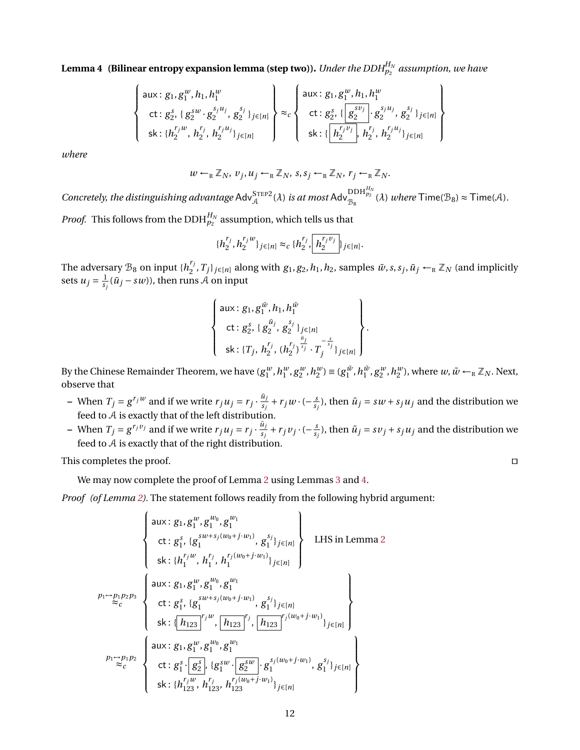**Lemma 4 (Bilinear entropy expansion lemma (step two)).** *Under the DDH* $_{p_2}^{H_N}$  *assumption, we have* 

$$
\begin{Bmatrix}\n\text{aux}: g_1, g_1^w, h_1, h_1^w \\
\text{ct}: g_2^s, \{g_2^{sw} \cdot g_2^{s_j u_j}, g_2^{s_j}\}_{j \in [n]}\n\end{Bmatrix}\n\approx_c\n\begin{Bmatrix}\n\text{aux}: g_1, g_1^w, h_1, h_1^w \\
\text{ct}: g_2^s, \{g_2^{sv}\}, g_2^{s_j}\}_{j \in [n]}\n\end{Bmatrix}\n\begin{Bmatrix}\n\text{aux}: g_1, g_1^w, h_1, h_1^w \\
\text{ct}: g_2^s, \{g_2^{sv}\}, g_2^{s_j}\}_{j \in [n]}\n\end{Bmatrix}
$$

*where*

$$
w \leftarrow_R \mathbb{Z}_N, v_j, u_j \leftarrow_R \mathbb{Z}_N, s, s_j \leftarrow_R \mathbb{Z}_N, r_j \leftarrow_R \mathbb{Z}_N.
$$

 $Concretely,$  the distinguishing advantage  $Adv_A^{STEP2}(\lambda)$  *is at most*  $Adv_{B_8}^{DDH_{p_2}^{H_N}}(\lambda)$  *where*  $Time(B_8) \approx Time(A)$ *.* 

*Proof.* This follows from the  $\mathrm{DDH}_{p_2}^{H_N}$  assumption, which tells us that

$$
\{h_2^{r_j}, h_2^{r_jw}\}_{j\in[n]}\approx_c \{h_2^{r_j}, \boxed{h_2^{r_jv_j}}\}_{j\in[n]}.
$$

The adversary  $\mathcal{B}_8$  on input  $\{h_2^{r_j}\}$  $Z_2^{r_j}, T_j\}_{j\in[n]}$  along with  $g_1, g_2, h_1, h_2$ , samples  $\tilde{w}, s, s_j, \tilde{u}_j \leftarrow_R \mathbb{Z}_N$  (and implicitly sets  $u_j = \frac{1}{s_j}$  $\frac{1}{s_j}(\tilde{u}_j - sw)$ ), then runs  ${\cal A}$  on input

$$
\begin{Bmatrix}\n\text{aux}: g_1, g_1^{\tilde{w}}, h_1, h_1^{\tilde{w}} \\
\text{ct}: g_2^s, \{g_2^{\tilde{u}_j}, g_2^{s_j}\}_{j \in [n]} \\
\text{sk}: \{T_j, h_2^{r_j}, (h_2^{r_j})^{\frac{n_j}{s_j}} \cdot T_j^{-\frac{s}{s_j}}\}_{j \in [n]}\n\end{Bmatrix}.
$$

By the Chinese Remainder Theorem, we have  $(g_1^w, h_1^w, g_2^w, h_2^w) \equiv (g_1^{\tilde{w}}, h_1^{\tilde{w}}, g_2^w, h_2^w)$ , where  $w, \tilde{w} \leftarrow_R \mathbb{Z}_N$ . Next, observe that

- $-$  When  $T_j = g^{r_j w}$  and if we write  $r_j u_j = r_j \cdot \frac{\tilde{u}_j}{s_j}$  $\frac{u_j}{s_j} + r_j w \cdot (-\frac{s_j}{s_j})$  $\frac{s}{s_j}$ ), then  $\tilde{u}_j = sw + s_j u_j$  and the distribution we feed to A is exactly that of the left distribution.
- $-$  When  $T_j = g^{r_j v_j}$  and if we write  $r_j u_j = r_j \cdot \frac{\tilde{u}_j}{s_j}$  $\frac{u_j}{s_j} + r_j v_j \cdot (-\frac{s_j}{s_j})$  $\frac{s}{s_j}$ ), then  $\tilde{u}_j = s v_j + s_j u_j$  and the distribution we feed to A is exactly that of the right distribution.

This completes the proof.  $\Box$ 

We may now complete the proof of Lemma [2](#page-10-0) using Lemmas [3](#page-10-1) and [4.](#page-10-2)

*Proof (of Lemma [2\)](#page-10-0).* The statement follows readily from the following hybrid argument:

$$
\begin{Bmatrix}\n\text{aux: } g_1, g_1^w, g_1^{w_0}, g_1^{w_1} \\
\text{ct: } g_1^s, \{g_1^{sw+s_j(w_0+j\cdot w_1)}, g_1^{s_j}\}_{j\in[n]} \\
\text{sk: } \{h_1^{r_jw}, h_1^{r_j}, h_1^{r_j(w_0+j\cdot w_1)}\}_{j\in[n]}\n\end{Bmatrix} \quad \text{LHS in Lemma 2} \\
\text{kk: } \{h_1^{r_jw}, h_1^{r_j}, h_1^{r_j(w_0+j\cdot w_1)}\}_{j\in[n]} \\
\text{aux: } g_1, g_1^w, g_1^{w_0}, g_1^{w_1} \\
\text{sk: } \{\overline{h_{123}}\}_{j}^{r_jw}, \overline{h_{123}}\}_{j}^{r_jw}, \overline{h_{123}}\}_{j\in[n]} \\
\text{pk: } g_1^s, g_1^w, g_1^{w_1}, g_1^{w_1} \\
\text{ct: } g_1^s, \overline{g_2^s}\}_{\{g_1^{sw} \cdot g_1^{w_1}\}_{g_2^{sw}}\}_{\{g_1^{sw} \cdot g_1^{s_j(w_0+j\cdot w_1)}\}_{j\in[n]}}\n\end{Bmatrix}
$$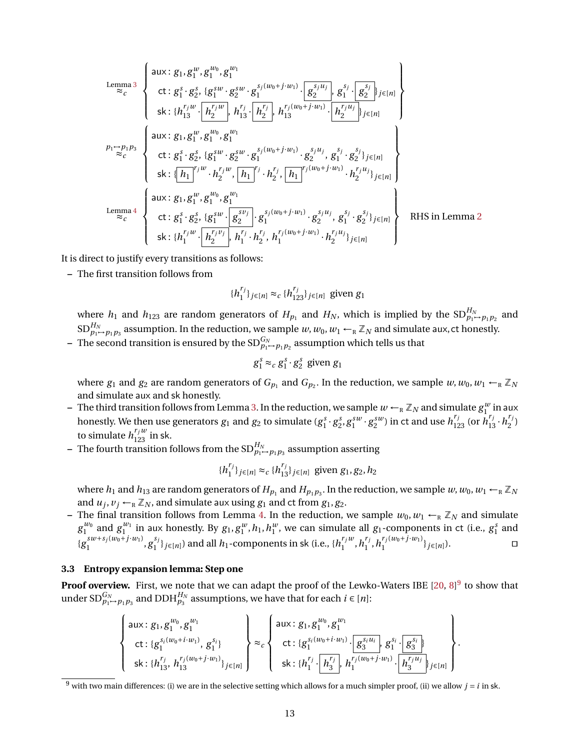$$
\begin{bmatrix}\n\text{Lemma 3} & \begin{Bmatrix}\n\text{aux}: g_1, g_1^{w_0}, g_1^{w_1} \\
\text{ct}: g_1^s \cdot g_2^s, \{g_1^{sw} \cdot g_2^{sw} \cdot g_1^{s_j(w_0+j \cdot w_1)} \cdot \overline{g_2^{s_jw_j}}, g_1^{s_j} \cdot \overline{g_2^{s_j}}\}_{j \in [n]} \\
\text{ski}: \{h_{13}^{r_j w} \cdot \overline{h_2^{r_j w}}, h_{13}^{r_j} \cdot \overline{h_2^{r_j}}, h_{13}^{r_j(w_0+j \cdot w_1)} \cdot \overline{h_2^{r_jw_j}}_{j \in [n]}\n\end{Bmatrix}\n\end{bmatrix}
$$
\n
$$
\begin{bmatrix}\n\text{aux}: g_1, g_1^w, g_1^{w_0}, g_1^{w_1} \\
\text{ct}: g_1^s \cdot g_2^s, \{g_1^{sw} \cdot g_2^{sw} \cdot g_1^{s_j(w_0+j \cdot w_1)} \cdot g_2^{s_j u_j}, g_1^{s_j} \cdot g_2^{s_j}\}_{j \in [n]}\n\end{bmatrix}
$$
\n
$$
\begin{bmatrix}\n\text{aux}: g_1, g_1^w, g_1^{w_0}, g_1^{w_1} \\
\text{ski}: \boxed{h_1}^{r_j w} \cdot h_2^{r_j w}, \boxed{h_1}^{r_j} \cdot h_2^{r_j}, \boxed{h_1}^{r_j(w_0+j \cdot w_1)} \cdot h_2^{r_j u_j}\}_{j \in [n]}\n\end{bmatrix}
$$
\n
$$
\begin{bmatrix}\n\text{Lemma 4} & \begin{Bmatrix}\n\text{aux}: g_1, g_1^w, g_1^{w_0}, g_1^{w_1} \\
\text{ct}: g_1^s \cdot g_2^s, \{g_1^{sw} \cdot g_2^{sv}\} \cdot g_1^{s_j(w_0+j \cdot w_1)} \cdot g_2^{s_j u_j}, g_1^{s_j} \cdot g_2^{s_j}\}_{j \in [n]}\n\end{Bmatrix}\n\end{bmatrix}
$$
\n
$$
\begin{bmatrix}\n\text{Lemma 4} & \begin{Bmatrix}\n\text{aux}: g_1, g_1^w, g_1^{w_0}, g_1^{w_1} \\
\
$$

It is direct to justify every transitions as follows:

**–** The first transition follows from

$$
{h_1^{r_j}}_{j \in [n]} \approx_c {h_{123}^{r_j}}_{j \in [n]}
$$
 given  $g_1$ 

where  $h_1$  and  $h_{123}$  are random generators of  $H_{p_1}$  and  $H_N$ , which is implied by the  $SD_{p_1 \rightarrow p_1 p_2}^{H_N}$  and  $\mathrm{SD}^{H_N}_{p_1\mapsto p_1p_3}$  assumption. In the reduction, we sample  $w,w_0,w_1\leftarrow_R \mathbb{Z}_N$  and simulate aux, ct honestly.

 $-$  The second transition is ensured by the  $\mathrm{SD}^{G_N}_{p_1\rightarrow p_1p_2}$  assumption which tells us that

$$
g_1^s \approx_c g_1^s \cdot g_2^s
$$
 given  $g_1$ 

where  $g_1$  and  $g_2$  are random generators of  $G_{p_1}$  and  $G_{p_2}$ . In the reduction, we sample  $w, w_0, w_1 \leftarrow_R \mathbb{Z}_N$ and simulate aux and sk honestly.

- $-$  The third transition follows from Lemma [3.](#page-10-1) In the reduction, we sample  $w \leftarrow_R \mathbb{Z}_N$  and simulate  $g_1^w$  in aux honestly. We then use generators  $g_1$  and  $g_2$  to simulate  $(g_1^s \cdot g_2^s, g_1^{sw} \cdot g_2^{sw})$  in ct and use  $h_{123}^{r_j}$  (or  $h_{13}^{r_j} \cdot h_2^{r_j}$  $2^{'}$ to simulate  $h_{123}^{r_j w}$  in sk.
- **–** The fourth transition follows from the  $SD_{p_1 \rightarrow p_1 p_3}^{H_N}$  assumption asserting

$$
\{h_1^{r_j}\}_{j\in[n]}\approx_c \{h_{13}^{r_j}\}_{j\in[n]}
$$
 given  $g_1, g_2, h_2$ 

where  $h_1$  and  $h_{13}$  are random generators of  $H_{p_1}$  and  $H_{p_1p_3}$ . In the reduction, we sample  $w, w_0, w_1 \leftarrow_R \mathbb{Z}_N$ and  $u_j, v_j \leftarrow_R \mathbb{Z}_N$ , and simulate aux using  $g_1$  and ct from  $g_1, g_2$ .

– The final transition follows from Lemma [4.](#page-10-2) In the reduction, we sample  $w_0, w_1 \leftarrow_R \mathbb{Z}_N$  and simulate  $g_1^{w_0}$  and  $g_1^{w_1}$  in aux honestly. By  $g_1, g_1^w, h_1, h_1^w$ , we can simulate all  $g_1$ -components in ct (i.e.,  $g_1^s$  and  ${g_1}^{sw+s_j(w_0+j\cdot w_1)}$  $\int_{1}^{s w+s_j(w_0+j \cdot w_1)}$ ,  $g_1^{s_j}$  $\{b_1^{s_j}\}_{j\in[n]}$ ) and all  $h_1$ -components in sk (i.e.,  $\{h_1^{r_jw_j}\}$  $\binom{r_j w}{1}, h_1^{r_j}$  $\int_1^r h_1^{r_j(w_0+j\cdot w_1)}$  $\{f_j(w_0+J \cdot w_1)\}\mathbf{y} \in [n]\}.$  □

#### <span id="page-12-0"></span>**3.3 Entropy expansion lemma: Step one**

**Proof overview.** First, we note that we can adapt the proof of the Lewko-Waters IBE [\[20,](#page-48-14) [8\]](#page-47-6)<sup>[9](#page-0-1)</sup> to show that under SD $_{p_1\rightarrow p_1p_3}^{G_N}$  and DDH $_{p_3}^{H_N}$  assumptions, we have that for each  $i\in [n]$ :

$$
\begin{Bmatrix}\n\text{aux}: g_1, g_1^{w_0}, g_1^{w_1} \\
\text{ct}: \{g_1^{s_i(w_0+i\cdot w_1)}, g_1^{s_i}\} \\
\text{sk}: \{h_{13}^{r_j}, h_{13}^{r_j(w_0+j\cdot w_1)}\}_{j\in[n]}\n\end{Bmatrix} \approx_c\n\begin{Bmatrix}\n\text{aux}: g_1, g_1^{w_0}, g_1^{w_1} \\
\text{ct}: \{g_1^{s_i(w_0+i\cdot w_1)} \cdot g_3^{s_i} \cdot g_1^{s_i} \cdot g_3^{s_i}\} \\
\text{ct}: \{g_1^{s_i(w_0+i\cdot w_1)} \cdot g_3^{s_i} \cdot g_1^{s_i} \cdot g_3^{s_i}\} \\
\text{sk}: \{h_1^{r_j} \cdot h_3^{r_j} \cdot h_1^{r_j(w_0+j\cdot w_1)} \cdot h_3^{r_jw_j}\}_{j\in[n]}\n\end{Bmatrix}.
$$

 $\frac{9}{9}$  with two main differences: (i) we are in the selective setting which allows for a much simpler proof, (ii) we allow  $j = i$  in sk.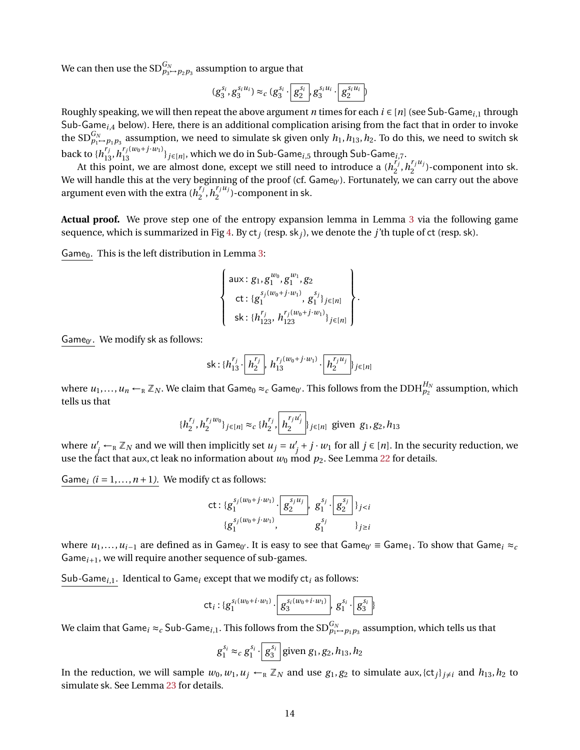We can then use the  $\mathrm{SD}^{G_N}_{p_3 \rightarrow p_2 p_3}$  assumption to argue that

$$
(g_3^{s_i},g_3^{s_iu_i})\approx_c (g_3^{s_i}\cdot \boxed{g_2^{s_i}},g_3^{s_iu_i}\cdot \boxed{g_2^{s_iu_i}})
$$

Roughly speaking, we will then repeat the above argument *n* times for each *i* ∈ [*n*] (see Sub-Game*<sup>i</sup>*,1 through Sub-Game*<sup>i</sup>*,4 below). Here, there is an additional complication arising from the fact that in order to invoke the SD $_{p_1\to p_1p_3}^{G_N}$  assumption, we need to simulate sk given only  $h_1,h_{13},h_2.$  To do this, we need to switch sk back to  $\{h_{13}^{r_j}, h_{13}^{r_j(w_0+j\cdot w_1)}\}_{j\in[n]},$  which we do in Sub-Game $_{i,5}$  through Sub-Game $_{i,7}.$ 

At this point, we are almost done, except we still need to introduce a  $(h_j^{r_j})$  $h_2^{r_j}, h_2^{r_ju_j}$  $2^{r_j u_j}$ )-component into sk. We will handle this at the very beginning of the proof (cf. Game<sub>0'</sub>). Fortunately, we can carry out the above argument even with the extra  $(h_j^{r_j})$  $n_1^{r_j}$ ,  $h_2^{r_j u_j}$  $\binom{r_j u_j}{2}$ -component in sk.

**Actual proof.** We prove step one of the entropy expansion lemma in Lemma [3](#page-10-1) via the following game sequence, which is summarized in Fig [4.](#page-15-0) By ct*<sup>j</sup>* (resp. sk*j*), we denote the *j*'th tuple of ct (resp. sk).

Game<sub>0</sub>. This is the left distribution in Lemma [3:](#page-10-1)

$$
\left\{\n\begin{array}{l}\n\text{aux}: g_1, g_1^{w_0}, g_1^{w_1}, g_2 \\
\text{ct}: \{g_1^{s_j(w_0+j\cdot w_1)}, g_1^{s_j}\}_{j\in[n]} \\
\text{sk}: \{h_{123}^{r_j}, h_{123}^{r_j(w_0+j\cdot w_1)}\}_{j\in[n]}\n\end{array}\n\right\}.
$$

Game<sub>0'</sub>. We modify sk as follows:

sk: 
$$
{h_{13}^{r_j} \cdot \boxed{h_2^{r_j}}}, h_{13}^{r_j(w_0+j \cdot w_1)} \cdot \boxed{h_2^{r_ju_j}}_{j \in [n]}
$$

where  $u_1,...,u_n$  ←  $_\R$   $\mathbb{Z}_N.$  We claim that Game $_0\approx_c$  Game $_0$ . This follows from the DDH $_{p_2}^{H_N}$  assumption, which tells us that

$$
\{h_2^{r_j}, h_2^{r_jw_0}\}_{j\in[n]}\approx_c \{h_2^{r_j}, \left[h_2^{\frac{r_ju'_j}{2}}\right]\}_{j\in[n]}
$$
 given  $g_1, g_2, h_{13}$ 

where  $u'_{j} \leftarrow_{\mathbb{R}} \mathbb{Z}_N$  and we will then implicitly set  $u_j = u'$  $j'$  + *j* ⋅ *w*<sub>1</sub> for all *j* ∈ [*n*]. In the security reduction, we use the fact that aux, ct leak no information about  $w_0$  mod  $p_2$ . See Lemma [22](#page-49-0) for details.

Game<sub>i</sub>  $(i = 1, ..., n + 1)$ . We modify ct as follows:

ct: 
$$
\{g_1^{s_j(w_0+j\cdot w_1)}\cdot \boxed{g_2^{s_ju_j}}, g_1^{s_j}\cdot \boxed{g_2^{s_j}}\}_{j  
 $\{g_1^{s_j(w_0+j\cdot w_1)}, g_1^{s_j}\}\}_{j\geq i}$
$$

where  $u_1,...,u_{i-1}$  are defined as in Game<sub>0'</sub>. It is easy to see that Game<sub>0'</sub> = Game<sub>1</sub>. To show that Game<sub>i</sub> ≈<sub>c</sub> Game*i*+1, we will require another sequence of sub-games.

Sub*-*Game*<sup>i</sup>*,1*.* Identical to Game*<sup>i</sup>* except that we modify ct*<sup>i</sup>* as follows:

$$
\mathsf{ct}_{i}: \{g_1^{s_i(w_0+i\cdot w_1)}\cdot \boxed{g_3^{s_i(w_0+i\cdot w_1)}}, \, g_1^{s_i}\cdot \boxed{g_3^{s_i}}\}
$$

We claim that  $\mathsf{Game}_i \approx_c \mathsf{Sub}\text{-}\mathsf{Game}_{i,1}.$  This follows from the  $\mathsf{SD}^{G_N}_{p_1\mapsto p_1p_3}$  assumption, which tells us that

$$
g_1^{s_i} \approx_c g_1^{s_i} \cdot \boxed{g_3^{s_i}}
$$
 given  $g_1, g_2, h_{13}, h_2$ 

In the reduction, we will sample  $w_0, w_1, u_j \leftarrow_R \mathbb{Z}_N$  and use  $g_1, g_2$  to simulate aux,  $\{ct_j\}_{j\neq i}$  and  $h_{13}, h_2$  to simulate sk. See Lemma [23](#page-49-1) for details.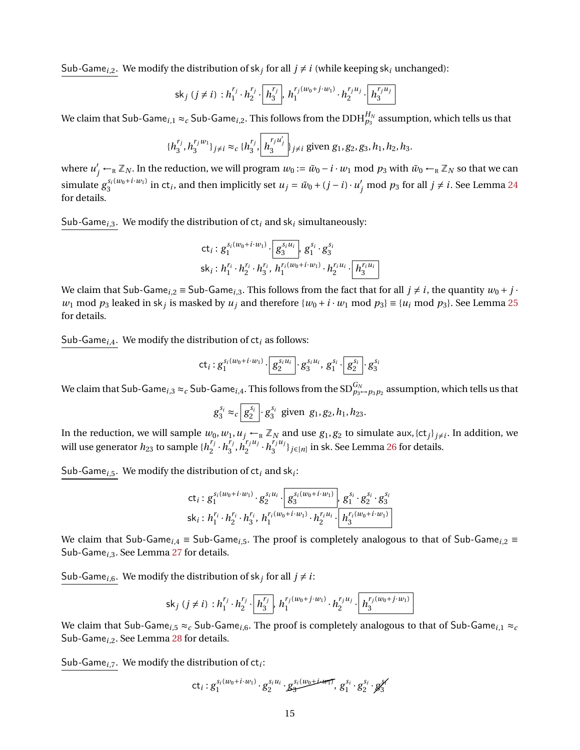Sub-Game<sub>*i*,2</sub>. We modify the distribution of sk<sub>j</sub> for all  $j \neq i$  (while keeping sk<sub>*i*</sub> unchanged):

$$
\mathsf{sk}_j \ (j \neq i) : h_1^{r_j} \cdot h_2^{r_j} \cdot \boxed{h_3^{r_j}}, \ h_1^{r_j(w_0 + j \cdot w_1)} \cdot h_2^{r_j u_j} \cdot \boxed{h_3^{r_j u_j}}
$$

We claim that Sub-Game $_{i,1}\approx_c$  Sub-Game $_{i,2}$ . This follows from the DDH $^{H_N}_{p_3}$  assumption, which tells us that

$$
\{h_3^{r_j}, h_3^{r_jw_1}\}_{j\neq i} \approx_c \{h_3^{r_j}, \left[h_3^{r_ju_j'}\right]\}_{j\neq i} \text{ given } g_1, g_2, g_3, h_1, h_2, h_3.
$$

where  $u'_j \leftarrow_R \mathbb{Z}_N$ . In the reduction, we will program  $w_0 := \tilde{w}_0 - i \cdot w_1 \bmod p_3$  with  $\tilde{w}_0 \leftarrow_R \mathbb{Z}_N$  so that we can simulate  $g_3^{s_i(w_0+i\cdot w_1)}$  in ct<sub>i</sub>, and then implicitly set  $u_j = \tilde{w}_0 + (j-i)\cdot u'_j \text{ mod } p_3$  for all  $j \neq i$ . See Lemma [24](#page-49-2) for details.

Sub*-*Game*<sup>i</sup>*,3*.* We modify the distribution of ct*<sup>i</sup>* and sk*<sup>i</sup>* simultaneously:

$$
\mathsf{ct}_i: g_1^{s_i(w_0+i\cdot w_1)} \cdot \boxed{g_3^{s_iu_i}} \cdot g_1^{s_i} \cdot g_3^{s_i}
$$
\n
$$
\mathsf{sk}_i: h_1^{r_i} \cdot h_2^{r_i} \cdot h_3^{r_i} \cdot h_1^{r_i(w_0+i\cdot w_1)} \cdot h_2^{r_iu_i} \cdot \boxed{h_3^{r_iu_i}}
$$

We claim that Sub-Game<sub>*i*,2</sub> = Sub-Game<sub>*i*,3</sub>. This follows from the fact that for all  $j \neq i$ , the quantity  $w_0 + j \cdot$ *w*<sub>1</sub> mod  $p_3$  leaked in sk<sub>*j*</sub> is masked by *u<sub>j</sub>* and therefore  $\{w_0 + i \cdot w_1 \text{ mod } p_3\} \equiv \{u_i \text{ mod } p_3\}$ . See Lemma [25](#page-50-0) for details.

Sub*-*Game*<sup>i</sup>*,4*.* We modify the distribution of ct*<sup>i</sup>* as follows:

$$
\mathsf{ct}_i : g_1^{s_i(w_0 + i \cdot w_1)} \cdot \boxed{g_2^{s_iu_i}} \cdot g_3^{s_iu_i}, \, g_1^{s_i} \cdot \boxed{g_2^{s_i}} \cdot g_3^{s_i}
$$

We claim that Sub-Game $_{i,3}$   $\approx$   $_c$  Sub-Game $_{i,4}$ . This follows from the SD $^{G_N}_{p_3\to p_3p_2}$  assumption, which tells us that

$$
g_3^{s_i} \approx_c \boxed{g_2^{s_i}} \cdot g_3^{s_i}
$$
 given  $g_1, g_2, h_1, h_{23}$ .

In the reduction, we will sample  $w_0, w_1, u_j \leftarrow_R \mathbb{Z}_N$  and use  $g_1, g_2$  to simulate aux,  $\{ct_j\}_{j\neq i}$ . In addition, we will use generator  $h_{23}$  to sample  $\{h_2^{r_j}\}$  $\frac{r_j}{2} \cdot h_3^{r_j}$  $\frac{r_j}{3}, \dot{h}_2^{r_j u_j}$  $\frac{r_j u_j}{2} \cdot h_3^{r_j u_j}$  $\{f_j^{(i)}\}_{j\in[n]}$  in sk. See Lemma [26](#page-50-1) for details.

Sub*-*Game*<sup>i</sup>*,5*.* We modify the distribution of ct*<sup>i</sup>* and sk*<sup>i</sup>* :

$$
\mathsf{ct}_i: g_1^{s_i(w_0+i\cdot w_1)} \cdot g_2^{s_iu_i} \cdot \overline{\left[g_3^{s_i(w_0+i\cdot w_1)}\right]} \cdot g_1^{s_i} \cdot g_2^{s_i} \cdot g_3^{s_i}
$$
\n
$$
\mathsf{sk}_i: h_1^{r_i} \cdot h_2^{r_i} \cdot h_3^{r_i} \cdot h_1^{r_i(w_0+i\cdot w_1)} \cdot h_2^{r_iu_i} \cdot \overline{\left[h_3^{r_i(w_0+i\cdot w_1)}\right]}
$$

We claim that Sub-Game*<sup>i</sup>*,4 ≡ Sub-Game*<sup>i</sup>*,5. The proof is completely analogous to that of Sub-Game*<sup>i</sup>*,2 ≡ Sub-Game*<sup>i</sup>*,3. See Lemma [27](#page-51-0) for details.

Sub-Game<sub>*i*,6</sub>. We modify the distribution of sk<sub>*j*</sub> for all  $j \neq i$ :

$$
\mathsf{sk}_j \ (j \neq i) : h_1^{r_j} \cdot h_2^{r_j} \cdot \left[ h_3^{r_j} \right], \ h_1^{r_j(w_0 + j \cdot w_1)} \cdot h_2^{r_ju_j} \cdot \left[ h_3^{r_j(w_0 + j \cdot w_1)} \right]
$$

We claim that Sub-Game<sub>*i*,5</sub>  $\approx$ *<sub>c</sub>* Sub-Game<sub>*i*,6</sub>. The proof is completely analogous to that of Sub-Game<sub>*i*,1</sub>  $\approx$ <sub>*c*</sub> Sub-Game*<sup>i</sup>*,2. See Lemma [28](#page-51-1) for details.

Sub*-*Game*<sup>i</sup>*,7*.* We modify the distribution of ct*<sup>i</sup>* :

$$
\mathsf{ct}_i:g_1^{s_i(w_0+i\cdot w_1)}\cdot g_2^{s_iu_i}\cdot g_3^{s_i(w_0+i\cdot w_1)},\,g_1^{s_i}\cdot g_2^{s_i}\cdot g_3^{s_i}
$$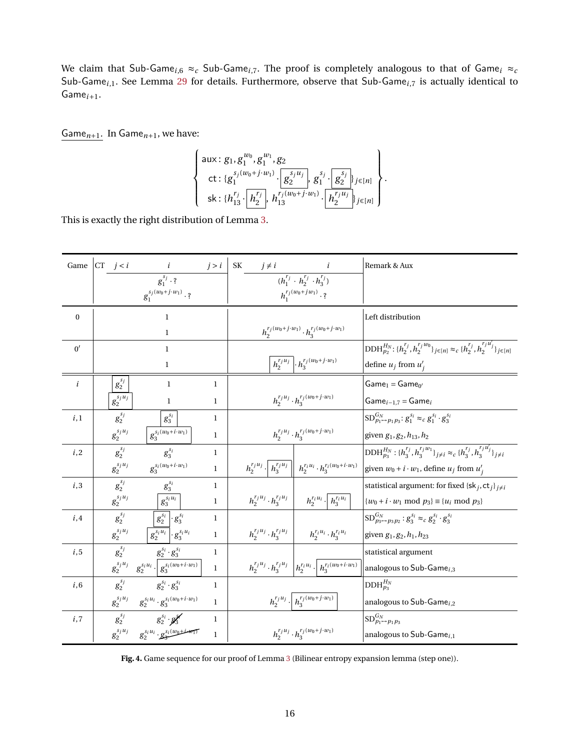We claim that Sub-Game<sub>i,6</sub>  $\approx_c$  Sub-Game<sub>i,7</sub>. The proof is completely analogous to that of Game<sub>i</sub>  $\approx_c$ Sub-Game*<sup>i</sup>*,1. See Lemma [29](#page-51-2) for details. Furthermore, observe that Sub-Game*<sup>i</sup>*,7 is actually identical to Game*i*+1.

Game*n*+1*.* In Game*n*+1, we have:

$$
\left\{\n\begin{array}{l}\n\text{aux: } g_1, g_1^{w_0}, g_1^{w_1}, g_2 \\
\text{ct: } \{g_1^{s_j(w_0+j\cdot w_1)} \cdot \boxed{g_2^{s_ju_j}} \cdot g_1^{s_j} \cdot \boxed{g_2^{s_j}}\}_{j\in[n]} \\
\text{sk: } \{h_{13}^{r_j} \cdot \boxed{h_2^{r_j}} \cdot h_{13}^{r_j(w_0+j\cdot w_1)} \cdot \boxed{h_2^{r_ju_j}}\}_{j\in[n]}\n\end{array}\n\right\}.
$$

This is exactly the right distribution of Lemma [3.](#page-10-1)

| Game             | $CT \t j < i$  | $\dot{i}$                                                                    | j > i        | SK<br>$j \neq i$                 |                                                                                                                                  | Remark & Aux                                                                                                        |
|------------------|----------------|------------------------------------------------------------------------------|--------------|----------------------------------|----------------------------------------------------------------------------------------------------------------------------------|---------------------------------------------------------------------------------------------------------------------|
|                  |                | $g_1^{s_j} \cdot ?$                                                          |              |                                  | $(h_1^{r_j} \cdot h_2^{r_j} \cdot h_3^{r_j})$                                                                                    |                                                                                                                     |
|                  |                | $g_1^{s_j(w_0+j\cdot w_1)}\cdot ?$                                           |              |                                  | $h_1^{r_j(w_0+jw_1)}\cdot ?$                                                                                                     |                                                                                                                     |
| $\bf{0}$         |                | $\mathbf{1}$                                                                 |              |                                  |                                                                                                                                  | Left distribution                                                                                                   |
|                  |                | $\mathbf{1}$                                                                 |              |                                  | $h_2^{r_j(w_0+j\cdot w_1)}\cdot h_3^{r_j(w_0+j\cdot w_1)}$                                                                       |                                                                                                                     |
| 0'               |                | $\mathbf{1}$                                                                 |              |                                  |                                                                                                                                  | $\text{DDH}_{p_2}^{H_N}:\{h_2^{r_j},h_2^{r_jw_0}\}_{j\in[n]}\approx_c \{h_2^{r_j},h_2^{r_jw_j}\}_{j\in[n]}$         |
|                  |                | $\mathbf{1}$                                                                 |              |                                  | $h_2^{r_j u_j} \cdot h_3^{r_j (w_0 + j \cdot w_1)}$                                                                              | define $u_j$ from $u'_j$                                                                                            |
| $\boldsymbol{i}$ | $g_2^{s_j}$    | $\mathbf{1}$                                                                 | $\mathbf{1}$ |                                  |                                                                                                                                  | $Game1 = Game0'$                                                                                                    |
|                  | $g_2^{s_ju_j}$ | $\mathbf{1}$                                                                 | 1            |                                  | $h_2^{r_ju_j}\cdot h_3^{r_j(w_0+j\cdot w_1)}$                                                                                    | Game $_{i-1,7}$ = Game $_i$                                                                                         |
| i,1              | $g_2^{s_j}$    | $g_3^{s_i}$                                                                  | $\mathbf{1}$ |                                  |                                                                                                                                  | $SD_{p_1 \rightarrow p_1 p_3}^{G_N}$ : $g_1^{s_i} \approx_c g_1^{s_i} \cdot g_3^{s_i}$                              |
|                  | $g_2^{s_ju_j}$ | $g_3^{s_i(w_0+i\cdot w_1)}$                                                  | $\mathbf{1}$ |                                  | $h_2^{r_ju_j}\cdot h_3^{r_j(w_0+j\cdot w_1)}$                                                                                    | given $g_1, g_2, h_{13}, h_2$                                                                                       |
| i,2              | $g_2^{s_j}$    | $g_3^{s_i}$                                                                  | $\mathbf{1}$ |                                  |                                                                                                                                  | $\mathrm{DDH}_{p_3}^{H_N} : \{h_3^{r_j}, h_3^{r_jw_1}\}_{j\neq i} \approx_c \{h_3^{r_j}, h_3^{r_ju_j'}\}_{j\neq i}$ |
|                  | $g_2^{s_ju_j}$ | $g_3^{s_i(w_0+i\cdot w_1)}$                                                  | $\mathbf{1}$ |                                  | $h_2^{r_ju_j} \cdot \mid h_3^{r_ju_j} \mid \mid h_2^{r_iu_i} \cdot h_3^{r_i(w_0+i \cdot w_1)}$                                   | given $w_0 + i \cdot w_1$ , define $u_j$ from $u'_j$                                                                |
| i,3              | $g_2^{s_j}$    | $g_3^{s_i}$                                                                  | $\mathbf{1}$ |                                  |                                                                                                                                  | statistical argument: for fixed $\{sk_j, ct_j\}_{j \neq i}$                                                         |
|                  | $g_2^{s_ju_j}$ | $g_3^{s_i u_i}$                                                              | $\mathbf{1}$ |                                  | $\left\vert h_{2}^{r_ju_j}\cdot h_{3}^{r_ju_j}\ \right\vert\ \ \ \ \ h_{2}^{r_iu_i}\cdot \left\vert h_{3}^{r_iu_i}\ \right\vert$ | $\{w_0 + i \cdot w_1 \text{ mod } p_3\} \equiv \{u_i \text{ mod } p_3\}$                                            |
| i,4              | $g_2^{s_j}$    | $g_2^{s_i}$ $\cdot g_3^{s_i}$                                                | $\mathbf{1}$ |                                  |                                                                                                                                  | $SD_{p_3 \rightarrow p_3 p_2}^{G_N}: g_3^{s_i} \approx_c g_2^{s_i} \cdot g_3^{s_i}$                                 |
|                  | $g_2^{s_ju_j}$ | $g_2^{s_i u_i}$ $\cdot g_3^{s_i u_i}$                                        | $\mathbf{1}$ | $h_2^{r_ju_j}\cdot h_3^{r_ju_j}$ | $h_2^{r_iu_i}\cdot h_3^{r_iu_i}$                                                                                                 | given $g_1, g_2, h_1, h_{23}$                                                                                       |
| i, 5             | $g_2^{s_j}$    | $g_2^{s_i}\cdot g_3^{s_i}$                                                   | $\mathbf{1}$ |                                  |                                                                                                                                  | statistical argument                                                                                                |
|                  |                | $g_2^{s_ju_j} \quad g_2^{s_iu_i} \cdot \boxed{g_3^{s_i(w_0 + i \cdot w_1)}}$ | $\,1$        |                                  | $h_2^{r_ju_j} \cdot h_3^{r_ju_j} \left[ h_2^{r_iu_i} \cdot \right] h_3^{r_i(w_0 + i \cdot w_1)}$                                 | analogous to Sub-Game $_{i,3}$                                                                                      |
| i, 6             | $g_2^{s_j}$    | $g_2^{s_i}\cdot g_3^{s_i}$                                                   | $\mathbf{1}$ |                                  |                                                                                                                                  | $\mathrm{DDH}_{p_3}^{H_N}$                                                                                          |
|                  |                | $g_2^{s_ju_j} \quad g_2^{s_iu_i} \cdot g_3^{s_i(w_0 + i \cdot w_1)}$         | $\mathbf{1}$ |                                  | $h_2^{r_ju_j}\cdot\left\lfloor\,h_3^{r_j(w_0+j\cdot\overline{w_1})}\,\right\rfloor$                                              | analogous to Sub-Game $_{i,2}$                                                                                      |
| i,7              |                | $g_2^{s_j}$ $g_2^{s_i} \cdot g_3^{\mathcal{N}}$                              | $\mathbf{1}$ |                                  |                                                                                                                                  | $SD^{G_N}_{p_1 \rightarrow p_1 p_3}$                                                                                |
|                  |                | $g_2^{s_ju_j}$ $g_2^{s_iu_i} \cdot g_2^{s_i(w_0+i+w_1)}$                     | $\mathbf{1}$ |                                  | $h_2^{r_ju_j}\cdot h_3^{r_j(w_0+j\cdot w_1)}$                                                                                    | analogous to Sub-Game $_{i,1}$                                                                                      |

<span id="page-15-0"></span>**Fig. 4.** Game sequence for our proof of Lemma [3](#page-10-1) (Bilinear entropy expansion lemma (step one)).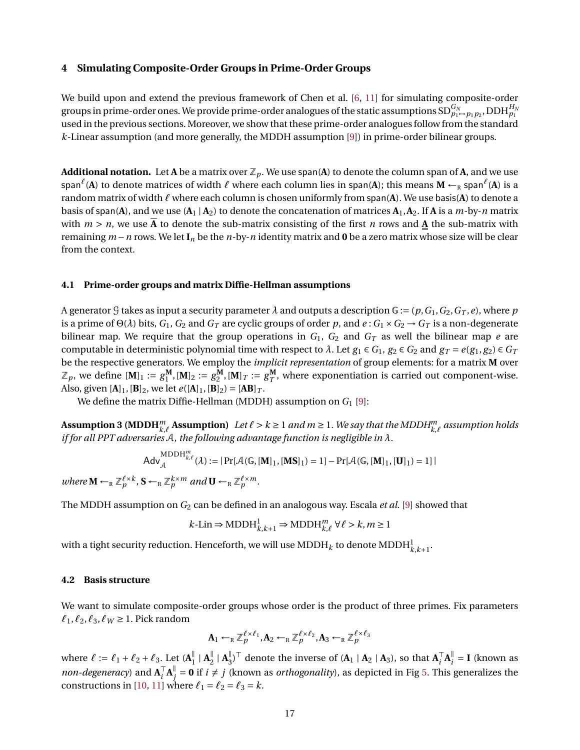### <span id="page-16-0"></span>**4 Simulating Composite-Order Groups in Prime-Order Groups**

We build upon and extend the previous framework of Chen et al. [\[6,](#page-47-4) [11\]](#page-48-12) for simulating composite-order groups in prime-order ones. We provide prime-order analogues of the static assumptions  $\mathrm{SD}^{G_N}_{p_1\mapsto p_1p_2}$ ,  $\mathrm{DDH}^{H_N}_{p_1}$ used in the previous sections. Moreover, we show that these prime-order analogues follow from the standard *k*-Linear assumption (and more generally, the MDDH assumption [\[9\]](#page-47-7)) in prime-order bilinear groups.

**Additional notation.** Let **A** be a matrix over  $\mathbb{Z}_p$ . We use span(A) to denote the column span of **A**, and we use span $^{\ell}$ (**A**) to denote matrices of width  $\ell$  where each column lies in span(**A**); this means  $M \leftarrow_R$  span $^{\ell}$ (**A**) is a random matrix of width  $\ell$  where each column is chosen uniformly from span(A). We use basis(A) to denote a basis of span(A), and we use  $(A_1 | A_2)$  to denote the concatenation of matrices  $A_1, A_2$ . If A is a *m*-by-*n* matrix with  $m > n$ , we use  $\overline{A}$  to denote the sub-matrix consisting of the first *n* rows and **A** the sub-matrix with remaining *m*−*n* rows. We let **I***<sup>n</sup>* be the *n*-by-*n* identity matrix and **0** be a zero matrix whose size will be clear from the context.

#### <span id="page-16-2"></span>**4.1 Prime-order groups and matrix Diffie-Hellman assumptions**

A generator G takes as input a security parameter  $\lambda$  and outputs a description  $G := (p, G_1, G_2, G_T, e)$ , where  $p$ is a prime of  $\Theta(\lambda)$  bits,  $G_1$ ,  $G_2$  and  $G_T$  are cyclic groups of order p, and  $e: G_1 \times G_2 \to G_T$  is a non-degenerate bilinear map. We require that the group operations in  $G_1$ ,  $G_2$  and  $G_T$  as well the bilinear map  $e$  are computable in deterministic polynomial time with respect to  $\lambda$ . Let  $g_1 \in G_1$ ,  $g_2 \in G_2$  and  $g_T = e(g_1, g_2) \in G_T$ be the respective generators. We employ the *implicit representation* of group elements: for a matrix **M** over  $\mathbb{Z}_p$ , we define  $[\mathbf{M}]_1 := g_1^{\mathbf{M}}, [\mathbf{M}]_2 := g_2^{\mathbf{M}}, [\mathbf{M}]_T := g_T^{\mathbf{M}}$ , where exponentiation is carried out component-wise. Also, given  $[A]_1$ ,  $[B]_2$ , we let  $e([A]_1, [B]_2) = [AB]_T$ .

We define the matrix Diffie-Hellman (MDDH) assumption on *G*<sup>1</sup> [\[9\]](#page-47-7):

**Assumption 3 (MDDH**<sup>m</sup><sub>k,</sub> $\ell$  **Assumption)** Let  $\ell > k \geq 1$  and  $m \geq 1$ . We say that the MDDH $_{k,\ell}^m$  assumption holds *if for all PPT adversaries* A*, the following advantage function is negligible in λ.*

$$
\mathsf{Adv}_{\mathcal{A}}^{\mathrm{MDDH}_{k,\ell}^m}(\lambda) := |\Pr[\mathcal{A}(\mathbb{G}, [\mathbf{M}]_1, [\mathbf{MS}]_1) = 1] - \Pr[\mathcal{A}(\mathbb{G}, [\mathbf{M}]_1, [\mathbf{U}]_1) = 1]|
$$
  
where  $\mathbf{M} \leftarrow_R \mathbb{Z}_p^{\ell \times k}$ ,  $\mathbf{S} \leftarrow_R \mathbb{Z}_p^{k \times m}$  and  $\mathbf{U} \leftarrow_R \mathbb{Z}_p^{\ell \times m}$ .

The MDDH assumption on *G*<sup>2</sup> can be defined in an analogous way. Escala *et al.* [\[9\]](#page-47-7) showed that

$$
k\text{-Lin} \Rightarrow \text{MDDH}_{k,k+1}^1 \Rightarrow \text{MDDH}_{k,\ell}^m \forall \ell > k, m \ge 1
$$

with a tight security reduction. Henceforth, we will use  $\mathrm{MDDH}_k$  to denote  $\mathrm{MDDH}^1_{k,k+1}.$ 

### <span id="page-16-1"></span>**4.2 Basis structure**

We want to simulate composite-order groups whose order is the product of three primes. Fix parameters  $\ell_1$ ,  $\ell_2$ ,  $\ell_3$ ,  $\ell$ <sub>*W*</sub> ≥ 1. Pick random

$$
\mathbf{A}_1 \leftarrow_R \mathbb{Z}_p^{\ell \times \ell_1}, \mathbf{A}_2 \leftarrow_R \mathbb{Z}_p^{\ell \times \ell_2}, \mathbf{A}_3 \leftarrow_R \mathbb{Z}_p^{\ell \times \ell_3}
$$

where  $\ell := \ell_1 + \ell_2 + \ell_3$ . Let  $(A_1^{\parallel})$  $\frac{1}{1}$  |  $A_2^{\parallel}$  $\frac{1}{2}$  |  $\mathbf{A}_3^{\parallel}$  $_{3}^{\parallel}$ <sup>T</sup> denote the inverse of (**A**<sub>1</sub> | **A**<sub>2</sub> | **A**<sub>3</sub>), so that  $\mathbf{A}_{i}^{\top}$  $\overline{A}_i^{\parallel}$  $\frac{\parallel}{i}$  = **I** (known as *non-degeneracy*) and  $A_i^T$  $\overline{A}_i^{\parallel}$  $_j^\parallel$  = **0** if  $i \neq j$  (known as *orthogonality*), as depicted in Fig [5.](#page-17-0) This generalizes the constructions in [\[10,](#page-47-9) [11\]](#page-48-12) where  $\ell_1 = \ell_2 = \ell_3 = k$ .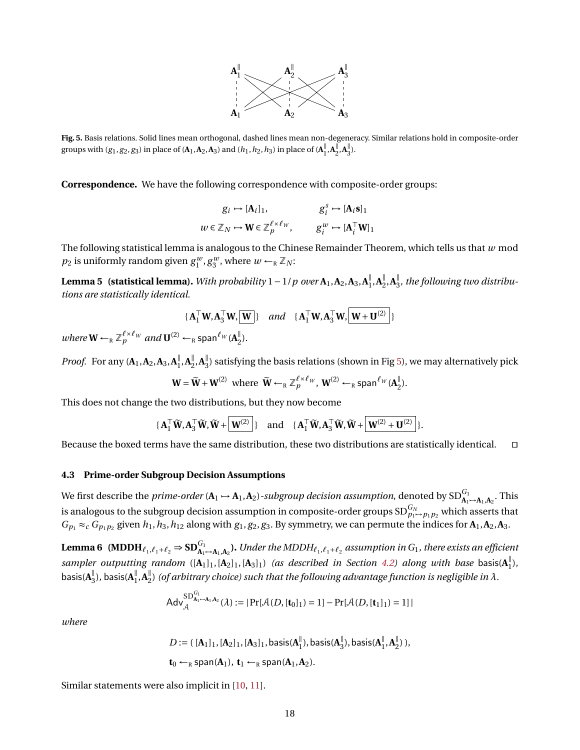

<span id="page-17-0"></span>**Fig. 5.** Basis relations. Solid lines mean orthogonal, dashed lines mean non-degeneracy. Similar relations hold in composite-order groups with  $(g_1, g_2, g_3)$  in place of  $(A_1, A_2, A_3)$  and  $(h_1, h_2, h_3)$  in place of  $(A_1^{\parallel})$  $\frac{1}{1}$ ,  $A_2$ <sup> $\frac{1}{2}$ </sup>  $\sum_{2}^{1}$ ,  $A_{3}^{1}$  $\frac{1}{3}$ ).

**Correspondence.** We have the following correspondence with composite-order groups:

<span id="page-17-1"></span>
$$
g_i \mapsto [\mathbf{A}_i]_1, \qquad \qquad g_i^s \mapsto [\mathbf{A}_i \mathbf{s}]_1
$$

$$
w \in \mathbb{Z}_N \mapsto \mathbf{W} \in \mathbb{Z}_p^{\ell \times \ell_W}, \qquad g_i^w \mapsto [\mathbf{A}_i^\top \mathbf{W}]_1
$$

The following statistical lemma is analogous to the Chinese Remainder Theorem, which tells us that *w* mod  $p_2$  is uniformly random given  $g_1^w, g_3^w$ , where  $w \leftarrow_R \mathbb{Z}_N$ :

**Lemma 5 (statistical lemma).** *With probability*  $1 - 1/p$  *over*  $A_1, A_2, A_3, A_1^{\parallel}$  $\frac{||}{1}$ , **A** $\frac{||}{2}$  $\frac{||}{2}$ , **A**<sup> $||$ </sup><sub>3</sub> 3 *, the following two distributions are statistically identical.*

$$
\{A_1^\top W, A_3^\top W, \boxed{W}\}\quad and \quad \{A_1^\top W, A_3^\top W, \boxed{W+W^{(2)}}\}
$$

 $where \mathbf{W} \leftarrow_R \mathbb{Z}_p^{\ell \times \ell_W} and \mathbf{U}^{(2)} \leftarrow_R \text{span}^{\ell_W}(\mathbf{A}_2^{\parallel})$  $_{2}^{\mathbb{I}}$ ).

*Proof.* For any  $(A_1, A_2, A_3, A_1^{\parallel}$  $\frac{||}{1}$ , **A**<sup> $||$ </sup><sub>2</sub>  $\frac{||}{2}$ , **A**<sup> $||$ </sup><sub>3</sub>  $\frac{1}{3}$ ) satisfying the basis relations (shown in Fig [5\)](#page-17-0), we may alternatively pick

$$
\mathbf{W} = \widetilde{\mathbf{W}} + \mathbf{W}^{(2)} \text{ where } \widetilde{\mathbf{W}} \leftarrow_R \mathbb{Z}_p^{\ell \times \ell_W}, \mathbf{W}^{(2)} \leftarrow_R \text{span}^{\ell_W}(\mathbf{A}_2^{\parallel}).
$$

This does not change the two distributions, but they now become

$$
\{A_1^\top \widetilde{W}, A_3^\top \widetilde{W}, \widetilde{W} + \boxed{W^{(2)}}\} \quad \text{and} \quad \{A_1^\top \widetilde{W}, A_3^\top \widetilde{W}, \widetilde{W} + \boxed{W^{(2)} + U^{(2)}}\}.
$$

Because the boxed terms have the same distribution, these two distributions are statistically identical.  $\square$ 

### **4.3 Prime-order Subgroup Decision Assumptions**

We first describe the  $\emph{prime-order}~(\bf A_1\rightarrow A_1, A_2)$  -subgroup decision assumption, denoted by  $\text{SD}^{G_1}_{\bf A_1\rightarrow A_1, A_2}$ . This is analogous to the subgroup decision assumption in composite-order groups  $\mathrm{SD}^{G_N}_{p_1\to p_1p_2}$  which asserts that  $G_{p_1} \approx_c G_{p_1p_2}$  given  $h_1, h_3, h_{12}$  along with  $g_1, g_2, g_3$ . By symmetry, we can permute the indices for  $A_1, A_2, A_3$ .

**Lemma 6** (MDDH $_{\ell_1,\ell_1+\ell_2} \Rightarrow$  SD $_{\bf A_1\mapsto A_1,A_2}^{\rm G_1}$ ). Under the MDDH $_{\ell_1,\ell_1+\ell_2}$  assumption in  $\rm G_1$ , there exists an efficient sampler outputting random  $([\mathbf{A}_1]_1, [\mathbf{A}_2]_1, [\mathbf{A}_3]_1)$  *(as described in Section [4.2\)](#page-16-1) along with base* basis( $\mathbf{A}_1^{\parallel}$ 1 )*,*  $\mathsf{basis}(\mathbf{A}^\parallel_3)$  $\frac{1}{3}$ ), basis( $A_1^{\parallel}$  $\mathbf{A}_1^{\parallel}, \mathbf{A}_2^{\parallel}$  $_{2}^{\mathbb{I}}$ ) (of arbitrary choice) such that the following advantage function is negligible in  $\lambda.$ 

$$
Adv_{\mathcal{A}}^{\mathrm{SD}^{G_1}_{A_1\mapsto A_1,A_2}}(\lambda) := | \Pr[\mathcal{A}(D, [\mathbf{t}_0]_1) = 1] - \Pr[\mathcal{A}(D, [\mathbf{t}_1]_1) = 1] |
$$

*where*

$$
D := (\ [\mathbf{A}_1]_1, [\mathbf{A}_2]_1, [\mathbf{A}_3]_1, basis(\mathbf{A}_1^{\parallel}), basis(\mathbf{A}_3^{\parallel}), basis(\mathbf{A}_1^{\parallel}, \mathbf{A}_2^{\parallel}),
$$
  

$$
\mathbf{t}_0 \leftarrow_R span(\mathbf{A}_1), \ \mathbf{t}_1 \leftarrow_R span(\mathbf{A}_1, \mathbf{A}_2).
$$

Similar statements were also implicit in [\[10,](#page-47-9) [11\]](#page-48-12).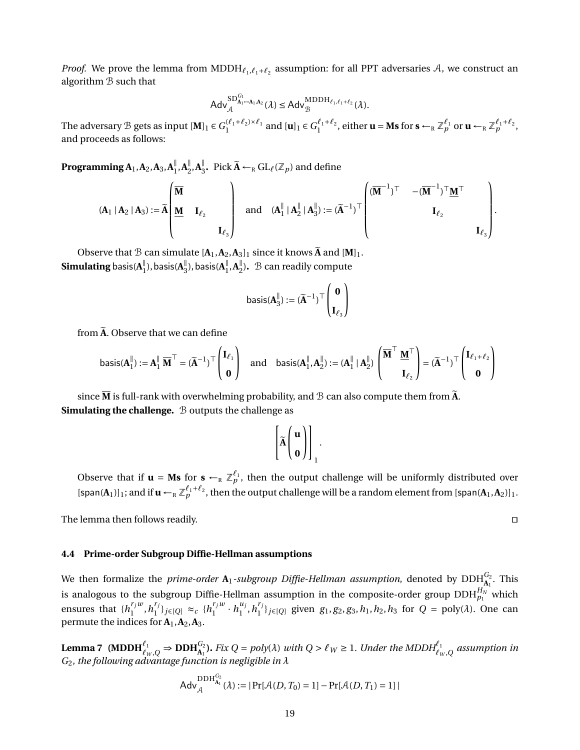*Proof.* We prove the lemma from  $MDDH_{\ell_1,\ell_1+\ell_2}$  assumption: for all PPT adversaries A, we construct an algorithm B such that

$$
\mathsf{Adv}_{\mathcal{A}}^{\mathsf{SD}^{G_1}_{\mathsf{A}_1\rightarrow\mathsf{A}_1,\mathsf{A}_2}}(\lambda) \leq \mathsf{Adv}_{\mathcal{B}}^{\mathsf{MDDH}_{\ell_1,\ell_1+\ell_2}}(\lambda).
$$

The adversary B gets as input  $[\mathbf{M}]_1 \in G_1^{(\ell_1+\ell_2)\times \ell_1}$  and  $[\mathbf{u}]_1 \in G_1^{\ell_1+\ell_2}$ , either  $\mathbf{u} = \mathbf{M}\mathbf{s}$  for  $\mathbf{s} \leftarrow_R \mathbb{Z}_p^{\ell_1}$  or  $\mathbf{u} \leftarrow_R \mathbb{Z}_p^{\ell_1+\ell_2}$ , and proceeds as follows:

**Programming A**1,**A**2,**A**3,**A** ∥  $\frac{||}{1}$ , **A**<sup> $||$ </sup><sub>2</sub>  $\frac{||}{2}$ , **A** $\frac{||}{3}$ <sup> $\parallel$ </sup><sub>3</sub>. Pick  $\widetilde{A} \leftarrow_R GL_{\ell}(\mathbb{Z}_p)$  and define

$$
\left(\mathbf{A}_1 \mid \mathbf{A}_2 \mid \mathbf{A}_3\right) := \widetilde{\mathbf{A}}\left[\begin{matrix} \overline{\mathbf{M}} & & & \\ \underline{\mathbf{M}} & \mathbf{I}_{\ell_2} & & \\ & & \mathbf{I}_{\ell_3} \end{matrix}\right] \quad \text{and} \quad \left(\mathbf{A}_1^{\parallel} \mid \mathbf{A}_2^{\parallel} \mid \mathbf{A}_3^{\parallel}\right) := \left(\widetilde{\mathbf{A}}^{-1}\right)^\top \left(\begin{matrix} (\overline{\mathbf{M}}^{-1})^\top & - (\overline{\mathbf{M}}^{-1})^\top \underline{\mathbf{M}}^\top \\ & & \mathbf{I}_{\ell_2} & \\ & & & \mathbf{I}_{\ell_3} \end{matrix}\right)
$$

Observe that B can simulate  $[A_1, A_2, A_3]_1$  since it knows  $\tilde{A}$  and  $[M]_1$ . **Simulating** basis( $A_1^{\parallel}$  $\frac{1}{1}$ ), basis( $\mathbf{A}_3^{\parallel}$  $\frac{1}{3}$ ), basis( $A_1^{\parallel}$  $\frac{1}{1}$ ,  $A_2^{\parallel}$  $\frac{1}{2}$ ).  $\beta$  can readily compute

$$
\text{basis}(A_3^\parallel):=(\widetilde{A}^{-1})^\top \begin{pmatrix} \mathbf{0} \\ \mathbf{I}_{\ell_3} \end{pmatrix}
$$

from  $\tilde{A}$ . Observe that we can define

$$
\text{basis}(A_1^\parallel):=A_1^\parallel \, \overline{M}^\top=(\widetilde{A}^{-1})^\top \begin{pmatrix} I_{\ell_1} \\ \mathbf{0} \end{pmatrix} \quad \text{and} \quad \text{basis}(A_1^\parallel,A_2^\parallel):=(A_1^\parallel \mid A_2^\parallel) \begin{pmatrix} \overline{M}^\top \ \underline{M}^\top \\ I_{\ell_2} \end{pmatrix} = (\widetilde{A}^{-1})^\top \begin{pmatrix} I_{\ell_1+\ell_2} \\ \mathbf{0} \end{pmatrix}.
$$

since  $\overline{M}$  is full-rank with overwhelming probability, and  $\beta$  can also compute them from  $\tilde{A}$ . **Simulating the challenge.** B outputs the challenge as

$$
\left[\widetilde{A}\left(\begin{array}{c} u \\ \mathbf{0} \end{array}\right)\right]_1.
$$

Observe that if  $\mathbf{u} = \mathbf{M}\mathbf{s}$  for  $\mathbf{s} \leftarrow_R \mathbb{Z}_p^{\ell_1}$ , then the output challenge will be uniformly distributed over  $[\text{span}(A_1)]_1$ ; and if  $\mathbf{u} \leftarrow_R \mathbb{Z}_p^{\ell_1+\ell_2}$ , then the output challenge will be a random element from  $[\text{span}(A_1, A_2)]_1$ .

The lemma then follows readily.  $\square$ 

### **4.4 Prime-order Subgroup Diffie-Hellman assumptions**

We then formalize the *prime-order*  $A_1$ *-subgroup Diffie-Hellman assumption*, denoted by  $\mathrm{DDH}_{A_1}^{G_2}$ . This is analogous to the subgroup Diffie-Hellman assumption in the composite-order group  $\mathrm{DDH}_{p_1}^{H_N}$  which ensures that  $\{h_1^{r_jw}\}$  $\binom{r_j w}{1}, h_1^{r_j}$  $\binom{r_j}{1}$ *j*∈[*Q*] ≈*c* { $h_1^{r_j w}$  $\int_1^{r_jw} \cdot h_1^{u_j}$  $n_1^{u_j}, n_1^{r_j}$ 1 }*j*∈[*Q*] given *g*1, *g*2, *g*3,*h*1,*h*2,*h*<sup>3</sup> for *Q* = poly(*λ*). One can permute the indices for  $A_1$ ,  $A_2$ ,  $A_3$ .

**Lemma 7** (MDDH $_{\ell_W,Q}^{\ell_1}$   $\Rightarrow$  DDH $_{A_1}^{G_2}$ ). Fix  $Q = poly(\lambda)$  with  $Q > \ell_W \ge 1$ . Under the MDDH $_{\ell_W,Q}^{\ell_1}$  assumption in *G*2*, the following advantage function is negligible in λ*

$$
Adv_{\mathcal{A}}^{\text{DDH}_{\mathbf{A}_{1}}^{G_{2}}}( \lambda ) := | \Pr[\mathcal{A}(D, T_{0}) = 1] - \Pr[\mathcal{A}(D, T_{1}) = 1] |
$$

.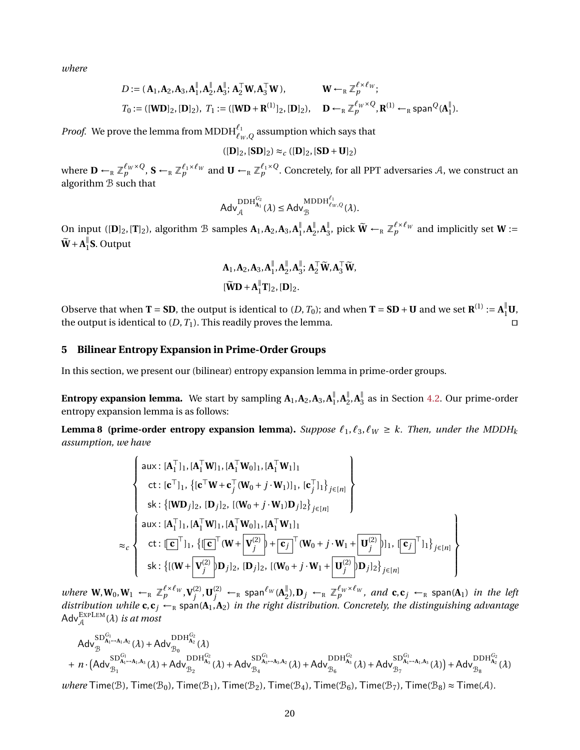*where*

$$
D := (\mathbf{A}_1, \mathbf{A}_2, \mathbf{A}_3, \mathbf{A}_1^{\parallel}, \mathbf{A}_2^{\parallel}, \mathbf{A}_3^{\parallel}; \mathbf{A}_2^{\top} \mathbf{W}, \mathbf{A}_3^{\top} \mathbf{W}), \qquad \mathbf{W} \leftarrow_R \mathbb{Z}_p^{\ell \times \ell_W};
$$
  
\n
$$
T_0 := ([\mathbf{W} \mathbf{D}]_2, [\mathbf{D}]_2), \quad T_1 := ([\mathbf{W} \mathbf{D} + \mathbf{R}^{(1)}]_2, [\mathbf{D}]_2), \qquad \mathbf{D} \leftarrow_R \mathbb{Z}_p^{\ell_W \times Q}, \mathbf{R}^{(1)} \leftarrow_R \text{span}^Q(\mathbf{A}_1^{\parallel}).
$$

*Proof.* We prove the lemma from MDDH $\int_{\ell_W, Q}^{\ell_1}$  assumption which says that

$$
([\mathbf{D}]_2,[\mathbf{SD}]_2)\approx_c ([\mathbf{D}]_2,[\mathbf{SD}+\mathbf{U}]_2)
$$

where  $\mathbf{D}\leftarrow_R\mathbb{Z}_p^{\ell_W\times Q}$ ,  $\mathbf{S}\leftarrow_R\mathbb{Z}_p^{\ell_1\times\ell_W}$  and  $\mathbf{U}\leftarrow_R\mathbb{Z}_p^{\ell_1\times Q}$ . Concretely, for all PPT adversaries  $\mathcal{A}$ , we construct an algorithm B such that

$$
\mathsf{Adv}_{\mathcal{A}}^{\mathrm{DDH}^{G_2}_{\mathbf{A}_1}}(\lambda) \leq \mathsf{Adv}_{\mathcal{B}}^{\mathrm{MDDH}^{\ell_1}_{\ell_W, Q}}(\lambda).
$$

On input ( $[D]_2$ , $[T]_2$ ), algorithm  $\mathcal{B}$  samples  $\mathbf{A}_1$ , $\mathbf{A}_2$ , $\mathbf{A}_3$ , $\mathbf{A}_1^{\parallel}$  $\frac{1}{1}$ ,  $A_2^{\parallel}$  $\frac{1}{2}$ ,  $A_3^{\parallel}$  $\frac{N}{3}$ , pick  $\widetilde{W}$  ←<sub>R</sub>  $\mathbb{Z}_p^{\ell \times \ell_W}$  and implicitly set **W** :=  $\widetilde{\mathbf{W}}+\mathbf{A}_1^{\parallel}$  $\frac{1}{1}$ **S**. Output

$$
A_1, A_2, A_3, A_1^{\parallel}, A_2^{\parallel}, A_3^{\parallel}; A_2^{\top} \widetilde{W}, A_3^{\top} \widetilde{W},
$$
  

$$
[\widetilde{W}D + A_1^{\parallel}T]_2, [D]_2.
$$

Observe that when **T** = **SD**, the output is identical to  $(D, T_0)$ ; and when **T** = **SD** + **U** and we set  $\mathbf{R}^{(1)} := \mathbf{A}_1^{\parallel} \mathbf{U}$ , the output is identical to  $(D, T_1)$ . This readily proves the lemma.

## <span id="page-19-0"></span>**5 Bilinear Entropy Expansion in Prime-Order Groups**

In this section, we present our (bilinear) entropy expansion lemma in prime-order groups.

**Entropy expansion lemma.** We start by sampling  $A_1$ ,  $A_2$ ,  $A_3$ ,  $A_1^{\parallel}$  $\frac{1}{1}$ ,  $A_2^{\parallel}$  $\frac{1}{2}$ ,  $A_3^{\parallel}$  $\frac{1}{3}$  as in Section [4.2.](#page-16-1) Our prime-order entropy expansion lemma is as follows:

<span id="page-19-1"></span>**Lemma 8** (prime-order entropy expansion lemma). Suppose  $\ell_1, \ell_3, \ell_W \geq k$ . Then, under the MDDH<sub>k</sub> *assumption, we have*

$$
\begin{cases}\n\text{aux: } [\mathbf{A}_{1}^{\top}]_{1}, [\mathbf{A}_{1}^{\top}\mathbf{W}]_{1}, [\mathbf{A}_{1}^{\top}\mathbf{W}_{0}]_{1}, [\mathbf{A}_{1}^{\top}\mathbf{W}_{1}]_{1} \\
\text{ct: } [\mathbf{c}^{\top}]_{1}, \{[\mathbf{c}^{\top}\mathbf{W} + \mathbf{c}_{j}^{\top}(\mathbf{W}_{0} + j \cdot \mathbf{W}_{1})]_{1}, [\mathbf{c}_{j}^{\top}]_{1}\}_{j \in [n]} \\
\text{sk: } \{[\mathbf{W}\mathbf{D}_{j}]_{2}, [\mathbf{D}_{j}]_{2}, [(\mathbf{W}_{0} + j \cdot \mathbf{W}_{1})\mathbf{D}_{j}]_{2}\}_{j \in [n]} \\
\text{aux: } [\mathbf{A}_{1}^{\top}]_{1}, [\mathbf{A}_{1}^{\top}\mathbf{W}]_{1}, [\mathbf{A}_{1}^{\top}\mathbf{W}_{0}]_{1}, [\mathbf{A}_{1}^{\top}\mathbf{W}_{1}]_{1} \\
\text{ct: } [\mathbf{c}^{\top}]_{1}, \{[\mathbf{c}^{\top}(\mathbf{W} + \mathbf{V}_{j}^{(2)}) + \mathbf{c}_{j}^{\top}(\mathbf{W}_{0} + j \cdot \mathbf{W}_{1} + \mathbf{U}_{j}^{(2)})]_{1}, [\mathbf{c}_{j}^{\top}]_{1}\}_{j \in [n]} \\
\text{sk: } \{[(\mathbf{W} + \mathbf{V}_{j}^{(2)})\mathbf{D}_{j}]_{2}, [\mathbf{D}_{j}]_{2}, [(\mathbf{W}_{0} + j \cdot \mathbf{W}_{1} + \mathbf{U}_{j}^{(2)})\mathbf{D}_{j}]_{2}\}_{j \in [n]}\n\end{cases}
$$

*where*  $W, W_0, W_1 \leftarrow_R \mathbb{Z}_p^{\ell \times \ell_W}, V_i^{(2)}$  $\mathbf{U}_j^{(2)}$  ,  $\mathbf{U}_j^{(2)}$  ←  $R$  span<sup> $\ell_W(\mathbf{A}_2^{\parallel})$ </sup>  $_{2}^{\mathbb{I}}$ ),  $\mathbf{D}_{j}$  ←<sub>R</sub>  $\mathbb{Z}_{p}^{\ell_{W}\times\ell_{W}}$ *, and*  $\mathbf{c}, \mathbf{c}_{j}$  ←<sub>R</sub> span( $\mathbf{A}_{1}$ ) *in the left distribution while*  $c, c_j \leftarrow_R$  span( $A_1, A_2$ ) *in the right distribution. Concretely, the distinguishing advantage*  $\mathsf{Adv}_{\mathcal{A}}^{\mathsf{EXPLEM}}(\lambda)$  *is at most* 

$$
\begin{aligned} &\mathsf{Adv}_{\mathcal{B}}^{\mathrm{SD}_{A_1\to A_1,A_2}}(\lambda) + \mathsf{Adv}_{\mathcal{B}_0}^{\mathrm{DDH}_{A_2}^{G_2}}(\lambda) \\ &+ n\cdot \big(\mathsf{Adv}_{\mathcal{B}_1}^{\mathrm{SD}_{A_1\to A_1,A_3}}(\lambda) + \mathsf{Adv}_{\mathcal{B}_2}^{\mathrm{DDH}_{A_3}^{G_2}}(\lambda) + \mathsf{Adv}_{\mathcal{B}_4}^{\mathrm{SD}_{A_3\to A_3,A_2}}(\lambda) + \mathsf{Adv}_{\mathcal{B}_6}^{\mathrm{DDH}_{A_3}^{G_2}}(\lambda) + \mathsf{Adv}_{\mathcal{B}_7}^{\mathrm{SD}_{A_1\to A_1,A_3}}(\lambda)\big) + \mathsf{Adv}_{\mathcal{B}_8}^{\mathrm{DDH}_{A_2}^{G_2}}(\lambda) \end{aligned}
$$

 $where$  Time( $\mathcal{B}$ )*,* Time( $\mathcal{B}_0$ )*,* Time( $\mathcal{B}_1$ )*,* Time( $\mathcal{B}_2$ )*,* Time( $\mathcal{B}_4$ )*,* Time( $\mathcal{B}_5$ )*,* Time( $\mathcal{B}_8$ ) ≈ Time( $\mathcal{A}$ )*.*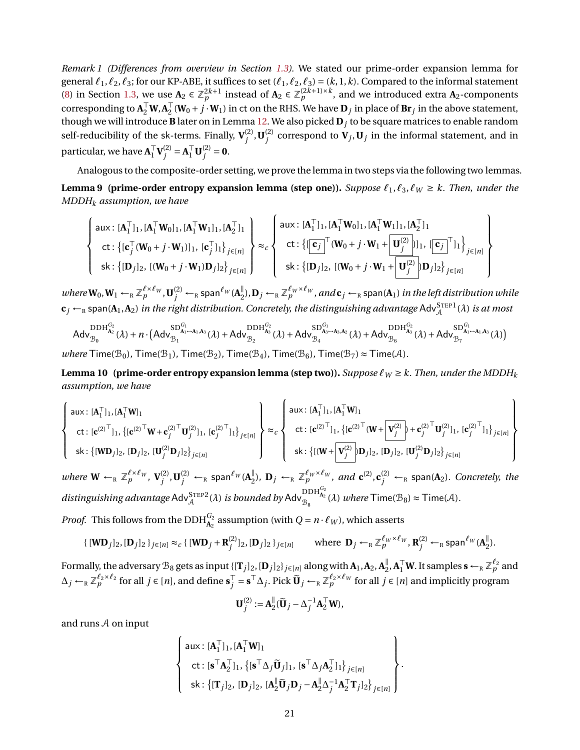*Remark 1 (Differences from overview in Section [1.3\)](#page-5-0).* We stated our prime-order expansion lemma for general  $\ell_1, \ell_2, \ell_3$ ; for our KP-ABE, it suffices to set  $(\ell_1, \ell_2, \ell_3) = (k, 1, k)$ . Compared to the informal statement [\(8\)](#page-6-1) in Section [1.3,](#page-5-0) we use  $\mathbf{A}_2 \in \mathbb{Z}_p^{2k+1}$  instead of  $\mathbf{A}_2 \in \mathbb{Z}_p^{(2k+1)\times k}$ , and we introduced extra  $\mathbf{A}_2$ -components corresponding to  $\mathbf{A}_2^\top \mathbf{W}, \mathbf{A}_2^\top$  $\frac{1}{2}(\mathbf{W}_0 + j \cdot \mathbf{W}_1)$  in ct on the RHS. We have  $\mathbf{D}_j$  in place of  $\mathbf{Br}_j$  in the above statement, though we will introduce **B** later on in Lemma [12.](#page-30-0) We also picked **D***<sup>j</sup>* to be square matrices to enable random self-reducibility of the sk-terms. Finally,  $V_i^{(2)}$  $j^{(2)}$ , **U** $_j^{(2)}$  $j_j^{(2)}$  correspond to  $V_j$ ,  $U_j$  in the informal statement, and in particular, we have  $A_1^{\top}$  $_{1}^{\top}\mathbf{V}^{(2)}_{j}$  $j^{(2)} = A_1^\top \mathbf{U}_j^{(2)}$  $j^{(2)}=0.$ 

<span id="page-20-0"></span>Analogous to the composite-order setting, we prove the lemma in two steps via the following two lemmas. **Lemma 9** (prime-order entropy expansion lemma (step one)). *Suppose*  $\ell_1, \ell_3, \ell_W \geq k$ . Then, under the *MDDH<sup>k</sup> assumption, we have*

$$
\left\{\begin{array}{l} \textsf{aux: }[\mathbf{A}_1^\top]_1,[\mathbf{A}_1^\top \mathbf{W}_0]_1,[\mathbf{A}_1^\top \mathbf{W}_1]_1,[\mathbf{A}_2^\top]_1 \\ \textsf{ct: } \left\{[\mathbf{c}_j^\top (\mathbf{W}_0+j\cdot\mathbf{W}_1)]_1,[\mathbf{c}_j^\top]_1\right\}_{j\in[n]} \right\} \approx_c \left\{\begin{array}{l} \textsf{aux: }[\mathbf{A}_1^\top]_1,[\mathbf{A}_1^\top \mathbf{W}_0]_1,[\mathbf{A}_1^\top \mathbf{W}_1]_1,[\mathbf{A}_2^\top]_1 \\ \textsf{ct: } \left\{[\mathbf{c}_j^\top (\mathbf{W}_0+j\cdot\mathbf{W}_1+\mathbf{W}_1)^\top]_1\right\}_{j\in[n]} \end{array}\right\} \\ \textsf{sk: } \left\{[\mathbf{D}_j]_2,[(\mathbf{W}_0+j\cdot\mathbf{W}_1+\mathbf{W}_1)^\top]_2\right\}_{j\in[n]} \right\} \end{array}\right\}
$$

 $where \mathbf{W}_0, \mathbf{W}_1 \leftarrow_R \mathbb{Z}_p^{\ell \times \ell_W}, \mathbf{U}_j^{(2)} \leftarrow_R \mathsf{span}^{\ell_W}(\mathbf{A}_2^{\parallel})$  $_{2}^{\parallel}),$   $\mathbf{D}_{j}$   $\leftarrow$   $_{\textrm{\tiny{R}}}\mathbb{Z}_{p}^{\ell_{W}\times\ell_{W}}$  , and  $\mathbf{c}_{j}$   $\leftarrow$   $_{\textrm{\tiny{R}}}$  span( $\mathbf{A}_{1}$ ) *in the left distribution while*  ${\bf c}_j \leftarrow_\text{\tiny R}$  span( ${\bf A}_1$ , ${\bf A}_2)$  *in the right distribution. Concretely, the distinguishing advantage*  $\mathsf{Adv}^{\text{STEP1}}_{\mathcal A}(\lambda)$  *is at most* 

$$
{\sf Adv}_{\mathcal{B}_0}^{{\rm DDH}_{A_2}^{G_2}}(\lambda)+n\cdot\big({\sf Adv}_{\mathcal{B}_1}^{{\rm SD}^{G_1}_{A_1\cdots A_1,A_3}}(\lambda)+{\sf Adv}_{\mathcal{B}_2}^{{\rm DDH}_{A_3}^{G_2}}(\lambda)+{\sf Adv}_{\mathcal{B}_4}^{{\rm SD}^{G_1}}(\lambda)+{\sf Adv}_{\mathcal{B}_6}^{{\rm DDH}_{A_3}^{G_2}}(\lambda)+{\sf Adv}_{\mathcal{B}_6}^{{\rm DDH}_{A_3}^{G_2}}(\lambda)+{\sf Adv}_{\mathcal{B}_7}^{{\rm SD}^{G_1}}(\lambda)+{\sf Adv}_{\mathcal{B}_7}^{{\rm SD}_{A_1\cdots A_1,A_3}}(\lambda)\big)
$$

 $where$  Time( $\mathcal{B}_0$ ), Time( $\mathcal{B}_1$ ), Time( $\mathcal{B}_2$ ), Time( $\mathcal{B}_4$ ), Time( $\mathcal{B}_6$ ), Time( $\mathcal{B}_7$ )  $\approx$  Time( $\mathcal{A}$ ).

<span id="page-20-1"></span>**Lemma 10** (prime-order entropy expansion lemma (step two)). *Suppose*  $\ell_W \geq k$ . Then, under the MDDH<sub>k</sub> *assumption, we have*

$$
\left\{\begin{array}{l} \text{aux: }[\mathbf{A}_{1}^{\top}I_{1},[\mathbf{A}_{1}^{\top}\mathbf{W}]_{1} \\ \text{ct: }[\mathbf{c}^{(2)^{\top}}I_{1},\{[\mathbf{c}^{(2)^{\top}}\mathbf{W}+\mathbf{c}_{j}^{(2)^{\top}}\mathbf{U}_{j}^{(2)}]_{1},[\mathbf{c}_{j}^{(2)^{\top}}I_{1}\}_{j\in[n]} \end{array}\right\}\approx_{c}\left\{\begin{array}{l} \text{aux: }[\mathbf{A}_{1}^{\top}I_{1},[\mathbf{A}_{1}^{\top}\mathbf{W}]_{1} \\ \text{ct: }[\mathbf{c}^{(2)^{\top}}I_{1},\{[\mathbf{c}^{(2)^{\top}}\mathbf{U}_{j}^{(2)}]_{1},[\mathbf{c}_{j}^{(2)^{\top}}I_{1}\}_{j\in[n]} \end{array}\right\}
$$

*where*  $\mathbf{W} \leftarrow_R \mathbb{Z}_p^{\ell \times \ell_W}, \mathbf{V}_i^{(2)}$  $\mathbf{U}_j^{(2)}$  ,  $\mathbf{U}_j^{(2)}$   $\leftarrow$   $_{\textrm{\tiny{R}}}$  span ${}^{\ell_W}(\mathbf{A}_2^\parallel)$  $\int_{2}^{\mathbb{I}}$ ,  $\mathbf{D}_j \leftarrow_R \mathbb{Z}_p^{\ell_W \times \ell_W}$ , and  $\mathbf{c}^{(2)} \cdot \mathbf{c}_j^{(2)} \leftarrow_R \text{span}(\mathbf{A}_2)$ . Concretely, the  $distinguishing advantage AdvA^{STEP2}(\lambda)$  *is bounded by*  $Adv_{\mathcal{B}_8}^{DDH_{\mathbf{A}_2}^{G_2}}(\lambda)$  *where*  $Time(\mathcal{B}_8)\approx Time(\mathcal{A})$ *.* 

*Proof.* This follows from the DDH $\frac{G_2}{A_2}$  assumption (with  $Q = n \cdot \ell_W$ ), which asserts

$$
\{[\mathbf{W}\mathbf{D}_j]_2,[\mathbf{D}_j]_2\}_{j\in[n]}\approx_c\{[\mathbf{W}\mathbf{D}_j+\mathbf{R}_j^{(2)}]_2,[\mathbf{D}_j]_2\}_{j\in[n]}\qquad\text{where }\mathbf{D}_j\leftarrow_R\mathbb{Z}_p^{\ell_W\times\ell_W},\mathbf{R}_j^{(2)}\leftarrow_R\text{span}^{\ell_W}(\mathbf{A}_2^{\parallel}).
$$

Formally, the adversary  $\mathcal{B}_8$  gets as input {[ $\mathbf{T}_j$ ]<sub>2</sub>, [ $\mathbf{D}_j$ ]<sub>2</sub>}  $_{j\in [n]}$  along with  $\mathbf{A}_1$ ,  $\mathbf{A}_2$ ,  $\mathbf{A}_2^\parallel$  $_{2}^{\parallel}$ ,  $A_{1}^{\top}$  **W**. It samples  $s \leftarrow R \mathbb{Z}_{p}^{\ell_{2}}$  and  $\Delta_j$  ←<sub>R</sub>  $\mathbb{Z}_p^{\ell_2 \times \ell_2}$  for all  $j \in [n]$ , and define  $\mathbf{s}_j^{\top}$  $j^{\top}$  = **s**<sup>⊤</sup>∆*j*. Pick  $\widetilde{\mathbf{U}}_j \leftarrow_R \mathbb{Z}_p^{\ell_2 \times \ell_W}$  for all  $j \in [n]$  and implicitly program

$$
\mathbf{U}_{j}^{(2)}:=\mathbf{A}_{2}^{\parallel}(\widetilde{\mathbf{U}}_{j}-\Delta_{j}^{-1}\mathbf{A}_{2}^{\top}\mathbf{W}),
$$

and runs A on input

$$
\left\{\n\begin{array}{l}\n\text{aux: } [\mathbf{A}_1^\top]_1, [\mathbf{A}_1^\top \mathbf{W}]_1 \\
\text{ct: } [\mathbf{s}^\top \mathbf{A}_2^\top]_1, \{[\mathbf{s}^\top \Delta_j \widetilde{\mathbf{U}}_j]_1, [\mathbf{s}^\top \Delta_j \mathbf{A}_2^\top]_1\}_{j \in [n]} \\
\text{sk: } \{[\mathbf{T}_j]_2, [\mathbf{D}_j]_2, [\mathbf{A}_2^\top \widetilde{\mathbf{U}}_j \mathbf{D}_j - \mathbf{A}_2^\top \Delta_j^{-1} \mathbf{A}_2^\top \mathbf{T}_j]_2\}_{j \in [n]}\n\end{array}\n\right\}
$$

.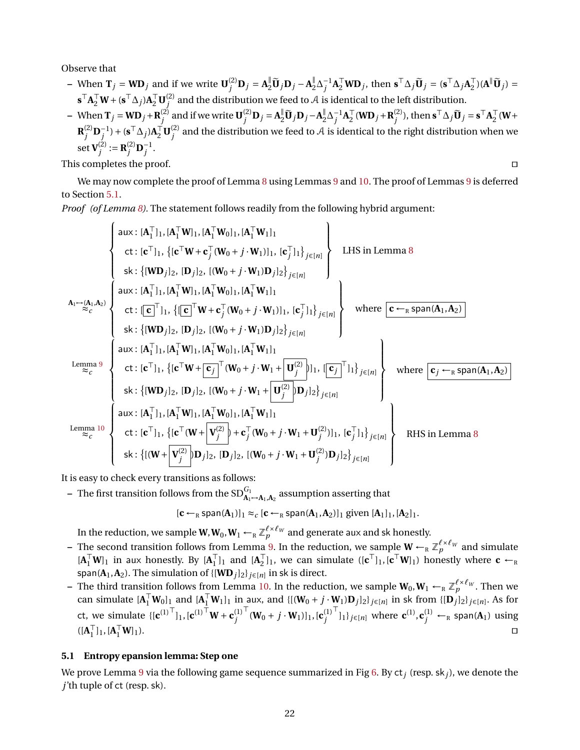Observe that

- When  $\mathbf{T}_j = \mathbf{W} \mathbf{D}_j$  and if we write  $\mathbf{U}_j^{(2)}$  $\mathbf{D}_j = \mathbf{A}_2^{\parallel} \widetilde{\mathbf{U}}_j \mathbf{D}_j - \mathbf{A}_2^{\parallel}$  ${}^{\parallel}_{2}\Delta_{j}^{-1}\mathbf{A}_{2}^{\top}\mathbf{W}\mathbf{D}_{j}$ , then  $\mathbf{s}^{\top}\Delta_{j}\widetilde{\mathbf{U}}_{j} = (\mathbf{s}^{\top}\Delta_{j}\mathbf{A}_{2}^{\top})$  $\begin{bmatrix} \overline{1} \\ 2 \end{bmatrix}$  $(\mathbf{A}^{\parallel} \widetilde{\mathbf{U}}_j) =$  $\mathbf{s}^\top \mathbf{A}_2^\top \mathbf{W} + (\mathbf{s}^\top \Delta_j) \mathbf{A}_2^\top \mathbf{U}_j^{(2)}$  $j^{(2)}$  and the distribution we feed to  ${\cal A}$  is identical to the left distribution.
- When  $\mathbf{T}_j = \mathbf{W} \mathbf{D}_j + \mathbf{R}_j^{(2)}$  $j^{(2)}$  and if we write  $\mathbf{U}^{(2)}_j$  $\sum_{j}^{(2)}$ **D**<sub>*j*</sub> = **A** $_{2}^{\parallel}$ **U**<sub>*j*</sub> **D**<sub>*j*</sub> − **A** $_{2}^{\parallel}$  $\frac{N}{2}$ Δ<sup>-1</sup>**A**<sub>2</sub><sup>T</sup>  $\frac{1}{2}$  (**WD**<sub>*j*</sub> + **R**<sup>(2)</sup><sub>*j*</sub>  $j^{(2)}$ ), then  $\mathbf{s}^\top \Delta_j \widetilde{\mathbf{U}}_j = \mathbf{s}^\top \mathbf{A}_2^\top$  $\frac{1}{2}$  (**W**+  $\mathbf{R}^{(2)}_i$  $(\mathbf{S}^{\top} \mathbf{D}_{j}^{-1}) + (\mathbf{S}^{\top} \Delta_{j}) \mathbf{A}_{2}^{\top} \mathbf{U}_{j}^{(2)}$  $j^{(2)}$  and the distribution we feed to  ${\cal A}$  is identical to the right distribution when we set  ${\bf V}_i^{(2)}$  $j^{(2)} := \mathbf{R}^{(2)}_j$  $j^{(2)}$ **D**<sub>*j*</sub><sup>-1</sup>.

This completes the proof.  $\Box$ 

We may now complete the proof of Lemma [8](#page-19-1) using Lemmas [9](#page-20-0) and [10.](#page-20-1) The proof of Lemmas 9 is deferred to Section [5.1.](#page-21-0)

*Proof (of Lemma [8\)](#page-19-1).* The statement follows readily from the following hybrid argument:

$$
\begin{cases}\n\text{aux}: [A_1^\top l_1, [A_1^\top W l_1, [A_1^\top W l_1], [A_1^\top W l_1] \\
\text{ct}: [\mathbf{c}^\top l_1], \{[\mathbf{c}^\top W + \mathbf{c}_j^\top (W_0 + j \cdot W_1)]l_1, [\mathbf{c}_j^\top l_1\}_{j \in [n]} \end{cases}\n\text{LHS in Lemma 8}\n\begin{cases}\n\text{aux}: [A_1^\top l_1, [A_1^\top W l_1], [A_1^\top W l_1]l_1, [A_1^\top W l_1]l_1, [A_1^\top W l_1]l_1, [A_1^\top W l_1]l_1, [A_1^\top W l_1]l_1, [A_1^\top W l_1]l_1, [A_1^\top W l_1]l_1, [A_1^\top W l_1]l_1, [A_1^\top W l_1]l_1, [A_1^\top W l_1]l_1, [A_1^\top W l_1]l_1, [A_1^\top W l_1]l_1, [A_1^\top W l_1]l_1, [A_1^\top W l_1]l_1, [A_1^\top W l_1]l_1, [A_1^\top W l_1]l_1, [A_1^\top W l_1]l_1, [A_1^\top W l_1]l_1, [A_1^\top W l_1]l_1, [A_1^\top W l_1]l_1, [A_1^\top W l_1]l_1, [A_1^\top W l_1]l_1, [A_1^\top W l_1]l_1, [A_1^\top W l_1]l_1, [A_1^\top W l_1]l_1, [A_1^\top W l_1]l_1, [A_1^\top W l_1]l_1, [A_1^\top W l_1]l_1, [A_1^\top W l_1]l_1, [A_1^\top W l_1]l_1, [A_1^\top W l_1]l_1, [A_1^\top W l_1]l_1, [A_1^\top W l_1]l_1, [A_1^\top W l_1]l_1, [A_1^\top W l_1]l_1, [A_1^\top W l_1]l_1, [A_1^\top W l_1]l_1, [A_1^\top W l_1]l_1, [A_1^\top W l_1]l
$$

It is easy to check every transitions as follows:

 $-$  The first transition follows from the SD $^{G_1}_{\mathbf{A}_1 \rightarrow \mathbf{A}_1, \mathbf{A}_2}$  assumption asserting that

$$
[\boldsymbol{c}\leftarrow_R \text{span}(\boldsymbol{A}_1)]_1 \approx_c [\boldsymbol{c}\leftarrow_R \text{span}(\boldsymbol{A}_1,\boldsymbol{A}_2)]_1 \text{ given } [\boldsymbol{A}_1]_1,[\boldsymbol{A}_2]_1.
$$

In the reduction, we sample  $\mathbf{W},\mathbf{W}_0,\mathbf{W}_1 \leftarrow_R \mathbb{Z}_p^{\ell\times\ell_W}$  and generate aux and sk honestly.

- **–** The second transition follows from Lemma [9.](#page-20-0) In the reduction, we sample  $W \leftarrow_R \mathbb{Z}_p^{\ell \times \ell_W}$  and simulate  $[A_1^\top W]_1$  in aux honestly. By  $[A_1^\top$  $\begin{bmatrix} 1 \\ 1 \end{bmatrix}$  and  $\begin{bmatrix} \mathbf{A}_2^{\top} \\ 1 \end{bmatrix}$  $\mathbf{C}_{2}^{\top}$ ]<sub>1</sub>, we can simulate  $([\mathbf{c}^{\top}]_1, [\mathbf{c}^{\top} \mathbf{W}]_1)$  honestly where  $\mathbf{c} \leftarrow_R$ span( $\mathbf{A}_1$ , $\mathbf{A}_2$ ). The simulation of { $[\mathbf{W}\mathbf{D}_j]_2$ }  $_{j\in[n]}$  in sk is direct.
- **−** The third transition follows from Lemma [10.](#page-20-1) In the reduction, we sample  $W_0, W_1 \leftarrow_R \mathbb{Z}_p^{\ell \times \ell_W}$ . Then we can simulate  $[\mathbf{A}_1^\top \mathbf{W}_0]_1$  and  $[\mathbf{A}_1^\top \mathbf{W}_1]_1$  in aux, and  $\{[(\mathbf{W}_0 + j \cdot \mathbf{W}_1) \mathbf{D}_j]_2\}_{j \in [n]}$  in sk from  $\{[\mathbf{D}_j]_2\}_{j \in [n]}$ . As for ct, we simulate  $\{ [c^{(1)}^\top]_1, [c^{(1)}^\top W + c^{(1)}_i] \}$ *j*  $\int_0^{\top} (W_0 + j \cdot W_1) ]_1$ ,  $[c_j^{(1)}]$ *j*  $\bigcap_{i=1}^{T}$ <sub>1</sub>*j*<sub>j∈[*n*]</sub> where  $\mathbf{c}^{(1)}$ , $\mathbf{c}^{(1)}_j$  ←<sub>R</sub> span(**A**<sub>1</sub>) using  $([A]^\top$  $\begin{bmatrix} 1 \end{bmatrix}$ <sub>1</sub>,  $[\mathbf{A}_1^\top]$  $\begin{bmatrix} \nabla \mathbf{W} \n\end{bmatrix}$

### <span id="page-21-0"></span>**5.1 Entropy epansion lemma: Step one**

We prove Lemma [9](#page-20-0) via the following game sequence summarized in Fig [6.](#page-24-0) By ct*<sup>j</sup>* (resp. sk*j*), we denote the *j*'th tuple of ct (resp. sk).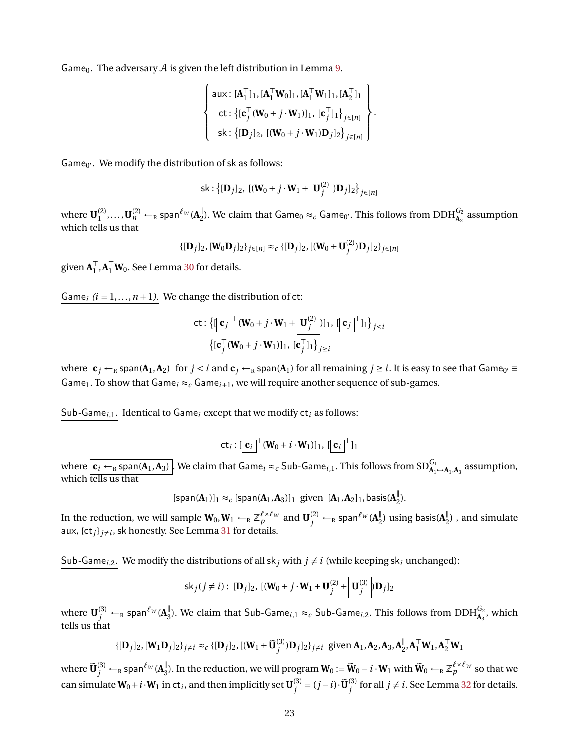Game<sub>0</sub>. The adversary  $A$  is given the left distribution in Lemma [9.](#page-20-0)

$$
\left\{\n\begin{array}{l}\n\text{aux}: [\mathbf{A}_1^\top]_1, [\mathbf{A}_1^\top \mathbf{W}_0]_1, [\mathbf{A}_1^\top \mathbf{W}_1]_1, [\mathbf{A}_2^\top]_1 \\
\text{ct}: \{[\mathbf{c}_j^\top (\mathbf{W}_0 + j \cdot \mathbf{W}_1)]_1, [\mathbf{c}_j^\top]_1\}_{j \in [n]} \\
\text{sk}: \{[\mathbf{D}_j]_2, [(\mathbf{W}_0 + j \cdot \mathbf{W}_1) \mathbf{D}_j]_2\}_{j \in [n]}\n\end{array}\n\right\}.
$$

Game $_{0'}$ . We modify the distribution of sk as follows:

sk: 
$$
\{[\mathbf{D}_j]_2, \, [(\mathbf{W}_0 + j \cdot \mathbf{W}_1 + \boxed{\mathbf{U}_j^{(2)}}] \mathbf{D}_j]_2\}_{j \in [n]}
$$

where  $\mathbf{U}^{(2)}_1$  $\mathbf{U}_1^{(2)}, \ldots, \mathbf{U}_n^{(2)} \leftarrow_R \text{span}^{\ell_W}(\mathbf{A}_2^{\parallel})$  $_{2}^{\parallel}$ ). We claim that Game<sub>0</sub>  $\approx$   $_c$  Game<sub>0′</sub>. This follows from DDH $_{\mathbf{A}_2}^{G_2}$  assumption which tells us that

$$
\{[\mathbf{D}_j]_2, [\mathbf{W}_0 \mathbf{D}_j]_2\}_{j \in [n]} \approx_c \{[\mathbf{D}_j]_2, [(\mathbf{W}_0 + \mathbf{U}_j^{(2)}) \mathbf{D}_j]_2\}_{j \in [n]}
$$

given  $A_1^{\top}$  $_{1}^{T}$ ,  $A_{1}^{T}$ W<sub>0</sub>. See Lemma [30](#page-51-3) for details.

Game<sub>i</sub>  $(i = 1, ..., n + 1)$ . We change the distribution of ct:

ct: 
$$
\{[\mathbf{c}_j]^{\top}(\mathbf{W}_0 + j \cdot \mathbf{W}_1 + \mathbf{U}_j^{(2)}] | 1, [\mathbf{c}_j]^{\top} 1] \}_{j < i}
$$
  
 $\{[\mathbf{c}_j^{\top}(\mathbf{W}_0 + j \cdot \mathbf{W}_1)]_1, [\mathbf{c}_j^{\top} 1] \}_{j \ge i}$ 

where  $|c_j \leftarrow_\text{\tiny R}$  span(A<sub>1</sub>,A<sub>2</sub>)  $|$  for  $j < i$  and  $c_j \leftarrow_\text{\tiny R}$  span(A<sub>1</sub>) for all remaining  $j \ge i$  . It is easy to see that Game<sub>0′</sub> = Game<sub>1</sub>. To show that Game<sub>i</sub>  $\approx$ <sub>c</sub> Game<sub>i+1</sub>, we will require another sequence of sub-games.

Sub*-*Game*<sup>i</sup>*,1. Identical to Game*<sup>i</sup>* except that we modify ct*<sup>i</sup>* as follows:

$$
\mathsf{ct}_i : [\overline{\mathbf{c}_i}]^\top (\mathbf{W}_0 + i \cdot \mathbf{W}_1)]_1, [\overline{\mathbf{c}_i}]^\top]_1
$$

where  $\boxed{\mathbf{c}_i \leftarrow_R \text{span}(\mathbf{A}_1, \mathbf{A}_3)}$ . We claim that  $\text{Game}_i \approx_c \text{Sub-Game}_{i,1}$ . This follows from  $\text{SD}^{G_1}_{\mathbf{A}_1 \rightarrow \mathbf{A}_1, \mathbf{A}_3}$  assumption, which tells us that

> $[\textsf{span}(\mathbf{A}_1)]_1 \approx_c [\textsf{span}(\mathbf{A}_1, \mathbf{A}_3)]_1$  given  $[\mathbf{A}_1, \mathbf{A}_2]_1$ , basis( $\mathbf{A}_2^{\parallel}$ )  $_{2}^{\mathbb{I}}$ ).

In the reduction, we will sample  $\mathbf{W}_0, \mathbf{W}_1 \leftarrow_R \mathbb{Z}_p^{\ell \times \ell_W}$  and  $\mathbf{U}_j^{(2)} \leftarrow_R \mathsf{span}^{\ell_W}(\mathbf{A}_2^{\parallel})$  $_{2}^{\parallel})$  using basis( $\mathbf{A}_{2}^{\parallel}$  $2^{\binom{n}{2}}$ , and simulate aux,  $\{ct_j\}_{j\neq i}$ , sk honestly. See Lemma [31](#page-52-0) for details.

Sub-Game<sub>*i*,2</sub>. We modify the distributions of all sk<sub>*j*</sub> with  $j \neq i$  (while keeping sk<sub>*i*</sub> unchanged):

$$
\mathsf{sk}_j(j \neq i): [\mathbf{D}_j]_2, [(\mathbf{W}_0 + j \cdot \mathbf{W}_1 + \mathbf{U}_j^{(2)} + \boxed{\mathbf{U}_j^{(3)}}] \mathbf{D}_j]_2
$$

where  $\mathbf{U}_j^{(3)} \leftarrow_R \mathsf{span}^{\ell_W} (\mathbf{A}_3^{\parallel})$  $\frac{parallel}{3}$ ). We claim that Sub-Game<sub>*i,*1</sub> ≈<sub>c</sub> Sub-Game<sub>*i,*2</sub>. This follows from DDH $^{G_2}_{\bf A_3}$ , which tells us that

$$
\{[\mathbf{D}_j]_2, [\mathbf{W}_1 \mathbf{D}_j]_2\}_{j \neq i} \approx_c \{[\mathbf{D}_j]_2, [(\mathbf{W}_1 + \widetilde{\mathbf{U}}_j^{(3)}) \mathbf{D}_j]_2\}_{j \neq i} \text{ given } \mathbf{A}_1, \mathbf{A}_2, \mathbf{A}_3, \mathbf{A}_2^{\parallel}, \mathbf{A}_1^{\top} \mathbf{W}_1, \mathbf{A}_2^{\top} \mathbf{W}_1\}
$$

where  $\widetilde{\mathbf{U}}_{j}^{(3)} \leftarrow_{\textrm{\tiny R}}$  span ${}^{\ell_{W}}(\mathbf{A}_3^{\|})$  $\frac{N}{3}$ ). In the reduction, we will program  $W_0 := \widetilde{W}_0 - i \cdot W_1$  with  $\widetilde{W}_0$  ←<sub>R</sub>  $\mathbb{Z}_p^{\ell \times \ell_W}$  so that we can simulate  $W_0 + i \cdot W_1$  in  $ct_i$ , and then implicitly set  $U_i^{(3)}$  $j^{(3)} = (j - i) \cdot \widetilde{\mathbf{U}}_j^{(3)}$  $j^{(3)}$  for all  $j \neq i$ . See Lemma [32](#page-52-1) for details.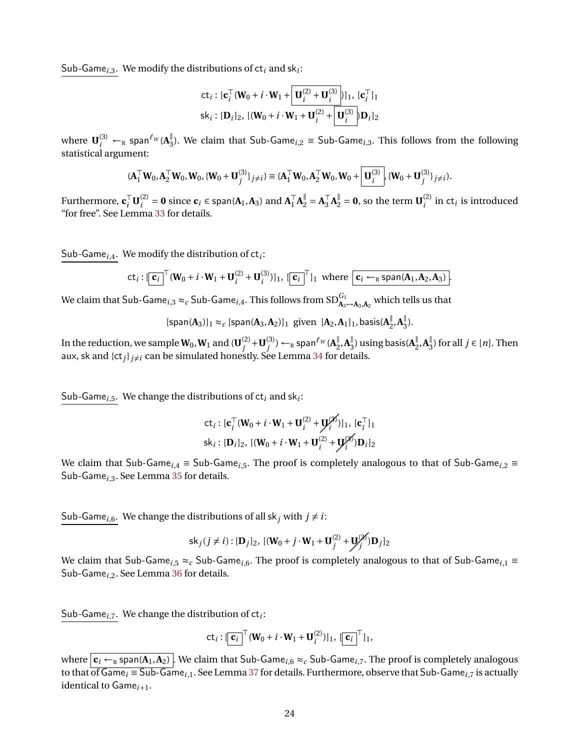Sub*-*Game*<sup>i</sup>*,3. We modify the distributions of ct*<sup>i</sup>* and sk*<sup>i</sup>* :

$$
\mathsf{ct}_i: [\mathbf{c}_i^\top (\mathbf{W}_0 + i \cdot \mathbf{W}_1 + \boxed{\mathbf{U}_i^{(2)} + \mathbf{U}_i^{(3)}})]_1, [\mathbf{c}_i^\top]_1
$$
  

$$
\mathsf{sk}_i: [\mathbf{D}_i]_2, [(\mathbf{W}_0 + i \cdot \mathbf{W}_1 + \mathbf{U}_i^{(2)} + \boxed{\mathbf{U}_i^{(3)}}] \mathbf{D}_i]_2
$$

where  $\mathbf{U}_i^{(3)} \leftarrow_R \textsf{span}^{\ell_W}(\mathbf{A}_3^{\parallel})$ 3 ). We claim that Sub-Game*<sup>i</sup>*,2 ≡ Sub-Game*<sup>i</sup>*,3. This follows from the following statistical argument:

$$
(\mathbf{A}_1^\top \mathbf{W}_0, \mathbf{A}_2^\top \mathbf{W}_0, \mathbf{W}_0, \{\mathbf{W}_0 + \mathbf{U}_j^{(3)}\}_{j \neq i}) \equiv (\mathbf{A}_1^\top \mathbf{W}_0, \mathbf{A}_2^\top \mathbf{W}_0, \mathbf{W}_0 + \boxed{\mathbf{U}_i^{(3)}}, \{\mathbf{W}_0 + \mathbf{U}_j^{(3)}\}_{j \neq i}).
$$

Furthermore,  $\mathbf{c}_i^{\top} \mathbf{U}_i^{(2)}$  $a_i^{(2)} = 0$  since  $c_i \in \text{span}(A_1, A_3)$  and  $A_1^{\top}$  $\begin{bmatrix} \mathbf{A}_2^{\mathsf{T}} \\ 1 \end{bmatrix} = \mathbf{A}_3^{\mathsf{T}}$  $\mathbf{Z}_3^{\top} \mathbf{A}_2^{\parallel} = \mathbf{0}$ , so the term  $\mathbf{U}_i^{(2)}$  $i^{(2)}$  in ct<sub>*i*</sub> is introduced "for free". See Lemma [33](#page-53-0) for details.

Sub*-*Game*<sup>i</sup>*,4. We modify the distribution of ct*<sup>i</sup>* :

$$
\mathsf{ct}_i : [\overline{\mathbf{c}_i}]^{\top} (\mathbf{W}_0 + i \cdot \mathbf{W}_1 + \mathbf{U}_i^{(2)} + \mathbf{U}_i^{(3)})]_1, [\overline{\mathbf{c}_i}]^{\top}]_1 \text{ where } \overline{\mathbf{c}_i \leftarrow_R \text{span}(\mathbf{A}_1, \mathbf{A}_2, \mathbf{A}_3)}.
$$

We claim that  $\mathsf{Sub}\text{-}\mathsf{Game}_{i,3}\approx_c\mathsf{Sub}\text{-}\mathsf{Game}_{i,4}.$  This follows from  $\mathsf{SD}^{G_1}_{\mathbf{A}_3\mapsto\mathbf{A}_3,\mathbf{A}_2}$  which tells us that

$$
[\text{span}(\mathbf{A}_3)]_1 \approx_c [\text{span}(\mathbf{A}_3, \mathbf{A}_2)]_1 \text{ given } [\mathbf{A}_2, \mathbf{A}_1]_1, \text{basis}(\mathbf{A}_2^{\parallel}, \mathbf{A}_3^{\parallel}).
$$

In the reduction, we sample  $\mathbf{W}_0, \mathbf{W}_1$  and  $(\mathbf{U}_i^{(2)})$  $j^{(2)}$  + **U** $_j^{(3)}$  $j^{(3)}$ ) ←<sub>R</sub> span<sup> $ℓ$ </sup><sup>*W*</sup> (**A**<sup> $∥$ </sup>)  $\frac{||}{2}$ , **A**<sup> $||$ </sup><sub>3</sub>  $_{3}^{\parallel})$  using basis( $\mathbf{A}_{2}^{\parallel}$  $\frac{||}{2}$ , **A**<sup> $||$ </sup><sub>3</sub>  $j_3$ ) for all  $j \in [n]$ . Then aux, sk and  $\{\mathsf{ct}_i\}_{i\neq i}$  can be simulated honestly. See Lemma [34](#page-53-1) for details.

Sub*-*Game*<sup>i</sup>*,5. We change the distributions of ct*<sup>i</sup>* and sk*<sup>i</sup>* :

$$
\mathbf{ct}_i : [\mathbf{c}_i^\top (\mathbf{W}_0 + i \cdot \mathbf{W}_1 + \mathbf{U}_i^{(2)} + \mathbf{U}_i^{(2)})]_1, [\mathbf{c}_i^\top]_1
$$
  

$$
\mathbf{sk}_i : [\mathbf{D}_i]_2, [(\mathbf{W}_0 + i \cdot \mathbf{W}_1 + \mathbf{U}_i^{(2)} + \mathbf{U}_i^{(2)}) \mathbf{D}_i]_2
$$

We claim that Sub-Game*<sup>i</sup>*,4 ≡ Sub-Game*<sup>i</sup>*,5. The proof is completely analogous to that of Sub-Game*<sup>i</sup>*,2 ≡ Sub-Game*<sup>i</sup>*,3. See Lemma [35](#page-53-2) for details.

Sub-Game<sub>*i*,6</sub>. We change the distributions of all sk<sub>*j*</sub> with  $j \neq i$ :

$$
\mathsf{sk}_j(j \neq i) : [\mathbf{D}_j]_2, \, [(\mathbf{W}_0 + j \cdot \mathbf{W}_1 + \mathbf{U}_j^{(2)} + \mathbf{U}_j^{(2)}] \mathbf{D}_j]_2
$$

We claim that Sub-Game*<sup>i</sup>*,5 ≈*<sup>c</sup>* Sub-Game*<sup>i</sup>*,6. The proof is completely analogous to that of Sub-Game*<sup>i</sup>*,1 ≡ Sub-Game*<sup>i</sup>*,2. See Lemma [36](#page-54-0) for details.

Sub*-*Game*<sup>i</sup>*,7. We change the distribution of ct*<sup>i</sup>* :

$$
\mathsf{ct}_i : [\overline{\mathbf{c}_i}]^\top (\mathbf{W}_0 + i \cdot \mathbf{W}_1 + \mathbf{U}_i^{(2)})]_1, [\overline{\mathbf{c}_i}]^\top]_1,
$$

where  $c_i \leftarrow_R$  span( $A_1, A_2$ ). We claim that Sub-Game<sub>*i*,6</sub>  $\approx_c$  Sub-Game<sub>*i*,7</sub>. The proof is completely analogous to that  $\overline{\text{of Game}}_i \equiv \overline{\text{Sub-Game}}_{i,1}$ . See Lemma [37](#page-54-1) for details. Furthermore, observe that Sub-Game<sub>i,7</sub> is actually identical to Game*i*+1.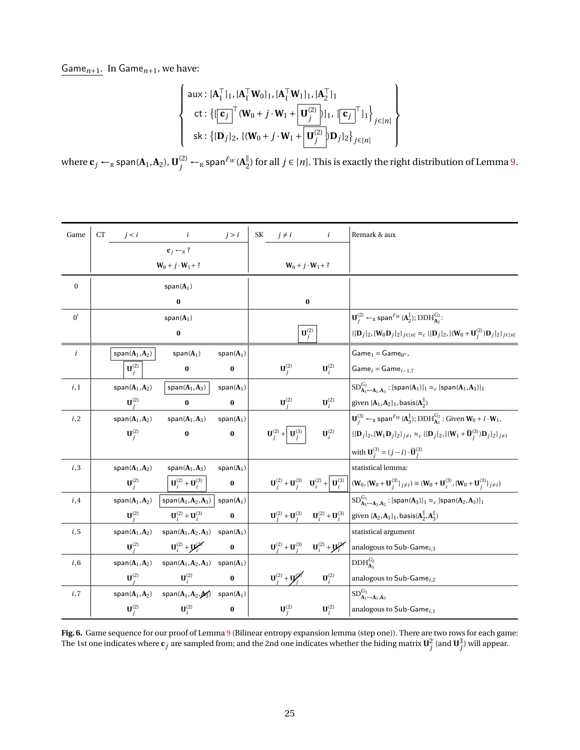Game*n*+1. In Game*n*+1, we have:

$$
\left\{\n\begin{array}{l}\n\text{aux: } [\mathbf{A}_1^\top]_1, [\mathbf{A}_1^\top \mathbf{W}_0]_1, [\mathbf{A}_1^\top \mathbf{W}_1]_1, [\mathbf{A}_2^\top]_1 \\
\text{ct: } \{[\mathbf{c}_j]^\top (\mathbf{W}_0 + j \cdot \mathbf{W}_1 + \mathbf{U}_j^{(2)})]_1, [\mathbf{c}_j]^\top]_1\} \\
\text{sk: } \{[\mathbf{D}_j]_2, [(\mathbf{W}_0 + j \cdot \mathbf{W}_1 + \mathbf{U}_j^{(2)})]_2\}_{j \in [n]}\n\end{array}\n\right\}
$$

where  $\mathbf{c}_j \leftarrow_R \text{span}(\mathbf{A}_1, \mathbf{A}_2)$ ,  $\mathbf{U}_j^{(2)} \leftarrow_R \text{span}^{\ell_W}(\mathbf{A}_2^\parallel)$  $\frac{1}{2}$ ) for all *j* ∈ [*n*]. This is exactly the right distribution of Lemma [9.](#page-20-0)

| Game             | <b>CT</b> | j < i                                      | $\dot{i}$                                                                                                                                       | j > i        | $j \neq i$<br><b>SK</b>                                      | $\dot{i}$                                                                                   | Remark & aux                                                                                                                                                                                                                                                                                              |
|------------------|-----------|--------------------------------------------|-------------------------------------------------------------------------------------------------------------------------------------------------|--------------|--------------------------------------------------------------|---------------------------------------------------------------------------------------------|-----------------------------------------------------------------------------------------------------------------------------------------------------------------------------------------------------------------------------------------------------------------------------------------------------------|
|                  |           |                                            | $c_i \leftarrow_R ?$                                                                                                                            |              |                                                              |                                                                                             |                                                                                                                                                                                                                                                                                                           |
|                  |           |                                            | $W_0 + j \cdot W_1 + ?$                                                                                                                         |              |                                                              | $W_0 + j \cdot W_1 + ?$                                                                     |                                                                                                                                                                                                                                                                                                           |
| $\boldsymbol{0}$ |           |                                            | $span(A_1)$                                                                                                                                     |              |                                                              |                                                                                             |                                                                                                                                                                                                                                                                                                           |
|                  |           |                                            | $\bf{0}$                                                                                                                                        |              |                                                              | $\pmb{0}$                                                                                   |                                                                                                                                                                                                                                                                                                           |
| 0'               |           |                                            | $span(A_1)$                                                                                                                                     |              |                                                              |                                                                                             | $\mathbf{U}_{i}^{(2)} \leftarrow_{\mathbb{R}} \text{span}^{\ell_{W}}(\mathbf{A}_{2}^{\parallel}); \text{DDH}_{\mathbf{A}_{2}}^{G_{2}}$ :                                                                                                                                                                  |
|                  |           |                                            | $\pmb{0}$                                                                                                                                       |              |                                                              | $\mathbf{U}_j^{(2)}$                                                                        | $\{[\mathbf{D}_j]_2,[\mathbf{W}_0\mathbf{D}_j]_2\}_{j\in[n]}\approx_c \{[\mathbf{D}_j]_2,[(\mathbf{W}_0+\mathbf{U}^{(2)}_j)\mathbf{D}_j]_2\}_{j\in[n]}$                                                                                                                                                   |
| $\dot{i}$        |           | $span(A_1, A_2)$                           | $span(A_1)$                                                                                                                                     | $span(A_1)$  |                                                              |                                                                                             | $Game1 = Game0$ ,                                                                                                                                                                                                                                                                                         |
|                  |           | ${\bf U}_i^{(2)}$                          | $\bf{0}$                                                                                                                                        | $\bf{0}$     | $\mathbf{U}_i^{(2)}$                                         | $\mathbf{U}_i^{(2)}$                                                                        | $Gamei = Gamei-1,7$                                                                                                                                                                                                                                                                                       |
| i,1              |           | $span(A_1, A_2)$                           | $span(A_1, A_3)$                                                                                                                                | $span(A_1)$  |                                                              |                                                                                             | $SD^{\tilde{G}_1}_{\mathbf{A}_1 \rightarrow \mathbf{A}_1, \mathbf{A}_3}$ : [span $(\mathbf{A}_1)$ ] $_1 \approx_c$ [span $(\mathbf{A}_1, \mathbf{A}_3)$ ] $_1$                                                                                                                                            |
|                  |           | $\mathbf{U}^{(2)}$                         | $\bf{0}$                                                                                                                                        | $\bf{0}$     | $\mathbf{U}_i^{(2)}$                                         | $\mathbf{U}_i^{(2)}$                                                                        | given $[\mathbf{A}_1, \mathbf{A}_2]_1$ , basis $(\mathbf{A}_2^{\parallel})$                                                                                                                                                                                                                               |
| i,2              |           | $span(A_1, A_2)$                           | $span(A_1, A_3)$                                                                                                                                | $span(A_1)$  |                                                              |                                                                                             | $\mathbf{U}_{i}^{(3)} \leftarrow_{R} \text{span}^{\ell_{W}}(\mathbf{A}_{3}^{  }); \text{DDH}_{\mathbf{A}_{3}}^{G_{2}}$ : Given $\mathbf{W}_{0} + i \cdot \mathbf{W}_{1}$ ,                                                                                                                                |
|                  |           | $\mathbf{U}_i^{(2)}$                       | $\bf{0}$                                                                                                                                        | $\bf{0}$     | $\mathbf{U}_{i}^{(2)} + \left  \mathbf{U}_{i}^{(3)} \right $ | $\mathbf{U}_i^{(2)}$                                                                        | $\{[\mathbf{D}_j]_2,[\mathbf{W}_1\mathbf{D}_j]_2\}_{j\neq i} \approx_c \{[\mathbf{D}_j]_2,[(\mathbf{W}_1+\widetilde{\mathbf{U}}_j^{(3)})\mathbf{D}_j]_2\}_{j\neq i}$                                                                                                                                      |
|                  |           |                                            |                                                                                                                                                 |              |                                                              |                                                                                             | with $\mathbf{U}_{j}^{(3)} = (j - i) \cdot \widetilde{\mathbf{U}}_{j}^{(3)}$                                                                                                                                                                                                                              |
| i,3              |           | span $(A_1, A_2)$                          | $span(A_1, A_3)$                                                                                                                                | span $(A_1)$ |                                                              |                                                                                             | statistical lemma:                                                                                                                                                                                                                                                                                        |
|                  |           | $\mathbf{U}_i^{(2)}$                       | $\left \mathbf{U}_i^{(2)} + \mathbf{U}_i^{(3)}\right $                                                                                          | $\bf{0}$     |                                                              |                                                                                             | $\mathbf{U}_{i}^{(2)} + \mathbf{U}_{i}^{(3)} \quad \mathbf{U}_{i}^{(2)} + \left  \mathbf{U}_{i}^{(3)} \right  \left  (\mathbf{W}_{0}, \{\mathbf{W}_{0} + \mathbf{U}_{j}^{(3)}\}_{j \neq i}) \right  \equiv (\mathbf{W}_{0} + \mathbf{U}_{i}^{(3)}, \{\mathbf{W}_{0} + \mathbf{U}_{j}^{(3)}\}_{j \neq i})$ |
| i,4              |           | $\mathsf{span}(\mathbf{A}_1,\mathbf{A}_2)$ | $span(A_1, A_2, A_3)$                                                                                                                           | $span(A_1)$  |                                                              |                                                                                             | $SD^{\tilde{G}_1}_{\mathbf{A}_3 \rightarrow \mathbf{A}_3, \mathbf{A}_2}$ : [span(A <sub>3</sub> )] <sub>1</sub> $\approx_c$ [span(A <sub>2</sub> ,A <sub>3</sub> )] <sub>1</sub>                                                                                                                          |
|                  |           | $\mathbf{U}^{(2)}$                         | ${\bf U}_i^{(2)} + {\bf U}_i^{(3)}$                                                                                                             | $\bf{0}$     |                                                              | $\mathbf{U}_{i}^{(2)} + \mathbf{U}_{i}^{(3)}$ $\mathbf{U}_{i}^{(2)} + \mathbf{U}_{i}^{(3)}$ | given $[A_2, A_1]_1$ , basis $(A_2^{\parallel}, A_3^{\parallel})$                                                                                                                                                                                                                                         |
| i, 5             |           | $span(A_1, A_2)$                           | $span(\mathbf{A}_1, \mathbf{A}_2, \mathbf{A}_3)$                                                                                                | $span(A_1)$  |                                                              |                                                                                             | statistical argument                                                                                                                                                                                                                                                                                      |
|                  |           | $\mathbf{U}_i^{(2)}$                       | ${\bf U}_i^{(2)} + {\bf U}_i^{(2)}$                                                                                                             | $\bf{0}$     |                                                              | $\mathbf{U}_{j}^{(2)}+\mathbf{U}_{j}^{(3)}\qquad \mathbf{U}_{i}^{(2)}+\mathbf{U}_{i}^{(3)}$ | analogous to Sub-Game $_{i,3}$                                                                                                                                                                                                                                                                            |
| i, 6             |           | $\mathsf{span}(\mathbf{A}_1,\mathbf{A}_2)$ | $span(A_1, A_2, A_3)$                                                                                                                           | $span(A_1)$  |                                                              |                                                                                             | $DDH_{A_2}^{G_2}$                                                                                                                                                                                                                                                                                         |
|                  |           | ${\bf U}_i^{(2)}$                          | ${\bf U}_i^{(2)}$                                                                                                                               | $\bf{0}$     |                                                              | ${\bf U}_i^{(2)} + {\bf U}_i^{(2)}$ ${\bf U}_i^{(2)}$                                       | analogous to Sub-Game $_{i,2}$                                                                                                                                                                                                                                                                            |
| i,7              |           |                                            | $\mathsf{span}(\mathbf{A}_1,\mathbf{A}_2) \quad \mathsf{span}(\mathbf{A}_1,\mathbf{A}_2,\pmb{\not\!{\!A}}_3) \quad \mathsf{span}(\mathbf{A}_1)$ |              |                                                              |                                                                                             | $SD^{G_1}_{\mathbf{A}_1 \rightarrow \mathbf{A}_1, \mathbf{A}_3}$                                                                                                                                                                                                                                          |
|                  |           | $\mathbf{U}_i^{(2)}$                       | $\mathbf{U}_i^{(2)}$                                                                                                                            | $\bf{0}$     | $\mathbf{U}_i^{(2)}$                                         | $\mathbf{U}_i^{(2)}$                                                                        | analogous to Sub-Game <sub>i,1</sub>                                                                                                                                                                                                                                                                      |

<span id="page-24-0"></span>**Fig. 6.** Game sequence for our proof of Lemma [9](#page-20-0) (Bilinear entropy expansion lemma (step one)). There are two rows for each game: The 1st one indicates where  $\mathbf{c}_j$  are sampled from; and the 2nd one indicates whether the hiding matrix  $\mathbf{U}_j^2$  (and  $\mathbf{U}_j^3$ ) will appear.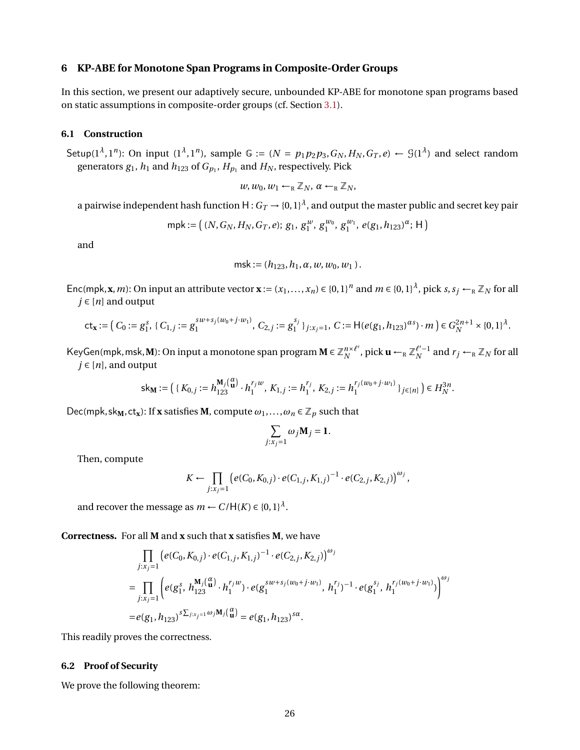## <span id="page-25-0"></span>**6 KP-ABE for Monotone Span Programs in Composite-Order Groups**

In this section, we present our adaptively secure, unbounded KP-ABE for monotone span programs based on static assumptions in composite-order groups (cf. Section [3.1\)](#page-9-1).

### <span id="page-25-1"></span>**6.1 Construction**

Setup( $1^{\lambda}, 1^n$ ): On input ( $1^{\lambda}, 1^n$ ), sample G := ( $N = p_1p_2p_3$ ,  $G_N$ ,  $H_N$ ,  $G_T$ ,  $e$ )  $\leftarrow \mathcal{G}(1^{\lambda})$  and select random generators  $g_1$ ,  $h_1$  and  $h_{123}$  of  $G_{p_1}$ ,  $H_{p_1}$  and  $H_N$ , respectively. Pick

$$
w, w_0, w_1 \leftarrow_R \mathbb{Z}_N
$$
,  $\alpha \leftarrow_R \mathbb{Z}_N$ ,

a pairwise independent hash function  $\mathsf{H}:G_T\to \{0,1\}^\lambda$ , and output the master public and secret key pair

$$
\mathsf{mpk} := \left( (N, G_N, H_N, G_T, e); g_1, g_1^{w}, g_1^{w_0}, g_1^{w_1}, e(g_1, h_{123})^{\alpha}; \mathsf{H} \right)
$$

and

msk := 
$$
(h_{123}, h_1, \alpha, w, w_0, w_1)
$$
.

Enc(mpk, **x**, *m*): On input an attribute vector **x** :=  $(x_1,...,x_n) \in \{0,1\}^n$  and  $m \in \{0,1\}^{\lambda}$ , pick  $s, s_j \leftarrow_R \mathbb{Z}_N$  for all  $j \in [n]$  and output

$$
\mathsf{ct}_{\mathbf{x}} := \left( C_0 := g_1^s, \{ C_{1,j} := g_1^{sw + s_j(w_0 + j \cdot w_1)}, C_{2,j} := g_1^{s_j} \}_{j : x_j = 1}, \ C := \mathsf{H}(e(g_1, h_{123})^{\alpha s}) \cdot m \right) \in G_N^{2n+1} \times \{0, 1\}^\lambda.
$$

KeyGen(mpk, msk, M): On input a monotone span program  $M \in \mathbb{Z}_{N}^{n \times \ell'}$  $\int_N^{n \times \ell'}$ , pick  $\mathbf{u} \leftarrow_R \mathbb{Z}_N^{\ell'-1}$  and  $r_j \leftarrow_R \mathbb{Z}_N$  for all  $j \in [n]$ , and output

$$
\mathsf{sk}_\mathbf{M} := \left( \{ K_{0,j} := h_{123}^{\mathbf{M}_j \left( \begin{smallmatrix} \alpha \\ \mathbf{u} \end{smallmatrix} \right)} \cdot h_1^{r_j w}, \, K_{1,j} := h_1^{r_j}, \, K_{2,j} := h_1^{r_j(w_0 + j \cdot w_1)} \, \}_{j \in [n]} \right) \in H_N^{3n}.
$$

Dec(mpk, sk<sub>M</sub>, ct<sub>x</sub>): If **x** satisfies **M**, compute  $\omega_1, \ldots, \omega_n \in \mathbb{Z}_p$  such that

$$
\sum_{j:x_j=1}\omega_j\mathbf{M}_j=\mathbf{1}.
$$

Then, compute

$$
K \leftarrow \prod_{j:x_j=1} \left( e(C_0, K_{0,j}) \cdot e(C_{1,j}, K_{1,j})^{-1} \cdot e(C_{2,j}, K_{2,j}) \right)^{\omega_j},
$$

and recover the message as  $m \leftarrow C/H(K) \in \{0,1\}^{\lambda}$ .

**Correctness.** For all **M** and **x** such that **x** satisfies **M**, we have

$$
\prod_{j:x_j=1} \left( e(C_0, K_{0,j}) \cdot e(C_{1,j}, K_{1,j})^{-1} \cdot e(C_{2,j}, K_{2,j}) \right)^{\omega_j}
$$
\n
$$
= \prod_{j:x_j=1} \left( e(g_1^s, h_{123}^{\mathbf{M}_j(\mathbf{u})} \cdot h_1^{r_j w}) \cdot e(g_1^{sw+s_j(w_0+j \cdot w_1)}, h_1^{r_j})^{-1} \cdot e(g_1^{s_j}, h_1^{r_j(w_0+j \cdot w_1)}) \right)^{\omega_j}
$$
\n
$$
= e(g_1, h_{123})^{s \sum_{j:x_j=1}^{\omega_j \mathbf{M}_j(\mathbf{u})}} = e(g_1, h_{123})^{s \alpha}.
$$

This readily proves the correctness.

### <span id="page-25-2"></span>**6.2 Proof of Security**

We prove the following theorem: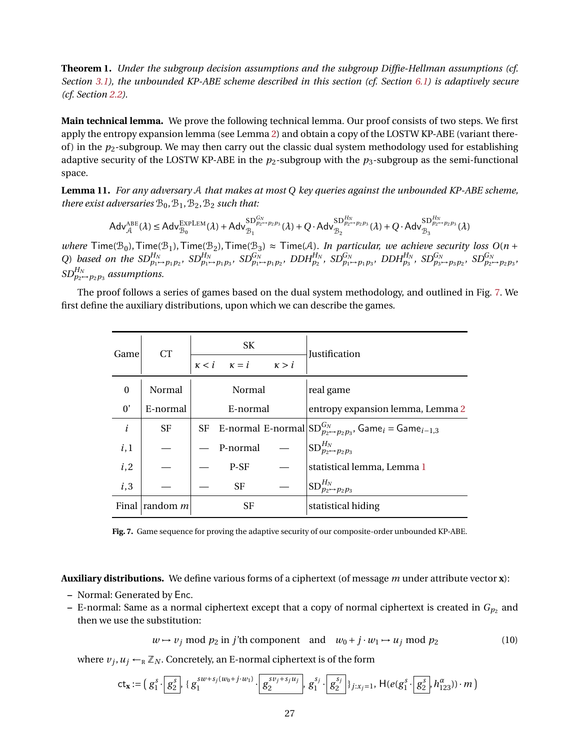**Theorem 1.** *Under the subgroup decision assumptions and the subgroup Diffie-Hellman assumptions (cf. Section [3.1\)](#page-9-1), the unbounded KP-ABE scheme described in this section (cf. Section [6.1\)](#page-25-1) is adaptively secure (cf. Section [2.2\)](#page-9-2).*

**Main technical lemma.** We prove the following technical lemma. Our proof consists of two steps. We first apply the entropy expansion lemma (see Lemma [2\)](#page-10-0) and obtain a copy of the LOSTW KP-ABE (variant thereof) in the  $p_2$ -subgroup. We may then carry out the classic dual system methodology used for establishing adaptive security of the LOSTW KP-ABE in the  $p_2$ -subgroup with the  $p_3$ -subgroup as the semi-functional space.

**Lemma 11.** *For any adversary* A *that makes at most Q key queries against the unbounded KP-ABE scheme, there exist adversaries*  $B_0$ ,  $B_1$ ,  $B_2$ ,  $B_2$  *such that:* 

$$
\mathsf{Adv}_{\mathcal{A}}^{\mathsf{ABE}}(\lambda) \leq \mathsf{Adv}_{\mathcal{B}_0}^{\mathsf{EXPLEM}}(\lambda) + \mathsf{Adv}_{\mathcal{B}_1}^{\mathsf{SD}^{G_N}_{p_2 \rightarrow p_2 p_3}}(\lambda) + Q \cdot \mathsf{Adv}_{\mathcal{B}_2}^{\mathsf{SD}^{H_N}_{p_2 \rightarrow p_2 p_3}}(\lambda) + Q \cdot \mathsf{Adv}_{\mathcal{B}_3}^{\mathsf{SD}^{H_N}_{p_2 \rightarrow p_2 p_3}}(\lambda)
$$

*where*  $\text{Time}(\mathcal{B}_0)$ ,  $\text{Time}(\mathcal{B}_1)$ ,  $\text{Time}(\mathcal{B}_2)$ ,  $\text{Time}(\mathcal{B}_3) \approx \text{Time}(\mathcal{A})$ *. In particular, we achieve security loss*  $O(n + 1)$ Q) based on the  $SD^{H_N}_{p_1 \to p_1 p_2}$ ,  $SD^{H_N}_{p_1 \to p_1 p_3}$ ,  $SD^{G_N}_{p_1 \to p_1 p_2}$ ,  $DDH^{H_N}_{p_2}$ ,  $SD^{G_N}_{p_1 \to p_1 p_3}$ ,  $DDH^{H_N}_{p_3}$ ,  $SD^{G_N}_{p_3 \to p_3 p_2}$ ,  $SD^{G_N}_{p_2 \to p_2 p_3}$ ,  $SD^{H_N}_{p_2 \rightarrow p_2 p_3}$  assumptions.

The proof follows a series of games based on the dual system methodology, and outlined in Fig. [7.](#page-26-0) We first define the auxiliary distributions, upon which we can describe the games.

| Game         | <b>CT</b>               | SK<br>$\kappa < i$ $\kappa = i$ $\kappa > i$ | <b>Justification</b>                                                                                   |
|--------------|-------------------------|----------------------------------------------|--------------------------------------------------------------------------------------------------------|
| $\theta$     | Normal                  | Normal                                       | real game                                                                                              |
| $0^{\prime}$ | E-normal                | E-normal                                     | entropy expansion lemma, Lemma 2                                                                       |
| i            | <b>SF</b>               |                                              | SF E-normal E-normal $ SD_{p_2 \rightarrow p_2 p_3}^{G_N}$ , Game <sub>i</sub> = Game <sub>i-1,3</sub> |
| i,1          |                         | P-normal                                     | $ SD_{p_2 \rightarrow p_2 p_3}^{H_N} $                                                                 |
| i, 2         |                         | P-SF                                         | statistical lemma, Lemma 1                                                                             |
| i,3          |                         | <b>SF</b>                                    | $ {\rm SD}_{p_2 \mapsto p_2 p_3}^{H_N} \rangle$                                                        |
|              | Final $\lvert$ random m | <b>SF</b>                                    | statistical hiding                                                                                     |

<span id="page-26-0"></span>**Fig. 7.** Game sequence for proving the adaptive security of our composite-order unbounded KP-ABE.

**Auxiliary distributions.** We define various forms of a ciphertext (of message *m* under attribute vector **x**):

- **–** Normal: Generated by Enc.
- $-$  E-normal: Same as a normal ciphertext except that a copy of normal ciphertext is created in  $G_{p_2}$  and then we use the substitution:

<span id="page-26-1"></span>
$$
w \mapsto v_j \text{ mod } p_2 \text{ in } j' \text{th component} \text{ and } w_0 + j \cdot w_1 \mapsto u_j \text{ mod } p_2 \tag{10}
$$

where  $v_j, u_j \leftarrow_R \mathbb{Z}_N$ . Concretely, an E-normal ciphertext is of the form

$$
\mathsf{ct}_{\mathbf{x}} := \Big(\,g_1^s \cdot \Big[\,g_2^s\Big],\, \{ \,g_1^{sw + s_j(w_0 + j \cdot w_1)} \cdot \Big[\,g_2^{sv_j + s_j u_j}\Big],\, g_1^{s_j} \cdot \Big[\,g_2^{s_j}\Big]\} \, j: x_j = 1},\, \mathsf{H}(e(g_1^s \cdot \Big[\,g_2^s\Big], h_{123}^{\alpha})) \cdot m\,\Big)
$$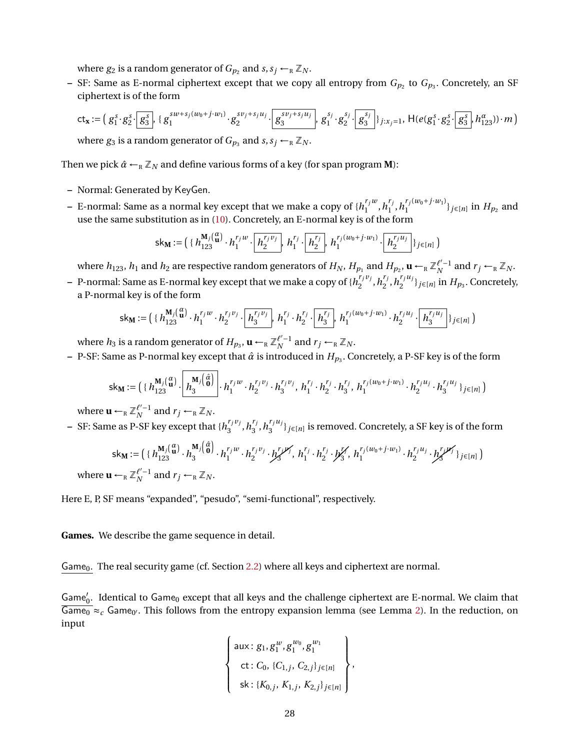where  $g_2$  is a random generator of  $G_{p_2}$  and  $s, s_j \leftarrow_R \mathbb{Z}_N$ .

 $-$  SF: Same as E-normal ciphertext except that we copy all entropy from  $G_{p_2}$  to  $G_{p_3}.$  Concretely, an SF ciphertext is of the form

$$
\mathsf{ct}_{\mathbf{x}} := \left( g_1^s \cdot g_2^s \cdot g_3^s \right), \{ g_1^{sw + s_j(w_0 + j \cdot w_1)} \cdot g_2^{sv_j + s_j u_j} \cdot g_3^{sv_j + s_j u_j} \right), \, g_1^{s_j} \cdot g_2^{s_j} \cdot g_3^{s_j} \cdot g_3^{s_j} \cdot g_2^{s_j} \cdot g_3^{s_j} \cdot g_2^{s_j} \cdot g_3^{s_j} \cdot h_{123}^{a_j} \cdot m \right)
$$

where  $g_3$  is a random generator of  $G_{p_3}$  and  $s, s_j \leftarrow_R \mathbb{Z}_N$ .

Then we pick  $\hat{\alpha} \leftarrow_R \mathbb{Z}_N$  and define various forms of a key (for span program **M**):

- **–** Normal: Generated by KeyGen.
- $-$  E-normal: Same as a normal key except that we make a copy of  $\{h^{r_jw}_1\}$  $\binom{r_j w}{1}, h_1^{r_j}$  $n_1^{r_j}, h_1^{r_j(w_0+j \cdot w_1)}$  $\{f_1^{(w_0 + j w_1)}\}_{j \in [n]}$  in  $H_{p_2}$  and use the same substitution as in [\(10\)](#page-26-1). Concretely, an E-normal key is of the form

$$
\mathsf{sk}_\mathbf{M} := \left( \{ h_{123}^{\mathbf{M}_j} \left( \begin{matrix} \alpha \\ \mathbf{u} \end{matrix} \right) \cdot h_1^{r_j w} \cdot \left[ \begin{matrix} \mathbf{h}_2^{r_j v_j} \\ \mathbf{h}_2^{r_j w} \end{matrix} \right], h_1^{r_j} \cdot \left[ \begin{matrix} \mathbf{h}_2^{r_j} \\ \mathbf{h}_2^{r_j w} \end{matrix} \right], h_1^{r_j (w_0 + j \cdot w_1)} \cdot \left[ \begin{matrix} \mathbf{h}_2^{r_j u_j} \\ \mathbf{h}_2^{r_j w} \end{matrix} \right] \right\}_{j \in [n]}
$$

where  $h_{123}$ ,  $h_1$  and  $h_2$  are respective random generators of  $H_N$ ,  $H_{p_1}$  and  $H_{p_2}$ ,  $\mathbf{u} \leftarrow_R \mathbb{Z}_N^{l'-1}$  and  $r_j \leftarrow_R \mathbb{Z}_N$ .

 $-$  P-normal: Same as E-normal key except that we make a copy of  $\{h_j^{r_j v_j}\}$  $n_1^{r_j v_j}, h_2^{r_j}$  $n_1^{r_j}$ ,  $h_2^{r_j u_j}$  $\{H_{2}^{(m)}\}_{j\in[n]}$  in  $H_{p_3}$ . Concretely, a P-normal key is of the form

$$
\mathsf{sk}_\mathbf{M} := \left( \{ h_{123}^{\mathbf{M}_j} \left( \begin{matrix} \alpha \\ \mathbf{u} \end{matrix} \right) \cdot h_1^{r_j w} \cdot h_2^{r_j v_j} \cdot \left[ h_3^{r_j v_j} \right], \ h_1^{r_j} \cdot h_2^{r_j} \cdot \left[ h_3^{r_j} \right], \ h_1^{r_j (w_0 + j \cdot w_1)} \cdot h_2^{r_j u_j} \cdot \left[ h_3^{r_j u_j} \right] \}_{j \in [n]} \right)
$$

where  $h_3$  is a random generator of  $H_{p_3}$ ,  $\mathbf{u} \leftarrow_R \mathbb{Z}_N^{\ell'-1}$  and  $r_j \leftarrow_R \mathbb{Z}_N$ .

**–** P-SF: Same as P-normal key except that *α*ˆ is introduced in *Hp*<sup>3</sup> . Concretely, a P-SF key is of the form

$$
\mathsf{sk}_{\mathbf{M}} := \left( \{ h_{123}^{\mathbf{M}_j} \left( \mathbf{u} \right) \cdot \left[ \mathbf{h}_3^{\mathbf{M}_j} \left( \hat{\mathbf{d}} \right) \right] \cdot \mathbf{h}_1^{r_j w} \cdot \mathbf{h}_2^{r_j v_j} \cdot \mathbf{h}_3^{r_j v_j}, \ \mathbf{h}_1^{r_j} \cdot \mathbf{h}_2^{r_j} \cdot \mathbf{h}_3^{r_j}, \ \mathbf{h}_1^{r_j (w_0 + j \cdot w_1)} \cdot \mathbf{h}_2^{r_j u_j} \cdot \mathbf{h}_3^{r_j u_j} \} _{j \in [n]} \right)
$$

where  $\mathbf{u} \leftarrow_R \mathbb{Z}_N^{\ell'-1}$  and  $r_j \leftarrow_R \mathbb{Z}_N$ .

 $-$  SF: Same as P-SF key except that  $\{h_3^{r_j v_j}\}$  $\frac{r_j v_j}{3}, h_3^{r_j}$  $n_j^{r_j}$ ,  $h_3^{r_j u_j}$  $\{G_3^{(1)}\}_{j\in[n]}$  is removed. Concretely, a SF key is of the form

$$
\mathsf{sk}_\mathbf{M} := \left( \{ h_{123}^{\mathbf{M}_j} \{ \begin{matrix} a \\ \mathbf{0} \end{matrix} \right) \cdot h_3^{\mathbf{M}_j} \{ \begin{matrix} a \\ \mathbf{0} \end{matrix} \right) \cdot h_1^{r_j w} \cdot h_2^{r_j v_j} \cdot h_3^{r_j w_j}, \ h_1^{r_j} \cdot h_2^{r_j} \cdot h_3^{r_j} \cdot h_1^{r_j (w_0 + j \cdot w_1)} \cdot h_2^{r_j u_j} \cdot h_3^{r_j w_j} \}_{j \in [n]} \right)
$$
\nwhere  $\mathbf{u} \leftarrow_R \mathbb{Z}_N^{\ell'-1}$  and  $r_j \leftarrow_R \mathbb{Z}_N$ .

Here E, P, SF means "expanded", "pesudo", "semi-functional", respectively.

**Games.** We describe the game sequence in detail.

Game<sub>0</sub>. The real security game (cf. Section [2.2\)](#page-8-1) where all keys and ciphertext are normal.

Game'<sub>0</sub>. Identical to Game<sub>0</sub> except that all keys and the challenge ciphertext are E-normal. We claim that  $\overline{\mathsf{Game}_0} \approx_c \mathsf{Game}_{0'}$ . This follows from the entropy expansion lemma (see Lemma [2\)](#page-10-0). In the reduction, on input

$$
\left\{\n\begin{array}{l}\n\text{aux}: g_1, g_1^w, g_1^{w_0}, g_1^{w_1} \\
\text{ct}: C_0, \{C_{1,j}, C_{2,j}\}_{j\in[n]} \\
\text{sk}: \{K_{0,j}, K_{1,j}, K_{2,j}\}_{j\in[n]}\n\end{array}\n\right\},
$$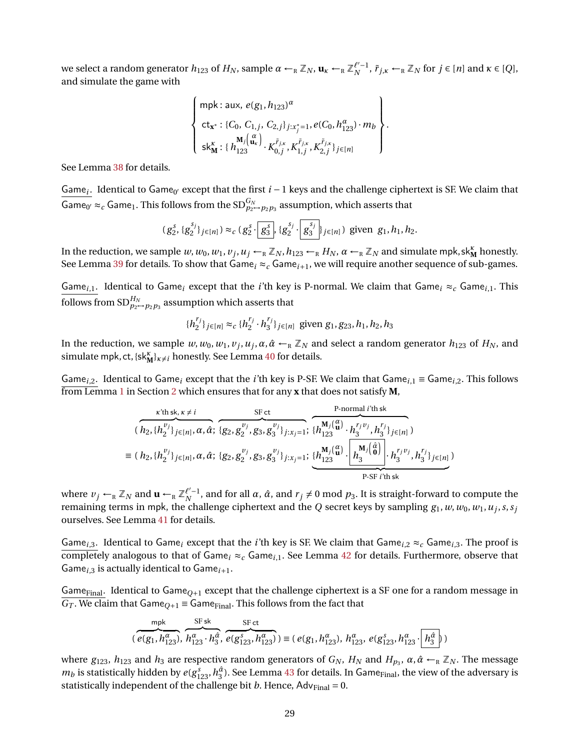we select a random generator  $h_{123}$  of  $H_N$ , sample  $\alpha \leftarrow_R \mathbb{Z}_N$ ,  $\mathbf{u}_\kappa \leftarrow_R \mathbb{Z}_N^{\ell'-1}$ ,  $\tilde{r}_{j,\kappa} \leftarrow_R \mathbb{Z}_N$  for  $j \in [n]$  and  $\kappa \in [Q]$ , and simulate the game with

$$
\begin{Bmatrix}\n\text{mpk: aux, } e(g_1, h_{123})^{\alpha} \\
\text{ct}_{\mathbf{x}^*}: \{C_0, C_{1,j}, C_{2,j}\}_{j:x_j^* = 1}, e(C_0, h_{123}^{\alpha}) \cdot m_b \\
\text{s}{K_n^{\mathbf{x}}}: \{h_{123}^{M_j(\mathbf{u}_\kappa)} \cdot K_{0,j}^{\tilde{r}_{j,\kappa}}, K_{1,j}^{\tilde{r}_{j,\kappa}}, K_{2,j}^{\tilde{r}_{j,\kappa}}\}_{j \in [n]}\n\end{Bmatrix}.
$$

See Lemma [38](#page-54-2) for details.

Game<sub>i</sub>. Identical to Game<sub>0'</sub> except that the first  $i - 1$  keys and the challenge ciphertext is SF. We claim that Game<sub>0'</sub>  $\approx_c$  Game<sub>1</sub>. This follows from the SD $_{p_2\rightarrow p_2p_3}^{G_N}$  assumption, which asserts that

$$
(g_2^s, \{g_2^{s_j}\}_{j\in[n]}) \approx_c (g_2^s \cdot \boxed{g_3^s}, \{g_2^{s_j} \cdot \boxed{g_3^{s_j}}\}_{j\in[n]})
$$
 given  $g_1, h_1, h_2$ .

In the reduction, we sample  $w, w_0, w_1, v_j, u_j \leftarrow_R \mathbb{Z}_N$ ,  $h_{123} \leftarrow_R H_N$ ,  $\alpha \leftarrow_R \mathbb{Z}_N$  and simulate mpk, sk<sub>M</sub><sup>*K*</sup></sup> honestly. See Lemma [39](#page-55-0) for details. To show that Game<sub>i</sub>  $\approx$ <sub>c</sub> Game<sub>i+1</sub>, we will require another sequence of sub-games.

Game<sub>*i*,1</sub>. Identical to Game<sub>*i*</sub> except that the *i*'th key is P-normal. We claim that Game<sub>*i*</sub>  $\approx$ <sub>*c*</sub> Game<sub>*i*,1</sub>. This follows from  $\mathrm{SD}^{H_N}_{p_2 \rightarrow p_2 p_3}$  assumption which asserts that

$$
{h_2^{r_j}}_{j \in [n]} \approx_c {h_2^{r_j} \cdot h_3^{r_j}}_{j \in [n]}
$$
 given  $g_1, g_{23}, h_1, h_2, h_3$ 

In the reduction, we sample  $w, w_0, w_1, v_j, u_j, \alpha, \hat{\alpha} \leftarrow_R \mathbb{Z}_N$  and select a random generator  $h_{123}$  of  $H_N$ , and simulate mpk, ct,  $\{sk_M^K\}_{K\neq i}$  honestly. See Lemma [40](#page-55-1) for details.

Game<sub>*i*,2</sub>. Identical to Game<sub>*i*</sub> except that the *i*'th key is P-SF. We claim that Game<sub>*i*,1</sub> = Game<sub>*i*,2</sub>. This follows from Lemma [1](#page-8-0) in Section [2](#page-7-0) which ensures that for any **x** that does not satisfy **M**,

$$
(\overbrace{h_2,\{h_2^{v_j}\}_{j\in[n]},\alpha,\hat{\alpha}}^{k\text{th sk},\kappa\neq i},\overbrace{g_2,g_2^{v_j},g_3,g_3^{v_j}\}_{j:x_j=1}}^{SF \text{ct}},\overbrace{\{h_{123}^{M_j(\alpha)}\cdot h_2^{r_jv_j},h_3^{r_j}\}_{j\in[n]}^{N_j(\alpha)}}^{P\text{-normal } i\text{th sk}}
$$
\n
$$
\equiv (h_2,\{h_2^{v_j}\}_{j\in[n]},\alpha,\hat{\alpha};\{g_2,g_2^{v_j},g_3,g_3^{v_j}\}_{j:x_j=1};\underbrace{\{h_{123}^{M_j(\alpha)}\cdot\begin{bmatrix} M_j(\hat{\alpha})\\h_3^{m_j(\hat{\alpha})}\end{bmatrix}}_{P\text{-SF }i\text{th sk}},\overbrace{h_3^{r_jv_j},h_3^{r_j}\}_{j\in[n]}^{N_j(\alpha)}
$$

where  $v_j \leftarrow_R \mathbb{Z}_N$  and  $\mathbf{u} \leftarrow_R \mathbb{Z}_N^{\ell'-1}$ , and for all  $\alpha$ ,  $\hat{\alpha}$ , and  $r_j \neq 0$  mod  $p_3$ . It is straight-forward to compute the remaining terms in mpk, the challenge ciphertext and the *Q* secret keys by sampling  $g_1, w, w_0, w_1, u_j, s, s_j$ ourselves. See Lemma [41](#page-56-0) for details.

Game<sub>*i*,3</sub>. Identical to Game<sub>*i*</sub> except that the *i*'th key is SF. We claim that Game<sub>*i*,2</sub>  $\approx_c$  Game<sub>*i*,3</sub>. The proof is completely analogous to that of Game<sub>i</sub>  $\approx_c$  Game<sub>i.1</sub>. See Lemma [42](#page-56-1) for details. Furthermore, observe that Game $_{i,3}$  is actually identical to Game $_{i+1}$ .

Game<sub>Final</sub>. Identical to Game<sub>O+1</sub> except that the challenge ciphertext is a SF one for a random message in  $G_T$ . We claim that Game<sub>Q+1</sub> = Game<sub>Final</sub>. This follows from the fact that

$$
(\overbrace{e(g_1, h_{123}^{\alpha}), h_{123}^{\alpha}}^{SFSk}, \overbrace{h_{123}^{\alpha} \cdot h_3^{\hat{\alpha}}}, \overbrace{e(g_{123}^s, h_{123}^{\alpha})}^{SFCt}) \equiv (e(g_1, h_{123}^{\alpha}), h_{123}^{\alpha}, e(g_{123}^s, h_{123}^{\alpha} \cdot \overbrace{h_3^{\hat{\alpha}}}).
$$

 $\sim$  set sketched at  $\sim$ 

where  $g_{123}$ ,  $h_{123}$  and  $h_3$  are respective random generators of  $G_N$ ,  $H_N$  and  $H_{p_3}$ ,  $\alpha$ ,  $\hat{\alpha} \leftarrow_R \mathbb{Z}_N$ . The message  $m_b$  is statistically hidden by  $e(g_{123}^s, h_3^{\hat{a}})$ . See Lemma [43](#page-56-2) for details. In Game<sub>Final</sub>, the view of the adversary is statistically independent of the challenge bit *b*. Hence,  $Adv_{Final} = 0$ .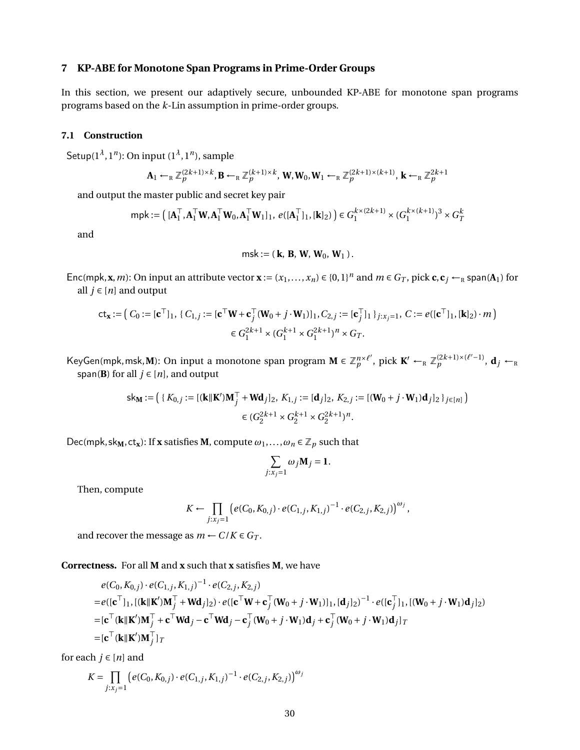## <span id="page-29-0"></span>**7 KP-ABE for Monotone Span Programs in Prime-Order Groups**

In this section, we present our adaptively secure, unbounded KP-ABE for monotone span programs programs based on the *k*-Lin assumption in prime-order groups.

## <span id="page-29-1"></span>**7.1 Construction**

Setup(1*<sup>λ</sup>* , 1*<sup>n</sup>* ): On input (1*<sup>λ</sup>* , 1*<sup>n</sup>* ), sample

$$
\mathbf{A}_1 \leftarrow_R \mathbb{Z}_p^{(2k+1)\times k}, \mathbf{B} \leftarrow_R \mathbb{Z}_p^{(k+1)\times k}, \mathbf{W}, \mathbf{W}_0, \mathbf{W}_1 \leftarrow_R \mathbb{Z}_p^{(2k+1)\times (k+1)}, \mathbf{k} \leftarrow_R \mathbb{Z}_p^{2k+1}
$$

and output the master public and secret key pair

$$
\mathsf{mpk} := \left( [\mathbf{A}_1^\top, \mathbf{A}_1^\top \mathbf{W}, \mathbf{A}_1^\top \mathbf{W}_0, \mathbf{A}_1^\top \mathbf{W}_1]_1, e([\mathbf{A}_1^\top]_1, [\mathbf{k}]_2) \right) \in G_1^{k \times (2k+1)} \times (G_1^{k \times (k+1)})^3 \times G_T^k
$$

and

msk := ( **k**, **B**, **W**, **W**0, **W**<sup>1</sup> ).

Enc(mpk, **x**, *m*): On input an attribute vector **x** :=  $(x_1,...,x_n) \in \{0,1\}^n$  and  $m \in G_T$ , pick **c**,  $c_j \leftarrow_R$  span(A<sub>1</sub>) for all  $j ∈ [n]$  and output

$$
\mathsf{ct}_{\mathbf{x}} := \left( C_0 := [\mathbf{c}^\top]_1, \{ C_{1,j} := [\mathbf{c}^\top \mathbf{W} + \mathbf{c}_j^\top (\mathbf{W}_0 + j \cdot \mathbf{W}_1)]_1, C_{2,j} := [\mathbf{c}_j^\top]_1 \}_{j:x_j = 1}, C := e([\mathbf{c}^\top]_1, [\mathbf{k}]_2) \cdot m \right)
$$
  

$$
\in G_1^{2k+1} \times (G_1^{k+1} \times G_1^{2k+1})^n \times G_T.
$$

KeyGen(mpk, msk, M): On input a monotone span program  $M \in \mathbb{Z}_p^{n \times \ell'}$  $p^{n \times \ell'}$ , pick  $\mathbf{K}' \leftarrow_R \mathbb{Z}_p^{(2k+1)\times(\ell'-1)}$ ,  $\mathbf{d}_j \leftarrow_R$ span(**B**) for all  $j \in [n]$ , and output

$$
\mathsf{sk}_{\mathbf{M}} := \left( \{ K_{0,j} := [(\mathbf{k} \|\mathbf{K}')\mathbf{M}_j^\top + \mathbf{W}\mathbf{d}_j]_2, K_{1,j} := [\mathbf{d}_j]_2, K_{2,j} := [(\mathbf{W}_0 + j \cdot \mathbf{W}_1)\mathbf{d}_j]_2 \}_{j \in [n]} \right) \newline \in (G_2^{2k+1} \times G_2^{k+1} \times G_2^{2k+1})^n.
$$

 $Dec(mpk, sk_M, ct_x):$  If **x** satisfies **M**, compute  $\omega_1, \ldots, \omega_n \in \mathbb{Z}_p$  such that

$$
\sum_{j:x_j=1}\omega_j\mathbf{M}_j=\mathbf{1}.
$$

Then, compute

$$
K \leftarrow \prod_{j:x_j=1} \left( e(C_0, K_{0,j}) \cdot e(C_{1,j}, K_{1,j})^{-1} \cdot e(C_{2,j}, K_{2,j}) \right)^{\omega_j},
$$

and recover the message as  $m \leftarrow C/K \in G_T$ .

**Correctness.** For all **M** and **x** such that **x** satisfies **M**, we have

$$
e(C_0, K_{0,j}) \cdot e(C_{1,j}, K_{1,j})^{-1} \cdot e(C_{2,j}, K_{2,j})
$$
  
=  $e([c^{\top}]_1, [(k||K')M_j^{\top} + Wd_j]_2) \cdot e([c^{\top}W + c_j^{\top}(W_0 + j \cdot W_1)]_1, [d_j]_2)^{-1} \cdot e([c_j^{\top}]_1, [(W_0 + j \cdot W_1)d_j]_2)$   
=  $[c^{\top}(k||K')M_j^{\top} + c^{\top}Wd_j - c^{\top}Wd_j - c_j^{\top}(W_0 + j \cdot W_1)d_j + c_j^{\top}(W_0 + j \cdot W_1)d_j]_T$   
=  $[c^{\top}(k||K')M_j^{\top}]_T$ 

for each  $j \in [n]$  and

$$
K = \prod_{j:x_j=1} \left( e(C_0, K_{0,j}) \cdot e(C_{1,j}, K_{1,j})^{-1} \cdot e(C_{2,j}, K_{2,j}) \right)^{\omega_j}
$$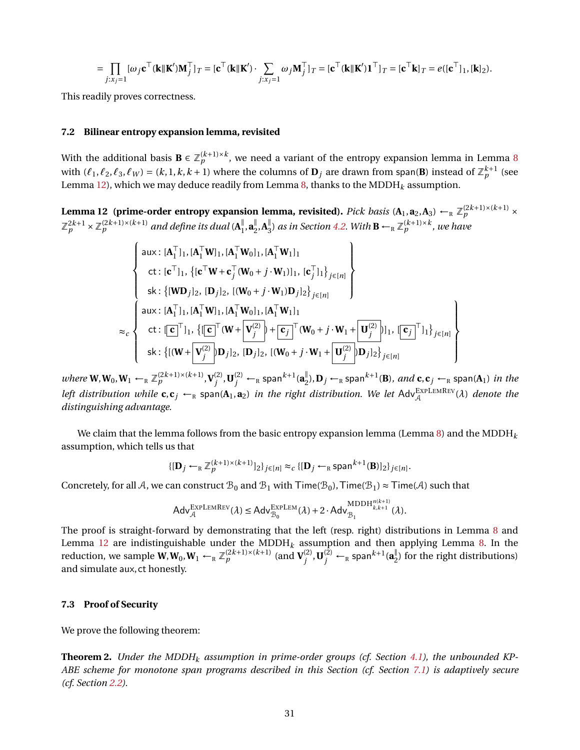$$
= \prod_{j:x_j=1} [\omega_j \mathbf{c}^\top (\mathbf{k} \|\mathbf{K}')\mathbf{M}_j^\top ]_T = [\mathbf{c}^\top (\mathbf{k} \|\mathbf{K}') \cdot \sum_{j:x_j=1} \omega_j \mathbf{M}_j^\top ]_T = [\mathbf{c}^\top (\mathbf{k} \|\mathbf{K}')\mathbf{1}^\top ]_T = [\mathbf{c}^\top \mathbf{k}]_T = e([\mathbf{c}^\top]_1, [\mathbf{k}]_2).
$$

This readily proves correctness.

#### **7.2 Bilinear entropy expansion lemma, revisited**

With the additional basis  $\mathbf{B}\in\mathbb{Z}_p^{(k+1)\times k},$  we need a variant of the entropy expansion lemma in Lemma [8](#page-19-1) with  $(\ell_1, \ell_2, \ell_3, \ell_W) = (k, 1, k, k + 1)$  where the columns of  $\mathbf{D}_j$  are drawn from span(B) instead of  $\mathbb{Z}_p^{k+1}$  (see Lemma [12\)](#page-30-0), which we may deduce readily from Lemma [8,](#page-19-1) thanks to the MDDH*<sup>k</sup>* assumption.

<span id="page-30-0"></span>**Lemma 12** (prime-order entropy expansion lemma, revisited). *Pick basis* (A<sub>1</sub>, a<sub>2</sub>, A<sub>3</sub>) ←<sub>R</sub>  $\mathbb{Z}_p^{(2k+1)\times(k+1)}\times$  $\mathbb{Z}_p^{2k+1}\times\mathbb{Z}_p^{(2k+1)\times (k+1)}$  and define its dual ( $\mathbf{A}_1^{\parallel}$  $\frac{||}{1}$ , **a**<sup> $|$ </sup><sub>2</sub>  $\frac{||}{2}$ , **A**<sup> $||$ </sup><sub>3</sub>  $\frac{1}{3}$  *as in Section [4.2.](#page-16-1) With*  $\mathbf{B} \leftarrow_R \mathbb{Z}_p^{(k+1)\times k}$ *, we have* 

$$
\begin{cases}\n\text{aux: } [\mathbf{A}_{1}^{\top}]_{1}, [\mathbf{A}_{1}^{\top}\mathbf{W}]_{1}, [\mathbf{A}_{1}^{\top}\mathbf{W}]_{1}, [\mathbf{A}_{1}^{\top}\mathbf{W}]_{1}]_{1} \\
\text{ct: } [\mathbf{c}^{\top}]_{1}, \{[\mathbf{c}^{\top}\mathbf{W} + \mathbf{c}_{j}^{\top}(\mathbf{W}_{0} + j \cdot \mathbf{W}_{1})]_{1}, [\mathbf{c}_{j}^{\top}]_{1}\}_{j \in [n]} \\
\text{sk: } \{[\mathbf{W}\mathbf{D}_{j}]_{2}, [\mathbf{D}_{j}]_{2}, [(\mathbf{W}_{0} + j \cdot \mathbf{W}_{1})\mathbf{D}_{j}]_{2}\}_{j \in [n]} \\
\text{aux: } [\mathbf{A}_{1}^{\top}]_{1}, [\mathbf{A}_{1}^{\top}\mathbf{W}]_{1}, [\mathbf{A}_{1}^{\top}\mathbf{W}_{0}]_{1}, [\mathbf{A}_{1}^{\top}\mathbf{W}_{1}]_{1} \\
\text{ct: } [\mathbf{c}]^{\top}]_{1}, \{[\mathbf{c}^{\top}(\mathbf{W} + \mathbf{V}_{j}^{(2)}) + \mathbf{c}_{j}^{\top}(\mathbf{W}_{0} + j \cdot \mathbf{W}_{1} + \mathbf{U}_{j}^{(2)})]_{1}, [\mathbf{c}_{j}^{\top}]_{1}\}_{j \in [n]} \\
\text{sk: } \{[(\mathbf{W} + \mathbf{V}_{j}^{(2)})\mathbf{D}_{j}]_{2}, [\mathbf{D}_{j}]_{2}, [(\mathbf{W}_{0} + j \cdot \mathbf{W}_{1} + \mathbf{U}_{j}^{(2)})\mathbf{D}_{j}]_{2}\}_{j \in [n]}\n\end{cases}
$$

*where*  $\mathbf{W}, \mathbf{W}_0, \mathbf{W}_1 \leftarrow_R \mathbb{Z}_p^{(2k+1)\times (k+1)}, \mathbf{V}_j^{(2)}$  $\mathbf{U}_j^{(2)}$  ,  $\mathbf{U}_j^{(2)}$   $\leftarrow$   $_{\rm R}$  span $^{k+1}$ ( $\mathbf{a}_2^{\parallel}$  $_{2}^{\parallel}$ ),  $\mathbf{D}_{j}$   $\leftarrow$   $_{\textrm{R}}$  span $^{k+1}$ (**B**)*, and* **c**, **c**<sub>*j*</sub>  $\leftarrow$   $_{\textrm{R}}$  span( $\mathbf{A}_{1}$ ) *in the left distribution while*  $c, c_j \leftarrow_R$  span( $A_1, a_2$ ) *in the right distribution. We let*  $Adv_{\mathcal{A}}^{\text{EXPLEMREV}}(\lambda)$  *denote the distinguishing advantage.*

We claim that the lemma follows from the basic entropy expansion lemma (Lemma [8\)](#page-19-1) and the MDDH<sub>k</sub> assumption, which tells us that

$$
\{[\mathbf{D}_j \leftarrow_R \mathbb{Z}_p^{(k+1)\times (k+1)}]_2\}_{j\in[n]} \approx_c \{[\mathbf{D}_j \leftarrow_R \text{span}^{k+1}(\mathbf{B})]_2\}_{j\in[n]}.
$$

Concretely, for all A, we can construct  $B_0$  and  $B_1$  with Time( $B_0$ ), Time( $B_1$ ) ≈ Time(A) such that

$$
\mathsf{Adv}_{\mathcal{A}}^{\mathsf{EXPLEMREV}}(\lambda) \leq \mathsf{Adv}_{\mathcal{B}_0}^{\mathsf{EXPLEM}}(\lambda) + 2\cdot \mathsf{Adv}_{\mathcal{B}_1}^{\mathsf{MDDH}_{k,k+1}^{n(k+1)}}(\lambda).
$$

The proof is straight-forward by demonstrating that the left (resp. right) distributions in Lemma [8](#page-19-1) and Lemma [12](#page-30-0) are indistinguishable under the MDDH*<sup>k</sup>* assumption and then applying Lemma [8.](#page-19-1) In the reduction, we sample  $\widetilde{W}$ ,  $W_0$ ,  $W_1 \leftarrow_R \mathbb{Z}_p^{(2k+1)\times (k+1)}$  (and  $V_j^{(2)}$  $\mathbf{U}^{(2)}_j, \mathbf{U}^{(2)}_j \leftarrow_{\textrm{\tiny R}}$  span $^{k+1}(\mathbf{a}^\parallel_2)$  $_{2}^{\prime\prime}$ ) for the right distributions) and simulate aux, ct honestly.

#### <span id="page-30-2"></span>**7.3 Proof of Security**

<span id="page-30-1"></span>We prove the following theorem:

**Theorem 2.** *Under the MDDH<sup>k</sup> assumption in prime-order groups (cf. Section [4.1\)](#page-16-2), the unbounded KP-ABE scheme for monotone span programs described in this Section (cf. Section [7.1\)](#page-29-1) is adaptively secure (cf. Section [2.2\)](#page-9-2).*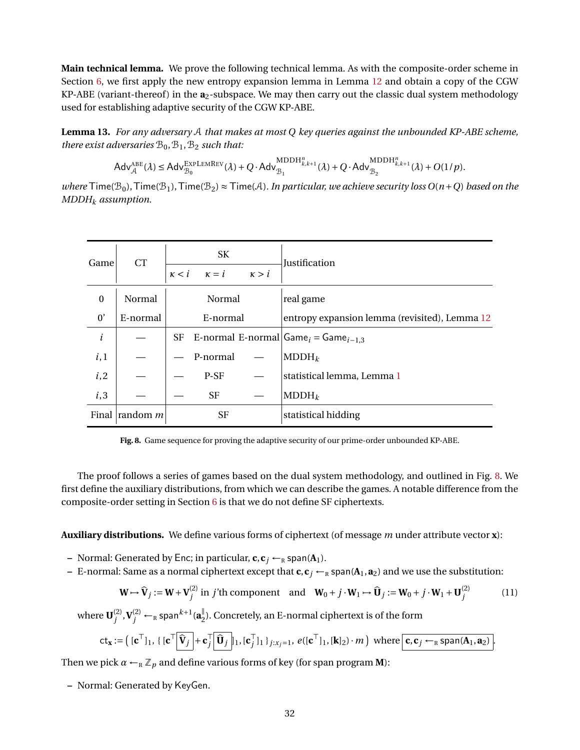**Main technical lemma.** We prove the following technical lemma. As with the composite-order scheme in Section [6,](#page-25-0) we first apply the new entropy expansion lemma in Lemma [12](#page-30-0) and obtain a copy of the CGW KP-ABE (variant-thereof) in the  $a_2$ -subspace. We may then carry out the classic dual system methodology used for establishing adaptive security of the CGW KP-ABE.

**Lemma 13.** *For any adversary* A *that makes at most Q key queries against the unbounded KP-ABE scheme, there exist adversaries*  $B_0$ ,  $B_1$ ,  $B_2$  *such that:* 

$$
\mathsf{Adv}_{\mathcal{A}}^{\mathsf{ABE}}(\lambda) \leq \mathsf{Adv}_{\mathcal{B}_0}^{\mathsf{EXPLEMREV}}(\lambda) + Q \cdot \mathsf{Adv}_{\mathcal{B}_1}^{\mathsf{MDDH}_{k,k+1}^n}(\lambda) + Q \cdot \mathsf{Adv}_{\mathcal{B}_2}^{\mathsf{MDDH}_{k,k+1}^n}(\lambda) + O(1/p).
$$

*where*  $\text{Time}(\mathcal{B}_0)$ ,  $\text{Time}(\mathcal{B}_1)$ ,  $\text{Time}(\mathcal{B}_2) \approx \text{Time}(\mathcal{A})$ . In particular, we achieve security loss  $O(n+Q)$  based on the *MDDH<sup>k</sup> assumption.*

| Game         | <b>CT</b>               |              | SK           |              | Justification                                              |  |
|--------------|-------------------------|--------------|--------------|--------------|------------------------------------------------------------|--|
|              |                         | $\kappa < i$ | $\kappa = i$ | $\kappa > i$ |                                                            |  |
| $\mathbf{0}$ | Normal                  |              | Normal       |              | real game                                                  |  |
| 0'           | E-normal                |              | E-normal     |              | entropy expansion lemma (revisited), Lemma 12              |  |
| $\dot{i}$    |                         |              |              |              | SF E-normal E-normal $\text{Game}_i = \text{Game}_{i-1,3}$ |  |
| i,1          |                         |              | P-normal     |              | $MDDH_k$                                                   |  |
| i, 2         |                         |              | P-SF         |              | statistical lemma, Lemma 1                                 |  |
| i,3          |                         |              | <b>SF</b>    |              | $MDDH_k$                                                   |  |
|              | Final $\lvert$ random m |              | SF           |              | statistical hidding                                        |  |

<span id="page-31-0"></span>**Fig. 8.** Game sequence for proving the adaptive security of our prime-order unbounded KP-ABE.

The proof follows a series of games based on the dual system methodology, and outlined in Fig. [8.](#page-31-0) We first define the auxiliary distributions, from which we can describe the games. A notable difference from the composite-order setting in Section [6](#page-25-0) is that we do not define SF ciphertexts.

**Auxiliary distributions.** We define various forms of ciphertext (of message *m* under attribute vector **x**):

- **–** Normal: Generated by Enc; in particular,  $\mathbf{c}, \mathbf{c}_j \leftarrow_R \text{span}(\mathbf{A}_1)$ .
- **–** E-normal: Same as a normal ciphertext except that  $c$ ,  $c_j$   $\leftarrow$ <sub>R</sub> span( $A_1$ ,  $a_2$ ) and we use the substitution:

<span id="page-31-1"></span>
$$
\mathbf{W} \mapsto \hat{\mathbf{V}}_j := \mathbf{W} + \mathbf{V}_j^{(2)} \text{ in } j' \text{th component} \quad \text{and} \quad \mathbf{W}_0 + j \cdot \mathbf{W}_1 \mapsto \hat{\mathbf{U}}_j := \mathbf{W}_0 + j \cdot \mathbf{W}_1 + \mathbf{U}_j^{(2)} \tag{11}
$$

where  $\mathbf{U}^{(2)}_i$  $\mathbf{V}_j^{(2)} \leftarrow_R \mathsf{span}^{k+1}(\mathbf{a}_2^{\parallel})$  $_{2}^{\mathbb{I}}$ ). Concretely, an E-normal ciphertext is of the form

$$
\mathsf{ct}_{\mathbf{x}} := \left( [\mathbf{c}^\top]_1, \{ [\mathbf{c}^\top \big] \widehat{\mathbf{V}}_j \big| + \mathbf{c}_j^\top \big] \widehat{\mathbf{U}}_j \big|_1, [\mathbf{c}_j^\top]_1 \}_{j:x_j=1}, e([\mathbf{c}^\top]_1, [\mathbf{k}]_2) \cdot m \right) \text{ where } \mathbf{c}, \mathbf{c}_j \leftarrow_R \text{span}(\mathbf{A}_1, \mathbf{a}_2) \right).
$$

Then we pick  $\alpha \leftarrow_R \mathbb{Z}_p$  and define various forms of key (for span program **M**):

**–** Normal: Generated by KeyGen.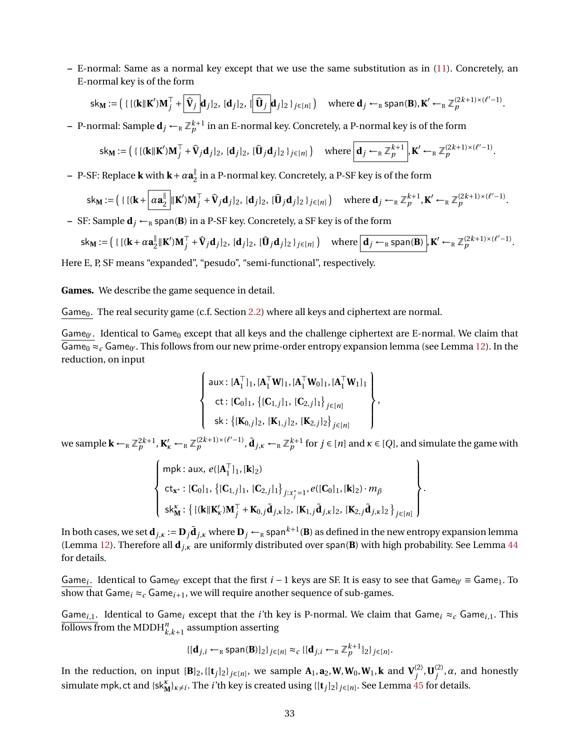**–** E-normal: Same as a normal key except that we use the same substitution as in [\(11\)](#page-31-1). Concretely, an E-normal key is of the form

$$
\mathsf{sk}_M := \left( \left\{ \left[ (\mathbf{k} \|\mathbf{K}'\mathbf{M}_j^\top + \widehat{\mathbf{V}}_j \mathbf{d}_j]_2, \, [\mathbf{d}_j]_2, \, [\widehat{\mathbf{U}}_j \mathbf{d}_j]_2 \, \right\}_{j \in [n]} \right) \quad \text{where } \mathbf{d}_j \leftarrow_R \text{span}(\mathbf{B}), \mathbf{K}' \leftarrow_R \mathbb{Z}_p^{(2k+1) \times (\ell'-1)}.
$$

 $-$  P-normal: Sample  $\mathbf{d}_j \leftarrow_\R \mathbb{Z}_p^{k+1}$  in an E-normal key. Concretely, a P-normal key is of the form

$$
\mathsf{sk}_{\mathbf{M}} := \left( \{ \left[ (\mathbf{k} \|\mathbf{K}')\mathbf{M}_j^\top + \widehat{\mathbf{V}}_j \mathbf{d}_j \right]_2, \, [\mathbf{d}_j]_2, \, [\widehat{\mathbf{U}}_j \mathbf{d}_j]_2 \, \}_{j \in [n]} \right) \quad \text{where } \boxed{\mathbf{d}_j \leftarrow_R \mathbb{Z}_p^{k+1}}, \mathbf{K}' \leftarrow_R \mathbb{Z}_p^{(2k+1) \times (\ell'-1)}.
$$

**–** P-SF: Replace **k** with **k**+*α***a** ∥  $\frac{1}{2}$  in a P-normal key. Concretely, a P-SF key is of the form

$$
\mathsf{sk}_M := \left( \{ \left[ (\mathbf{k} + \left[ \alpha \mathbf{a}_2^{\parallel} \right] \| \mathbf{K}' ) \mathbf{M}_j^\top + \widehat{\mathbf{V}}_j \mathbf{d}_j \right]_2, \, [\mathbf{\widehat{U}}_j \mathbf{d}_j]_2, \, [\mathbf{\widehat{U}}_j \mathbf{d}_j]_2 \, \}_{j \in [n]} \right) \quad \text{where } \mathbf{d}_j \leftarrow_R \mathbb{Z}_p^{k+1}, \mathbf{K}' \leftarrow_R \mathbb{Z}_p^{(2k+1) \times (\ell'-1)}.
$$

**−** SF: Sample  $\mathbf{d}_i$  ←<sub>R</sub> span(**B**) in a P-SF key. Concretely, a SF key is of the form

$$
\mathsf{sk}_M := \left( \{ \left[ (\mathbf{k} + \alpha \mathbf{a}_2^{\parallel} \|\mathbf{K}')\mathbf{M}_j^{\top} + \widehat{\mathbf{V}}_j \mathbf{d}_j \right]_2, [\mathbf{0}_j]_2, [\mathbf{0}_j]_2 \}_{j \in [n]} \right) \quad \text{where } \boxed{\mathbf{d}_j \leftarrow_R \text{span}(\mathbf{B})}, \mathbf{K}' \leftarrow_R \mathbb{Z}_p^{(2k+1) \times (\ell'-1)}.
$$

Here E, P, SF means "expanded", "pesudo", "semi-functional", respectively.

**Games.** We describe the game sequence in detail.

Game<sub>0</sub>. The real security game (c.f. Section [2.2\)](#page-9-2) where all keys and ciphertext are normal.

Game<sub>0'</sub>. Identical to Game<sub>0</sub> except that all keys and the challenge ciphertext are E-normal. We claim that  $\overline{\mathsf{Game}_0} \approx_c \mathsf{Game}_{0'}$ . This follows from our new prime-order entropy expansion lemma (see Lemma [12\)](#page-30-0). In the reduction, on input

$$
\left\{\n\begin{array}{l}\n\text{aux: } [\mathbf{A}_1^\top]_1, [\mathbf{A}_1^\top \mathbf{W}]_1, [\mathbf{A}_1^\top \mathbf{W}_0]_1, [\mathbf{A}_1^\top \mathbf{W}_1]_1 \\
\text{ct: } [\mathbf{C}_0]_1, \{[\mathbf{C}_{1,j}]_1, [\mathbf{C}_{2,j}]_1\}_{j \in [n]} \\
\text{sk: } \{[\mathbf{K}_{0,j}]_2, [\mathbf{K}_{1,j}]_2, [\mathbf{K}_{2,j}]_2\}_{j \in [n]}\n\end{array}\n\right\},
$$

we sample  $\mathbf{k} \leftarrow_R \mathbb{Z}_p^{2k+1}$ ,  $\mathbf{K}'_k \leftarrow_R \mathbb{Z}_p^{(2k+1)\times(\ell'-1)}$ ,  $\tilde{\mathbf{d}}_{j,\kappa} \leftarrow_R \mathbb{Z}_p^{k+1}$  for  $j \in [n]$  and  $\kappa \in [Q]$ , and simulate the game with

$$
\left\{\n\begin{array}{l}\n\min_{\mathbf{c}} \sum_{\mathbf{x}^{*}} e([\mathbf{A}_{1}^{\top}]_{1}, [\mathbf{k}]_{2}) \\
\text{ct}_{\mathbf{x}^{*}} : [\mathbf{C}_{0}]_{1}, \{[\mathbf{C}_{1},j]_{1}, [\mathbf{C}_{2},j]_{1}\}_{j:x_{j}^{*}=1}, e([\mathbf{C}_{0}]_{1}, [\mathbf{k}]_{2}) \cdot m_{\beta} \\
\text{s}{\mathsf{k}}_{\mathbf{M}}^{k} : \{[(\mathbf{k}||\mathbf{K}_{k}^{\prime})\mathbf{M}_{j}^{\top} + \mathbf{K}_{0,j}\tilde{\mathbf{d}}_{j,\kappa}]_{2}, [\mathbf{K}_{1},j\tilde{\mathbf{d}}_{j,\kappa}]_{2}, [\mathbf{K}_{2},j\tilde{\mathbf{d}}_{j,\kappa}]_{2}\}_{j \in [n]}\n\end{array}\n\right\}
$$

.

In both cases, we set  $\mathbf{d}_{j,\kappa}:=\mathbf{D}_j\tilde{\mathbf{d}}_{j,\kappa}$  where  $\mathbf{D}_j\leftarrow_R$  span $^{k+1}(\mathbf{B})$  as defined in the new entropy expansion lemma (Lemma [12\)](#page-30-0). Therefore all **d***j*,*<sup>κ</sup>* are uniformly distributed over span(**B**) with high probability. See Lemma [44](#page-57-0) for details.

Game<sub>i</sub>. Identical to Game<sub>0'</sub> except that the first  $i-1$  keys are SF. It is easy to see that Game<sub>0'</sub>  $\equiv$  Game<sub>1</sub>. To show that  $\mathsf{Game}_i \approx_c \mathsf{Game}_{i+1}$ , we will require another sequence of sub-games.

Game<sub>*i*,1</sub>. Identical to Game<sub>*i*</sub> except that the *i*'th key is P-normal. We claim that Game<sub>*i*</sub>  $\approx_c$  Game<sub>*i*,1</sub>. This  $\overline{\text{follows}}\ \text{from the MDDH}^n_{k,k+1}$  assumption asserting

$$
\{[\mathbf{d}_{j,i} \leftarrow_{\mathsf{R}} \mathsf{span}(\mathbf{B})]_2\}_{j \in [n]} \approx_c \{[\mathbf{d}_{j,i} \leftarrow_{\mathsf{R}} \mathbb{Z}_p^{k+1}]_2\}_{j \in [n]}.
$$

In the reduction, on input  $[\mathbf{B}]_2$ ,  $\{[\mathbf{t}_j]_2\}_{j\in[n]}$ , we sample  $\mathbf{A}_1$ ,  $\mathbf{a}_2$ ,  $\mathbf{W}$ ,  $\mathbf{W}_0$ ,  $\mathbf{W}_1$ ,  $\mathbf{k}$  and  $\mathbf{V}_i^{(2)}$  $\mathbf{U}_{j}^{(2)}$ ,  $\mathbf{U}_{j}^{(2)}$ *j* ,*α*, and honestly simulate mpk, ct and  $\{sk_M^k\}_{k\neq i}$ . The *i*'th key is created using  $\{[\mathbf{t}_j]_2\}_{j\in[n]}$ . See Lemma [45](#page-57-1) for details.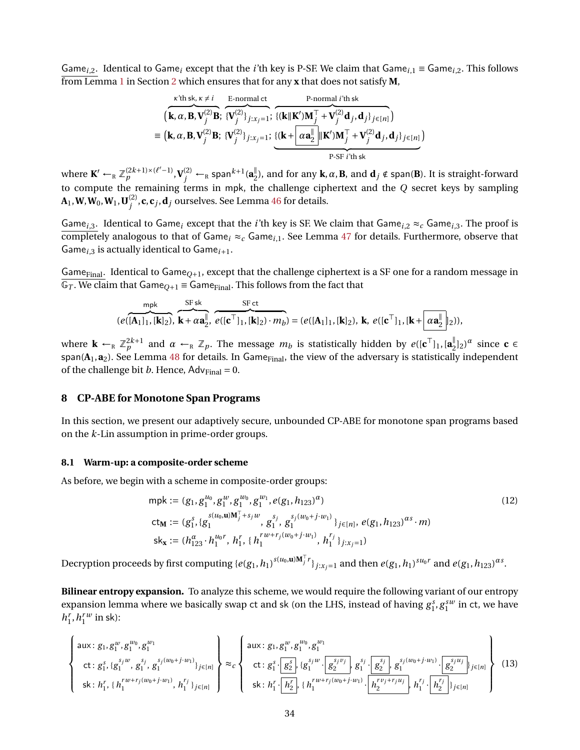Game<sub>i</sub>,<sub>2</sub>. Identical to Game<sub>i</sub> except that the *i*'th key is P-SF. We claim that Game<sub>i,1</sub> ≡ Game<sub>i,2</sub>. This follows from Lemma [1](#page-8-0) in Section [2](#page-7-0) which ensures that for any **x** that does not satisfy **M**,

$$
\overbrace{(\mathbf{k}, \alpha, \mathbf{B}, \mathbf{V}_{j}^{(2)}\mathbf{B}; \{\mathbf{V}_{j}^{(2)}\}_{j:x_{j}=1}; \{\mathbf{k} \mid \mathbf{K}'\mathbf{M}_{j}^{\top} + \mathbf{V}_{j}^{(2)}\mathbf{d}_{j}, \mathbf{d}_{j}\}_{j \in [n]}}^{\text{F-normal } i'th sk}
$$
\n
$$
\equiv (\mathbf{k}, \alpha, \mathbf{B}, \mathbf{V}_{j}^{(2)}\mathbf{B}; \{\mathbf{V}_{j}^{(2)}\}_{j:x_{j}=1}; \{\mathbf{k} + \boxed{\alpha \mathbf{a}_{2}^{\parallel} \parallel \mathbf{K}'\mathbf{M}_{j}^{\top} + \mathbf{V}_{j}^{(2)}\mathbf{d}_{j}, \mathbf{d}_{j}\}_{j \in [n]}\})
$$
\n
$$
\overbrace{\text{P-SF } i'th sk}}^{\text{k'th sk}}
$$

where  $\mathbf{K}' \leftarrow_R \mathbb{Z}_p^{(2k+1)\times (\ell'-1)}, \mathbf{V}_j^{(2)} \leftarrow_R \mathsf{span}^{k+1}(\mathbf{a}_2^{\parallel})$  $\frac{1}{2}$ ), and for any **k**, α, **B**, and **d**<sub>*j*</sub> ∉ span(**B**). It is straight-forward to compute the remaining terms in mpk, the challenge ciphertext and the *Q* secret keys by sampling  $\mathbf{A}_1, \mathbf{W}, \mathbf{W}_0, \mathbf{W}_1, \mathbf{U}_i^{(2)}$  $j_j^{(2)}$ , **c**, **c**<sub>*j*</sub>, **d**<sub>*j*</sub> ourselves. See Lemma [46](#page-58-0) for details.

Game<sub>*i*,3</sub>. Identical to Game<sub>*i*</sub> except that the *i*'th key is SF. We claim that Game<sub>*i*,2</sub>  $\approx_c$  Game<sub>*i*,3</sub>. The proof is completely analogous to that of Game<sub>i</sub>  $\approx_c$  Game<sub>i,1</sub>. See Lemma [47](#page-58-1) for details. Furthermore, observe that Game<sub>*i*,3</sub> is actually identical to Game<sub>*i*+1</sub>.

Game<sub>Final</sub>. Identical to Game<sub>Q+1</sub>, except that the challenge ciphertext is a SF one for a random message in  $\overline{\mathbb{G}_T}$ . We claim that  $\mathsf{Game}_{O+1} \equiv \mathsf{Game}_{\mathrm{Final}}$ . This follows from the fact that

$$
\underbrace{\mathsf{mpk}}_{(e([A_1]_1,[k]_2),\,\,k+\alpha \mathbf{a}_2^\mathbb{F},\,\,e([c^\top]_1,[k]_2)\cdot m_b)}^{\text{SF} \text{ ct}} = (e([A_1]_1,[k]_2),\,k,\,e([c^\top]_1,[k+\boxed{\alpha \mathbf{a}_2^\mathbb{F}}]_2)),
$$

where  $\mathbf{k} \leftarrow_R \mathbb{Z}_p^{2k+1}$  and  $\alpha \leftarrow_R \mathbb{Z}_p$ . The message  $m_b$  is statistically hidden by  $e([\mathbf{c}^\top]_1, [\mathbf{a}_2^\top]_p)$  $\int_{2}^{\parallel}$ <sub>2</sub>)<sup> $\alpha$ </sup> since **c**  $\in$  $span(A_1, a_2)$ . See Lemma [48](#page-59-0) for details. In Game $F$ <sub>inal</sub>, the view of the adversary is statistically independent of the challenge bit *b*. Hence,  $Adv_{Final} = 0$ .

### <span id="page-33-0"></span>**8 CP-ABE for Monotone Span Programs**

In this section, we present our adaptively secure, unbounded CP-ABE for monotone span programs based on the *k*-Lin assumption in prime-order groups.

#### <span id="page-33-2"></span>**8.1 Warm-up: a composite-order scheme**

As before, we begin with a scheme in composite-order groups:

$$
\begin{aligned}\n\text{mpk} &:= (g_1, g_1^{u_0}, g_1^w, g_1^{w_0}, g_1^{w_1}, e(g_1, h_{123})^\alpha) \\
\text{ct}_\mathbf{M} &:= (g_1^s, \{g_1^{s(u_0, \mathbf{u})\mathbf{M}_j^T + s_j w}, g_1^{s_j}, g_1^{s_j(w_0 + j \cdot w_1)}\}_{j \in [n]}, e(g_1, h_{123})^{\alpha s} \cdot m) \\
\text{sk}_{\mathbf{x}} &:= (h_{123}^\alpha \cdot h_1^{u_0 r}, h_1^r, \{h_1^{r w + r_j(w_0 + j \cdot w_1)}, h_1^{r_j}\}_{j : x_j = 1})\n\end{aligned}\n\tag{12}
$$

Decryption proceeds by first computing  $\{e(g_1,h_1)^{s(u_0,\mathbf{u})\mathbf{M}_j^\top r}\}_{j:x_j=1}$  and then  $e(g_1,h_1)^{su_0r}$  and  $e(g_1,h_{123})^{\alpha s}.$ 

**Bilinear entropy expansion.** To analyze this scheme, we would require the following variant of our entropy expansion lemma where we basically swap ct and sk (on the LHS, instead of having  $g_1^s$ ,  $g_1^{sw}$  in ct, we have  $h_1^r$ ,  $h_1^{rw}$  in sk):

<span id="page-33-1"></span>
$$
\begin{Bmatrix}\n\text{aux: } g_1, g_1^w, g_1^{w_0}, g_1^{w_1} \\
\text{ct: } g_1^s, \{g_1^{s_jw}, g_1^{s_j(w_0+j\cdot w_1)}\}_{j\in[n]}\n\end{Bmatrix}\n\approx_c\n\begin{Bmatrix}\n\text{aux: } g_1, g_1^w, g_1^{w_0}, g_1^{w_1} \\
\text{ct: } g_1^s \cdot \boxed{g_2^{s_j}} \cdot \boxed{g_1^{s_jw} \cdot \boxed{g_2^{s_j}} \cdot \boxed{g_1^{s_j} \cdot \boxed{g_2^{s_j}} \cdot g_1^{s_j(w_0+j\cdot w_1)} \cdot \boxed{g_2^{s_jw_j}} \cdot \boxed{g_2^{s_jw_j} \cdot \boxed{g_2^{s_jw_j}} \cdot \boxed{g_2^{s_jw_j}} \cdot \boxed{g_2^{s_jw_j}} \cdot \boxed{g_2^{s_jw_j}}\n\end{Bmatrix} \tag{13}
$$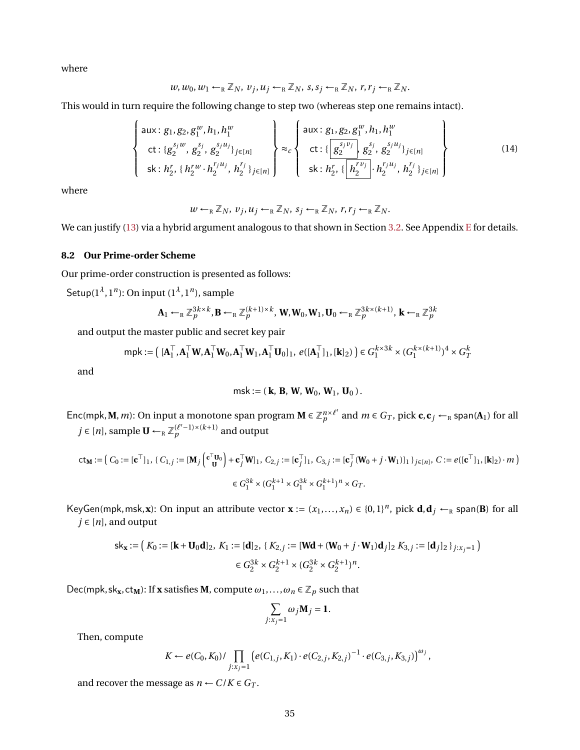where

$$
w, w_0, w_1 \leftarrow_R \mathbb{Z}_N, v_j, u_j \leftarrow_R \mathbb{Z}_N, s, s_j \leftarrow_R \mathbb{Z}_N, r, r_j \leftarrow_R \mathbb{Z}_N.
$$

This would in turn require the following change to step two (whereas step one remains intact).

<span id="page-34-1"></span>
$$
\begin{Bmatrix}\n\text{aux}: g_1, g_2, g_1^w, h_1, h_1^w \\
\text{ct}: \{g_2^{s_j w}, g_2^{s_j}, g_2^{s_j u_j}\}_{j \in [n]} \\
\text{sk}: h_2^r, \{h_2^{rw} \cdot h_2^{r_j u_j}, h_2^{r_j}\}_{j \in [n]}\n\end{Bmatrix} \approx_c\n\begin{Bmatrix}\n\text{aux}: g_1, g_2, g_1^w, h_1, h_1^w \\
\text{ct}: \{\frac{g_2^{s_j v_j}}{g_2^{s_j}}, g_2^{s_j u_j}\}_{j \in [n]} & \text{dist}: h_2^{r_j} \cdot \{\frac{h_2^{r_j u_j}}{h_2^{r_j u_j}}, h_2^{r_j u_j}\}_{j \in [n]}\n\end{Bmatrix}
$$
\n(14)

where

$$
w \leftarrow_R \mathbb{Z}_N, v_j, u_j \leftarrow_R \mathbb{Z}_N, s_j \leftarrow_R \mathbb{Z}_N, r, r_j \leftarrow_R \mathbb{Z}_N.
$$

We can justify [\(13\)](#page-33-1) via a hybrid argument analogous to that shown in Section [3.2.](#page-10-3) See Appendix [E](#page-59-1) for details.

## <span id="page-34-0"></span>**8.2 Our Prime-order Scheme**

Our prime-order construction is presented as follows:

Setup(1*<sup>λ</sup>* , 1*<sup>n</sup>* ): On input (1*<sup>λ</sup>* , 1*<sup>n</sup>* ), sample

$$
\mathbf{A}_1 \leftarrow_R \mathbb{Z}_p^{3k \times k}, \mathbf{B} \leftarrow_R \mathbb{Z}_p^{(k+1) \times k}, \mathbf{W}, \mathbf{W}_0, \mathbf{W}_1, \mathbf{U}_0 \leftarrow_R \mathbb{Z}_p^{3k \times (k+1)}, \mathbf{k} \leftarrow_R \mathbb{Z}_p^{3k}
$$

and output the master public and secret key pair

$$
\mathsf{mpk} := \left( [\mathbf{A}_1^\top, \mathbf{A}_1^\top \mathbf{W}, \mathbf{A}_1^\top \mathbf{W}_0, \mathbf{A}_1^\top \mathbf{W}_1, \mathbf{A}_1^\top \mathbf{U}_0]_1, e([\mathbf{A}_1^\top]_1, [\mathbf{k}]_2) \right) \in G_1^{k \times 3k} \times (G_1^{k \times (k+1)})^4 \times G_T^k
$$

and

msk := ( **k**, **B**, **W**, **W**0, **W**1, **U**<sup>0</sup> ).

Enc(mpk, **M**, *m*): On input a monotone span program  $M \in \mathbb{Z}_p^{n \times \ell'}$  $p^{\frac{n \times \ell'}{p}}$  and  $m \in G_T$ , pick  $\mathbf{c}, \mathbf{c}_j \leftarrow_R \text{span}(\mathbf{A}_1)$  for all *j* ∈ [*n*], sample  $\mathbf{U} \leftarrow_R \mathbb{Z}_p^{(\ell'-1)\times (k+1)}$  and output

$$
\mathbf{ct}_{\mathbf{M}} := (C_0 := [\mathbf{c}^\top]_1, \{C_{1,j} := [\mathbf{M}_j \left( \mathbf{c}_\mathbf{U}^\top \mathbf{U}_0 \right) + \mathbf{c}_j^\top \mathbf{W}]_1, C_{2,j} := [\mathbf{c}_j^\top]_1, C_{3,j} := [\mathbf{c}_j^\top (\mathbf{W}_0 + j \cdot \mathbf{W}_1)]_1 \}_{j \in [n]}, C := e([\mathbf{c}^\top]_1, [\mathbf{k}]_2) \cdot m
$$
\n
$$
\in G_1^{3k} \times (G_1^{k+1} \times G_1^{3k} \times G_1^{k+1})^n \times G_T.
$$

KeyGen(mpk, msk, **x**): On input an attribute vector  $\mathbf{x} := (x_1, ..., x_n) \in \{0, 1\}^n$ , pick  $\mathbf{d}, \mathbf{d}_j \leftarrow_R \text{span}(\mathbf{B})$  for all  $j \in [n]$ , and output

$$
\mathsf{sk}_{\mathbf{x}} := \left( \ K_0 := [\mathbf{k} + \mathbf{U}_0 \mathbf{d}]_2, \ K_1 := [\mathbf{d}]_2, \ \{ K_{2,j} := [\mathbf{Wd} + (\mathbf{W}_0 + j \cdot \mathbf{W}_1) \mathbf{d}_j]_2 \ K_{3,j} := [\mathbf{d}_j]_2 \}_{j:x_j = 1} \right)
$$
\n
$$
\in G_2^{3k} \times G_2^{k+1} \times (G_2^{3k} \times G_2^{k+1})^n.
$$

 $Dec(mpk, sk_x, ct_M):$  If **x** satisfies **M**, compute  $\omega_1, \ldots, \omega_n \in \mathbb{Z}_p$  such that

$$
\sum_{j:x_j=1}\omega_j\mathbf{M}_j=\mathbf{1}.
$$

Then, compute

$$
K \leftarrow e(C_0, K_0) / \prod_{j:x_j=1} \left( e(C_{1,j}, K_1) \cdot e(C_{2,j}, K_{2,j})^{-1} \cdot e(C_{3,j}, K_{3,j}) \right)^{\omega_j},
$$

and recover the message as  $n \leftarrow C/K \in G_T$ .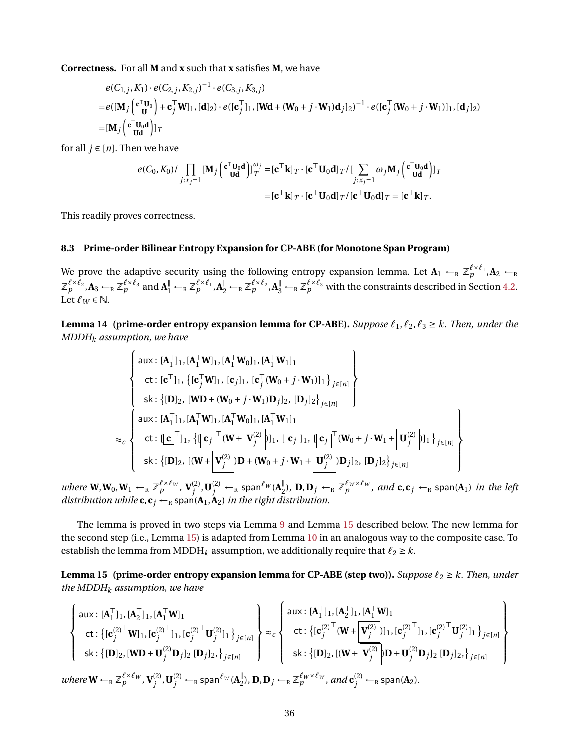**Correctness.** For all **M** and **x** such that **x** satisfies **M**, we have

$$
e(C_{1,j}, K_1) \cdot e(C_{2,j}, K_{2,j})^{-1} \cdot e(C_{3,j}, K_{3,j})
$$
  
=  $e([M_j(\mathbf{c}_\mathbf{U}^\top \mathbf{U}_0) + \mathbf{c}_j^\top \mathbf{W}]_1, [\mathbf{d}]_2) \cdot e([\mathbf{c}_j^\top]_1, [\mathbf{W}\mathbf{d} + (\mathbf{W}_0 + j \cdot \mathbf{W}_1)\mathbf{d}_j]_2)^{-1} \cdot e([\mathbf{c}_j^\top (\mathbf{W}_0 + j \cdot \mathbf{W}_1)]_1, [\mathbf{d}_j]_2)$   
=  $[\mathbf{M}_j(\mathbf{c}_\mathbf{U}^\top \mathbf{U}_0 \mathbf{d})]_T$ 

for all  $j \in [n]$ . Then we have

$$
e(C_0, K_0) / \prod_{j:x_j=1} [\mathbf{M}_j (\mathbf{c}^\top \mathbf{U}_0 \mathbf{d})]_T^{\omega_j} = [\mathbf{c}^\top \mathbf{k}]_T \cdot [\mathbf{c}^\top \mathbf{U}_0 \mathbf{d}]_T / [\sum_{j:x_j=1} \omega_j \mathbf{M}_j (\mathbf{c}^\top \mathbf{U}_0 \mathbf{d})]_T
$$
  
= [\mathbf{c}^\top \mathbf{k}]\_T \cdot [\mathbf{c}^\top \mathbf{U}\_0 \mathbf{d}]\_T / [\mathbf{c}^\top \mathbf{U}\_0 \mathbf{d}]\_T = [\mathbf{c}^\top \mathbf{k}]\_T.

This readily proves correctness.

### **8.3 Prime-order Bilinear Entropy Expansion for CP-ABE (for Monotone Span Program)**

We prove the adaptive security using the following entropy expansion lemma. Let  $\mathbf{A}_1 \leftarrow_R \mathbb{Z}_p^{\ell \times \ell_1}, \mathbf{A}_2 \leftarrow_R$  $\mathbb{Z}_p^{\ell \times \ell_2}$ ,  $A_3 \leftarrow_R \mathbb{Z}_p^{\ell \times \ell_3}$  and  $A_1^{\parallel} \leftarrow_R \mathbb{Z}_p^{\ell \times \ell_1}$ ,  $A_2^{\parallel} \leftarrow_R \mathbb{Z}_p^{\ell \times \ell_2}$ ,  $A_3^{\parallel} \leftarrow_R \mathbb{Z}_p^{\ell \times \ell_3}$  with the constraints described in Section [4.2.](#page-16-1) Let  $\ell_W \in \mathbb{N}$ .

<span id="page-35-1"></span>**Lemma 14 (prime-order entropy expansion lemma for CP-ABE).** *Suppose*  $\ell_1, \ell_2, \ell_3 \geq k$ . *Then, under the MDDH<sup>k</sup> assumption, we have*

$$
\begin{cases}\n\text{aux: } [\mathbf{A}_{1}^{\top}]_{1}, [\mathbf{A}_{1}^{\top}\mathbf{W}]_{1}, [\mathbf{A}_{1}^{\top}\mathbf{W}_{0}]_{1}, [\mathbf{A}_{1}^{\top}\mathbf{W}]_{1}]_{1} \\
\text{ct: } [\mathbf{c}^{\top}]_{1}, \{[\mathbf{c}_{j}^{\top}\mathbf{W}]_{1}, [\mathbf{c}_{j}]_{1}, [\mathbf{c}_{j}^{\top}(\mathbf{W}_{0}+j\cdot\mathbf{W}]_{1}]_{1}\}_{j\in[n]} \\
\text{sk: } \{[\mathbf{D}]_{2}, [\mathbf{W}\mathbf{D}+(\mathbf{W}_{0}+j\cdot\mathbf{W}_{1})\mathbf{D}_{j}]_{2}, [\mathbf{D}_{j}]_{2}\}_{j\in[n]} \\
\text{aux: } [\mathbf{A}_{1}^{\top}]_{1}, [\mathbf{A}_{1}^{\top}\mathbf{W}]_{1}, [\mathbf{A}_{1}^{\top}\mathbf{W}_{0}]_{1}, [\mathbf{A}_{1}^{\top}\mathbf{W}_{1}]_{1} \\
\text{ct: } [\mathbf{c}^{\top}]_{1}, \{[\mathbf{c}_{j}^{\top}(\mathbf{W}+\mathbf{V}_{j}^{(2)})]_{1}, [\mathbf{c}_{j}^{\top}]_{1}, [\mathbf{c}_{j}^{\top}(\mathbf{W}_{0}+j\cdot\mathbf{W}_{1}+\mathbf{U}_{j}^{(2)})]_{1}\}_{j\in[n]} \\
\text{sk: } \{[\mathbf{D}]_{2}, [(\mathbf{W}+\mathbf{V}_{j}^{(2)})\mathbf{D}+(\mathbf{W}_{0}+j\cdot\mathbf{W}_{1}+\mathbf{U}_{j}^{(2)})\mathbf{D}_{j}]_{2}, [\mathbf{D}_{j}]_{2}\}_{j\in[n]} \n\end{cases}
$$

*where*  $W, W_0, W_1 \leftarrow_R \mathbb{Z}_p^{\ell \times \ell_W}, V_i^{(2)}$  $j^{(2)}$  ,  $\mathbf{U}_j^{(2)}$   $\leftarrow$   $_R$  span ${}^{\ell_W}$  ( $\mathbf{A}_2^{\parallel}$  $\int_{2}^{\mathbb{I}}$ ), **D**, **D**<sub>*j*</sub> ←<sub>R</sub>  $\mathbb{Z}_p^{\ell_W \times \ell_W}$ , and **c**, **c**<sub>*j*</sub> ←<sub>R</sub> span(**A**<sub>1</sub>) *in the left distribution while*  $c, c_j \leftarrow_R$  span( $A_1, A_2$ ) *in the right distribution.* 

The lemma is proved in two steps via Lemma [9](#page-20-0) and Lemma [15](#page-35-0) described below. The new lemma for the second step (i.e., Lemma [15\)](#page-35-0) is adapted from Lemma [10](#page-20-1) in an analogous way to the composite case. To establish the lemma from MDDH<sub>k</sub> assumption, we additionally require that  $\ell_2 \geq k$ .

<span id="page-35-0"></span>**Lemma 15** (prime-order entropy expansion lemma for CP-ABE (step two)). *Suppose*  $\ell_2 \geq k$ . *Then, under the MDDH<sup>k</sup> assumption, we have*

$$
\begin{Bmatrix}\n\text{aux}: [\mathbf{A}_1^\top]_1, [\mathbf{A}_2^\top]_1, [\mathbf{A}_1^\top \mathbf{W}]_1 \\
\text{ct}: \{[\mathbf{c}_j^{(2)^\top} \mathbf{W}]_1, [\mathbf{c}_j^{(2)^\top} ]_1, [\mathbf{c}_j^{(2)^\top} \mathbf{U}_j^{(2)}]_1 \} \} _{j \in [n]} \\
\text{sk}: \{ [\mathbf{D}]_2, [\mathbf{W} \mathbf{D} + \mathbf{U}_j^{(2)} \mathbf{D}_j]_2, [\mathbf{D}_j]_2, \} _{j \in [n]}\n\end{Bmatrix}\n\approx_c\n\begin{Bmatrix}\n\text{aux}: [\mathbf{A}_1^\top]_1, [\mathbf{A}_2^\top]_1, [\mathbf{A}_1^\top \mathbf{W}]_1 \\
\text{ct}: \{ [\mathbf{c}_j^{(2)^\top} (\mathbf{W} + \mathbf{V}_j^{(2)})]_1, [\mathbf{c}_j^{(2)^\top} ]_1, [\mathbf{c}_j^{(2)^\top} \mathbf{U}_j^{(2)}]_1 \} \} _{j \in [n]} \\
\text{sk}: \{ [\mathbf{D}]_2, [(\mathbf{W} + \mathbf{V}_j^{(2)}) \mathbf{D} + \mathbf{U}_j^{(2)} \mathbf{D}_j]_2, [\mathbf{D}_j]_2, \} _{j \in [n]} \\
\text{where } \mathbf{W} \leftarrow_R \mathbb{Z}_p^{\ell \times \ell_W}, \mathbf{V}_j^{(2)}, \mathbf{U}_j^{(2)} \leftarrow_R \text{span}^{\ell_W} (\mathbf{A}_2^\parallel), \mathbf{D}, \mathbf{D}_j \leftarrow_R \mathbb{Z}_p^{\ell_W \times \ell_W}, \text{and } \mathbf{c}_j^{(2)} \leftarrow_R \text{span} (\mathbf{A}_2).\n\end{Bmatrix}
$$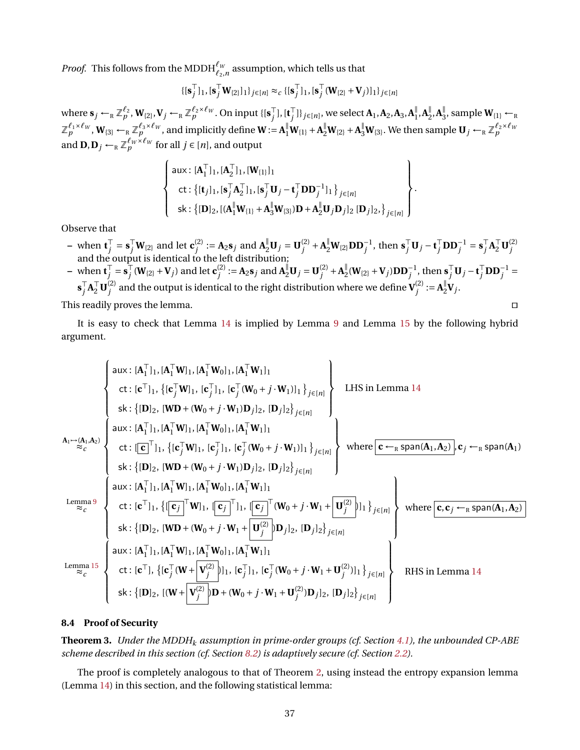*Proof.* This follows from the MDDH $^{\ell_w}_{\ell_2,n}$  assumption, which tells us that

$$
\{[\mathbf{s}_j^\top]_1, [\mathbf{s}_j^\top \mathbf{W}_{\{2\}}]_1\}_{j \in [n]} \approx_c \{[\mathbf{s}_j^\top]_1, [\mathbf{s}_j^\top (\mathbf{W}_{\{2\}} + \mathbf{V}_j)]_1\}_{j \in [n]}
$$

where  $\mathbf{s}_j \leftarrow_R \mathbb{Z}_p^{\ell_2}, \mathbf{W}_{\{2\}}, \mathbf{V}_j \leftarrow_R \mathbb{Z}_p^{\ell_2 \times \ell_W}$ . On input  $\{[\mathbf{s}_j^\top]$  $j^{\top}$ ],  $[\mathbf{t}_j^{\top}]$  $\int\limits_{j}^{\top}\left|\left|\right\rangle_{j\in[n]},$  we select  $\mathbf{A}_{1},\mathbf{A}_{2},\mathbf{A}_{3},\mathbf{A}_{1}^{\parallel}$  $\frac{||}{1}$ , **A**<sup> $||$ </sup><sub>2</sub>  $\frac{||}{2}$ , **A**<sup> $||$ </sup><sub>3</sub>  $\frac{1}{3}$ , sample  $\mathbf{W}_{\{1\}} \leftarrow_R$  $\mathbb{Z}_p^{\ell_1\times \ell_W}, \mathbf{W}_{\{3\}} \leftarrow_R \mathbb{Z}_p^{\ell_3\times \ell_W},$  and implicitly define  $\mathbf{W}:=\mathbf{A}_1^{\parallel}\mathbf{W}_{\{1\}}+\mathbf{A}_2^{\parallel}\mathbf{W}_{\{2\}}+\mathbf{A}_3^{\parallel}\mathbf{W}_{\{3\}}.$  We then sample  $\mathbf{U}_j\leftarrow_R \mathbb{Z}_p^{\ell_2\times \ell_W}$ and  $\mathbf{D}, \mathbf{D}_j \leftarrow_R \mathbb{Z}_p^{\ell_W \times \ell_W}$  for all  $j \in [n]$ , and output

$$
\left\{\n\begin{array}{l}\n\text{aux: } [\mathbf{A}_1^\top]_1, [\mathbf{A}_2^\top]_1, [\mathbf{W}_{\{1\}}]_1 \\
\text{ct: } \{[\mathbf{t}_j]_1, [\mathbf{s}_j^\top \mathbf{A}_2^\top]_1, [\mathbf{s}_j^\top \mathbf{U}_j - \mathbf{t}_j^\top \mathbf{D} \mathbf{D}_j^{-1}]_1\}_{j \in [n]} \\
\text{sk: } \{[\mathbf{D}]_2, [(\mathbf{A}_1^\parallel \mathbf{W}_{\{1\}} + \mathbf{A}_3^\parallel \mathbf{W}_{\{3\}}) \mathbf{D} + \mathbf{A}_2^\parallel \mathbf{U}_j \mathbf{D}_j]_2 [\mathbf{D}_j]_2, \}_{j \in [n]}\n\end{array}\n\right\}
$$

.

Observe that

- $\mathbf{v} = \text{ when } \mathbf{t}_i^{\top}$  $\overline{J}_j^{\top} = \mathbf{s}_j^{\top} \mathbf{W}_{\{2\}}$  and let  $\mathbf{c}_j^{(2)}$  $J_j^{(2)} := A_2 s_j$  and  $A_2^{\parallel} U_j = U_j^{(2)}$  $\mathbf{S}_{j}^{\text{T}}\mathbf{U}_{j} - \mathbf{t}_{j}^{\text{T}}\mathbf{D}\mathbf{D}_{j}^{-1}$ , then  $\mathbf{s}_{j}^{\text{T}}\mathbf{U}_{j} - \mathbf{t}_{j}^{\text{T}}\mathbf{D}\mathbf{D}_{j}^{-1} = \mathbf{s}_{j}^{\text{T}}$  $\int_j^{\top} A_2^{\top} \mathbf{U}_{j}^{(2)}$ and the output is identical to the left distribution;<br>and the output is identical to the left distribution;
- $\mathbf{v} = \mathbf{w} \times \mathbf{t}^{\top}$  $j^{\top} = \mathbf{s}_j^{\top}$  $\int\limits_j^\top (\mathbf{W}_{\{2\}} + \mathbf{V}_j)$  and let  $\mathbf{c}^{(2)}_j$  $J_j^{(2)} := A_2 s_j \text{ and } A_2^{\parallel} \mathbf{U}_j = \mathbf{U}_j^{(2)}$  $j^{(2)} + A_2^{\parallel}$  $\int_{2}^{1} (\mathbf{W}_{\{2\}} + \mathbf{V}_{j}) \mathbf{D} \mathbf{D}_{j}^{-1}$ , then  $\mathbf{s}_{j}^{\top} \mathbf{U}_{j} - \mathbf{t}_{j}^{\top} \mathbf{D} \mathbf{D}_{j}^{-1} =$  $\mathbf{s}_i^{\top}$  $\int_j^{\top} \mathbf{A}_2^{\top} \mathbf{U}_{j}^{(2)}$  $j^{(2)}$  and the output is identical to the right distribution where we define  $\mathbf{V}^{(2)}_j$  $j^{(2)} := A_2^{\parallel}$  $_{2}^{\mathbb{I}}\mathbf{V}_{j}$ .

This readily proves the lemma.  $\Box$ 

It is easy to check that Lemma [14](#page-35-1) is implied by Lemma [9](#page-20-0) and Lemma [15](#page-35-0) by the following hybrid argument.

$$
\begin{cases}\n\text{aux: } [A_1^\top]_1, [A_1^\top W]_1, [A_1^\top W]_1, [A_1^\top W]_1 \\
\text{ct: } [c^\top]_1, \{ [c_j^\top W]_1, [c_j^\top (W_0 + j \cdot W_1)]_1 \}_{j \in [n]} \n\end{cases}\n\text{LHS in Lemma 14}\n\end{cases}
$$
\n
$$
A_1 \rightarrow (A_1, A_2)
$$
\n
$$
A_2 \rightarrow (A_1, A_2)
$$
\n
$$
A_3 \rightarrow (A_1 \rightarrow A_2)
$$
\n
$$
B_4 \rightarrow (A_1 \rightarrow A_2)
$$
\n
$$
B_5 \rightarrow (B_1 \rightarrow B_1)
$$
\n
$$
B_6 \rightarrow (B_2, [D]_2, [W]_1, [C_1 \rightarrow W_1], [A_1^\top W]_1, [C_1 \rightarrow W_1], [C_1 \rightarrow W_1]]_2, [D_j]_2\}_{j \in [n]} \n\end{cases}
$$
\n
$$
B_7 \rightarrow (A_1, A_2)
$$
\n
$$
B_8 \rightarrow (B_1 \rightarrow B_1)
$$
\n
$$
B_9 \rightarrow (B_1 \rightarrow B_1)
$$
\n
$$
B_9 \rightarrow (B_1 \rightarrow B_1)
$$
\n
$$
B_1 \rightarrow (B_1 \rightarrow B_1)
$$
\n
$$
B_1 \rightarrow (B_1 \rightarrow B_1)
$$
\n
$$
B_2 \rightarrow (B_1 \rightarrow B_1)
$$
\n
$$
B_3 \rightarrow (B_1 \rightarrow B_2)
$$
\n
$$
B_4 \rightarrow (B_1 \rightarrow B_1)
$$
\n
$$
B_5 \rightarrow (B_1 \rightarrow B_1)
$$
\n
$$
B_6 \rightarrow (B_1 \rightarrow B_1)
$$
\n
$$
B_7 \rightarrow (B_1 \rightarrow B_1)
$$
\n
$$
B_8 \rightarrow (B_1 \rightarrow B_1)
$$
\n
$$
B_9 \rightarrow (B_1 \rightarrow B_1)
$$
\n
$$
B_9 \rightarrow (B_1 \rightarrow B_1)
$$
\n
$$
B_1 \rightarrow (B_1 \rightarrow B_1)
$$
\n
$$
B_1 \rightarrow (B_1 \rightarrow B_1)
$$
\n $$ 

### **8.4 Proof of Security**

**Theorem 3.** *Under the MDDH<sup>k</sup> assumption in prime-order groups (cf. Section [4.1\)](#page-16-2), the unbounded CP-ABE scheme described in this section (cf. Section [8.2\)](#page-34-0) is adaptively secure (cf. Section [2.2\)](#page-9-2).*

<span id="page-36-0"></span>The proof is completely analogous to that of Theorem [2,](#page-30-1) using instead the entropy expansion lemma (Lemma [14\)](#page-35-1) in this section, and the following statistical lemma: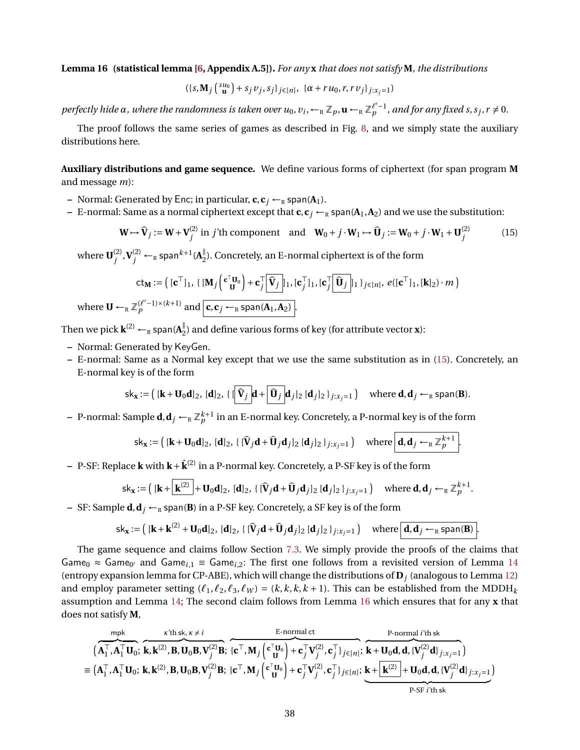**Lemma 16 (statistical lemma [\[6,](#page-47-4) Appendix A.5]).** *For any* **x** *that does not satisfy* **M***, the distributions*

$$
(\{s, \mathbf{M}_j \left( \begin{smallmatrix} su_0 \\ \mathbf{u} \end{smallmatrix} \right) + s_j v_j, s_j \}_{j \in [n]}, \ \{\alpha + r u_0, r, r v_j \}_{j: x_j = 1})
$$

 $p$ erfectly hide  $\alpha$ , where the randomness is taken over  $u_0$ ,  $v_i$ ,  $\leftarrow_R \mathbb{Z}_p$ ,  $\mathbf{u} \leftarrow_R \mathbb{Z}_p^{\ell'-1}$ , and for any fixed s, s<sub>j</sub>, r  $\neq 0$ .

The proof follows the same series of games as described in Fig. [8,](#page-31-0) and we simply state the auxiliary distributions here.

**Auxiliary distributions and game sequence.** We define various forms of ciphertext (for span program **M** and message *m*):

- **–** Normal: Generated by Enc; in particular,  $\mathbf{c}, \mathbf{c}_j \leftarrow_R \text{span}(\mathbf{A}_1)$ .
- **–** E-normal: Same as a normal ciphertext except that  $\mathbf{c}, \mathbf{c}_i \leftarrow_R \text{span}(\mathbf{A}_1, \mathbf{A}_2)$  and we use the substitution:

<span id="page-37-0"></span>
$$
\mathbf{W} \mapsto \hat{\mathbf{V}}_j := \mathbf{W} + \mathbf{V}_j^{(2)} \text{ in } j' \text{th component} \quad \text{and} \quad \mathbf{W}_0 + j \cdot \mathbf{W}_1 \mapsto \hat{\mathbf{U}}_j := \mathbf{W}_0 + j \cdot \mathbf{W}_1 + \mathbf{U}_j^{(2)} \tag{15}
$$

where  $\mathbf{U}^{(2)}_i$  $\mathbf{V}_j^{(2)}$  ,  $\mathbf{V}_j^{(2)}$   $\leftarrow$   $_R$  span $^{k+1}$  ( $\mathbf{A}_2^{\parallel}$  $_{2}^{\mathbb{I}}$ ). Concretely, an E-normal ciphertext is of the form

$$
\mathsf{ct}_{\mathbf{M}} := \left( [\mathbf{c}^{\top}]_1, \{ [\mathbf{M}_j \left( \mathbf{c}^{\top} \mathbf{U}_0 \right) + \mathbf{c}^{\top}_j \widehat{\mathbf{V}}_j \mid_1, [\mathbf{c}^{\top}_j]_1, [\mathbf{c}^{\top}_j \widehat{\mathbf{U}}_j]_1 \}_{j \in [n]}, e([\mathbf{c}^{\top}]_1, [\mathbf{k}]_2) \cdot m \right)
$$
\nwhere  $\mathbf{U} \leftarrow_R \mathbb{Z}_p^{(\ell'-1) \times (k+1)}$  and  $[\mathbf{c}, \mathbf{c}_j \leftarrow_R \text{span}(\mathbf{A}_1, \mathbf{A}_2)].$ 

Then we pick  $\mathbf{k}^{(2)} \leftarrow_R \textsf{span}(\mathbf{A}^\parallel_2)$ 2 ) and define various forms of key (for attribute vector **x**):

- **–** Normal: Generated by KeyGen.
- **–** E-normal: Same as a Normal key except that we use the same substitution as in [\(15\)](#page-37-0). Concretely, an E-normal key is of the form

$$
\mathsf{sk}_{\mathbf{x}} := \left( [\mathbf{k} + \mathbf{U}_0 \mathbf{d}]_2, [\mathbf{d}]_2, \{ [\widehat{\mathbf{V}}_j] \mathbf{d} + [\widehat{\mathbf{U}}_j] \mathbf{d}_j]_2 [ \mathbf{d}_j]_2 \}_{j:x_j=1} \right) \quad \text{where } \mathbf{d}, \mathbf{d}_j \leftarrow_R \text{span}(\mathbf{B}).
$$

 $-$  P-normal: Sample  $d, d_j \leftarrow_R \mathbb{Z}_p^{k+1}$  in an E-normal key. Concretely, a P-normal key is of the form

$$
\mathsf{sk}_{\mathbf{x}} := \left( [\mathbf{k} + \mathbf{U}_0 \mathbf{d}]_2, [\mathbf{d}]_2, \{ [\widehat{\mathbf{V}}_j \mathbf{d} + \widehat{\mathbf{U}}_j \mathbf{d}_j]_2 [\mathbf{d}_j]_2 \}_{j:x_j=1} \right) \quad \text{where } \boxed{\mathbf{d}, \mathbf{d}_j \leftarrow_R \mathbb{Z}_p^{k+1}}.
$$

**–** P-SF: Replace **k** with **k**+**k**ˆ(2) in a P-normal key. Concretely, a P-SF key is of the form

$$
\mathsf{sk}_{\mathbf{x}} := \left( [\mathbf{k} + \overline{\mathbf{k}^{(2)}}] + \mathbf{U}_0 \mathbf{d} \right]_2, \, [\mathbf{d}]_2, \, \{ [\mathbf{\hat{V}}_j \mathbf{d} + \mathbf{\hat{U}}_j \mathbf{d}_j]_2 \, [\mathbf{d}_j]_2 \}_{j:x_j=1} \right) \quad \text{where } \mathbf{d}, \mathbf{d}_j \leftarrow_R \mathbb{Z}_p^{k+1}.
$$

**–** SF: Sample **d**, **d**<sub>*j*</sub> ←<sub>R</sub> span(**B**) in a P-SF key. Concretely, a SF key is of the form

$$
\mathsf{sk}_{\mathbf{x}} := \left( [\mathbf{k} + \mathbf{k}^{(2)} + \mathbf{U}_0 \mathbf{d}]_2, [\mathbf{d}]_2, \{ [\mathbf{\hat{V}}_j \mathbf{d} + \mathbf{\hat{U}}_j \mathbf{d}_j]_2 [\mathbf{d}_j]_2 \}_{j:x_j = 1} \right) \quad \text{where } \boxed{\mathbf{d}, \mathbf{d}_j \leftarrow_R \text{span}(\mathbf{B})}.
$$

The game sequence and claims follow Section [7.3.](#page-30-2) We simply provide the proofs of the claims that Game<sub>0</sub>  $\approx$  Game<sub>0</sub><sup>*a*</sup> and Game<sub>i,1</sub> = Game<sub>i,2</sub>: The first one follows from a revisited version of Lemma [14](#page-35-1) (entropy expansion lemma for CP-ABE), which will change the distributions of **D***<sup>j</sup>* (analogous to Lemma [12\)](#page-30-0) and employ parameter setting  $(\ell_1, \ell_2, \ell_3, \ell_W) = (k, k, k + 1)$ . This can be established from the MDDH<sub>k</sub> assumption and Lemma [14;](#page-35-1) The second claim follows from Lemma [16](#page-36-0) which ensures that for any **x** that does not satisfy **M**,

$$
\overbrace{\left(\mathbf{A}_{1}^{\top},\mathbf{A}_{1}^{\top}\mathbf{U}_{0};\ \mathbf{k},\mathbf{k}^{(2)},\mathbf{B},\mathbf{U}_{0}\mathbf{B},\mathbf{V}_{j}^{(2)}\mathbf{B};\ \left\{\mathbf{c}^{\top},\mathbf{M}_{j}\left(\mathbf{c}_{\mathbf{U}}^{\top}\mathbf{U}_{0}\right)+\mathbf{c}_{j}^{\top}\mathbf{V}_{j}^{(2)},\mathbf{c}_{j}^{\top}\right\}_{j\in[n]};\ \mathbf{k}+\mathbf{U}_{0}\mathbf{d},\mathbf{d},\{\mathbf{V}_{j}^{(2)}\mathbf{d}\}_{j:x_{j}=1}\right)}^{\text{P-normal }i^{\prime}\mathbf{t}\mathbf{b}}\n\equiv\n\left(\mathbf{A}_{1}^{\top},\mathbf{A}_{1}^{\top}\mathbf{U}_{0};\ \mathbf{k},\mathbf{k}^{(2)},\mathbf{B},\mathbf{U}_{0}\mathbf{B},\mathbf{V}_{j}^{(2)}\mathbf{B};\ \left\{\mathbf{c}^{\top},\mathbf{M}_{j}\left(\mathbf{c}_{\mathbf{U}}^{\top}\mathbf{U}_{0}\right)+\mathbf{c}_{j}^{\top}\mathbf{V}_{j}^{(2)},\mathbf{c}_{j}^{\top}\right\}_{j\in[n]};\ \mathbf{k}+\left[\mathbf{k}^{(2)}\right]+\mathbf{U}_{0}\mathbf{d},\mathbf{d},\{\mathbf{V}_{j}^{(2)}\mathbf{d}\}_{j:x_{j}=1}\right) \\
\equiv\n\left(\mathbf{A}_{1}^{\top},\mathbf{A}_{1}^{\top}\mathbf{U}_{0};\ \mathbf{k},\mathbf{k}^{(2)},\mathbf{B},\mathbf{U}_{0}\mathbf{B},\mathbf{V}_{j}^{(2)}\mathbf{B};\ \left\{\mathbf{c}^{\top},\mathbf{M}_{j}\left(\mathbf{c}_{\mathbf{U}}^{\top}\mathbf{U}_{0}\right)+\mathbf{c}_{j}^{\top}\mathbf{V}_{j}^{(2)},\mathbf{c}_{j}^{\top}\right\}_{j\in[n]};\ \mathbf{k}+\left[\mathbf{k}^{(2)}\right]+\mathbf{U}_{0}\mathbf{d},\mathbf{d},\{\mathbf{V}_{j}^{(2)}\mathbf{d}\}_{j:x_{j}=1}\right)
$$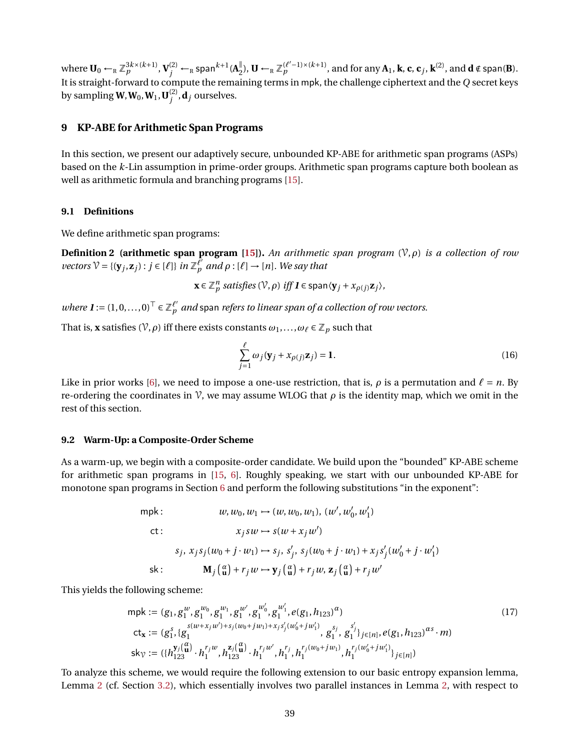where  $\mathbf{U}_0 \leftarrow_R \mathbb{Z}_p^{3k \times (k+1)}, \mathbf{V}^{(2)}_j \leftarrow_R \mathsf{span}^{k+1}(\mathbf{A}_2^{\parallel})$  $\downarrow$ <sub>2</sub>), **U** ←<sub>R</sub>  $\mathbb{Z}_p^{(\ell'-1)\times (k+1)}$ , and for any **A**<sub>1</sub>, **k**, **c**, **c**<sub>*j*</sub>, **k**<sup>(2)</sup>, and **d** ∉ span(**B**). It is straight-forward to compute the remaining terms in mpk, the challenge ciphertext and the *Q* secret keys by sampling  $W, W_0, W_1, U_1^{(2)}$  $j^{(2)}$ **, d**<sub>*j*</sub> ourselves.

## <span id="page-38-0"></span>**9 KP-ABE for Arithmetic Span Programs**

In this section, we present our adaptively secure, unbounded KP-ABE for arithmetic span programs (ASPs) based on the *k*-Lin assumption in prime-order groups. Arithmetic span programs capture both boolean as well as arithmetic formula and branching programs [\[15\]](#page-48-11).

### **9.1 Definitions**

We define arithmetic span programs:

**Definition 2 (arithmetic span program [\[15\]](#page-48-11)).** *An arithmetic span program* (V,*ρ*) *is a collection of row*  $\mathcal{V} = \{(\mathbf{y}_j, \mathbf{z}_j) : j \in [\ell]\}$  *in*  $\mathbb{Z}_p^{\ell'}$  *and*  $\rho : [\ell] \to [n]$ *. We say that* 

$$
\mathbf{x} \in \mathbb{Z}_p^n \text{ satisfies } (\mathcal{V}, \rho) \text{ iff } \mathbf{I} \in \text{span}\langle \mathbf{y}_j + x_{\rho(j)}\mathbf{z}_j \rangle,
$$

*where*  $\mathbf{I} := (1, 0, \ldots, 0)^{\top} \in \mathbb{Z}_p^{\ell'}$  and span *refers to linear span of a collection of row vectors.* 

That is, **x** satisfies ( $V$ ,  $\rho$ ) iff there exists constants  $\omega_1, \ldots, \omega_\ell \in \mathbb{Z}_p$  such that

$$
\sum_{j=1}^{\ell} \omega_j (\mathbf{y}_j + x_{\rho(j)} \mathbf{z}_j) = \mathbf{1}.
$$
\n(16)

Like in prior works [\[6\]](#page-47-4), we need to impose a one-use restriction, that is,  $\rho$  is a permutation and  $\ell = n$ . By re-ordering the coordinates in  $\mathcal V$ , we may assume WLOG that  $\rho$  is the identity map, which we omit in the rest of this section.

#### <span id="page-38-1"></span>**9.2 Warm-Up: a Composite-Order Scheme**

As a warm-up, we begin with a composite-order candidate. We build upon the "bounded" KP-ABE scheme for arithmetic span programs in [\[15,](#page-48-11) [6\]](#page-47-4). Roughly speaking, we start with our unbounded KP-ABE for monotone span programs in Section [6](#page-25-0) and perform the following substitutions "in the exponent":

$$
w, w_0, w_1 \mapsto (w, w_0, w_1), (w', w'_0, w'_1)
$$
  
\n
$$
ct: \qquad x_j sw \mapsto s(w + x_j w')
$$
  
\n
$$
s_j, x_j s_j (w_0 + j \cdot w_1) \mapsto s_j, s'_j, s_j (w_0 + j \cdot w_1) + x_j s'_j (w'_0 + j \cdot w'_1)
$$
  
\nsk: 
$$
\mathbf{M}_j \left(\begin{array}{c} \alpha \\ \mathbf{u} \end{array}\right) + r_j w \mapsto \mathbf{y}_j \left(\begin{array}{c} \alpha \\ \mathbf{u} \end{array}\right) + r_j w, \mathbf{z}_j \left(\begin{array}{c} \alpha \\ \mathbf{u} \end{array}\right) + r_j w'
$$

This yields the following scheme:

$$
\begin{aligned}\n\text{mpk} &:= (g_1, g_1^w, g_1^{w_0}, g_1^{w_1}, g_1^{w_0'}, g_1^{w_1'}, e(g_1, h_{123})^\alpha) \\
\text{ct}_{\mathbf{x}} &:= (g_1^s, \{g_1^{s(w+x_jw')+s_j(w_0+jw_1)+x_js_j'(w_0'+jw_1')}, g_1^{s_j}, g_1^{s_j'}\}_{j \in [n]}, e(g_1, h_{123})^{\alpha s} \cdot m) \\
\text{sk}_{\gamma} &:= (\{h_{123}^{y_j(\alpha)} \cdot h_{1}^{r_jw}, h_{123}^{z_j(\alpha)} \cdot h_{1}^{r_jw'}, h_{1}^{r_j}, h_{1}^{r_j(w_0+jw_1)}, h_{1}^{r_j(w_0'+jw_1')}\}_{j \in [n]})\n\end{aligned} \tag{17}
$$

To analyze this scheme, we would require the following extension to our basic entropy expansion lemma, Lemma [2](#page-10-0) (cf. Section [3.2\)](#page-10-3), which essentially involves two parallel instances in Lemma [2,](#page-10-0) with respect to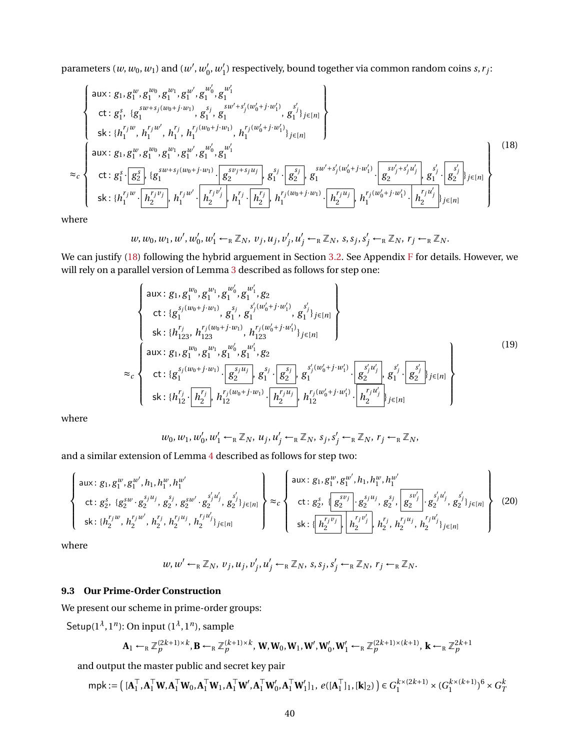parameters  $(w, w_0, w_1)$  and  $(w', w_0')$  $'_{0}, w'_{1}$  $\mathbf{I}_{1}^{\prime}$ ) respectively, bound together via common random coins *s*, *r*<sub>j</sub>:

<span id="page-39-0"></span>
$$
\begin{cases}\n\text{aux: } g_1, g_1^w, g_1^{w_0}, g_1^{w_1}, g_1^{w_0'}, g_1^{w_1'} \\
\text{ct: } g_1^s, \{g_1^{sw+s_j(w_0+j\cdot w_1)}, g_1^{s_j}, g_1^{sw'+s_j'(w_0'+j\cdot w_1'}, g_1^{s_j}\}_{j\in[n]} \} \\
\text{sk: } \{h_1^{r_jw}, h_1^{r_jw'}, h_1^{r_j}, h_1^{r_j(w_0+j\cdot w_1)}, h_1^{r_j(w_0'+j\cdot w_1')} \}_{j\in[n]} \} \\
\text{aux: } g_1, g_1^w, g_1^{w_0}, g_1^{w_1}, g_1^{w'}, g_1^{w'_0}, g_1^{w'_1} \\
\text{ct: } g_1^s \cdot \left(g_2^s\right), \{g_1^{sw+s_j(w_0+j\cdot w_1)} \cdot \left(g_2^{sy_j+s_ju_j}\right), g_1^{s_j} \cdot \left(g_2^{s_j}\right), g_1^{sw'+s_j'(w_0'+j\cdot w_1')} \cdot \left(g_2^{sy_j'+s_j'u_j'}\right), g_1^{s_j} \cdot \left(g_2^{s_j}\right), g_1^{s_j} \cdot \left(g_2^{s_j}\right), g_1^{s_j} \cdot \left(g_2^{s_j}\right), g_1^{s_j} \cdot \left(g_2^{s_j}\right), g_1^{s_j} \cdot \left(g_2^{s_j}\right), g_1^{s_j} \cdot \left(g_2^{s_j}\right), g_1^{s_j} \cdot \left(g_2^{s_j}\right), g_1^{s_j} \cdot \left(g_2^{s_j}\right), g_1^{s_j} \cdot \left(g_2^{s_j}\right), g_1^{s_j} \cdot \left(g_2^{s_j}\right), g_1^{s_j} \cdot \left(g_2^{s_j}\right), g_1^{s_j} \cdot \left(g_2^{s_j}\right), g_1^{s_j} \cdot \left(g_2^{s_j}\right), g_1^{s_j} \cdot \left(g_2^{s_j}\right), g_1^{s_j} \cdot \left(g_2^{s_j}\right), g_1^{s_j} \cdot \left(g_2^{s_j}\right), g_1^{s_j} \cdot \left(g_2^{s_j}\right), g_1^{s_j} \cdot \left(g_2^{s_j}\right), g_1^{s_j} \cdot \left(g_2^{s_j}\right), g_1
$$

where

$$
w, w_0, w_1, w', w'_0, w'_1 \leftarrow_R \mathbb{Z}_N, v_j, u_j, v'_j, u'_j \leftarrow_R \mathbb{Z}_N, s, s_j, s'_j \leftarrow_R \mathbb{Z}_N, r_j \leftarrow_R \mathbb{Z}_N.
$$

We can justify [\(18\)](#page-39-0) following the hybrid arguement in Section [3.2.](#page-10-3) See Appendix [F](#page-60-0) for details. However, we will rely on a parallel version of Lemma [3](#page-10-1) described as follows for step one:

<span id="page-39-2"></span>
$$
\begin{cases}\n\text{aux: } g_1, g_1^{w_0}, g_1^{w_1}, g_2^{w_1'}, g_2 \\
\text{ct: } \{g_1^{s_j(w_0+j\cdot w_1)}, g_1^{s_j}, g_1^{s'_j(w_0'+j\cdot w_1')}, g_1^{s'_j}, g_1^{s'_j}\}_{j\in[n]} \\
\text{sk: } \{h_{123}^{r_j}, h_{123}^{r_j(w_0+j\cdot w_1)}, h_{123}^{r_j(w_0'+j\cdot w_1')}\}_{j\in[n]} \\
\text{aux: } g_1, g_1^{w_0}, g_1^{w_1}, g_1^{w'_0}, g_1^{w'_1}, g_2 \\
\text{ct: } \{g_1^{s_j(w_0+j\cdot w_1)} \cdot \boxed{g_2^{s_ju_j}}, g_1^{s_j} \cdot \boxed{g_2^{s_j}}, g_1^{s'_j(w'_0+j\cdot w'_1)} \cdot \boxed{g_2^{s'_ju'_j}}, g_1^{s'_j} \cdot \boxed{g_2^{s'_j}}\}_{j\in[n]}\n\end{cases}\n\tag{19}
$$

where

$$
w_0, w_1, w'_0, w'_1 \leftarrow_R \mathbb{Z}_N, u_j, u'_j \leftarrow_R \mathbb{Z}_N, s_j, s'_j \leftarrow_R \mathbb{Z}_N, r_j \leftarrow_R \mathbb{Z}_N,
$$

and a similar extension of Lemma [4](#page-10-2) described as follows for step two:

<span id="page-39-3"></span>
$$
\begin{cases}\n\text{aux: } g_1, g_1^w, g_1^{w'}, h_1, h_1^w, h_1^{w'} \\
\text{ct: } g_2^s, \{g_2^{sw} \cdot g_2^{s_j u_j}, g_2^{sy} \cdot g_2^{sw'} \cdot g_2^{s_j u'_j}, g_2^{s'_j}\}_{j \in [n]}\n\end{cases}\n\approx_c\n\begin{cases}\n\text{aux: } g_1, g_1^w, g_1^{w'}, h_1, h_1^w, h_1^{w'} \\
\text{ct: } g_2^s, \{g_2^{sv}, g_2^{sy}, g_2^{sy}, g_2^{s'_j}\}_{g_2^{sv'}}, g_2^{s'_j}\}_{g_2^{sv'}}, g_2^{s'_j}\}_{g_2^{sv'}}, g_2^{s'_j}\}_{j \in [n]}\n\end{cases}\n\tag{20}
$$

where

$$
w, w' \leftarrow_R \mathbb{Z}_N, v_j, u_j, v'_j, u'_j \leftarrow_R \mathbb{Z}_N, s, s_j, s'_j \leftarrow_R \mathbb{Z}_N, r_j \leftarrow_R \mathbb{Z}_N.
$$

## <span id="page-39-1"></span>**9.3 Our Prime-Order Construction**

We present our scheme in prime-order groups:

Setup(1*<sup>λ</sup>* , 1*<sup>n</sup>* ): On input (1*<sup>λ</sup>* , 1*<sup>n</sup>* ), sample

$$
\mathbf{A}_1 \leftarrow_R \mathbb{Z}_p^{(2k+1)\times k}, \mathbf{B} \leftarrow_R \mathbb{Z}_p^{(k+1)\times k}, \mathbf{W}, \mathbf{W}_0, \mathbf{W}_1, \mathbf{W}', \mathbf{W}'_0, \mathbf{W}'_1 \leftarrow_R \mathbb{Z}_p^{(2k+1)\times (k+1)}, \mathbf{k} \leftarrow_R \mathbb{Z}_p^{2k+1}
$$

and output the master public and secret key pair

$$
\mathsf{mpk} := \left( [\mathbf{A}_1^\top, \mathbf{A}_1^\top \mathbf{W}, \mathbf{A}_1^\top \mathbf{W}_0, \mathbf{A}_1^\top \mathbf{W}_1, \mathbf{A}_1^\top \mathbf{W}', \mathbf{A}_1^\top \mathbf{W}'_0, \mathbf{A}_1^\top \mathbf{W}'_1]_1, e([\mathbf{A}_1^\top]_1, [\mathbf{k}]_2) \right) \in G_1^{k \times (2k+1)} \times (G_1^{k \times (k+1)})^6 \times G_T^{k \times (k+1)}
$$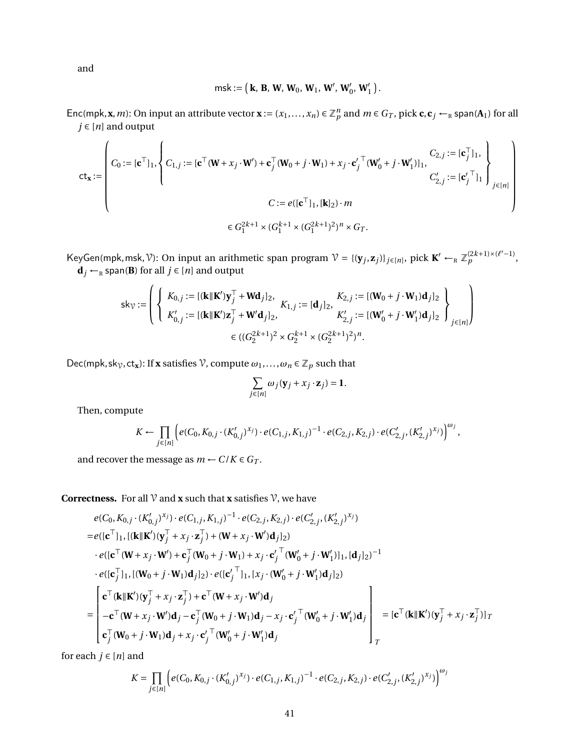and

msk := ¡ **<sup>k</sup>**, **<sup>B</sup>**, **<sup>W</sup>**, **<sup>W</sup>**0, **<sup>W</sup>**1, **<sup>W</sup>**<sup>0</sup> , **<sup>W</sup>**<sup>0</sup> 0 , **<sup>W</sup>**<sup>0</sup> 1 ¢ .

Enc(mpk, **x**, *m*): On input an attribute vector  $\mathbf{x} := (x_1, ..., x_n) \in \mathbb{Z}_p^n$  and  $m \in G_T$ , pick  $\mathbf{c}, \mathbf{c}_j \leftarrow_R \text{span}(\mathbf{A}_1)$  for all  $j \in [n]$  and output

$$
\mathbf{ct}_{\mathbf{x}} := \left( C_0 := [\mathbf{c}^\top]_1, \left\{ C_{1,j} := [\mathbf{c}^\top (\mathbf{W} + x_j \cdot \mathbf{W}') + \mathbf{c}_j^\top (\mathbf{W}_0 + j \cdot \mathbf{W}_1) + x_j \cdot \mathbf{c}'_j^\top (\mathbf{W}'_0 + j \cdot \mathbf{W}'_1)]_1, \right\}_{j \in [n]} C_{2,j} := [\mathbf{c}_j^\top]_1, \newline C_{2,j} := [\mathbf{c}_j^\top]_1 \right)_{j \in [n]} C = e([\mathbf{c}^\top]_1, [\mathbf{k}]_2) \cdot m
$$
\n
$$
\in G_1^{2k+1} \times (G_1^{k+1} \times (G_1^{2k+1})^2)^n \times G_T.
$$

 $\mathcal{X} = \{(\mathbf{y}_j, \mathbf{z}_j) \mid j \in [n], \text{ pick } \mathbf{K}' \leftarrow_R \mathbb{Z}_p^{(2k+1)\times(\ell'-1)},$  $\mathbf{d}_j \leftarrow_R \text{span}(\mathbf{B})$  for all  $j \in [n]$  and output

$$
\mathsf{sk}_{\mathcal{V}} := \left\{ \left\{ \begin{array}{l} K_{0,j} := [(\mathbf{k} \|\mathbf{K}')\mathbf{y}_{j}^{\top} + \mathbf{W}\mathbf{d}_{j}]_{2}, \\ K_{0,j} := [(\mathbf{k} \|\mathbf{K}')\mathbf{z}_{j}^{\top} + \mathbf{W}'\mathbf{d}_{j}]_{2}, \\ K_{0,j}' := [(\mathbf{k} \|\mathbf{K}')\mathbf{z}_{j}^{\top} + \mathbf{W}'\mathbf{d}_{j}]_{2}, \end{array} \right. \\ \left. \begin{array}{l} K_{2,j} := [(\mathbf{W}_{0} + j \cdot \mathbf{W}_{1})\mathbf{d}_{j}]_{2} \\ K_{2,j}' := [(\mathbf{W}_{0}' + j \cdot \mathbf{W}_{1}')\mathbf{d}_{j}]_{2} \end{array} \right\}_{j \in [n]} \right\}
$$

Dec(mpk,sk<sub> $\gamma$ </sub>,ct<sub>x</sub>): If **x** satisfies  $\gamma$ , compute  $\omega_1, \ldots, \omega_n \in \mathbb{Z}_p$  such that

$$
\sum_{j\in[n]}\omega_j(\mathbf{y}_j+x_j\cdot\mathbf{z}_j)=1.
$$

Then, compute

$$
K \leftarrow \prod_{j \in [n]} \left( e(C_0, K_{0,j} \cdot (K'_{0,j})^{x_j}) \cdot e(C_{1,j}, K_{1,j})^{-1} \cdot e(C_{2,j}, K_{2,j}) \cdot e(C'_{2,j}, (K'_{2,j})^{x_j}) \right)^{\omega_j},
$$

and recover the message as  $m \leftarrow C/K \in G_T$ .

**Correctness.** For all  $\mathcal V$  and **x** such that **x** satisfies  $\mathcal V$ , we have

$$
e(C_0, K_{0,j} \cdot (K'_{0,j})^{x_j}) \cdot e(C_{1,j}, K_{1,j})^{-1} \cdot e(C_{2,j}, K_{2,j}) \cdot e(C'_{2,j}, (K'_{2,j})^{x_j})
$$
\n
$$
= e([\mathbf{c}^{\top}]_1, [(\mathbf{k} \mathbf{l} \mathbf{K}')(\mathbf{y}_j^{\top} + x_j \cdot \mathbf{z}_j^{\top}) + (\mathbf{W} + x_j \cdot \mathbf{W}')\mathbf{d}_j]_2)
$$
\n
$$
\cdot e([\mathbf{c}^{\top} (\mathbf{W} + x_j \cdot \mathbf{W}') + \mathbf{c}_j^{\top} (\mathbf{W}_0 + j \cdot \mathbf{W}_1) + x_j \cdot \mathbf{c}'_j^{\top} (\mathbf{W}'_0 + j \cdot \mathbf{W}'_1)]_1, [\mathbf{d}_j]_2)^{-1}
$$
\n
$$
\cdot e([\mathbf{c}_j^{\top}]_1, [(W_0 + j \cdot W_1)\mathbf{d}_j]_2) \cdot e([\mathbf{c}'_j^{\top}]_1, [x_j \cdot (\mathbf{W}'_0 + j \cdot \mathbf{W}'_1)\mathbf{d}_j]_2)
$$
\n
$$
= \begin{bmatrix} \mathbf{c}^{\top} (\mathbf{k} \mathbf{l} \mathbf{K}')(\mathbf{y}_j^{\top} + x_j \cdot \mathbf{z}_j^{\top}) + \mathbf{c}^{\top} (\mathbf{W} + x_j \cdot \mathbf{W}')\mathbf{d}_j \\ -\mathbf{c}^{\top} (\mathbf{W} + x_j \cdot \mathbf{W}')\mathbf{d}_j - \mathbf{c}_j^{\top} (\mathbf{W}_0 + j \cdot \mathbf{W}_1)\mathbf{d}_j - x_j \cdot \mathbf{c}'_j^{\top} (\mathbf{W}'_0 + j \cdot \mathbf{W}'_1)\mathbf{d}_j \\ \mathbf{c}_j^{\top} (\mathbf{W}_0 + j \cdot \mathbf{W}_1)\mathbf{d}_j + x_j \cdot \mathbf{c}'_j^{\top} (\mathbf{W}'_0 + j \cdot \mathbf{W}'_1)\mathbf{d}_j \end{bmatrix} = [\mathbf{c}^{\top} (\mathbf{k} \mathbf{l} \mathbf{K}')(\mathbf{y}_j^{\top} + x_j \cdot \mathbf{z}_j^{\top})]_
$$

for each  $j \in [n]$  and

$$
K = \prod_{j \in [n]} \left( e(C_0, K_{0,j} \cdot (K'_{0,j})^{x_j}) \cdot e(C_{1,j}, K_{1,j})^{-1} \cdot e(C_{2,j}, K_{2,j}) \cdot e(C'_{2,j}, (K'_{2,j})^{x_j}) \right)^{\omega_j}
$$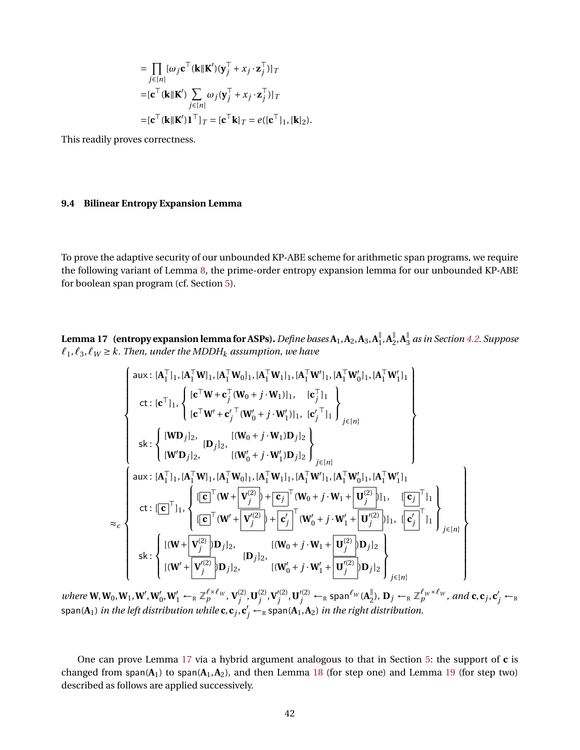$$
= \prod_{j \in [n]} [\omega_j \mathbf{c}^\top (\mathbf{k} || \mathbf{K}') (\mathbf{y}_j^\top + x_j \cdot \mathbf{z}_j^\top)]_T
$$
  
\n=  $[\mathbf{c}^\top (\mathbf{k} || \mathbf{K}') \sum_{j \in [n]} \omega_j (\mathbf{y}_j^\top + x_j \cdot \mathbf{z}_j^\top)]_T$   
\n=  $[\mathbf{c}^\top (\mathbf{k} || \mathbf{K}') \mathbf{1}^\top ]_T = [\mathbf{c}^\top \mathbf{k}]_T = e([\mathbf{c}^\top]_1, [\mathbf{k}]_2).$ 

This readily proves correctness.

## **9.4 Bilinear Entropy Expansion Lemma**

<span id="page-41-0"></span>To prove the adaptive security of our unbounded KP-ABE scheme for arithmetic span programs, we require the following variant of Lemma [8,](#page-19-1) the prime-order entropy expansion lemma for our unbounded KP-ABE for boolean span program (cf. Section [5\)](#page-19-0).

Lemma 17  $\,$  (entropy expansion lemma for ASPs).  $\it Define$  bases  $\text{A}_1$  ,  $\text{A}_2$  ,  $\text{A}_3$  ,  $\text{A}_1^{\parallel}$  $\frac{1}{1}$ ,  $A_2^{\parallel}$  $\frac{1}{2}$ ,  $A_3^{\parallel}$ 3 *as in Section [4.2.](#page-16-1) Suppose*  $\ell_1, \ell_3, \ell_W \geq k$ . Then, under the MDDH<sub>k</sub> assumption, we have

$$
\begin{cases}\n\text{aux: } [A_1^\top]_1, [A_1^\top W]_1, [A_1^\top W]_1, [A_1^\top W']_1, [A_1^\top W']_1, [A_1^\top W']_1, [A_1^\top W']_1]_1 \\
\text{ct: } [\mathbf{c}^\top]_1, \left\{ [\mathbf{c}^\top W^+ \mathbf{c}_j^\top (W_0 + j \cdot W_1)]_1, [\mathbf{c}_j^\top]_1 \right\} \\
\text{st: } \left\{ [\mathbf{W} \mathbf{D}_j]_2, [\mathbf{D}_j]_2, [(\mathbf{W}_0 + j \cdot \mathbf{W}_1') \mathbf{D}_j]_2 \right\} \\
\text{sk: } \left\{ [\mathbf{W} \mathbf{D}_j]_2, [\mathbf{D}_j]_2, [(\mathbf{W}_0' + j \cdot \mathbf{W}_1') \mathbf{D}_j]_2 \right\} \\
\text{aux: } [A_1^\top]_1, [A_1^\top W]_1, [A_1^\top W]_1, [A_1^\top W]_1, [A_1^\top W']_1, [A_1^\top W']_1, [A_1^\top W']_1], [A_1^\top W']_1], \left[\mathbf{A}_1^\top W'_1\right]_1 \\
\text{ct: } [\mathbf{c}]^\top]_1, \left\{ [\mathbf{c}^\top (\mathbf{W} + \mathbf{V}_j^{(2)}) + \mathbf{c}_j^\top (\mathbf{W}_0 + j \cdot \mathbf{W}_1 + \mathbf{U}_j^{(2)})]_1, [\mathbf{c}_j^\top]_1 \right\} \\
\text{st: } \left\{ [(\mathbf{W} + \mathbf{V}_j^{(2)}) \mathbf{D}_j]_2, [\mathbf{W}_0 + j \cdot \mathbf{W}_1 + \mathbf{U}_j^{(2)}) \mathbf{D}_j]_2 \right\} \\
\text{sk: } \left\{ [(\mathbf{W} + \mathbf{V}_j^{(2)}) \mathbf{D}_j]_2, [\mathbf{W}_0' + j \cdot \mathbf{W}_1 + \mathbf{U}_j^{(2)}) \mathbf{D}_j]_2 \right\} \\
\text{ski: } \left\{ \begin{aligned}\n\frac{\mathbf{V}^2}{\mathbf{V}^2} & \mathbf{D}_j\mathbf{D}_j\mathbf{
$$

 $where \mathbf{W}, \mathbf{W}_0, \mathbf{W}_1, \mathbf{W}', \mathbf{W}'_0, \mathbf{W}'_1 \leftarrow_R \mathbb{Z}_p^{\ell \times \ell_W}, \mathbf{V}_j^{(2)}$  $j^{(2)}$ , **U** $_j^{(2)}$  $\mathbf{V}'^{(2)}_j, \mathbf{V}'^{(2)}_j$  $\mathbf{U}^{(2)}_j$  ,  $\mathbf{U}'^{(2)}_j \leftarrow_R \mathsf{span}^{\ell_W} (\mathbf{A}^{\parallel}_2)$  $\mathbb{Z}_2^{\parallel}$ ,  $\mathbf{D}_j \leftarrow_R \mathbb{Z}_p^{\ell_W \times \ell_W},$  and  $\mathbf{c}, \mathbf{c}_j, \mathbf{c}'_j \leftarrow_R$  $\epsilon$  span( $\mathbf{A}_1$ ) *in the left distribution while*  $\mathbf{c}, \mathbf{c}_j, \mathbf{c}'_j \leftarrow_\text{R} \mathsf{span}(\mathbf{A}_1, \mathbf{A}_2)$  *in the right distribution.* 

<span id="page-41-1"></span>One can prove Lemma [17](#page-41-0) via a hybrid argument analogous to that in Section [5:](#page-19-0) the support of **c** is changed from span( $A_1$ ) to span( $A_1$ , $A_2$ ), and then Lemma [18](#page-41-1) (for step one) and Lemma [19](#page-42-0) (for step two) described as follows are applied successively.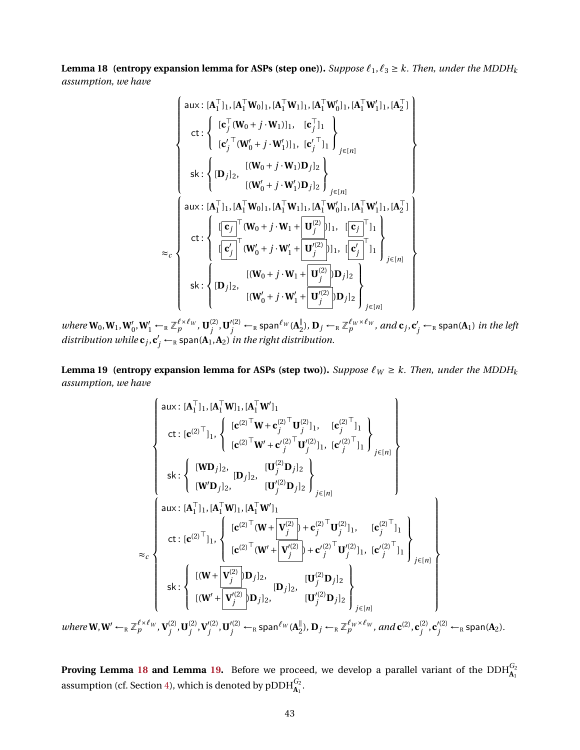**Lemma 18 (entropy expansion lemma for ASPs (step one)).** *Suppose*  $\ell_1, \ell_3 \geq k$ . *Then, under the MDDH<sub>k</sub> assumption, we have*

$$
\begin{cases}\n\text{aux: } [\mathbf{A}_{1}^{\top}]_{1}, [\mathbf{A}_{1}^{\top}\mathbf{W}_{0}]_{1}, [\mathbf{A}_{1}^{\top}\mathbf{W}_{1}]_{1}, [\mathbf{A}_{1}^{\top}\mathbf{W}_{0}^{\prime}]_{1}, [\mathbf{A}_{1}^{\top}\mathbf{W}_{1}^{\prime}]_{1}, [\mathbf{A}_{2}^{\top}] \\
\text{ct: } & \begin{cases}\n[\mathbf{c}_{j}^{\top}(\mathbf{W}_{0} + j \cdot \mathbf{W}_{1})]_{1}, & [\mathbf{c}_{j}^{\top}]_{1} \\
[\mathbf{c}_{j}^{\prime}^{\top}(\mathbf{W}_{0}^{\prime} + j \cdot \mathbf{W}_{1}^{\prime})]_{1}, & [\mathbf{c}_{j}^{\prime}^{\top}]_{1}\n\end{cases} \\
\text{ski: } & \begin{cases}\n[(\mathbf{W}_{0} + j \cdot \mathbf{W}_{1}^{\prime})]_{1}, & [\mathbf{c}_{j}^{\prime}^{\top}]_{1} \\
[(\mathbf{W}_{0} + j \cdot \mathbf{W}_{1}^{\prime})]_{2}\n\end{cases} \\
\text{ski: } & \begin{cases}\n[(\mathbf{W}_{0} + j \cdot \mathbf{W}_{1}^{\prime})]_{2}\n\end{cases} \\
\text{aux: } [\mathbf{A}_{1}^{\top}]_{1}, [\mathbf{A}_{1}^{\top}\mathbf{W}_{0}]_{1}, [\mathbf{A}_{1}^{\top}\mathbf{W}_{1}^{\prime}]_{1}, [\mathbf{A}_{1}^{\top}\mathbf{W}_{1}^{\prime}]_{1}, [\mathbf{A}_{2}^{\top}] \\
\text{ct: } & \begin{cases}\n[\mathbf{c}_{j}^{\top}(\mathbf{W}_{0} + j \cdot \mathbf{W}_{1} + \mathbf{U}_{j}^{(2)})]_{11}, & [\mathbf{c}_{j}^{\top}]_{1} \\
[\mathbf{c}_{j}^{\top}(\mathbf{W}_{0}^{\prime} + j \cdot \mathbf{W}_{1}^{\prime} + \mathbf{U}_{j}^{(2)})]_{11}, & [\mathbf{c}_{j}^{\top}]_{1}\n\end{cases} \\
\text{ski: } & \begin{cases}\n[(\mathbf{W}_{0} + j \cdot \mathbf{W}_{1} + \mathbf{U}_{j}^{(2)})]_{11}, & [\mathbf{c}_{j}^{\top}]_{
$$

 $where \mathbf{W}_0, \mathbf{W}_1, \mathbf{W}'_0, \mathbf{W}'_1 \leftarrow_R \mathbb{Z}_p^{\ell \times \ell_W}, \mathbf{U}_j^{(2)}$  $\mathbf{U}^{(2)}_j$  ,  $\mathbf{U}'^{(2)}_j \leftarrow_R \mathsf{span}^{\ell_W}(\mathbf{A}^{\parallel}_2)$  $L_2^{\parallel}$ ),  $\mathbf{D}_j \leftarrow_R \mathbb{Z}_p^{\ell_W \times \ell_W}$ , and  $\mathbf{c}_j$ ,  $\mathbf{c}'_j \leftarrow_R \textsf{span}(\mathbf{A}_1)$  *in the left distribution while*  $\mathbf{c}_j$ ,  $\mathbf{c}'_j$  ← R span( $\mathbf{A}_1$ ,  $\mathbf{A}_2$ ) *in the right distribution.* 

<span id="page-42-0"></span>**Lemma 19 (entropy expansion lemma for ASPs (step two)).** *Suppose*  $\ell_W \ge k$ . *Then, under the MDDH<sub>k</sub> assumption, we have*

$$
\begin{cases}\n\text{aux}: [\mathbf{A}_1^{\top} \mathbf{l}_1, [\mathbf{A}_1^{\top} \mathbf{W}]_1, [\mathbf{A}_1^{\top} \mathbf{W}']_1 \\
\text{ct}: [\mathbf{c}^{(2)\top} \mathbf{l}_1, \left\{ [\mathbf{c}^{(2)\top} \mathbf{W} + \mathbf{c}'_{j}^{(2)\top} \mathbf{U}'_{j}^{(2)}]_1, [\mathbf{c}'_{j}^{(2)\top} \mathbf{l}_1] \right\} \\
\text{st}: \left\{ [\mathbf{W} \mathbf{D}_j]_2, [\mathbf{D}_j]_2, [\mathbf{U}_j^{(2)} \mathbf{D}_j]_2 \right\} \\
\text{sk}: \left\{ [\mathbf{W} \mathbf{D}_j]_2, [\mathbf{U}_j^{(2)} \mathbf{D}_j]_2 \right\} \\
\text{aux}: [\mathbf{A}_1^{\top} \mathbf{l}_1, [\mathbf{A}_1^{\top} \mathbf{W}]_1, [\mathbf{A}_1^{\top} \mathbf{W}']_1] \\
\text{ct}: [\mathbf{c}^{(2)\top} \mathbf{l}_1, \left\{ [\mathbf{c}^{(2)\top} (\mathbf{W} + \mathbf{V}_{j}^{(2)}) + \mathbf{c}'_{j}^{(2)\top} \mathbf{U}_{j}^{(2)}]_1, [\mathbf{c}'_{j}^{(2)\top} \mathbf{l}_1] \right\} \\
\text{ct}: [\mathbf{c}^{(2)\top} \mathbf{l}_1, \left\{ [\mathbf{c}^{(2)\top} (\mathbf{W}' + \mathbf{V}_{j}^{(2)}) + \mathbf{c}'_{j}^{(2)\top} \mathbf{U}'_{j}^{(2)}]_1, [\mathbf{c}'_{j}^{(2)\top} \mathbf{l}_1] \right\} \\
\text{sk}: \left\{ [(\mathbf{W} + \mathbf{V}_{j}^{(2)}) \mathbf{D}_j]_2, [\mathbf{D}_j]_2, [\mathbf{U}_{j}^{(2)} \mathbf{D}_j]_2 \right\} \\
\text{sk}: \left\{ [(\mathbf{W}' + \mathbf{V}_{j}^{(2)}) \mathbf{D}_j]_2, [\mathbf{U}'_{j}^{(2)} \mathbf{D}_j]_2 \right\} \\
\text{sk}: \left\{ [\mathbf{W}' + \mathbf{V
$$

*where*  $W, W' \leftarrow_R \mathbb{Z}_p^{\ell \times \ell_W}, V_i^{(2)}$  $\mathbf{U}^{(2)}_j$  ,  $\mathbf{U}^{(2)}_j$  $\mathbf{V}'^{(2)}_j, \mathbf{V}'^{(2)}_j$  $\mathbf{U}^{(2)}_j$ ,  $\mathbf{U}'^{(2)}_j \leftarrow_R \mathsf{span}^{\ell_W} (\mathbf{A}^{\parallel}_2)$  $\mathbb{Z}_2^{\parallel}$ ),  $\mathbf{D}_j \leftarrow_R \mathbb{Z}_p^{\ell_W \times \ell_W}$ , and  $\mathbf{c}^{(2)}$ ,  $\mathbf{c}_j^{(2)}$  $j^{(2)}$ ,  $\mathbf{c}'^{(2)}_j \leftarrow_R \textsf{span}(\mathbf{A}_2)$ .

**Proving Lemma [18](#page-41-1) and Lemma [19.](#page-42-0)** Before we proceed, we develop a parallel variant of the  $\text{DDH}_{A_1}^{G_2}$ assumption (cf. Section [4\)](#page-16-0), which is denoted by  $\text{pDDH}_{\mathbf{A_1}}^{G_2}$ .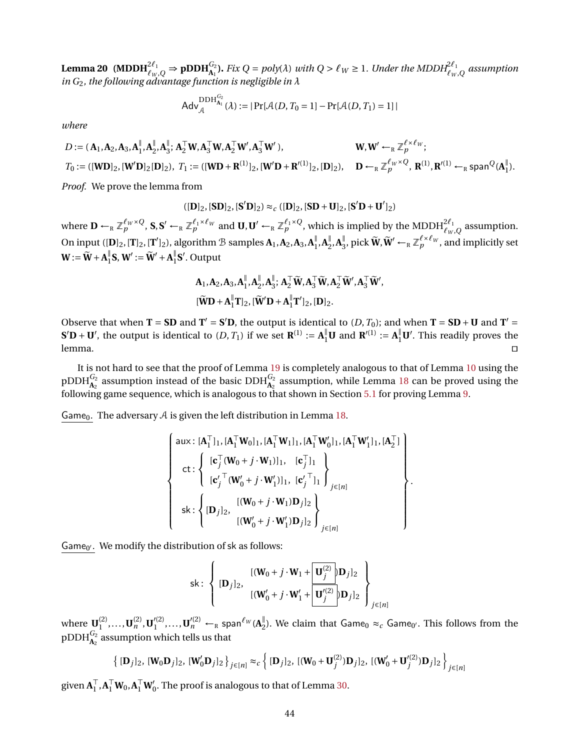**Lemma 20** (MDDH $_{\ell_W,Q}^{2\ell_1}$   $\Rightarrow$   $\tt pDDH_{A_1}^{G_2}$ ). Fix  $Q = poly(\lambda)$  with  $Q > \ell_W \geq 1$ . Under the MDDH $_{\ell_W,Q}^{2\ell_1}$  assumption *in G*2*, the following advantage function is negligible in λ*

$$
Adv_{\mathcal{A}}^{DDH_{\mathbf{A}_{1}}^{G_{2}}}( \lambda ) := |Pr[\mathcal{A}(D, T_{0} = 1] - Pr[\mathcal{A}(D, T_{1}) = 1]|
$$

*where*

$$
D := (\mathbf{A}_1, \mathbf{A}_2, \mathbf{A}_3, \mathbf{A}_1^{\parallel}, \mathbf{A}_2^{\parallel}, \mathbf{A}_3^{\parallel}; \mathbf{A}_2^{\top} \mathbf{W}, \mathbf{A}_3^{\top} \mathbf{W}, \mathbf{A}_2^{\top} \mathbf{W}', \mathbf{A}_3^{\top} \mathbf{W}'), \qquad \qquad \mathbf{W}, \mathbf{W}' \leftarrow_R \mathbb{Z}_p^{\ell \times \ell_W};
$$
  
\n
$$
T_0 := ( [\mathbf{W} \mathbf{D}]_2, [\mathbf{W}' \mathbf{D}]_2 [\mathbf{D}]_2), \quad T_1 := ( [\mathbf{W} \mathbf{D} + \mathbf{R}^{(1)}]_2, [\mathbf{W}' \mathbf{D} + \mathbf{R}'^{(1)}]_2, [\mathbf{D}]_2), \qquad \mathbf{D} \leftarrow_R \mathbb{Z}_p^{\ell_W \times Q}, \quad \mathbf{R}^{(1)}, \mathbf{R}'^{(1)} \leftarrow_R \text{span}^Q(\mathbf{A}_1^{\parallel}).
$$

*Proof.* We prove the lemma from

$$
([\mathbf{D}]_2,[\mathbf{S}\mathbf{D}]_2,[\mathbf{S}'\mathbf{D}]_2) \approx_c ([\mathbf{D}]_2,[\mathbf{S}\mathbf{D}+\mathbf{U}]_2,[\mathbf{S}'\mathbf{D}+\mathbf{U}']_2)
$$

where  $\mathbf{D} \leftarrow_R \mathbb{Z}_p^{\ell_W \times Q}$ ,  $\mathbf{S}, \mathbf{S}' \leftarrow_R \mathbb{Z}_p^{\ell_1 \times \ell_W}$  and  $\mathbf{U}, \mathbf{U}' \leftarrow_R \mathbb{Z}_p^{\ell_1 \times Q}$ , which is implied by the MDDH $_{\ell_W,Q}^{2\ell_1}$  assumption. On input ([**D**]<sub>2</sub>, [**T**]<sub>2</sub>, [**T'**]<sub>2</sub>), algorithm  $\mathcal B$  samples  $\mathbf A_1, \mathbf A_2, \mathbf A_3, \mathbf A_1^{\parallel}$  $\frac{1}{1}$ ,  $A_2^{\parallel}$  $\frac{1}{2}$ ,  $A_3^{\parallel}$  $^{\parallel}_{3}$ , pick  $\widetilde{W}$ ,  $\widetilde{W}' \leftarrow_R \mathbb{Z}_p^{\ell \times \ell_W}$ , and implicitly set  $\mathbf{W} := \widetilde{\mathbf{W}} + \mathbf{A}_1^{\parallel}$  $\mathbf{S}_1^{\parallel}$ **S**, **W**<sup> $\prime$ </sup> :=  $\widetilde{\mathbf{W}}^{\prime}$  +  $\mathbf{A}_1^{\parallel}$  $\frac{\mathbb{I}}{1}$ **S**'. Output

$$
\begin{aligned} &\mathbf{A}_1,\mathbf{A}_2,\mathbf{A}_3,\mathbf{A}_1^\parallel,\mathbf{A}_2^\parallel,\mathbf{A}_3^\parallel;\; \mathbf{A}_2^\top\widetilde{\mathbf{W}},\mathbf{A}_3^\top\widetilde{\mathbf{W}},\mathbf{A}_2^\top\widetilde{\mathbf{W}}',\mathbf{A}_3^\top\widetilde{\mathbf{W}}',\\ &[\widetilde{\mathbf{W}}\mathbf{D}+\mathbf{A}_1^\parallel\mathbf{T}]_2,[\widetilde{\mathbf{W}}'\mathbf{D}+\mathbf{A}_1^\parallel\mathbf{T}']_2,[\mathbf{D}]_2. \end{aligned}
$$

Observe that when  $T = SD$  and  $T' = S'D$ , the output is identical to  $(D, T_0)$ ; and when  $T = SD + U$  and  $T' =$  $S'D + U'$ , the output is identical to  $(D, T_1)$  if we set  $\mathbf{R}^{(1)} := \mathbf{A}_1^{\parallel} \mathbf{U}$  and  $\mathbf{R}'^{(1)} := \mathbf{A}_1^{\parallel} \mathbf{U}'$ . This readily proves the  $l$ emma.  $\Box$ 

It is not hard to see that the proof of Lemma [19](#page-42-0) is completely analogous to that of Lemma [10](#page-20-1) using the pDDH $^{G_2}_{\bf{A}_2}$  assumption instead of the basic DDH $^{G_2}_{\bf{A}_2}$  assumption, while Lemma [18](#page-41-1) can be proved using the following game sequence, which is analogous to that shown in Section [5.1](#page-21-0) for proving Lemma [9.](#page-20-0)

Game<sub>0</sub>. The adversary  $A$  is given the left distribution in Lemma [18.](#page-41-1)

$$
\begin{cases}\n\text{aux}: [\mathbf{A}_1^\top]_1, [\mathbf{A}_1^\top \mathbf{W}_0]_1, [\mathbf{A}_1^\top \mathbf{W}_1]_1, [\mathbf{A}_1^\top \mathbf{W}_0']_1, [\mathbf{A}_1^\top \mathbf{W}_1']_1, [\mathbf{A}_2^\top] \\
\text{ct}: \n\left\{\n\begin{array}{l}\n[\mathbf{c}_j^\top (\mathbf{W}_0 + j \cdot \mathbf{W}_1')]_1, \quad [\mathbf{c}_j^\top]_1 \\
[\mathbf{c}_j^\prime^\top (\mathbf{W}_0' + j \cdot \mathbf{W}_1')]_1, \quad [\mathbf{c}_j^\prime^\top]_1\n\end{array}\n\right\} \\
\text{sk}: \n\left\{\n\begin{array}{l}\n[\mathbf{W}_0 + j \cdot \mathbf{W}_1) \mathbf{D}_j]_2 \\
[(\mathbf{W}_0' + j \cdot \mathbf{W}_1') \mathbf{D}_j]_2\n\end{array}\n\right\} \\
\text{y} \in [n]\n\end{cases}
$$

.

Game $_{0'}$ . We modify the distribution of sk as follows:

sk: 
$$
\left\{ [\mathbf{D}_j]_2, \begin{array}{c} [( \mathbf{W}_0 + j \cdot \mathbf{W}_1 + \boxed{\mathbf{U}_j^{(2)}} ] \mathbf{D}_j ]_2 \\ [( \mathbf{W}_0' + j \cdot \mathbf{W}_1' + \boxed{\mathbf{U}_j^{(2)}} ] \mathbf{D}_j ]_2 \end{array} \right\}_{j \in [n]}
$$

where  $\mathbf{U}_1^{(2)}$  $\mathbf{U}_1^{(2)}, \ldots, \mathbf{U}_n^{(2)}, \mathbf{U}_1'^{(2)}$  $\mathbf{U}_{1}^{\prime\left(2\right)},\ldots,\mathbf{U}_{n}^{\prime\left(2\right)}\leftarrow_{\textrm{R}}\mathsf{span}^{\ell_{W}}(\mathbf{A}_{2}^{\parallel})$  $\frac{parallel}{2}$ ). We claim that Game<sub>0</sub> ≈<sub>c</sub> Game<sub>0'</sub>. This follows from the  $\tt pDDH^{G_2}_{A_2}$  assumption which tells us that

$$
\left\{ [\mathbf{D}_j]_2, [\mathbf{W}_0 \mathbf{D}_j]_2, [\mathbf{W}'_0 \mathbf{D}_j]_2 \right\}_{j \in [n]} \approx_c \left\{ [\mathbf{D}_j]_2, [(\mathbf{W}_0 + \mathbf{U}_j^{(2)}) \mathbf{D}_j]_2, [(\mathbf{W}'_0 + \mathbf{U}'^{(2)}) \mathbf{D}_j]_2 \right\}_{j \in [n]}
$$

given  $A_1^{\top}$  ${}_{1}^{T}, \mathbf{A}_{1}^{T} \mathbf{W}_{0}, \mathbf{A}_{1}^{T} \mathbf{W}_{0}'$ . The proof is analogous to that of Lemma [30.](#page-51-3)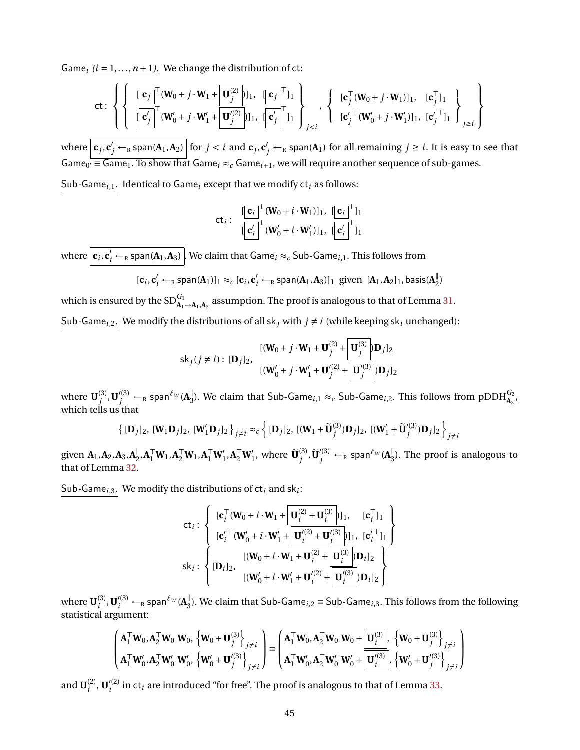Game<sub>i</sub>  $(i = 1, ..., n + 1)$ . We change the distribution of ct:

$$
\text{ct: } \left\{ \left\{ \begin{array}{c} \left[ \overrightarrow{\mathbf{c}_{j}}^{\top}(\mathbf{W}_{0}+j\cdot\mathbf{W}_{1}+\frac{\mathbf{U}_{j}^{(2)}}{\mathbf{U}_{j}^{(2)}}\right] |_{1}, \quad \left[ \overrightarrow{\mathbf{c}_{j}}^{\top}\right]_{1} \\ \left[ \overrightarrow{\mathbf{c}_{j}^{\prime}}^{\top}(\mathbf{W}_{0}^{\prime}+j\cdot\mathbf{W}_{1}^{\prime}+\frac{\mathbf{U}_{j}^{(2)}}{\mathbf{U}_{j}^{(2)}}\right] |_{1}, \quad \left[ \overrightarrow{\mathbf{c}_{j}^{\prime}}^{\top}\right]_{1} \end{array} \right\} \right\} \right\} \left\{ \begin{array}{c} \left[ \mathbf{c}_{j}^{\top}(\mathbf{W}_{0}+j\cdot\mathbf{W}_{1})\right]_{1}, \quad \left[ \mathbf{c}_{j}^{\top} \right]_{1} \\ \left[ \mathbf{c}_{j}^{\prime}^{\top}(\mathbf{W}_{0}^{\prime}+j\cdot\mathbf{W}_{1}^{\prime})\right]_{1}, \quad \left[ \mathbf{c}_{j}^{\prime\top} \right]_{1} \end{array} \right\} \right\} \right\}
$$

where  $\boxed{\mathbf{c}_j,\mathbf{c}'_j\leftarrow_R\textsf{span}(\mathbf{A}_1,\mathbf{A}_2)}$  for  $j < i$  and  $\mathbf{c}_j,\mathbf{c}'_j\leftarrow_R\textsf{span}(\mathbf{A}_1)$  for all remaining  $j \geq i.$  It is easy to see that Game<sub>0</sub>'  $\equiv$  Game<sub>1</sub>. To show that Game<sub>i</sub>  $\approx$ <sub>c</sub> Game<sub>i+1</sub>, we will require another sequence of sub-games.

Sub*-*Game*<sup>i</sup>*,1. Identical to Game*<sup>i</sup>* except that we modify ct*<sup>i</sup>* as follows:

$$
\mathsf{ct}_i: \begin{array}{c} [\![\mathbf{c}_i]\!]^\top (\mathbf{W}_0 + i \cdot \mathbf{W}_1)]_1, \; [\![\mathbf{c}_i]\!]^\top]_1 \\ [\![\mathbf{c}'_i]\!]^\top (\mathbf{W}'_0 + i \cdot \mathbf{W}'_1)]_1, \; [\![\mathbf{c}'_i]\!]^\top]_1 \end{array}
$$

where  $\boxed{\mathbf{c}_i,\mathbf{c}'_i\leftarrow_{\textrm{\tiny R}}$  span( $\mathbf{A}_1,\mathbf{A}_3)$  . We claim that Game $_i\approx_c$  Sub-Game $_{i,1}.$  This follows from

$$
[\mathbf{c}_i, \mathbf{c}'_i \leftarrow_R \text{span}(\mathbf{A}_1)]_1 \approx_c [\mathbf{c}_i, \mathbf{c}'_i \leftarrow_R \text{span}(\mathbf{A}_1, \mathbf{A}_3)]_1 \text{ given } [\mathbf{A}_1, \mathbf{A}_2]_1, \text{basis}(\mathbf{A}_2^{\parallel})
$$

which is ensured by the  $SD_{A_1\mapsto A_1,A_3}^{G_1}$  assumption. The proof is analogous to that of Lemma [31.](#page-52-0) Sub-Game<sub>*i*</sub>,2. We modify the distributions of all sk<sub>*j*</sub> with  $j \neq i$  (while keeping sk<sub>*i*</sub> unchanged):

$$
\mathsf{sk}_j(j \neq i): [\mathbf{D}_j]_2, \quad\n\begin{aligned}\n\left[ (\mathbf{W}_0 + j \cdot \mathbf{W}_1 + \mathbf{U}_j^{(2)} + \mathbf{U}_j^{(3)} \right] \mathbf{D}_j]_2 \\
\left[ (\mathbf{W}_0' + j \cdot \mathbf{W}_1' + \mathbf{U}_j'^{(2)} + \mathbf{U}_j'^{(3)} \right] \mathbf{D}_j]_2\n\end{aligned}
$$

where  $\mathbf{U}^{(3)}_i$  $j^{(3)}, \mathbf{U}'^{(3)}_j \leftarrow_R \mathsf{span}^{\ell_W} (\mathbf{A}^{\parallel}_3)$  $^{\parallel}_{3}$ ). We claim that Sub-Game<sub>i,1</sub>  $\approx_{c}$  Sub-Game<sub>i,2</sub>. This follows from pDDH $^{\text{G}_{2}}_{\text{A}_{3}},$ which tells us that

$$
\left\{ [\mathbf{D}_j]_2, [\mathbf{W}_1 \mathbf{D}_j]_2, [\mathbf{W}_1' \mathbf{D}_j]_2 \right\}_{j \neq i} \approx_c \left\{ [\mathbf{D}_j]_2, [(\mathbf{W}_1 + \widetilde{\mathbf{U}}_j^{(3)}) \mathbf{D}_j]_2, [(\mathbf{W}_1' + \widetilde{\mathbf{U}}_j'^{(3)}) \mathbf{D}_j]_2 \right\}_{j \neq i}
$$

given  $\mathbf{A}_1, \mathbf{A}_2, \mathbf{A}_3, \mathbf{A}_2^{\parallel}$  $_{2}^{\parallel},$  **A**<sup>T</sup><sub>I</sub>**W**<sub>1</sub>, **A**<sup>T</sup><sub>I</sub><sup>T</sup>**W**<sub>1</sub><sup>'</sup><sub>1</sub>, **A**<sup>T</sup><sub>2</sub><sup>T</sup>**W**<sub>1</sub><sup>'</sup><sub>1</sub>, where  $\widetilde{\mathbf{U}}_{j}^{(3)}$  $j^{(3)}$ ,  $\widetilde{\mathbf{U}}'^{(3)}_j \leftarrow_R \mathsf{span}^{\ell_W}(\mathbf{A}^{\parallel}_3)$  $\frac{1}{3}$ ). The proof is analogous to that of Lemma [32.](#page-52-1)

Sub*-*Game*<sup>i</sup>*,3. We modify the distributions of ct*<sup>i</sup>* and sk*<sup>i</sup>* :

$$
\text{ct}_{i}: \left\{\begin{array}{ll} [\textbf{c}_{i}^{\top}(\textbf{W}_{0}+i\cdot \textbf{W}_{1}+\boxed{\textbf{U}_{i}^{(2)}+\textbf{U}_{i}^{(3)}})]_{1}, & [\textbf{c}_{i}^{\top}]_{1} \\ [\textbf{c}_{i}^{\prime\top}(\textbf{W}_{0}^{\prime}+i\cdot \textbf{W}_{1}^{\prime}+\boxed{\textbf{U}_{i}^{\prime(2)}+\textbf{U}_{i}^{\prime(3)}})]_{1}, & [\textbf{c}_{i}^{\prime\top}]_{1} \\ [\textbf{b}_{i}]_{2}, & [\textbf{(W}_{0}+i\cdot \textbf{W}_{1}+\textbf{U}_{i}^{(2)}+\boxed{\textbf{U}_{i}^{(3)}}] \textbf{D}_{i}]_{2} \\ [(\textbf{W}_{0}^{\prime}+i\cdot \textbf{W}_{1}^{\prime}+\textbf{U}_{i}^{\prime(2)}+\boxed{\textbf{U}_{i}^{\prime(3)}}] \textbf{D}_{i}]_{2} \end{array}\right\}
$$

where  $\mathbf{U}^{(3)}_i$  $\mathbf{U}_i^{(3)}$ ,  $\mathbf{U}_i'^{(3)} \leftarrow_R \textsf{span}^{\ell_W} (\mathbf{A}_3^{\parallel})$ 3 ). We claim that Sub-Game*<sup>i</sup>*,2 ≡ Sub-Game*<sup>i</sup>*,3. This follows from the following statistical argument:

$$
\begin{pmatrix}\n\mathbf{A}_1^\top \mathbf{W}_0, \mathbf{A}_2^\top \mathbf{W}_0 \mathbf{W}_0, \left\{\mathbf{W}_0 + \mathbf{U}_j^{(3)}\right\}_{j \neq i} \\
\mathbf{A}_1^\top \mathbf{W}_0', \mathbf{A}_2^\top \mathbf{W}_0' \mathbf{W}_0', \left\{\mathbf{W}_0' + \mathbf{U}_j^{(3)}\right\}_{j \neq i}\n\end{pmatrix} \equiv \begin{pmatrix}\n\mathbf{A}_1^\top \mathbf{W}_0, \mathbf{A}_2^\top \mathbf{W}_0 \mathbf{W}_0 + \left[\mathbf{U}_i^{(3)}\right], \left\{\mathbf{W}_0 + \mathbf{U}_j^{(3)}\right\}_{j \neq i} \\
\mathbf{A}_1^\top \mathbf{W}_0', \mathbf{A}_2^\top \mathbf{W}_0' \mathbf{W}_0' + \left[\mathbf{U}_i^{(3)}\right], \left\{\mathbf{W}_0' + \mathbf{U}_j^{(3)}\right\}_{j \neq i}\n\end{pmatrix}
$$

and  $\mathbf{U}_i^{(2)}$  $\mathbf{U}'^{(2)}_i$ ,  $\mathbf{U}'^{(2)}_i$  $i<sup>(2)</sup>$  in ct<sub>*i*</sub> are introduced "for free". The proof is analogous to that of Lemma [33.](#page-53-0)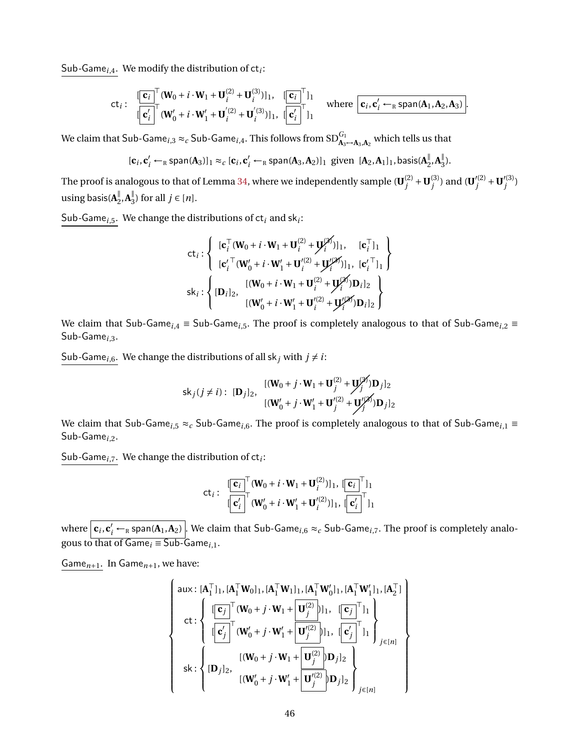Sub*-*Game*<sup>i</sup>*,4. We modify the distribution of ct*<sup>i</sup>* :

$$
\mathsf{ct}_{i}: \begin{array}{ll}\n[\mathbf{c}_{i}]^{\top}(\mathbf{W}_{0}+i\cdot\mathbf{W}_{1}+\mathbf{U}_{i}^{(2)}+\mathbf{U}_{i}^{(3)})]_{1}, & [\mathbf{c}_{i}]^{\top}{}_{11} \\
[\mathbf{c}_{i}']^{\top}(\mathbf{W}_{0}'+i\cdot\mathbf{W}_{1}'+\mathbf{U}_{i}^{'(2)}+\mathbf{U}_{i}^{'(3)})]_{1}, & [\mathbf{c}_{i}']^{\top}{}_{11}\n\end{array}\n\text{ where } \boxed{\mathbf{c}_{i}, \mathbf{c}_{i}' \leftarrow_{\mathbb{R}} \text{span}(\mathbf{A}_{1}, \mathbf{A}_{2}, \mathbf{A}_{3})}.
$$

We claim that  $Sub\text{-}Game_{i,3} \approx_c Sub\text{-}Game_{i,4}.$  This follows from  $SD^{G_1}_{\bf A_3\mapsto A_3, A_2}$  which tells us that

$$
[\mathbf{c}_i, \mathbf{c}'_i \leftarrow_R \text{span}(\mathbf{A}_3)]_1 \approx_c [\mathbf{c}_i, \mathbf{c}'_i \leftarrow_R \text{span}(\mathbf{A}_3, \mathbf{A}_2)]_1 \text{ given } [\mathbf{A}_2, \mathbf{A}_1]_1, \text{basis}(\mathbf{A}_2^{\parallel}, \mathbf{A}_3^{\parallel}).
$$

The proof is analogous to that of Lemma [34,](#page-53-1) where we independently sample ( $\textbf{U}^{(2)}_i$  $j^{(2)}$  + **U**<sup>(3)</sup><br>*j*  $j^{(3)}$ ) and (**U**<sup> $\prime$ </sup>(<sup>2)</sup>)  $y'^{(2)}_j + U'^{(3)}_j$ *j* ) using basis(**A** ∥  $\frac{||}{2}$ , **A**<sup> $||$ </sup><sub>3</sub>  $j_3$ ) for all  $j \in [n]$ .

Sub*-*Game*<sup>i</sup>*,5. We change the distributions of ct*<sup>i</sup>* and sk*<sup>i</sup>* :

$$
\mathsf{ct}_{i}: \left\{ \begin{array}{ll} [\mathbf{c}_{i}^{\top}(\mathbf{W}_{0}+i\cdot\mathbf{W}_{1}+\mathbf{U}_{i}^{(2)}+\mathbf{U}_{i}^{(2)})]_{1}, & [\mathbf{c}_{i}^{\top}]_{1} \\ [\mathbf{c}_{i}^{\prime\top}(\mathbf{W}_{0}^{\prime}+i\cdot\mathbf{W}_{1}^{\prime}+\mathbf{U}_{i}^{\prime(2)}+\mathbf{U}_{i}^{\prime(2)})]_{1}, & [\mathbf{c}_{i}^{\prime\top}]_{1} \end{array} \right\}
$$
  

$$
\mathsf{sk}_{i}: \left\{ [\mathbf{D}_{i}]_{2}, \begin{array}{ll} [(\mathbf{W}_{0}+i\cdot\mathbf{W}_{1}+\mathbf{U}_{i}^{(2)}+\mathbf{U}_{i}^{(2)})]\mathbf{D}_{i}]_{2} \\ [(\mathbf{W}_{0}^{\prime}+i\cdot\mathbf{W}_{1}^{\prime}+\mathbf{U}_{i}^{\prime(2)}+\mathbf{U}_{i}^{\prime(2)})]\mathbf{D}_{i}]_{2} \end{array} \right\}
$$

We claim that Sub-Game*<sup>i</sup>*,4 ≡ Sub-Game*<sup>i</sup>*,5. The proof is completely analogous to that of Sub-Game*<sup>i</sup>*,2 ≡ Sub-Game*<sup>i</sup>*,3.

Sub-Game<sub>*i*,6</sub>. We change the distributions of all sk<sub>*j*</sub> with  $j \neq i$ :

$$
\mathsf{sk}_j(j \neq i): [\mathbf{D}_j]_2, \quad \begin{aligned} & [(\mathbf{W}_0 + j \cdot \mathbf{W}_1 + \mathbf{U}_j^{(2)} + \mathbf{U}_j^{(2)} ) \mathbf{D}_j]_2 \\ & [(\mathbf{W}_0' + j \cdot \mathbf{W}_1' + \mathbf{U}_j^{(2)} + \mathbf{U}_j^{(2)} ) \mathbf{D}_j]_2 \end{aligned}
$$

We claim that Sub-Game<sub>*i*,5</sub> ≈<sub>*c*</sub> Sub-Game<sub>*i*,6</sub>. The proof is completely analogous to that of Sub-Game<sub>*i*,1</sub> ≡ Sub-Game*<sup>i</sup>*,2.

Sub*-*Game*<sup>i</sup>*,7. We change the distribution of ct*<sup>i</sup>* :

$$
\mathsf{ct}_i: \begin{array}{c} [\![\mathbf{c}_i]\!]^\top (\mathbf{W}_0 + i \cdot \mathbf{W}_1 + \mathbf{U}_i^{(2)})]_1, \; [\![\mathbf{c}_i]\!]^\top ]_1 \\ [\![\mathbf{c}'_i]\!]^\top (\mathbf{W}'_0 + i \cdot \mathbf{W}'_1 + \mathbf{U}'^{(2)}_i)]_1, \; [\![\mathbf{c}'_i]\!]^\top ]_1 \end{array}
$$

where  $\boxed{\mathbf{c}_i,\mathbf{c}'_i\leftarrow_{\textrm{R}}$  span( $\mathbf{A}_1,\mathbf{A}_2)}$ . We claim that Sub-Game $_{i,6}\approx_c$  Sub-Game $_{i,7}$ . The proof is completely analogous to that of  $Game_i \equiv Sub-Game_{i,1}$ .

Game*n*+1. In Game*n*+1, we have:

$$
\left\{\n\begin{array}{c}\n\text{aux: } [\mathbf{A}_1^\top]_1, [\mathbf{A}_1^\top \mathbf{W}_0]_1, [\mathbf{A}_1^\top \mathbf{W}_1]_1, [\mathbf{A}_1^\top \mathbf{W}_0']_1, [\mathbf{A}_1^\top \mathbf{W}_1']_1, [\mathbf{A}_2^\top] \\
\text{ct: } \left\{\n\begin{array}{c}\n\left[\mathbf{C}_j\right]^\top (\mathbf{W}_0 + j \cdot \mathbf{W}_1 + \mathbf{U}_j^{(2)})\n\end{array}\n\right]_1, \quad \left[\n\mathbf{C}_j\right]^\top\n\end{array}\n\right\} \\
\text{sk: } \left\{\n\begin{array}{c}\n\left[\mathbf{C}_j'\right]^\top (\mathbf{W}_0' + j \cdot \mathbf{W}_1' + \mathbf{U}_j^{(2)})\n\end{array}\n\right]_1, \quad \left[\n\mathbf{C}_j'\right]^\top\n\end{array}\n\right\} \\
\text{sk: } \left\{\n\begin{array}{c}\n\left[\mathbf{D}_j\right]_2, \quad \left[(\mathbf{W}_0' + j \cdot \mathbf{W}_1' + \mathbf{U}_j^{(2)})\n\end{array}\n\right]_j\n\right\} \\
\text{lsk: } \left\{\n\begin{array}{c}\n\left[\mathbf{D}_j\right]_2, \quad \left[(\mathbf{W}_0' + j \cdot \mathbf{W}_1' + \mathbf{U}_j^{(2)})\n\end{array}\n\right]_j\n\right\} \\
\text{lsk: } \left\{\n\begin{array}{c}\n\left[\mathbf{D}_j\right]_2, \quad \left[(\mathbf{W}_0' + j \cdot \mathbf{W}_1' + \mathbf{U}_j^{(2)})\n\end{array}\n\right]\n\right\} \\
\text{sk: } \left\{\n\begin{array}{c}\n\left[\mathbf{D}_j\right]_2, \quad \left[(\mathbf{W}_0' + j \cdot \mathbf{W}_1' + \mathbf{U}_j^{(2)})\n\end{array}\n\right]\n\right\} \\
\text{sk: } \left\{\n\begin{array}{c}\n\left[\mathbf{D}_j\right]_2, \quad \left[(\mathbf{W}_0' + j \cdot \mathbf{W}_1' + \
$$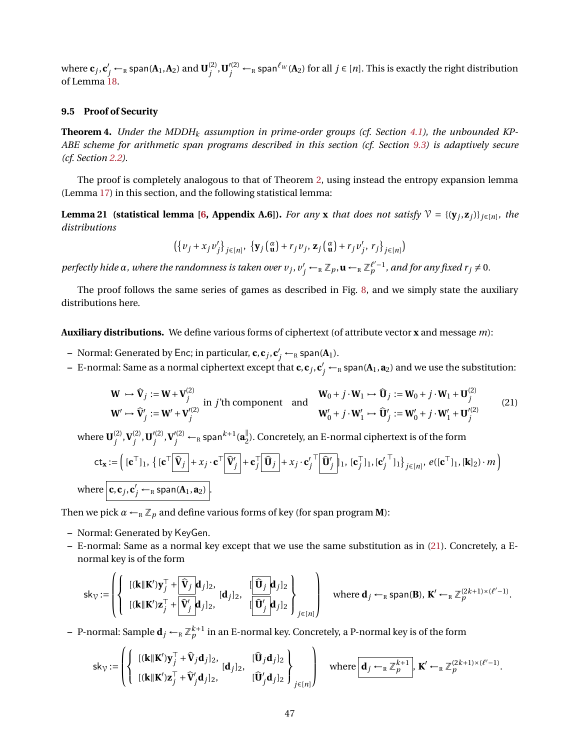where  $\mathbf{c}_j$ ,  $\mathbf{c}'_j \leftarrow_R \textsf{span}(\mathbf{A}_1,\mathbf{A}_2)$  and  $\mathbf{U}_j^{(2)}$  $j^{(2)}$ ,  $\mathbf{U}'^{(2)}_j \leftarrow_R$  span ${}^{\ell_W}(\mathbf{A}_2)$  for all  $j \in [n]$ . This is exactly the right distribution of Lemma [18.](#page-41-1)

### **9.5 Proof of Security**

**Theorem 4.** *Under the MDDH<sub>k</sub> assumption in prime-order groups (cf. Section [4.1\)](#page-16-2), the unbounded KP-ABE scheme for arithmetic span programs described in this section (cf. Section [9.3\)](#page-39-1) is adaptively secure (cf. Section [2.2\)](#page-9-2).*

The proof is completely analogous to that of Theorem [2,](#page-30-1) using instead the entropy expansion lemma (Lemma [17\)](#page-41-0) in this section, and the following statistical lemma:

<span id="page-46-1"></span>**Lemma 21 (statistical lemma [\[6,](#page-47-4) Appendix A.6]).** For any **x** that does not satisfy  $V = \{(\mathbf{y}_j, \mathbf{z}_j)\}_{j \in [n]}$ , the *distributions*

$$
\left({y_j + x_j v'_j}\right)_{j \in [n]}, \ \left{{\bf y}_j\left({\bf a} \atop{\bf u}\right) + r_j v_j, \, {\bf z}_j\left({\bf a} \atop{\bf u}\right) + r_j v'_j, \, r_j\right\}_{j \in [n]}\right)
$$

*perfectly hide*  $\alpha$ *, where the randomness is taken over*  $v_j$ *,*  $v'_j$  *←*  $_R \mathbb{Z}_p$ *,*  $\mathbf{u}$  *←*  $_R \mathbb{Z}_p^{l'-1}$ *<i>, and for any fixed r*  $j \neq 0$ *.* 

The proof follows the same series of games as described in Fig. [8,](#page-31-0) and we simply state the auxiliary distributions here.

**Auxiliary distributions.** We define various forms of ciphertext (of attribute vector **x** and message *m*):

- **–** Normal: Generated by Enc; in particular,  $\mathbf{c}, \mathbf{c}_j, \mathbf{c}'_j \leftarrow_R \text{span}(\mathbf{A}_1).$
- $-$  E-normal: Same as a normal ciphertext except that  $c,c_j,c'_j\leftarrow_R$  span( $A_1,a_2$ ) and we use the substitution:

<span id="page-46-0"></span>
$$
\mathbf{W} \rightarrow \hat{\mathbf{V}}_j := \mathbf{W} + \mathbf{V}_j^{(2)} \text{ in } j' \text{th component and}
$$
\n
$$
\mathbf{W}_0 + j \cdot \mathbf{W}_1 \rightarrow \hat{\mathbf{U}}_j := \mathbf{W}_0 + j \cdot \mathbf{W}_1 + \mathbf{U}_j^{(2)}
$$
\n
$$
\mathbf{W}' \rightarrow \hat{\mathbf{V}}'_j := \mathbf{W}' + \mathbf{V}'_j^{(2)}
$$
\n
$$
\mathbf{W}' \rightarrow \hat{\mathbf{V}}'_j := \mathbf{W}' + \mathbf{V}'_j^{(2)}
$$
\n
$$
\mathbf{W}' \rightarrow \hat{\mathbf{U}}'_j := \mathbf{W}'_0 + j \cdot \mathbf{W}'_1 + \mathbf{U}'_j^{(2)}
$$
\n
$$
(21)
$$

where  $\mathbf{U}^{(2)}_i$ *j* ,**V** (2)  $j^{(2)}$ **, U**<sup> $\prime$ </sup>(2)  $\mathbf{V}_{j}^{(2)}$ , $\mathbf{V}_{j}^{\prime\left(2\right)} \leftarrow_{\textrm{\tiny R}}$  span $^{k+1}(\mathbf{a}_{2}^{\parallel})$  $_{2}^{\mathbb{I}}$ ). Concretely, an E-normal ciphertext is of the form  $\mathbf{ct}_{\mathbf{x}} := \left( [\mathbf{c}^\top]_1, \{ [\mathbf{c}^\top] \mathbf{\widehat{V}}_j \} + x_j \cdot \mathbf{c}^\top \mathbf{\widehat{V}}_j' + \mathbf{c}^\top_j \mathbf{\widehat{U}}_j + x_j \cdot \mathbf{c}' \right)$  $\int_j^\tau \! \left\lceil \widehat{\mathbf{U}}'_j \right\rceil\! \rceil_{1}, \, [\mathbf{c}^\top_j]$  $\bar{j}$ ]<sub>1</sub>, [**c**<sup> $\prime$ </sup>] *j*  $\bigcap_{i=1}^{T} \big]_{j \in [n]}, e([\mathbf{c}^{\top}]_1, [\mathbf{k}]_2) \cdot m \bigg)$ where  $\boxed{\mathbf{c}, \mathbf{c}_j, \mathbf{c}'_j \leftarrow_R \mathsf{span}(\mathbf{A}_1, \mathbf{a}_2)}$ .

Then we pick  $\alpha \leftarrow_R \mathbb{Z}_p$  and define various forms of key (for span program **M**):

- **–** Normal: Generated by KeyGen.
- **–** E-normal: Same as a normal key except that we use the same substitution as in [\(21\)](#page-46-0). Concretely, a Enormal key is of the form

$$
\mathsf{sk}_{\mathcal{V}} := \left( \left\{ \begin{array}{l} [(\mathbf{k} \|\mathbf{K}')\mathbf{y}_{j}^{\top} + \widehat{\mathbf{V}}_{j} \mathbf{d}_{j}]_{2}, \\ [(\mathbf{k} \|\mathbf{K}')\mathbf{z}_{j}^{\top} + \widehat{\mathbf{V}}'_{j} \mathbf{d}_{j}]_{2}, \end{array} \begin{array}{l} [\widehat{\mathbf{U}}_{j}]_{2} \\ [(\widehat{\mathbf{U}}'_{j}]_{2} \end{array} \right\}_{j \in [n]} \right) \quad \text{where } \mathbf{d}_{j} \leftarrow_{R} \text{span}(\mathbf{B}), \ \mathbf{K}' \leftarrow_{R} \mathbb{Z}_{p}^{(2k+1) \times (\ell'-1)}.
$$

 $-$  P-normal: Sample  $\mathbf{d}_j \leftarrow_\text{R} \mathbb{Z}_p^{k+1}$  in an E-normal key. Concretely, a P-normal key is of the form

$$
\mathsf{sk}_{\mathcal{V}} := \left( \left\{ \begin{array}{l} [(\mathbf{k} \|\mathbf{K}')\mathbf{y}_{j}^{\top} + \hat{\mathbf{V}}_{j}\mathbf{d}_{j}]_{2}, & [\hat{\mathbf{U}}_{j}\mathbf{d}_{j}]_{2} \\ [(\mathbf{k} \|\mathbf{K}')\mathbf{z}_{j}^{\top} + \hat{\mathbf{V}}'_{j}\mathbf{d}_{j}]_{2}, & [\hat{\mathbf{U}}'_{j}\mathbf{d}_{j}]_{2} \end{array} \right\} \text{ where } \boxed{\mathbf{d}_{j} \leftarrow_{R} \mathbb{Z}_{p}^{k+1}}, \ \mathbf{K}' \leftarrow_{R} \mathbb{Z}_{p}^{(2k+1) \times (\ell'-1)}.
$$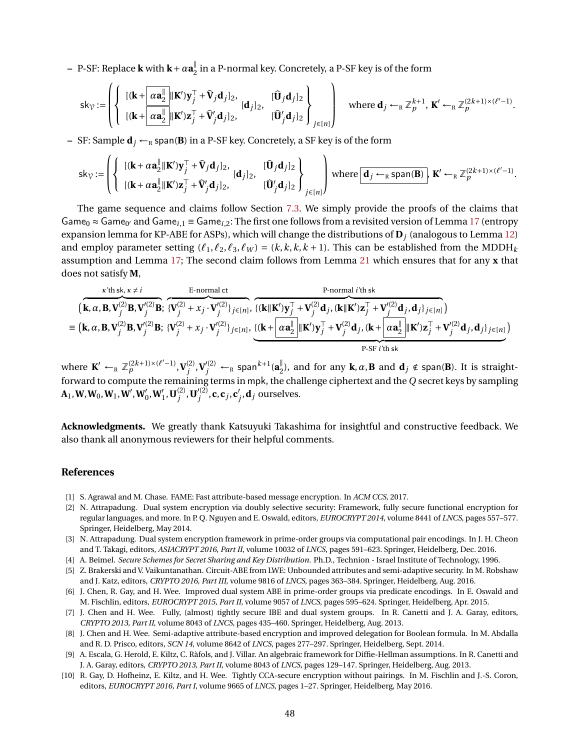**–** P-SF: Replace **k** with **k**+*α***a** ∥  $\frac{1}{2}$  in a P-normal key. Concretely, a P-SF key is of the form

$$
\mathsf{sk}_{\mathcal{V}} := \left( \left\{ \begin{array}{l} \left[ (\mathbf{k} + \frac{\alpha \mathbf{a}_2^{\parallel}}{\alpha \mathbf{a}_2^{\parallel}} \|\mathbf{K}'\mathbf{y}_j^{\top} + \hat{\mathbf{V}}_j \mathbf{d}_j \right]_2, & \left[ \hat{\mathbf{U}}_j \mathbf{d}_j \right]_2 \\ \left[ (\mathbf{k} + \frac{\alpha \mathbf{a}_2^{\parallel}}{\alpha \mathbf{a}_2^{\parallel}} \|\mathbf{K}'\mathbf{z}_j^{\top} + \hat{\mathbf{V}}'_j \mathbf{d}_j \right]_2, & \left[ \hat{\mathbf{U}}'_j \mathbf{d}_j \right]_2 \end{array} \right) \quad \text{where } \mathbf{d}_j \leftarrow_R \mathbb{Z}_p^{k+1}, \ \mathbf{K}' \leftarrow_R \mathbb{Z}_p^{(2k+1) \times (\ell'-1)}.
$$

**–** SF: Sample  $\mathbf{d}_j \leftarrow_R \text{span}(\mathbf{B})$  in a P-SF key. Concretely, a SF key is of the form

$$
\mathsf{sk}_{\mathcal{V}} := \left( \left\{ \begin{array}{l} \left[ (\mathbf{k} + \alpha \mathbf{a}_2^{\parallel} \mathbf{K}') \mathbf{y}_j^{\top} + \hat{\mathbf{V}}_j \mathbf{d}_j \right]_2, & \left[ \hat{\mathbf{U}}_j \mathbf{d}_j \right]_2 \right\} \\ \left[ (\mathbf{k} + \alpha \mathbf{a}_2^{\parallel} \mathbf{K}') \mathbf{z}_j^{\top} + \hat{\mathbf{V}}'_j \mathbf{d}_j \right]_2, & \left[ \hat{\mathbf{U}}'_j \mathbf{d}_j \right]_2 \end{array} \right) \text{ where } \boxed{\mathbf{d}_j \leftarrow_R \text{span}(\mathbf{B})}, \ \mathbf{K}' \leftarrow_R \mathbb{Z}_p^{(2k+1) \times (\ell'-1)}.
$$

The game sequence and claims follow Section [7.3.](#page-30-2) We simply provide the proofs of the claims that Game<sub>0</sub>  $\approx$  Game<sub>0'</sub> and Game<sub>i,1</sub> = Game<sub>i,2</sub>: The first one follows from a revisited version of Lemma [17](#page-41-0) (entropy expansion lemma for KP-ABE for ASPs), which will change the distributions of **D***<sup>j</sup>* (analogous to Lemma [12\)](#page-30-0) and employ parameter setting  $(\ell_1, \ell_2, \ell_3, \ell_1) = (k, k, k, k + 1)$ . This can be established from the MDDH<sub>k</sub> assumption and Lemma [17;](#page-41-0) The second claim follows from Lemma [21](#page-46-1) which ensures that for any **x** that does not satisfy **M**,

$$
\begin{aligned}\n &\text{(k, }\boldsymbol{\alpha},\mathbf{B},\mathbf{V}_{j}^{(2)}\mathbf{B},\mathbf{V}_{j}^{(2)}\mathbf{B}; \ \overbrace{\{V_{j}^{(2)}+\boldsymbol{x}_{j}\cdot V_{j}^{(2)}\}_{j\in[n]}^{(2)}}^{E\text{-normal ct},}\n &\text{if } \overbrace{\{\mathbf{k}\|\mathbf{K}'\mathbf{y}_{j}^{\top}+\mathbf{V}_{j}^{(2)}\mathbf{d}_{j},\mathbf{k}\|\mathbf{K}'\mathbf{z}_{j}^{\top}+\mathbf{V}_{j}^{(2)}\mathbf{d}_{j},\mathbf{d}_{j}\}_{j\in[n]}^{E\text{-normal it, }E}}^{P\text{-normal it, }E}\n &\text{if } \overbrace{\mathbf{k}\|\mathbf{K}'\mathbf{y}_{j}^{\top}+\mathbf{V}_{j}^{(2)}\mathbf{d}_{j},\mathbf{k}\|\mathbf{K}'\mathbf{z}_{j}^{\top}+\mathbf{V}'_{j}^{(2)}\mathbf{d}_{j},\mathbf{d}_{j}\}_{j\in[n]}^{E}\n \end{aligned}
$$
\n
$$
\equiv \begin{pmatrix}\n\mathbf{k},\boldsymbol{\alpha},\mathbf{B},\mathbf{V}_{j}^{(2)}\mathbf{B},\mathbf{V}_{j}^{(2)}\mathbf{B}; \ \{\mathbf{V}_{j}^{(2)}+\boldsymbol{x}_{j}\cdot\mathbf{V}_{j}^{(2)}\}_{j\in[n]}, \ \{\mathbf{k}+\boxed{\boldsymbol{\alpha}\mathbf{a}_{2}^{\top}}\|\mathbf{K}'\mathbf{y}_{j}^{\top}+\mathbf{V}'_{j}^{(2)}\mathbf{d}_{j},\mathbf{k}+\boxed{\boldsymbol{\alpha}\mathbf{a}_{2}^{\top}}\|\mathbf{K}'\mathbf{z}_{j}^{\top}+\mathbf{V}'_{j}^{(2)}\mathbf{d}_{j},\mathbf{d}_{j}\}_{j\in[n]}\n \end{pmatrix}
$$

where  $\mathbf{K}' \leftarrow_R \mathbb{Z}_p^{(2k+1)\times(\ell'-1)}, \mathbf{V}_j^{(2)}$  $\mathbf{V}'^{(2)}_j \leftarrow_R \textsf{span}^{k+1}(\mathbf{a}^{\parallel}_2)$  $\mathbf{L}_{2}^{\parallel}$ ), and for any  $\mathbf{k}, \alpha, \mathbf{B}$  and  $\mathbf{d}_{j} \notin \mathsf{span}(\mathbf{B})$ . It is straightforward to compute the remaining terms in mpk, the challenge ciphertext and the *Q* secret keys by sampling  $\mathbf{A}_1, \mathbf{W}, \mathbf{W}_0, \mathbf{W}_1, \mathbf{W}', \mathbf{W}'_0, \mathbf{W}'_1, \mathbf{U}^{(2)}_j$  $\mathbf{U}'^{(2)}_j$ ,  $\mathbf{U}'^{(2)}_j$  $\mathbf{c}^{\prime\left(2\right)}$ , **c**, **c**<sub>*j*</sub>, **c** $'$  $'_{j}$ , **d**<sub>*j*</sub> ourselves.

**Acknowledgments.** We greatly thank Katsuyuki Takashima for insightful and constructive feedback. We also thank all anonymous reviewers for their helpful comments.

#### **References**

- <span id="page-47-3"></span>[1] S. Agrawal and M. Chase. FAME: Fast attribute-based message encryption. In *ACM CCS*, 2017.
- <span id="page-47-0"></span>[2] N. Attrapadung. Dual system encryption via doubly selective security: Framework, fully secure functional encryption for regular languages, and more. In P. Q. Nguyen and E. Oswald, editors, *EUROCRYPT 2014*, volume 8441 of *LNCS*, pages 557–577. Springer, Heidelberg, May 2014.
- <span id="page-47-1"></span>[3] N. Attrapadung. Dual system encryption framework in prime-order groups via computational pair encodings. In J. H. Cheon and T. Takagi, editors, *ASIACRYPT 2016, Part II*, volume 10032 of *LNCS*, pages 591–623. Springer, Heidelberg, Dec. 2016.
- <span id="page-47-8"></span>[4] A. Beimel. *Secure Schemes for Secret Sharing and Key Distribution*. Ph.D., Technion - Israel Institute of Technology, 1996.
- <span id="page-47-2"></span>[5] Z. Brakerski and V. Vaikuntanathan. Circuit-ABE from LWE: Unbounded attributes and semi-adaptive security. In M. Robshaw and J. Katz, editors, *CRYPTO 2016, Part III*, volume 9816 of *LNCS*, pages 363–384. Springer, Heidelberg, Aug. 2016.
- <span id="page-47-4"></span>[6] J. Chen, R. Gay, and H. Wee. Improved dual system ABE in prime-order groups via predicate encodings. In E. Oswald and M. Fischlin, editors, *EUROCRYPT 2015, Part II*, volume 9057 of *LNCS*, pages 595–624. Springer, Heidelberg, Apr. 2015.
- <span id="page-47-5"></span>[7] J. Chen and H. Wee. Fully, (almost) tightly secure IBE and dual system groups. In R. Canetti and J. A. Garay, editors, *CRYPTO 2013, Part II*, volume 8043 of *LNCS*, pages 435–460. Springer, Heidelberg, Aug. 2013.
- <span id="page-47-6"></span>[8] J. Chen and H. Wee. Semi-adaptive attribute-based encryption and improved delegation for Boolean formula. In M. Abdalla and R. D. Prisco, editors, *SCN 14*, volume 8642 of *LNCS*, pages 277–297. Springer, Heidelberg, Sept. 2014.
- <span id="page-47-7"></span>[9] A. Escala, G. Herold, E. Kiltz, C. Ràfols, and J. Villar. An algebraic framework for Diffie-Hellman assumptions. In R. Canetti and J. A. Garay, editors, *CRYPTO 2013, Part II*, volume 8043 of *LNCS*, pages 129–147. Springer, Heidelberg, Aug. 2013.
- <span id="page-47-9"></span>[10] R. Gay, D. Hofheinz, E. Kiltz, and H. Wee. Tightly CCA-secure encryption without pairings. In M. Fischlin and J.-S. Coron, editors, *EUROCRYPT 2016, Part I*, volume 9665 of *LNCS*, pages 1–27. Springer, Heidelberg, May 2016.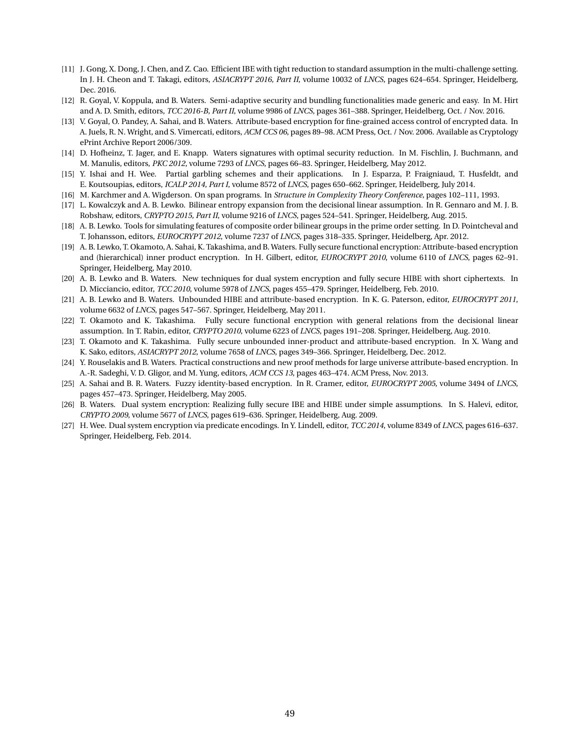- <span id="page-48-12"></span>[11] J. Gong, X. Dong, J. Chen, and Z. Cao. Efficient IBE with tight reduction to standard assumption in the multi-challenge setting. In J. H. Cheon and T. Takagi, editors, *ASIACRYPT 2016, Part II*, volume 10032 of *LNCS*, pages 624–654. Springer, Heidelberg, Dec. 2016.
- <span id="page-48-7"></span>[12] R. Goyal, V. Koppula, and B. Waters. Semi-adaptive security and bundling functionalities made generic and easy. In M. Hirt and A. D. Smith, editors, *TCC 2016-B, Part II*, volume 9986 of *LNCS*, pages 361–388. Springer, Heidelberg, Oct. / Nov. 2016.
- <span id="page-48-1"></span>[13] V. Goyal, O. Pandey, A. Sahai, and B. Waters. Attribute-based encryption for fine-grained access control of encrypted data. In A. Juels, R. N. Wright, and S. Vimercati, editors, *ACM CCS 06*, pages 89–98. ACM Press, Oct. / Nov. 2006. Available as Cryptology ePrint Archive Report 2006/309.
- <span id="page-48-15"></span>[14] D. Hofheinz, T. Jager, and E. Knapp. Waters signatures with optimal security reduction. In M. Fischlin, J. Buchmann, and M. Manulis, editors, *PKC 2012*, volume 7293 of *LNCS*, pages 66–83. Springer, Heidelberg, May 2012.
- <span id="page-48-11"></span>[15] Y. Ishai and H. Wee. Partial garbling schemes and their applications. In J. Esparza, P. Fraigniaud, T. Husfeldt, and E. Koutsoupias, editors, *ICALP 2014, Part I*, volume 8572 of *LNCS*, pages 650–662. Springer, Heidelberg, July 2014.
- <span id="page-48-16"></span>[16] M. Karchmer and A. Wigderson. On span programs. In *Structure in Complexity Theory Conference*, pages 102–111, 1993.
- <span id="page-48-6"></span>[17] L. Kowalczyk and A. B. Lewko. Bilinear entropy expansion from the decisional linear assumption. In R. Gennaro and M. J. B. Robshaw, editors, *CRYPTO 2015, Part II*, volume 9216 of *LNCS*, pages 524–541. Springer, Heidelberg, Aug. 2015.
- <span id="page-48-3"></span>[18] A. B. Lewko. Tools for simulating features of composite order bilinear groups in the prime order setting. In D. Pointcheval and T. Johansson, editors, *EUROCRYPT 2012*, volume 7237 of *LNCS*, pages 318–335. Springer, Heidelberg, Apr. 2012.
- <span id="page-48-8"></span>[19] A. B. Lewko, T. Okamoto, A. Sahai, K. Takashima, and B. Waters. Fully secure functional encryption: Attribute-based encryption and (hierarchical) inner product encryption. In H. Gilbert, editor, *EUROCRYPT 2010*, volume 6110 of *LNCS*, pages 62–91. Springer, Heidelberg, May 2010.
- <span id="page-48-14"></span>[20] A. B. Lewko and B. Waters. New techniques for dual system encryption and fully secure HIBE with short ciphertexts. In D. Micciancio, editor, *TCC 2010*, volume 5978 of *LNCS*, pages 455–479. Springer, Heidelberg, Feb. 2010.
- <span id="page-48-2"></span>[21] A. B. Lewko and B. Waters. Unbounded HIBE and attribute-based encryption. In K. G. Paterson, editor, *EUROCRYPT 2011*, volume 6632 of *LNCS*, pages 547–567. Springer, Heidelberg, May 2011.
- <span id="page-48-9"></span>[22] T. Okamoto and K. Takashima. Fully secure functional encryption with general relations from the decisional linear assumption. In T. Rabin, editor, *CRYPTO 2010*, volume 6223 of *LNCS*, pages 191–208. Springer, Heidelberg, Aug. 2010.
- <span id="page-48-4"></span>[23] T. Okamoto and K. Takashima. Fully secure unbounded inner-product and attribute-based encryption. In X. Wang and K. Sako, editors, *ASIACRYPT 2012*, volume 7658 of *LNCS*, pages 349–366. Springer, Heidelberg, Dec. 2012.
- <span id="page-48-5"></span>[24] Y. Rouselakis and B. Waters. Practical constructions and new proof methods for large universe attribute-based encryption. In A.-R. Sadeghi, V. D. Gligor, and M. Yung, editors, *ACM CCS 13*, pages 463–474. ACM Press, Nov. 2013.
- <span id="page-48-0"></span>[25] A. Sahai and B. R. Waters. Fuzzy identity-based encryption. In R. Cramer, editor, *EUROCRYPT 2005*, volume 3494 of *LNCS*, pages 457–473. Springer, Heidelberg, May 2005.
- <span id="page-48-13"></span>[26] B. Waters. Dual system encryption: Realizing fully secure IBE and HIBE under simple assumptions. In S. Halevi, editor, *CRYPTO 2009*, volume 5677 of *LNCS*, pages 619–636. Springer, Heidelberg, Aug. 2009.
- <span id="page-48-10"></span>[27] H. Wee. Dual system encryption via predicate encodings. In Y. Lindell, editor, *TCC 2014*, volume 8349 of *LNCS*, pages 616–637. Springer, Heidelberg, Feb. 2014.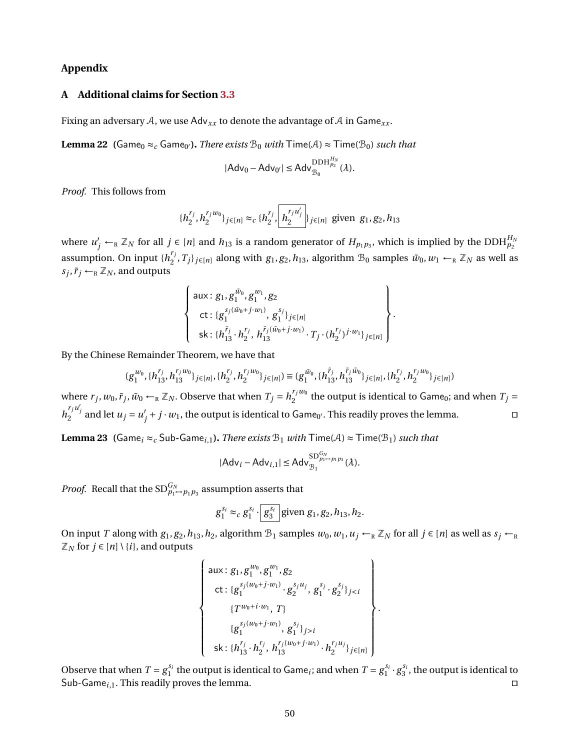## **Appendix**

## **A Additional claims for Section [3.3](#page-12-0)**

<span id="page-49-0"></span>Fixing an adversary A, we use  $Adv_{xx}$  to denote the advantage of A in Game<sub>xx</sub>.

**Lemma 22** (Game<sub>0</sub>  $\approx_c$  Game<sub>0'</sub>). *There exists*  $\mathcal{B}_0$  *with*  $\mathsf{Time}(\mathcal{A}) \approx \mathsf{Time}(\mathcal{B}_0)$  *such that* 

$$
|Adv_0 - Adv_{0'}| \leq Adv_{\mathcal{B}_0}^{\mathrm{DDH}_{p_2}^{H_N}}(\lambda).
$$

*Proof.* This follows from

$$
\{h_2^{r_j}, h_2^{r_jw_0}\}_{j\in[n]}\approx_c \{h_2^{r_j}, \left[h_2^{\frac{r_ju'_j}{2}}\right]_{j\in[n]}\text{ given } g_1, g_2, h_{13}
$$

where  $u'_j \leftarrow_R \mathbb{Z}_N$  for all  $j \in [n]$  and  $h_{13}$  is a random generator of  $H_{p_1p_3}$ , which is implied by the DDH $_{p_2}^{H_N}$ assumption. On input  $\{h_j^{r_j}\}$  $Z_2^{r_j}, T_j\}_{j\in[n]}$  along with  $g_1, g_2, h_{13}$ , algorithm  $B_0$  samples  $\tilde{w}_0, w_1 \leftarrow_R \mathbb{Z}_N$  as well as  $s_j$ ,  $\tilde{r}_j \leftarrow_R \mathbb{Z}_N$ , and outputs

$$
\left\{\n\begin{array}{l}\n\text{aux: } g_1, g_1^{\tilde{w}_0}, g_1^{w_1}, g_2 \\
\text{ct: } \{g_1^{s_j(\tilde{w}_0 + j \cdot w_1)}, g_1^{s_j}\}_{j \in [n]} \\
\text{sk: } \{h_{13}^{\tilde{r}_j} \cdot h_2^{r_j}, h_{13}^{\tilde{r}_j(\tilde{w}_0 + j \cdot w_1)} \cdot T_j \cdot (h_2^{r_j})^{j \cdot w_1}\}_{j \in [n]}\n\end{array}\n\right\}
$$

.

By the Chinese Remainder Theorem, we have that

$$
(g_1^{w_0},\{h_{13}^{r_j},h_{13}^{r_jw_0}\}_{j\in[n]},\{h_2^{r_j},h_2^{r_jw_0}\}_{j\in[n]}) \equiv (g_1^{\tilde{w}_0},\{h_{13}^{\tilde{r}_j},h_{13}^{\tilde{r}_j\tilde{w}_0}\}_{j\in[n]},\{h_2^{r_j},h_2^{r_jw_0}\}_{j\in[n]})
$$

where  $r_j$ ,  $w_0$ ,  $\tilde{r}_j$ ,  $\tilde{w}_0 \leftarrow_R \mathbb{Z}_N$ . Observe that when  $T_j = h_2^{r_j w_0}$  $T_j w_0$  the output is identical to Game<sub>0</sub>; and when  $T_j =$  $h_2^{r_j u'_j}$  and let  $u_j = u'_j$  $y'_j + j \cdot w_1$ , the output is identical to Game<sub>0'</sub>. This readily proves the lemma.

<span id="page-49-1"></span>**Lemma 23 (**Game<sub>i</sub>  $\approx$ <sub>*c*</sub> Sub-Game<sub>i,1</sub>**).** *There exists*  $\mathcal{B}_1$  *with*  $\text{Time}(A) \approx \text{Time}(\mathcal{B}_1)$  *such that* 

$$
|\mathsf{Adv}_{i} - \mathsf{Adv}_{i,1}| \leq \mathsf{Adv}_{\mathcal{B}_1}^{\mathsf{SD}_{p_1\rightarrow p_1p_3}}(\lambda).
$$

*Proof.* Recall that the  $SD^{G_N}_{p_1 \rightarrow p_1 p_3}$  assumption asserts that

$$
g_1^{s_i} \approx_c g_1^{s_i} \cdot \boxed{g_3^{s_i}}
$$
 given  $g_1, g_2, h_{13}, h_2$ .

On input *T* along with  $g_1, g_2, h_{13}, h_2$ , algorithm  $B_1$  samples  $w_0, w_1, u_j \leftarrow_R \mathbb{Z}_N$  for all  $j \in [n]$  as well as  $s_j \leftarrow_R$  $\mathbb{Z}_N$  for  $j \in [n] \setminus \{i\}$ , and outputs

$$
\begin{Bmatrix}\n\text{aux}: g_1, g_1^{w_0}, g_1^{w_1}, g_2 \\
\text{ct}: \{g_1^{s_j(w_0+j\cdot w_1)} \cdot g_2^{s_ju_j}, g_1^{s_j} \cdot g_2^{s_j}\}_{ji} \\
\text{sk}: \{h_{13}^{r_j} \cdot h_{2}^{r_j}, h_{13}^{r_j(w_0+j\cdot w_1)} \cdot h_{2}^{r_ju_j}\}_{j\in[n]}\n\end{Bmatrix}.
$$

<span id="page-49-2"></span>Observe that when  $T = g_1^{s_i}$  the output is identical to Game<sub>*i*</sub>; and when  $T = g_1^{s_i} \cdot g_3^{s_i}$ , the output is identical to Sub-Game<sub>i</sub>, 1. This readily proves the lemma. utilize the state of the state of the state of the state of the state of the state of the state of the state of the state of the state of the state of the state of the state o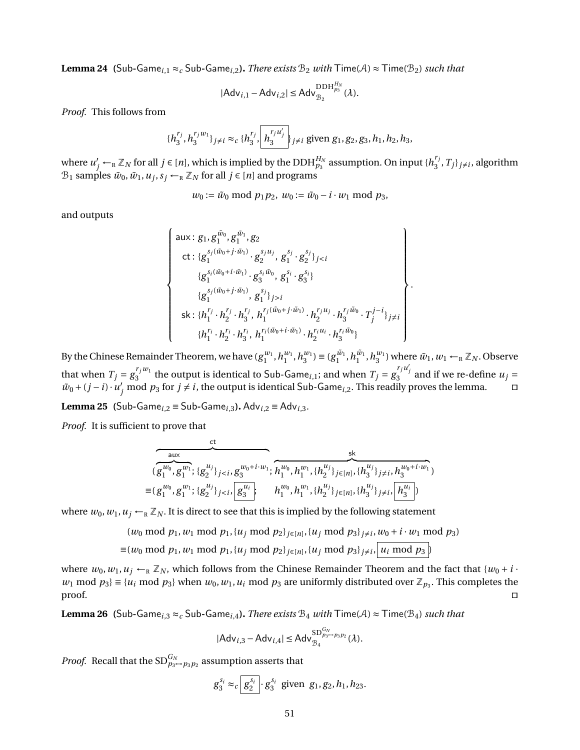**Lemma 24 (**Sub-Game<sub>*i*</sub>, 1 ≈ *c* Sub-Game<sub>*i*</sub>,2*)*. *There exists*  $B_2$  *with*  $\text{Time}(A) \approx \text{Time}(B_2)$  *such that* 

$$
|\mathsf{Adv}_{i,1} - \mathsf{Adv}_{i,2}| \leq \mathsf{Adv}_{\mathcal{B}_2}^{\mathrm{DDH}_{p_3}^{H_N}}(\lambda).
$$

*Proof.* This follows from

$$
\{h_3^{r_j}, h_3^{r_j w_1}\}_{j\neq i} \approx_c \{h_3^{r_j}, \left[h_3^{r_j u'_j}\right]_{j\neq i} \text{ given } g_1, g_2, g_3, h_1, h_2, h_3,
$$

where  $u'_j \leftarrow_R \mathbb{Z}_N$  for all  $j \in [n]$ , which is implied by the DDH $_{p_3}^{H_N}$  assumption. On input  $\{h_3^{r_j}\}$  $T_j^{\prime}, T_j\}_{j \neq i}$ , algorithm  $\mathcal{B}_1$  samples  $\tilde{w}_0$ ,  $\tilde{w}_1$ ,  $u_j$ ,  $s_j \leftarrow_R \mathbb{Z}_N$  for all  $j \in [n]$  and programs

$$
w_0 := \tilde{w}_0 \bmod p_1 p_2, w_0 := \tilde{w}_0 - i \cdot w_1 \bmod p_3,
$$

and outputs

$$
\begin{cases}\n\text{aux}: g_1, g_1^{\tilde{w}_0}, g_1^{\tilde{w}_1}, g_2 \\
\text{ct}: \{g_1^{s_j(\tilde{w}_0+j\cdot\tilde{w}_1)} \cdot g_2^{s_ju_j}, g_1^{s_j} \cdot g_2^{s_j}\}_{ji} \\
\text{sk}: \{h_1^{r_j} \cdot h_2^{r_j} \cdot h_3^{r_j}, h_1^{r_j(\tilde{w}_0+j\cdot\tilde{w}_1)} \cdot h_2^{r_ju_j} \cdot h_3^{r_j\tilde{w}_0} \cdot T_j^{j-i}\}_{j\neq i} \\
\{h_1^{r_i} \cdot h_2^{r_i} \cdot h_3^{r_i}, h_1^{r_i(\tilde{w}_0+i\cdot\tilde{w}_1)} \cdot h_2^{r_iu_i} \cdot h_3^{r_i\tilde{w}_0}\}\n\end{cases}
$$

.

By the Chinese Remainder Theorem, we have  $(g_1^{w_1}, h_1^{w_1}, h_3^{w_1}) \equiv (g_1^{\tilde{w}_1}, h_1^{\tilde{w}_1}, h_3^{w_1})$  where  $\tilde{w}_1, w_1 \leftarrow_R \mathbb{Z}_N$ . Observe that when  $T_j = g_3^{r_j w_1}$  $\frac{r_j w_1}{3}$  the output is identical to Sub-Game<sub>*i*,1</sub>; and when  $T_j = g_3^{r_j u'_j}$  and if we re-define  $u_j =$  $\tilde{w}_0$  + (*j* − *i*)· $u'_j$  mod  $p_3$  for *j*  $\neq i$ , the output is identical Sub-Game<sub>*i*,2</sub>. This readily proves the lemma. u

<span id="page-50-0"></span>**Lemma 25 (**Sub**-**Game*<sup>i</sup>*,2 ≡ Sub**-**Game*<sup>i</sup>*,3**).** Adv*<sup>i</sup>*,2 ≡ Adv*<sup>i</sup>*,3*.*

*Proof.* It is sufficient to prove that

$$
(g_1^{uv}, g_1^{uv_1}; \{g_2^{u_j}\}_{j  

$$
\equiv (g_1^{w_0}, g_1^{w_1}; \{g_2^{u_j}\}_{j
$$
$$

where  $w_0$ ,  $w_1$ ,  $u_j \leftarrow_R \mathbb{Z}_N$ . It is direct to see that this is implied by the following statement

$$
(w_0 \bmod p_1, w_1 \bmod p_1, \{u_j \bmod p_2\}_{j \in [n]}, \{u_j \bmod p_3\}_{j \neq i}, w_0 + i \cdot w_1 \bmod p_3)
$$
  

$$
\equiv (w_0 \bmod p_1, w_1 \bmod p_1, \{u_j \bmod p_2\}_{j \in [n]}, \{u_j \bmod p_3\}_{j \neq i}, \{u_i \bmod p_3\})
$$

where  $w_0, w_1, u_j \leftarrow_R \mathbb{Z}_N$ , which follows from the Chinese Remainder Theorem and the fact that  $\{w_0 + i \cdot$ *w*<sub>1</sub> mod  $p_3$ } ≡ {*u<sub>i</sub>* mod  $p_3$ } when *w*<sub>0</sub>, *w*<sub>1</sub>, *u<sub>i</sub>* mod  $p_3$  are uniformly distributed over  $\mathbb{Z}_{p_3}$ . This completes the  $\Box$ 

<span id="page-50-1"></span>**Lemma 26 (**Sub-Game<sub>*i*,3</sub>  $\approx$ <sub>*c*</sub> Sub-Game<sub>*i*,4</sub>**).** *There exists*  $B_4$  *with*  $\text{Time}(A) \approx \text{Time}(B_4)$  *such that* 

$$
|Adv_{i,3} - Adv_{i,4}| \leq Adv_{\mathcal{B}_{4}}^{SD_{p_{3}\rightarrow p_{3}p_{2}}^{G_{N}}}(\lambda).
$$

*Proof.* Recall that the  $\text{SD}_{p_3 \mapsto p_3 p_2}^{G_N}$  assumption asserts that

$$
g_3^{s_i} \approx_c \boxed{g_2^{s_i}} \cdot g_3^{s_i}
$$
 given  $g_1, g_2, h_1, h_{23}$ .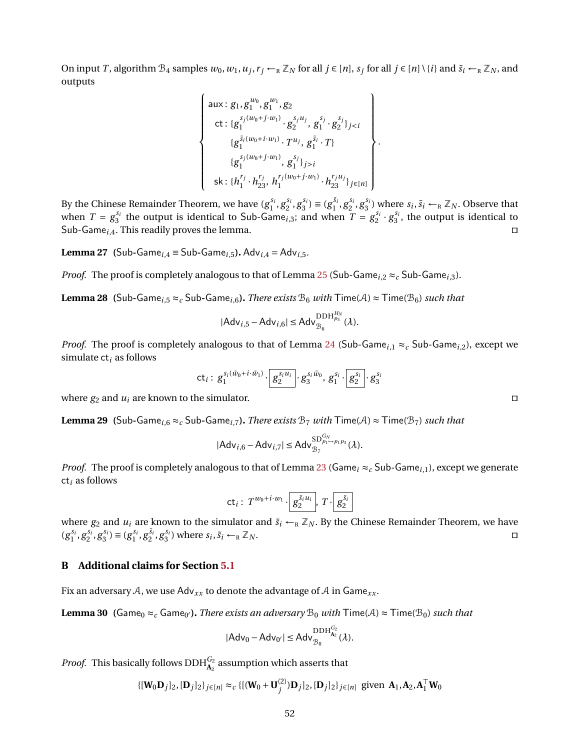On input T, algorithm  $\mathcal{B}_4$  samples  $w_0, w_1, u_j, r_j \leftarrow_R \mathbb{Z}_N$  for all  $j \in [n]$ ,  $s_j$  for all  $j \in [n] \setminus \{i\}$  and  $\tilde{s}_i \leftarrow_R \mathbb{Z}_N$ , and outputs

$$
\begin{Bmatrix}\n\text{aux}: g_1, g_1^{w_0}, g_1^{w_1}, g_2 \\
\text{ct}: \{g_1^{s_j(w_0+j\cdot w_1)} \cdot g_2^{s_ju_j}, g_1^{s_j} \cdot g_2^{s_j}\}_{j < i} \\
\{g_1^{\tilde{s}_i(w_0+i\cdot w_1)} \cdot T^{u_j}, g_1^{\tilde{s}_i} \cdot T\} \\
\{g_1^{s_j(w_0+j\cdot w_1)}, g_1^{s_j}\}_{j > i} \\
\text{sk}: \{h_1^{r_j} \cdot h_{23}^{r_j}, h_1^{r_j(w_0+j\cdot w_1)} \cdot h_{23}^{r_ju_j}\}_{j \in [n]}\n\end{Bmatrix}
$$

.

By the Chinese Remainder Theorem, we have  $(g_1^{s_i}, g_2^{s_i}, g_3^{s_i}) \equiv (g_1^{\tilde{s}_i}, g_2^{s_i}, g_3^{s_i})$  where  $s_i, \tilde{s}_i \leftarrow_R \mathbb{Z}_N$ . Observe that when  $T = g_3^{s_i}$  the output is identical to Sub-Game<sub>i,3</sub>; and when  $T = g_2^{s_i} \cdot g_3^{s_i}$ , the output is identical to Sub-Game<sub>i,4</sub>. This readily proves the lemma.  $\square$ 

<span id="page-51-0"></span>**Lemma 27 (Sub-Game**<sub>*i*</sub>, $4 \equiv$  Sub-Game<sub>*i*</sub>,5</sub>*.* Adv<sub>*i*</sub>,4 = Adv<sub>*i*</sub>,5*.* 

*Proof.* The proof is completely analogous to that of Lemma [25](#page-50-0) (Sub-Game<sub>i,2</sub>  $\approx_c$  Sub-Game<sub>i,3</sub>).

<span id="page-51-1"></span>**Lemma 28 (**Sub-Game<sub>*i*</sub>, $5 \approx c$  Sub-Game<sub>*i*</sub>, $6$ ). *There exists*  $B_6$  *with*  $\text{Time}(A) \approx \text{Time}(B_6)$  *such that* 

$$
|\mathsf{Adv}_{i,5} - \mathsf{Adv}_{i,6}| \leq \mathsf{Adv}_{\mathcal{B}_6}^{\mathrm{DDH}_{p_3}^{H_N}}(\lambda).
$$

*Proof.* The proof is completely analogous to that of Lemma [24](#page-49-2) (Sub-Game<sub>i,1</sub>  $\approx_c$  Sub-Game<sub>i,2</sub>), except we simulate ct*<sup>i</sup>* as follows

$$
\mathsf{ct}_i: \, {g}_{1}^{s_i(\tilde w_0+i\cdot \tilde w_1)}\!\cdot\! \boxed{g_{2}^{s_iu_i}}\!\cdot\!{g}_{3}^{s_i\tilde w_0}, \, {g}_{1}^{s_i}\!\cdot\! \boxed{g_{2}^{s_i}}\!\cdot\!{g}_{3}^{s_i}
$$

where  $g_2$  and  $u_i$  are known to the simulator.

<span id="page-51-2"></span>**Lemma 29 (Sub-Game**<sub>*i*</sub>, $6 \approx c$  Sub-Game<sub>*i*</sub>, $7$ ). *There exists*  $B_7$  *with*  $\text{Time}(A) \approx \text{Time}(B_7)$  *such that* 

$$
|Adv_{i,6} - Adv_{i,7}| \le Adv_{\mathcal{B}_7}^{SD_{p_1 \to p_1 p_3}^{G_N}}(\lambda).
$$

*Proof.* The proof is completely analogous to that of Lemma [23](#page-49-1) (Game<sub>i</sub>  $\approx_c$  Sub-Game<sub>i,1</sub>), except we generate ct*<sup>i</sup>* as follows

$$
\mathsf{ct}_i: T^{w_0+i\cdot w_1}\cdot \boxed{g_2^{\tilde{s}_i u_i}}, T\cdot \boxed{g_2^{\tilde{s}_i}}
$$

where  $g_2$  and  $u_i$  are known to the simulator and  $\tilde{s}_i \leftarrow_R \mathbb{Z}_N$ . By the Chinese Remainder Theorem, we have  $(g_1^{s_i}, g_2^{s_i}, g_3^{s_i}) \equiv (g_1^{s_i}, g_2^{s_i}, g_3^{s_i})$  where  $s_i, \tilde{s}_i \leftarrow_R \mathbb{Z}_N$ .

#### **B Additional claims for Section [5.1](#page-21-0)**

<span id="page-51-3"></span>Fix an adversary A, we use Adv*xx* to denote the advantage of A in Game*xx* .

**Lemma 30** (Game<sub>0</sub>  $\approx_c$  Game<sub>0'</sub>). *There exists an adversary*  $\mathcal{B}_0$  *with*  $\mathsf{Time}(\mathcal{A}) \approx \mathsf{Time}(\mathcal{B}_0)$  *such that* 

$$
|Adv_0 - Adv_{0'}| \leq Adv_{\mathcal{B}_0}^{\mathrm{DDH}_{A_2}^{G_2}}(\lambda).
$$

*Proof.* This basically follows  $\text{DDH}_{\mathbf{A}_2}^{G_2}$  assumption which asserts that

$$
\{[\mathbf{W}_0 \mathbf{D}_j]_2, [\mathbf{D}_j]_2\}_{j \in [n]} \approx_c \{[(\mathbf{W}_0 + \mathbf{U}_j^{(2)}) \mathbf{D}_j]_2, [\mathbf{D}_j]_2\}_{j \in [n]} \text{ given } \mathbf{A}_1, \mathbf{A}_2, \mathbf{A}_1^\top \mathbf{W}_0
$$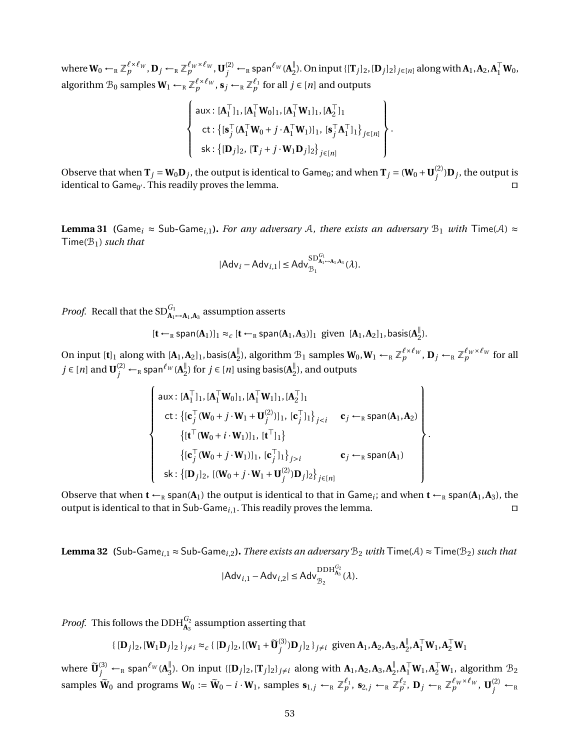$\mathbf{w}_0 \leftarrow_R \mathbb{Z}_p^{\ell \times \ell_W}, \mathbf{D}_j \leftarrow_R \mathbb{Z}_p^{\ell_W \times \ell_W}, \mathbf{U}_j^{(2)} \leftarrow_R \mathsf{span}^{\ell_W}(\mathbf{A}_2^{\parallel})$  $_{2}^{\parallel}$ ). On input {[**T**<sub>*j*</sub>]<sub>2</sub>, [**D**<sub>*j*</sub>]<sub>2</sub>}<sub>*j*∈[*n*] along with **A**<sub>1</sub>, **A**<sub>2</sub>, **A**<sub>1</sub><sup>T</sup> **W**<sub>0</sub>,</sub> algorithm  $\mathcal{B}_0$  samples  $\mathbf{W}_1 \leftarrow_R \mathbb{Z}_p^{\ell \times \ell_W}, \mathbf{s}_j \leftarrow_R \mathbb{Z}_p^{\ell_1}$  for all  $j \in [n]$  and outputs

$$
\left\{\n\begin{array}{l}\n\text{aux}: [\mathbf{A}_1^\top]_1, [\mathbf{A}_1^\top \mathbf{W}_0]_1, [\mathbf{A}_1^\top \mathbf{W}_1]_1, [\mathbf{A}_2^\top]_1 \\
\text{ct}: \left\{ [\mathbf{s}_j^\top (\mathbf{A}_1^\top \mathbf{W}_0 + j \cdot \mathbf{A}_1^\top \mathbf{W}_1)]_1, [\mathbf{s}_j^\top \mathbf{A}_1^\top]_1 \right\}_{j \in [n]} \\
\text{sk}: \left\{ [\mathbf{D}_j]_2, [\mathbf{T}_j + j \cdot \mathbf{W}_1 \mathbf{D}_j]_2 \right\}_{j \in [n]}\n\end{array}\n\right\}.
$$

Observe that when  $T_j = W_0 D_j$ , the output is identical to Game<sub>0</sub>; and when  $T_j = (W_0 + U_j^{(2)})$  $j^{(2)}$ ) $\mathbf{D}_j$ , the output is identical to Game<sub>0'</sub>. This readily proves the lemma.  $\square$ 

<span id="page-52-0"></span>**Lemma 31 (**Game<sub>*i*</sub>  $\approx$  Sub-Game<sub>*i*,1</sub>). *For any adversary* A, *there exists an adversary*  $B_1$  *with* Time(A)  $\approx$ Time(B1) *such that*

$$
|Adv_i - Adv_{i,1}| \leq Adv_{\mathcal{B}_1}^{SD_{A_1\mapsto A_1,A_3}^{G_1}}(\lambda).
$$

*Proof.* Recall that the  $SD_{\mathbf{A}_1 \rightarrow \mathbf{A}_1, \mathbf{A}_3}^{G_1}$  assumption asserts

$$
[\textbf{t} \leftarrow_R \text{span}(\textbf{A}_1)]_1 \approx_c [\textbf{t} \leftarrow_R \text{span}(\textbf{A}_1,\textbf{A}_3)]_1 \text{ given } [\textbf{A}_1,\textbf{A}_2]_1,\text{basis}(\textbf{A}_2^{\parallel}).
$$

On input  $[\mathbf{t}]_1$  along with  $[\mathbf{A}_1, \mathbf{A}_2]_1$ , basis( $\mathbf{A}_2^{\parallel}$  $_{2}^{\mathbb{I}}$ ), algorithm  $\mathcal{B}_{1}$  samples  $\mathbf{W}_{0}$ ,  $\mathbf{W}_{1} \leftarrow_{R} \mathbb{Z}_{p}^{\ell \times \ell_{W}}$ ,  $\mathbf{D}_{j} \leftarrow_{R} \mathbb{Z}_{p}^{\ell_{W} \times \ell_{W}}$  for all  $j \in [n]$  and  $\textbf{U}_{j}^{(2)} \leftarrow_{\textrm{\tiny R}}$  span ${}^{\ell_{W}}(\textbf{A}_{2}^{\parallel})$  $\frac{1}{2}$ ) for *j* ∈ [*n*] using basis(**A**<sup> $\frac{1}{2}$ </sup>)  $_2^{\mathbb{I}}$ ), and outputs

$$
\begin{cases}\n\text{aux}: [\mathbf{A}_1^\top]_1, [\mathbf{A}_1^\top \mathbf{W}_0]_1, [\mathbf{A}_1^\top \mathbf{W}_1]_1, [\mathbf{A}_2^\top]_1 \\
\text{ct}: \{[\mathbf{c}_j^\top (\mathbf{W}_0 + j \cdot \mathbf{W}_1 + \mathbf{U}_j^{(2)})]_1, [\mathbf{c}_j^\top]_1\}_{j < i} \quad \mathbf{c}_j \leftarrow_R \text{span}(\mathbf{A}_1, \mathbf{A}_2) \\
\{[\mathbf{t}^\top (\mathbf{W}_0 + i \cdot \mathbf{W}_1)]_1, [\mathbf{t}^\top]_1\} \\
\{[\mathbf{c}_j^\top (\mathbf{W}_0 + j \cdot \mathbf{W}_1)]_1, [\mathbf{c}_j^\top]_1\}_{j > i} \quad \mathbf{c}_j \leftarrow_R \text{span}(\mathbf{A}_1) \\
\text{sk}: \{[\mathbf{D}_j]_2, [(\mathbf{W}_0 + j \cdot \mathbf{W}_1 + \mathbf{U}_j^{(2)}) \mathbf{D}_j]_2\}_{j \in [n]}\n\end{cases}
$$

Observe that when  $t \leftarrow_R$  span( $A_1$ ) the output is identical to that in Game<sub>i</sub>; and when  $t \leftarrow_R$  span( $A_1, A_3$ ), the output is identical to that in Sub-Game<sub>*i*,1</sub>. This readily proves the lemma.  $\square$ 

<span id="page-52-1"></span>**Lemma 32 (**Sub-Game<sub>*i*</sub>,  $1 \approx$  Sub-Game<sub>*i*</sub>,  $2$ ). *There exists an adversary*  $B_2$  *with*  $\text{Time}(A) \approx$   $\text{Time}(B_2)$  *such that*  $|Adv_{i,1} - Adv_{i,2}|$  ≤ Adv<sup> $_{B_2}$ </sup><sup>DDH<sup>*G*2</sup></sup><sub>*A*<sub>3</sub></sub> (λ).

*Proof.* This follows the  $\text{DDH}_{\mathbf{A}_3}^{G_2}$  assumption asserting that

$$
\{ [\mathbf{D}_j]_2, [\mathbf{W}_1 \mathbf{D}_j]_2 \}_{j \neq i} \approx_c \{ [\mathbf{D}_j]_2, [(\mathbf{W}_1 + \widetilde{\mathbf{U}}_j^{(3)}) \mathbf{D}_j]_2 \}_{j \neq i} \text{ given } \mathbf{A}_1, \mathbf{A}_2, \mathbf{A}_3, \mathbf{A}_2^{\parallel}, \mathbf{A}_1^{\top} \mathbf{W}_1, \mathbf{A}_2^{\top} \mathbf{W}_1 \}
$$

where  $\widetilde{\mathbf{U}}_{j}^{(3)} \leftarrow_{\textrm{\tiny R}}$  span ${}^{\ell_{W}}(\mathbf{A}_{3}^{\|})$  $\frac{1}{3}$ ). On input { $[D_j]_2$ ,  $[T_j]_2$ } $_{j \neq i}$  along with  $A_1, A_2, A_3, A_2$ <sup>1</sup>  $_{2}^{\parallel},$ **A** $_{1}^{\top}$ **W**<sub>1</sub>, algorithm  $\mathcal{B}_{2}$ samples  $\widetilde{\mathbf{W}}_0$  and programs  $\mathbf{W}_0 := \widetilde{\mathbf{W}}_0 - i \cdot \mathbf{W}_1$ , samples  $\mathbf{s}_{1,j} \leftarrow_R \mathbb{Z}_p^{\ell_1}$ ,  $\mathbf{s}_{2,j} \leftarrow_R \mathbb{Z}_p^{\ell_2}$ ,  $\mathbf{D}_j \leftarrow_R \mathbb{Z}_p^{\ell_W \times \ell_W}$ ,  $\mathbf{U}_j^{(2)} \leftarrow_R$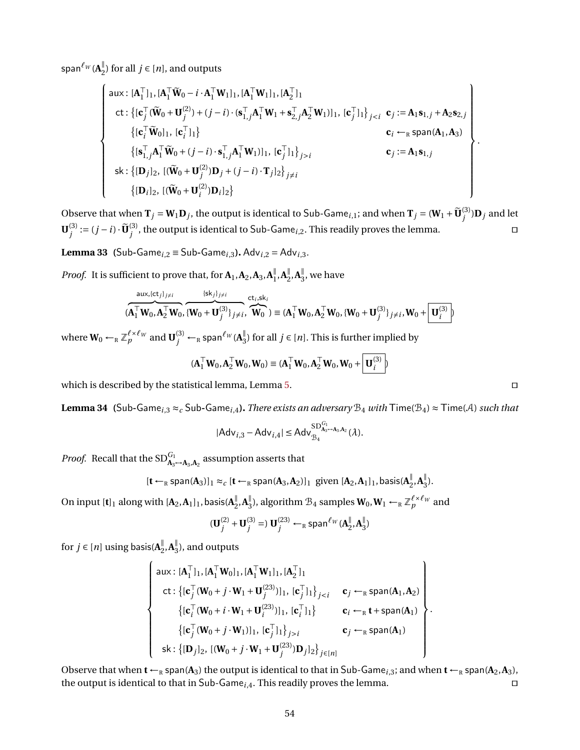span ${}^{\ell_{\scriptscriptstyle{W}}}$  ( $\mathbf{A}_{2}^{\parallel}$  $\frac{1}{2}$ ) for all *j* ∈ [*n*], and outputs

$$
\begin{cases}\n\text{aux}: [\mathbf{A}_1^\top]_1, [\mathbf{A}_1^\top \tilde{\mathbf{W}}_0 - i \cdot \mathbf{A}_1^\top \mathbf{W}_1]_1, [\mathbf{A}_1^\top \mathbf{W}_1]_1, [\mathbf{A}_2^\top]_1 \\
\text{ct}: \{ [\mathbf{c}_j^\top (\tilde{\mathbf{W}}_0 + \mathbf{U}_j^{(2)}) + (j - i) \cdot (\mathbf{s}_{1,j}^\top \mathbf{A}_1^\top \mathbf{W}_1 + \mathbf{s}_{2,j}^\top \mathbf{A}_2^\top \mathbf{W}_1)]_1, [\mathbf{c}_j^\top]_1 \}_{j < i} & \mathbf{c}_j := \mathbf{A}_1 \mathbf{s}_{1,j} + \mathbf{A}_2 \mathbf{s}_{2,j} \\
\{ [\mathbf{c}_i^\top \tilde{\mathbf{W}}_0]_1, [\mathbf{c}_i^\top]_1 \} & \mathbf{c}_i \leftarrow_R \text{span}(\mathbf{A}_1, \mathbf{A}_3) \\
\{ [\mathbf{s}_{1,j}^\top \mathbf{A}_1^\top \tilde{\mathbf{W}}_0 + (j - i) \cdot \mathbf{s}_{1,j}^\top \mathbf{A}_1^\top \mathbf{W}_1)]_1, [\mathbf{c}_j^\top]_1 \}_{j > i} & \mathbf{c}_j := \mathbf{A}_1 \mathbf{s}_{1,j} \\
\text{sk}: \{ [\mathbf{D}_j]_2, [(\tilde{\mathbf{W}}_0 + \mathbf{U}_j^{(2)}) \mathbf{D}_j + (j - i) \cdot \mathbf{T}_j]_2 \}_{j \neq i} & \{ [\mathbf{D}_i]_2, [(\tilde{\mathbf{W}}_0 + \mathbf{U}_i^{(2)}) \mathbf{D}_i]_2 \}\n\end{cases}
$$

Observe that when  $\mathbf{T}_j = \mathbf{W}_1 \mathbf{D}_j$ , the output is identical to Sub-Game<sub>*i*,1</sub>; and when  $\mathbf{T}_j = (\mathbf{W}_1 + \widetilde{\mathbf{U}}_j^{(3)})$  $j^{(5)}$ ) $\mathbf{D}_j$  and let  $\mathbf{U}^{(3)}_i$  $j^{(3)} := (j - i) \cdot \widetilde{\mathbf{U}}_j^{(3)}$  $j^{(3)}$ , the output is identical to Sub-Game<sub>i,2</sub>. This readily proves the lemma.  $\Box$ 

<span id="page-53-0"></span>**Lemma 33 (**Sub-Game<sub>*i*</sub>,2</sub>  $\equiv$  Sub-Game<sub>*i*</sub>,3</sub>*.* Adv<sub>*i*</sub>2  $=$  Adv<sub>*i*</sub>3*.* 

*Proof.* It is sufficient to prove that, for  $\mathbf{A}_1$ ,  $\mathbf{A}_2$ ,  $\mathbf{A}_3$ ,  $\mathbf{A}_1^{\parallel}$  $\frac{||}{1}$ , **A**<sup> $||$ </sup><sub>2</sub>  $\frac{||}{2}$ , **A**<sup> $||$ </sup><sub>3</sub>  $\frac{1}{3}$ , we have

$$
(\mathbf{A}_1^{\top} \mathbf{W}_0, \mathbf{A}_2^{\top} \mathbf{W}_0, \overbrace{\{\mathbf{W}_0 + \mathbf{U}_j^{(3)}\}_{j \neq i}}^{ \{sk_j\}_{j \neq i}}, \overbrace{\mathbf{W}_0}^{ct_i, sk_i}) \equiv (\mathbf{A}_1^{\top} \mathbf{W}_0, \mathbf{A}_2^{\top} \mathbf{W}_0, \{\mathbf{W}_0 + \mathbf{U}_j^{(3)}\}_{j \neq i}, \mathbf{W}_0 + \overbrace{\mathbf{U}_i^{(3)}}^{}
$$

where  $\mathbf{W}_0 \leftarrow_R \mathbb{Z}_p^{\ell \times \ell_W}$  and  $\mathbf{U}_j^{(3)} \leftarrow_R \mathsf{span}^{\ell_W}(\mathbf{A}_3^\parallel)$ <sup>∥</sup><sub>3</sub>) for all *j* ∈ [*n*]. This is further implied by

$$
(\mathbf{A}_1^\top \mathbf{W}_0, \mathbf{A}_2^\top \mathbf{W}_0, \mathbf{W}_0) \equiv (\mathbf{A}_1^\top \mathbf{W}_0, \mathbf{A}_2^\top \mathbf{W}_0, \mathbf{W}_0 + \mathbf{U}_i^{(3)})
$$

which is described by the statistical lemma, Lemma [5.](#page-17-1) under the statistic  $\square$ 

<span id="page-53-1"></span>**Lemma 34 (Sub-Game**<sub>*i*,3</sub>  $\approx$ *c* Sub-Game<sub>*i*,4</sub>). *There exists an adversary*  $B_4$  *with*  $\text{Time}(B_4) \approx \text{Time}(A)$  *such that* 

$$
|Adv_{i,3} - Adv_{i,4}| \leq Adv_{\mathcal{B}_4}^{SD_{A_3\to A_3,A_2}^{G_1}}(\lambda).
$$

*Proof.* Recall that the  $SD_{\mathbf{A}_3 \rightarrow \mathbf{A}_3, \mathbf{A}_2}^{G_1}$  assumption asserts that

$$
[\mathbf{t} \leftarrow_R \text{span}(\mathbf{A}_3)]_1 \approx_c [\mathbf{t} \leftarrow_R \text{span}(\mathbf{A}_3, \mathbf{A}_2)]_1 \text{ given } [\mathbf{A}_2, \mathbf{A}_1]_1, \text{basis}(\mathbf{A}_2^{\parallel}, \mathbf{A}_3^{\parallel}).
$$

On input  $[\mathbf{t}]_1$  along with  $[\mathbf{A}_2,\mathbf{A}_1]_1$ , basis( $\mathbf{A}_2^{\parallel}$  $\frac{||}{2}$ , **A**<sup> $||$ </sup><sub>3</sub>  $^{\parallel}_{3}$ ), algorithm  $\mathcal{B}_{4}$  samples  $\mathbf{W}_{0}$ ,  $\mathbf{W}_{1}$   $\leftarrow_{R} \mathbb{Z}_{p}^{\ell \times \ell_{W}}$  and

$$
(\mathbf{U}_{j}^{(2)} + \mathbf{U}_{j}^{(3)} =) \mathbf{U}_{j}^{(23)} \leftarrow_{\mathrm{R}} \mathrm{span}^{\ell_{W}}(\mathbf{A}_{2}^{\parallel}, \mathbf{A}_{3}^{\parallel})
$$

for  $j \in [n]$  using basis( $A_{\mathcal{I}}^{\parallel}$  $\frac{||}{2}$ , **A**<sup> $||$ </sup><sub>3</sub>  $\frac{1}{3}$ ), and outputs

$$
\begin{cases}\n\text{aux}: [\mathbf{A}_1^\top]_1, [\mathbf{A}_1^\top \mathbf{W}_0]_1, [\mathbf{A}_1^\top \mathbf{W}_1]_1, [\mathbf{A}_2^\top]_1 \\
\text{ct}: \{[\mathbf{c}_j^\top (\mathbf{W}_0 + j \cdot \mathbf{W}_1 + \mathbf{U}_j^{(23)})]_1, [\mathbf{c}_j^\top]_1\}_{j < i} \quad \mathbf{c}_j \leftarrow_R \text{span}(\mathbf{A}_1, \mathbf{A}_2) \\
\{[\mathbf{c}_i^\top (\mathbf{W}_0 + i \cdot \mathbf{W}_1 + \mathbf{U}_i^{(23)})]_1, [\mathbf{c}_i^\top]_1\} \quad \mathbf{c}_i \leftarrow_R \mathbf{t} + \text{span}(\mathbf{A}_1) \\
\{[\mathbf{c}_j^\top (\mathbf{W}_0 + j \cdot \mathbf{W}_1)]_1, [\mathbf{c}_j^\top]_1\}_{j > i} \quad \mathbf{c}_j \leftarrow_R \text{span}(\mathbf{A}_1) \\
\text{sk}: \{[\mathbf{D}_j]_2, [(\mathbf{W}_0 + j \cdot \mathbf{W}_1 + \mathbf{U}_j^{(23)})]_2\}_{j \in [n]} \n\end{cases}
$$

<span id="page-53-2"></span>Observe that when  $t \leftarrow_R$  span( $A_3$ ) the output is identical to that in Sub-Game<sub>*i*,3</sub>; and when  $t \leftarrow_R$  span( $A_2$ , $A_3$ ), the output is identical to that in Sub-Game<sub>*i*,4</sub>. This readily proves the lemma.  $\square$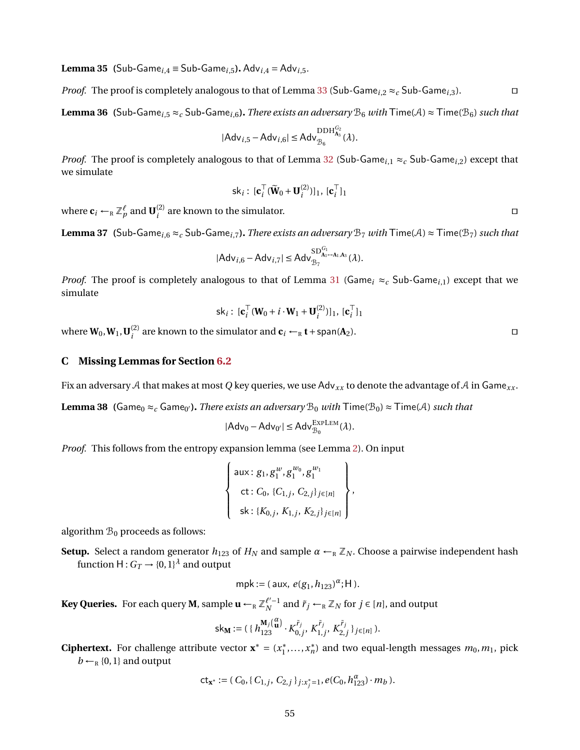**Lemma 35 (**Sub-Game<sub>*i*</sub>, $_4 \equiv$  Sub-Game<sub>*i*</sub>,5</sub>*.* Adv<sub>*i*</sub>,4 = Adv<sub>*i*</sub>,5*.* 

*Proof.* The proof is completely analogous to that of Lemma [33](#page-53-0) (Sub-Game<sub>i,2</sub>  $\approx_c$  Sub-Game<sub>i,3</sub>).

<span id="page-54-0"></span>**Lemma 36 (Sub-Game**<sub>i,5</sub>  $\approx$ *c* Sub-Game<sub>i,6</sub>). *There exists an adversary*  $B_6$  *with*  $\text{Time}(A) \approx \text{Time}(B_6)$  *such that* 

$$
|Adv_{i,5} - Adv_{i,6}| \leq Adv_{\mathcal{B}_6}^{\mathrm{DDH}_{A_3}^{G_2}}(\lambda).
$$

*Proof.* The proof is completely analogous to that of Lemma [32](#page-52-1) (Sub-Game<sub>i,1</sub>  $\approx_c$  Sub-Game<sub>i,2</sub>) except that we simulate

$$
\mathsf{sk}_i: [\mathbf{c}_i^\top (\widetilde{\mathbf{W}}_0 + \mathbf{U}_i^{(2)})]_1, [\mathbf{c}_i^\top]_1
$$

where  $\mathbf{c}_i \leftarrow_R \mathbb{Z}_p^{\ell}$  and  $\mathbf{U}_i^{(2)}$  $\binom{2}{i}$  are known to the simulator.

<span id="page-54-1"></span>**Lemma 37 (Sub-Game**<sub>i,6</sub>  $\approx$  c Sub-Game<sub>i,7</sub>). *There exists an adversary*  $B_7$  *with*  $\text{Time}(A) \approx \text{Time}(B_7)$  *such that* 

$$
|Adv_{i,6} - Adv_{i,7}| \leq Adv_{B_7}^{SD_{A_1\rightarrow A_1,A_3}^{G_1}}(\lambda).
$$

*Proof.* The proof is completely analogous to that of Lemma [31](#page-52-0) (Game<sub>i</sub>  $\approx_c$  Sub-Game<sub>i,1</sub>) except that we simulate

$$
\mathsf{sk}_i: [\mathbf{c}_i^\top (\mathbf{W}_0 + i \cdot \mathbf{W}_1 + \mathbf{U}_i^{(2)})]_1, [\mathbf{c}_i^\top]_1
$$

where  $\mathbf{W}_0, \mathbf{W}_1, \mathbf{U}_i^{(2)}$  $\sum_{i}^{(2)}$  are known to the simulator and  $\mathbf{c}_i$  ←R **t** + span(**A**<sub>2</sub>).  $\Box$ 

## **C Missing Lemmas for Section [6.2](#page-25-2)**

<span id="page-54-2"></span>Fix an adversary A that makes at most *Q* key queries, we use Adv*xx* to denote the advantage of A in Game*xx* .

**Lemma 38 (**Game<sub>0</sub>  $\approx$ *<sub>c</sub>* Game<sub>0'</sub>). *There exists an adversary*  $\mathcal{B}_0$  *with*  $\mathsf{Time}(\mathcal{B}_0) \approx \mathsf{Time}(\mathcal{A})$  *such that* 

$$
|Adv_0 - Adv_{0'}| \leq Adv_{\mathcal{B}_0}^{\mathrm{EXPLEM}}(\lambda).
$$

*Proof.* This follows from the entropy expansion lemma (see Lemma [2\)](#page-10-0). On input

$$
\left\{\n\begin{array}{l}\n\text{aux}: g_1, g_1^w, g_1^{w_0}, g_1^{w_1} \\
\text{ct}: C_0, \{C_{1,j}, C_{2,j}\}_{j \in [n]} \\
\text{sk}: \{K_{0,j}, K_{1,j}, K_{2,j}\}_{j \in [n]}\n\end{array}\n\right\},
$$

algorithm  $\mathcal{B}_0$  proceeds as follows:

**Setup.** Select a random generator  $h_{123}$  of  $H_N$  and sample  $\alpha \leftarrow_R \mathbb{Z}_N$ . Choose a pairwise independent hash function  $\mathsf{H}: G_T \to \{0,1\}^\lambda$  and output

$$
mpk := (aux, e(g_1, h_{123})^{\alpha}; H).
$$

**Key Queries.** For each query **M**, sample  $\mathbf{u} \leftarrow_{\mathrm{R}} \mathbb{Z}_{N}^{\ell'-1}$  and  $\tilde{r}_j \leftarrow_{\mathrm{R}} \mathbb{Z}_{N}$  for  $j \in [n]$ , and output

$$
\mathsf{sk}_M := (\{ h_{123}^{M_j(\{u\})} \cdot K_{0,j}^{\tilde{r}_j}, K_{1,j}^{\tilde{r}_j}, K_{2,j}^{\tilde{r}_j} \}_{j \in [n]} ).
$$

**Ciphertext.** For challenge attribute vector  $\mathbf{x}^* = (x_1^*)$  $x_1^*, \ldots, x_n^*$  $\binom{*}{n}$  and two equal-length messages  $m_0, m_1$ , pick  $b \leftarrow_R \{0, 1\}$  and output

$$
\mathsf{ct}_{\mathbf{x}^*} := (C_0, \{C_{1,j}, C_{2,j}\}_{j:x_j^*=1}, e(C_0, h_{123}^\alpha) \cdot m_b).
$$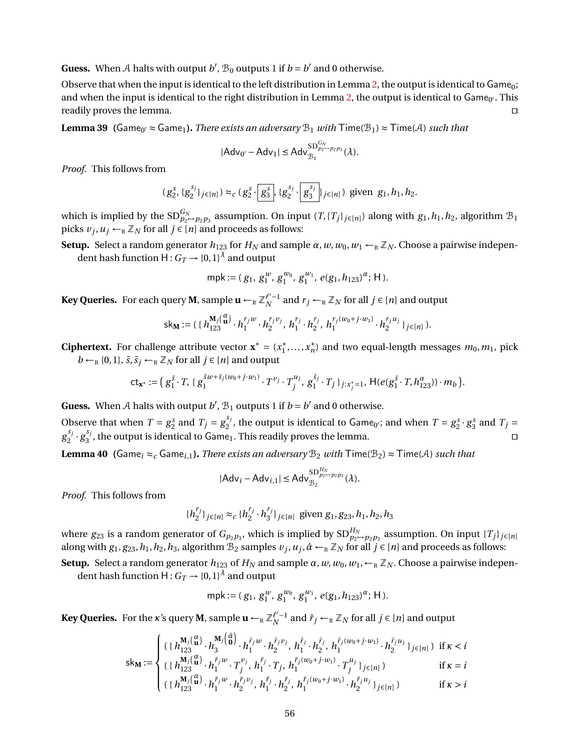**Guess.** When A halts with output  $b'$ ,  $\mathcal{B}_0$  outputs 1 if  $b = b'$  and 0 otherwise.

Observe that when the input is identical to the left distribution in Lemma [2,](#page-10-0) the output is identical to Game<sub>0</sub>; and when the input is identical to the right distribution in Lemma [2,](#page-10-0) the output is identical to Game<sub>0</sub>. This readily proves the lemma.  $\Box$ 

<span id="page-55-0"></span>**Lemma 39 (**Game<sub>0</sub>'  $\approx$  Game<sub>1</sub>). *There exists an adversary*  $\mathcal{B}_1$  *with*  $\mathsf{Time}(\mathcal{B}_1) \approx \mathsf{Time}(\mathcal{A})$  *such that* 

$$
|Adv_{0'}-Adv_1| \le Adv_{\mathcal{B}_1}^{SD_{p_2\rightarrow p_2p_3}^{G_N}}(\lambda).
$$

*Proof.* This follows from

$$
(g_2^s, \{g_2^{s_j}\}_{j\in[n]}) \approx_c (g_2^s \cdot \boxed{g_3^s}, \{g_2^{s_j} \cdot \boxed{g_3^{s_j}}\}_{j\in[n]})
$$
 given  $g_1, h_1, h_2$ .

which is implied by the  $\mathrm{SD}^{G_N}_{p_2 \to p_2 p_3}$  assumption. On input  $(T, \{T_j\}_{j \in [n]})$  along with  $g_1, h_1, h_2$ , algorithm  $\mathcal{B}_1$ picks  $v_j, u_j \leftarrow_R \mathbb{Z}_N$  for all  $j \in [n]$  and proceeds as follows:

**Setup.** Select a random generator  $h_{123}$  for  $H_N$  and sample  $\alpha$ ,  $w$ ,  $w_0$ ,  $w_1 \leftarrow_R \mathbb{Z}_N$ . Choose a pairwise independent hash function  $\mathsf{H}: G_T \to \{0,1\}^\lambda$  and output

mpk := 
$$
(g_1, g_1^w, g_1^{w_0}, g_1^{w_1}, e(g_1, h_{123})^{\alpha}; H)
$$
.

**Key Queries.** For each query **M**, sample  $\mathbf{u} \leftarrow_{\mathrm{R}} \mathbb{Z}_{N}^{\ell'-1}$  and  $r_j \leftarrow_{\mathrm{R}} \mathbb{Z}_{N}$  for all  $j \in [n]$  and output

$$
\mathsf{sk}_\mathbf{M} := (\{ \, h_{123}^{\mathbf{M}_j \left( \begin{smallmatrix} \alpha \\ \mathbf{u} \end{smallmatrix} \right)} \cdot h_1^{r_j w} \cdot h_2^{r_j v_j}, \; h_1^{r_j} \cdot h_2^{r_j}, \; h_1^{r_j (w_0 + j \cdot w_1)} \cdot h_2^{r_j u_j} \, \}_{j \in [n]} \, ).
$$

**Ciphertext.** For challenge attribute vector  $\mathbf{x}^* = (x_1^*)$  $x_1^*, \ldots, x_n^*$  $\binom{*}{n}$  and two equal-length messages  $m_0, m_1$ , pick  $b \leftarrow_R \{0, 1\}, \, \tilde{s}, \tilde{s}_j \leftarrow_R \mathbb{Z}_N$  for all  $j \in [n]$  and output

$$
\mathsf{ct}_{\mathbf{x}^*} := \big(\, g^{\tilde{s}}_1 \cdot T, \, \{ \, g^{\tilde{s} w + \tilde{s}_j (w_0 + j \cdot w_1)}_1 \cdot T^{v_j} \cdot T^{u_j}_j, \, g^{\tilde{s}_j}_1 \cdot T_j \, \}_{j : x^*_j = 1}, \, \mathsf{H}(e(g^{\tilde{s}}_1 \cdot T, h^{\alpha}_{123})) \cdot m_b \,\big).
$$

**Guess.** When A halts with output  $b'$ ,  $\mathcal{B}_1$  outputs 1 if  $b = b'$  and 0 otherwise.

Observe that when  $T = g_2^s$  and  $T_j = g_2^{s_j}$  $2^{s_j}$ , the output is identical to Game<sub>0</sub>; and when  $T = g_2^s \cdot g_3^s$  and  $T_j = g_2^s \cdot g_4^s$ *g sj*  $\frac{s_j}{2} \cdot g_3^{s_j}$  $S_j^{s_j}$ , the output is identical to Game<sub>1</sub>. This readily proves the lemma.

<span id="page-55-1"></span>**Lemma 40 (**Game<sub>*i*</sub>  $\approx$ <sub>*c*</sub> Game<sub>*i*,1</sub>). *There exists an adversary*  $B_2$  *with*  $\text{Time}(B_2) \approx \text{Time}(A)$  *such that* 

$$
|Adv_i - Adv_{i,1}| \le Adv_{\mathcal{B}_2}^{SD_{p_2 \to p_2 p_3}^{H_N}}(\lambda).
$$

*Proof.* This follows from

 ${h}^{r_j}$ *<sup>r<sub>j</sub>*</sup></sup>}<sub>*j*∈[*n*] ≈*c* { $h_2^{r_j}$ </sub>  $\frac{r_j}{2} \cdot h_3^{r_j}$ 3 }*j*∈[*n*] given *g*1, *g*23,*h*1,*h*2,*h*<sup>3</sup>

where  $g_{23}$  is a random generator of  $G_{p_2p_3}$ , which is implied by  $\text{SD}_{p_2\mapsto p_2p_3}^{H_N}$  assumption. On input  $\{T_j\}_{j\in[n]}$ along with  $g_1, g_{23}, h_1, h_2, h_3$ , algorithm  $B_2$  samples  $v_j, u_j, \hat{\alpha} \leftarrow_R \mathbb{Z}_N$  for all  $j \in [n]$  and proceeds as follows:

**Setup.** Select a random generator  $h_{123}$  of  $H_N$  and sample  $\alpha, w, w_0, w_1, \leftarrow_R \mathbb{Z}_N$ . Choose a pairwise independent hash function  $\mathsf{H}: G_T \to \{0,1\}^\lambda$  and output

mpk := 
$$
(g_1, g_1^w, g_1^{w_0}, g_1^{w_1}, e(g_1, h_{123})^{\alpha}; H)
$$
.

**Key Queries.** For the  $\kappa$ 's query **M**, sample  $\mathbf{u} \leftarrow_{\mathrm{R}} \mathbb{Z}_N^{\ell'-1}$  and  $\tilde{r}_j \leftarrow_{\mathrm{R}} \mathbb{Z}_N$  for all  $j \in [n]$  and output

$$
\mathbf{sk_M} := \begin{cases}\n(\{h_{123}^{\mathbf{M}_j}(\mathbf{u}^{\alpha}) \cdot h_3^{\pi_j}(\hat{\theta}^{\alpha}) \cdot h_1^{\tilde{r}_j w} \cdot h_2^{\tilde{r}_j v_j}, \ h_1^{\tilde{r}_j} \cdot h_2^{\tilde{r}_j}, \ h_1^{\tilde{r}_j (w_0 + j \cdot w_1)} \cdot h_2^{\tilde{r}_j u_j}\}_{j \in [n]}\n\end{cases} \text{ if } \kappa < i
$$
\n
$$
\mathbf{sk_M} := \begin{cases}\n(\{h_{123}^{\mathbf{M}_j}(\mathbf{u}^{\alpha}) \cdot h_1^{\tilde{r}_j w} \cdot T_j^{\nu_j}, \ h_1^{\tilde{r}_j} \cdot T_j, \ h_1^{\tilde{r}_j (w_0 + j \cdot w_1)} \cdot T_j^{\mu_j}\}_{j \in [n]}\n\end{cases} \text{ if } \kappa = i
$$
\n
$$
(\{h_{123}^{\mathbf{M}_j}(\mathbf{u}^{\alpha}) \cdot h_1^{\tilde{r}_j w} \cdot h_2^{\tilde{r}_j v_j}, \ h_1^{\tilde{r}_j} \cdot h_2^{\tilde{r}_j}, \ h_1^{\tilde{r}_j (w_0 + j \cdot w_1)} \cdot h_2^{\tilde{r}_j u_j}\}_{j \in [n]}\n\end{cases} \text{ if } \kappa > i
$$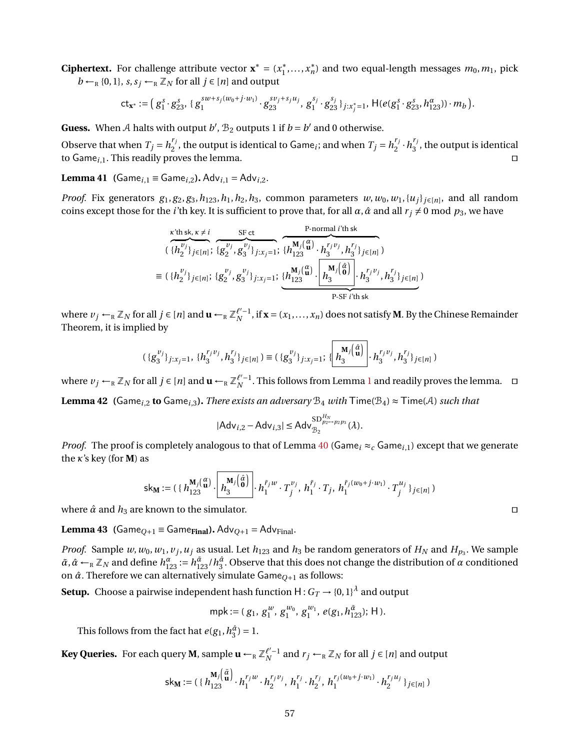**Ciphertext.** For challenge attribute vector  $\mathbf{x}^* = (x_1^*)$  $x_1^*, \ldots, x_n^*$  $\binom{*}{n}$  and two equal-length messages  $m_0, m_1$ , pick  $b \leftarrow_R \{0, 1\}, s, s_j \leftarrow_R \mathbb{Z}_N$  for all  $j \in [n]$  and output

$$
\mathsf{ct}_{\mathbf{x}^*} := \big(\, g^s_1 \cdot g^s_{23}, \, \{ \, g^{sw+s_j(w_0+j\cdot w_1)}_1 \cdot g^{sy_j+s_ju_j}_{23}, \, g^{s_j}_1 \cdot g^{s_j}_{23} \, \}_{j:x^*_j = 1}, \, \mathsf{H}(e(g^s_1 \cdot g^s_{23}, h^{\alpha}_{123})) \cdot m_b \,\big).
$$

**Guess.** When A halts with output  $b'$ ,  $B_2$  outputs 1 if  $b = b'$  and 0 otherwise.

Observe that when  $T_j = h_2^{r_j}$  $T_j$ , the output is identical to Game<sub>*i*</sub>; and when  $T_j = h_2^{r_j}$  $\frac{r_j}{2} \cdot h_3^{r_j}$  $j_3^{\prime}$ , the output is identical to Game<sub>i</sub><sub>,1</sub>. This readily proves the lemma. utilize the set of the set of the set of the set of the set of the set of the set of the set of the set of the set of the set of the set of the set of the set of the set of th

<span id="page-56-0"></span>**Lemma 41 (Game**<sub>*i*,1</sub> = Game<sub>*i*,2</sub>). Adv<sub>*i*,1</sub> = Adv<sub>*i*,2</sub>.

*Proof.* Fix generators  $g_1, g_2, g_3, h_{123}, h_1, h_2, h_3$ , common parameters  $w, w_0, w_1, \{u_j\}_{j \in [n]}$ , and all random coins except those for the *i*'th key. It is sufficient to prove that, for all  $\alpha$ ,  $\hat{\alpha}$  and all  $r_j \neq 0$  mod  $p_3$ , we have

$$
\begin{split}\n&\left(\{h_2^{v_j}\}_{j\in[n]}\right) &\quad \frac{\text{SF ct}}{\{g_2^{v_j}, g_3^{v_j}\}_{j:x_j=1}}\right) \\
&\left(\{h_{123}^{v_j}\}_{j\in[n]}\right) &\quad \frac{\text{B-cot}}{\{h_{123}^{(a)}\}}\cdot h_{123}^{r_jv_j} \cdot h_{3}^{r_jv_j} \cdot h_{3}^{r_j}\}_{j\in[n]}\n\end{split}
$$
\n
$$
\equiv (\{h_2^{v_j}\}_{j\in[n]}\right) &\quad \frac{\text{B-cot{}}}{\{g_2^{v_j}, g_3^{v_j}\}_{j:x_j=1}}\cdot \underbrace{\{h_{123}^{\mathbf{M}_j\left(\begin{matrix}\alpha\\ \mathbf{u}\end{matrix}\right)}\cdot \left[h_{3}^{\mathbf{M}_j\left(\begin{matrix}\alpha\\ \mathbf{0}\end{matrix}\right)}\right]}_{\text{P-SF }i'\text{th sk}}\cdot h_{3}^{r_jv_j} \cdot h_{3}^{r_j}\}_{j\in[n]}\n\end{split}
$$

where  $v_j \leftarrow_R \mathbb{Z}_N$  for all  $j \in [n]$  and  $\mathbf{u} \leftarrow_R \mathbb{Z}_N^{\ell'-1}$ , if  $\mathbf{x} = (x_1, \ldots, x_n)$  does not satisfy **M**. By the Chinese Remainder Theorem, it is implied by

$$
(\{g_3^{v_j}\}_{j:x_j=1},\{h_3^{r_jv_j},h_3^{r_j}\}_{j\in[n]})\equiv (\{g_3^{v_j}\}_{j:x_j=1};\{\left\lfloor\frac{\mathbf{M}_j\left(\hat{\mathbf{a}}}{\mathbf{u}}\right)\right\rfloor\cdot h_3^{r_jv_j},h_3^{r_j}\}_{j\in[n]})
$$

where  $v_j$  ←<sub>R</sub>  $\mathbb{Z}_N$  for all  $j \in [n]$  and  $\mathbf{u} \leftarrow_R \mathbb{Z}_N^{\ell'-1}$  $\mathbf{u} \leftarrow_R \mathbb{Z}_N^{\ell'-1}$  $\mathbf{u} \leftarrow_R \mathbb{Z}_N^{\ell'-1}$ . This follows from Lemma 1 and readily proves the lemma.  $\Box$ 

<span id="page-56-1"></span>**Lemma 42 (Game**<sub>*i*,2</sub> **to** Game<sub>*i*,3</sub>). *There exists an adversary*  $B_4$  *with*  $\text{Time}(B_4) \approx \text{Time}(A)$  *such that* 

$$
|Adv_{i,2} - Adv_{i,3}| \leq Adv_{\mathcal{B}_2}^{SD_{p_2 \to p_2 p_3}^{H_N}}(\lambda).
$$

*Proof.* The proof is completely analogous to that of Lemma [40](#page-55-1) (Game<sub>i</sub>  $\approx_c$  Game<sub>i,1</sub>) except that we generate the *κ*'s key (for **M**) as

$$
\mathsf{sk}_{\mathbf{M}} := (\{ h_{123}^{\mathbf{M}_j} \left( \mathbf{u}^{\alpha} \right) \cdot \left[ h_3^{\mathbf{M}_j} \left( \hat{\mathbf{d}} \right) \right] \cdot h_1^{\tilde{r}_j w} \cdot T_j^{\nu_j}, \ h_1^{\tilde{r}_j} \cdot T_j, \ h_1^{\tilde{r}_j (w_0 + j \cdot w_1)} \cdot T_j^{\mu_j} \}_{j \in [n]} )
$$

where  $\hat{\alpha}$  and  $h_3$  are known to the simulator.

<span id="page-56-2"></span>**Lemma 43 (**Game<sub>Q+1</sub> = Game<sub>Final</sub>). Adv<sub>Q+1</sub> = Adv<sub>Final</sub>.

*Proof.* Sample  $w, w_0, w_1, v_j, u_j$  as usual. Let  $h_{123}$  and  $h_3$  be random generators of  $H_N$  and  $H_{p_3}$ . We sample  $\tilde{\alpha}$ ,  $\hat{\alpha}$  ←<sub>R</sub> Z<sub>N</sub> and define  $h_{123}^{\alpha}$  :=  $h_{123}^{\tilde{\alpha}}/h_3^{\hat{\alpha}}$ . Observe that this does not change the distribution of  $\alpha$  conditioned on *α*ˆ. Therefore we can alternatively simulate Game*Q*+<sup>1</sup> as follows:

**Setup.** Choose a pairwise independent hash function  $\mathsf{H}: G_T \to \{0,1\}^\lambda$  and output

mpk := 
$$
(g_1, g_1^w, g_1^{w_0}, g_1^{w_1}, e(g_1, h_{123}^{\tilde{a}}); H)
$$
.

This follows from the fact hat  $e(g_1, h_3^{\hat{a}}) = 1$ .

**Key Queries.** For each query **M**, sample  $\mathbf{u} \leftarrow_{\mathbb{R}} \mathbb{Z}_{N}^{\ell'-1}$  and  $r_j \leftarrow_{\mathbb{R}} \mathbb{Z}_{N}$  for all  $j \in [n]$  and output

$$
\mathsf{sk}_{\mathbf{M}} := (\{ h_{123}^{\mathbf{M}_j \left( \frac{\tilde{\alpha}}{\mathbf{u}} \right)} \cdot h_1^{r_j w} \cdot h_2^{r_j v_j}, \, h_1^{r_j} \cdot h_2^{r_j}, \, h_1^{r_j (w_0 + j \cdot w_1)} \cdot h_2^{r_j u_j} \}_{j \in [n]} )
$$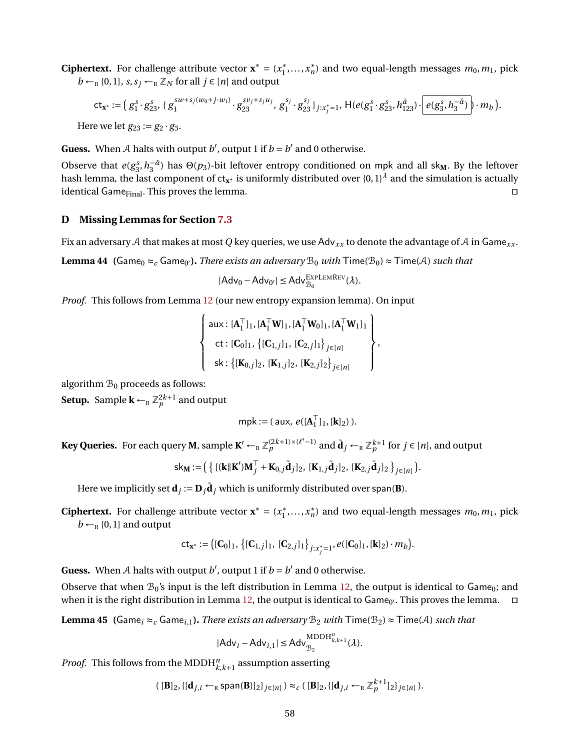**Ciphertext.** For challenge attribute vector  $\mathbf{x}^* = (x_1^*)$  $x_1^*, \ldots, x_n^*$  $\binom{*}{n}$  and two equal-length messages  $m_0, m_1$ , pick  $b \leftarrow_R \{0, 1\}, s, s_j \leftarrow_R \mathbb{Z}_N$  for all  $j \in [n]$  and output

$$
\mathsf{ct}_{\mathbf{x}^*} := \left( g_1^s \cdot g_{23}^s, \{ g_1^{sw+s_j(w_0+j \cdot w_1)} \cdot g_{23}^{sv_j+s_j u_j}, g_1^{s_j} \cdot g_{23}^{s_j} \}_{j:x_j^* = 1} \right) \cdot \mathsf{H}(e(g_1^s \cdot g_{23}^s, h_{123}^{\tilde{\alpha}}) \cdot e(g_3^s, h_3^{-\hat{\alpha}}) \cdot m_b).
$$
\nHere we let  $g_{23} := g_2 \cdot g_3$ .

**Guess.** When A halts with output  $b'$ , output 1 if  $b = b'$  and 0 otherwise.

Observe that  $e(g_3^s, h_3^{-\hat{\alpha}})$  has  $\Theta(p_3)$ -bit leftover entropy conditioned on mpk and all sk<sub>M</sub>. By the leftover hash lemma, the last component of ct**<sup>x</sup>** <sup>∗</sup> is uniformly distributed over {0, 1}*<sup>λ</sup>* and the simulation is actually identical Game<sub>Final</sub>. This proves the lemma. utilization of the state of the state of the state of the state of the state of the state of the state of the state of the state of the state of the state of the state of the s

### **D Missing Lemmas for Section [7.3](#page-30-2)**

Fix an adversary A that makes at most Q key queries, we use Adv<sub>xx</sub> to denote the advantage of A in Game<sub>xx</sub>.

<span id="page-57-0"></span>**Lemma 44 (**Game<sub>0</sub>  $\approx$ <sub>*c*</sub> Game<sub>0</sub>'). *There exists an adversary*  $\mathcal{B}_0$  *with*  $\mathsf{Time}(\mathcal{B}_0) \approx \mathsf{Time}(\mathcal{A})$  *such that* 

$$
|Adv_0 - Adv_{0'}| \leq Adv_{\mathcal{B}_0}^{\text{EXPLEMRev}}(\lambda).
$$

*Proof.* This follows from Lemma [12](#page-30-0) (our new entropy expansion lemma). On input

$$
\left\{\n\begin{array}{l}\n\text{aux: } [\mathbf{A}_1^\top]_1, [\mathbf{A}_1^\top \mathbf{W}]_1, [\mathbf{A}_1^\top \mathbf{W}_0]_1, [\mathbf{A}_1^\top \mathbf{W}_1]_1 \\
\text{ct: } [\mathbf{C}_0]_1, \{[\mathbf{C}_{1,j}]_1, [\mathbf{C}_{2,j}]_1\}_{j \in [n]} \\
\text{sk: } \{[\mathbf{K}_{0,j}]_2, [\mathbf{K}_{1,j}]_2, [\mathbf{K}_{2,j}]_2\}_{j \in [n]}\n\end{array}\n\right\}
$$

,

algorithm  $\mathcal{B}_0$  proceeds as follows:

**Setup.** Sample  $\mathbf{k} \leftarrow_{\mathbb{R}} \mathbb{Z}_p^{2k+1}$  and output

$$
\mathsf{mpk} := (\mathsf{aux},\, \mathit{e}([\mathbf{A}_1^\top]_1, [\mathbf{k}]_2))\,.
$$

**Key Queries.** For each query **M**, sample  $\mathbf{K}' \leftarrow_R \mathbb{Z}_p^{(2k+1)\times(\ell'-1)}$  and  $\tilde{\mathbf{d}}_j \leftarrow_R \mathbb{Z}_p^{k+1}$  for  $j \in [n]$ , and output

$$
\mathsf{sk}_M := \left( \left\{ [(\mathbf{k} \|\mathbf{K}')\mathbf{M}_j^\top + \mathbf{K}_{0,j}\tilde{\mathbf{d}}_j]_2, [\mathbf{K}_{1,j}\tilde{\mathbf{d}}_j]_2, [\mathbf{K}_{2,j}\tilde{\mathbf{d}}_j]_2 \right\}_{j \in [n]} \right).
$$

Here we implicitly set  $\mathbf{d}_j := \mathbf{D}_j \tilde{\mathbf{d}}_j$  which is uniformly distributed over span(**B**).

**Ciphertext.** For challenge attribute vector  $\mathbf{x}^* = (x_1^*)$  $x_1^*, \ldots, x_n^*$  $\binom{*}{n}$  and two equal-length messages  $m_0, m_1$ , pick  $b \leftarrow_R \{0, 1\}$  and output

$$
\mathsf{ct}_{\mathbf{x}^*} := \big( [\mathbf{C}_0]_1, \, \big\{ [\mathbf{C}_{1,j}]_1, \, [\mathbf{C}_{2,j}]_1 \big\}_{j:x_j^*=1}, e([\mathbf{C}_0]_1, [\mathbf{k}]_2) \cdot m_b \big).
$$

**Guess.** When A halts with output  $b'$ , output 1 if  $b = b'$  and 0 otherwise.

Observe that when  $\mathcal{B}_0$ 's input is the left distribution in Lemma [12,](#page-30-0) the output is identical to Game<sub>0</sub>; and when it is the right distribution in Lemma [12,](#page-30-0) the output is identical to Game<sub>0'</sub>. This proves the lemma.  $\Box$ 

<span id="page-57-1"></span>**Lemma 45 (Game**<sub>i</sub> ≈<sub>c</sub> Game<sub>i</sub>,1). *There exists an adversary*  $B_2$  *with*  $\text{Time}(B_2) \approx \text{Time}(A)$  *such that* 

$$
|\mathsf{Adv}_{i} - \mathsf{Adv}_{i,1}| \leq \mathsf{Adv}_{\mathcal{B}_2}^{\mathrm{MDDH}_{k,k+1}^n}(\lambda).
$$

*Proof.* This follows from the MDDH $_{k,k+1}^n$  assumption asserting

$$
([B]_2, \{[d_{j,i} \leftarrow_R \text{span}(B)]_2\}_{j \in [n]}) \approx_c ([B]_2, \{[d_{j,i} \leftarrow_R \mathbb{Z}_p^{k+1}]_2\}_{j \in [n]}).
$$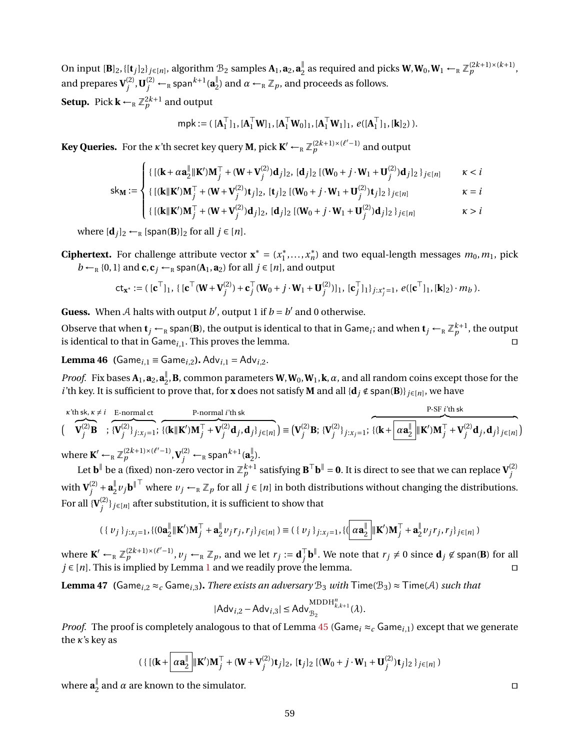On input  $[\mathbf{B}]_2$ , { $[\mathbf{t}_j]_2$ } $_{j\in[n]}$ , algorithm  $\mathcal{B}_2$  samples  $\mathbf{A}_1$ ,  $\mathbf{a}_2$ ,  $\mathbf{a}_2^\parallel$  $\frac{1}{2}$  as required and picks **W**, **W**<sub>0</sub>, **W**<sub>1</sub> ← <sub>R</sub>  $\mathbb{Z}_p^{(2k+1)\times(k+1)}$ , and prepares  $V_i^{(2)}$  $\mathbf{U}_{j}^{(2)}$  ,  $\mathbf{U}_{j}^{(2)}$   $\leftarrow$   $_{\textrm{\tiny{R}}}$  span $^{k+1}$  ( $\mathbf{a}_{2}^{\parallel}$  $_{2}^{\mathbb{I}}$ ) and  $\alpha \leftarrow_{\mathbb{R}} \mathbb{Z}_p$ , and proceeds as follows. **Setup.** Pick  $\mathbf{k} \leftarrow_{\mathbb{R}} \mathbb{Z}_p^{2k+1}$  and output

$$
\mathsf{mpk} := (\ [\mathbf{A}_1^\top]_1, [\mathbf{A}_1^\top \mathbf{W}]_1, [\mathbf{A}_1^\top \mathbf{W}_0]_1, [\mathbf{A}_1^\top \mathbf{W}_1]_1, \ e([\mathbf{A}_1^\top]_1, [\mathbf{k}]_2) ).
$$

**Key Queries.** For the  $\kappa$ 'th secret key query **M**, pick  $\mathbf{K}' \leftarrow_{\mathrm{R}} \mathbb{Z}_p^{(2k+1)\times (\ell'-1)}$  and output

$$
\int \{[(\mathbf{k} + \alpha \mathbf{a}_{2}^{\parallel} \|\mathbf{K}')\mathbf{M}_{j}^{\top} + (\mathbf{W} + \mathbf{V}_{j}^{(2)})\mathbf{d}_{j}]_{2}, [\mathbf{d}_{j}]_{2} [(\mathbf{W}_{0} + j \cdot \mathbf{W}_{1} + \mathbf{U}_{j}^{(2)})\mathbf{d}_{j}]_{2}\}_{j \in [n]} \qquad \kappa < i
$$

$$
sk_{M} := \begin{cases} \{[(k||K')M_{j}^{T} + (W + V_{j}^{(2)})t_{j}]_{2}, [t_{j}]_{2} [(W_{0} + j \cdot W_{1} + U_{j}^{(2)})t_{j}]_{2} \}_{j \in [n]} & \kappa = i \\ \{[(k||K')M_{j}^{T} + (W + V_{j}^{(2)})d_{j}]_{2}, [d_{j}]_{2} [(W_{0} + j \cdot W_{1} + U_{j}^{(2)})d_{j}]_{2} \}_{j \in [n]} & \kappa > i \end{cases}
$$

$$
\{ [(\mathbf{k}||\mathbf{K}')\mathbf{M}_j^{\top} + (\mathbf{W} + \mathbf{V}_j^{(2)})\mathbf{d}_j]_2, [\mathbf{d}_j]_2 [(\mathbf{W}_0 + j \cdot \mathbf{W}_1 + \mathbf{U}_j^{(2)})\mathbf{d}_j]_2 \}_{j \in [n]}
$$
  $\kappa > i$ 

where  $[\mathbf{d}_i]_2 \leftarrow_R [\text{span}(\mathbf{B})]_2$  for all  $j \in [n]$ .

**Ciphertext.** For challenge attribute vector  $\mathbf{x}^* = (x_1^*)$  $x_1^*, \ldots, x_n^*$  $\binom{*}{n}$  and two equal-length messages  $m_0, m_1$ , pick  $b \leftarrow_R \{0, 1\}$  and **c**, **c**<sub>*j*</sub>  $\leftarrow_R$  span( $A_1$ ,  $a_2$ ) for all  $j \in [n]$ , and output

$$
\mathsf{ct}_{\mathbf{x}^*} := (\,[\mathbf{c}^\top]_1, \{ \,[\mathbf{c}^\top(\mathbf{W} + \mathbf{V}_j^{(2)}) + \mathbf{c}_j^\top(\mathbf{W}_0 + j \cdot \mathbf{W}_1 + \mathbf{U}_j^{(2)})]_1, \, [\mathbf{c}_j^\top]_1 \}_{j:x_j^*=1}, \, e([\mathbf{c}^\top]_1, [\mathbf{k}]_2) \cdot m_b \,).
$$

**Guess.** When A halts with output  $b'$ , output 1 if  $b = b'$  and 0 otherwise.

Observe that when  $t_j$  ←  $_R$  span(**B**), the output is identical to that in Game $_i$ ; and when  $t_j$  ←  $_R$   $\mathbb{Z}_p^{k+1}$ , the output is identical to that in Game<sub>*i*, 1</sub>. This proves the lemma.  $\Box$ 

<span id="page-58-0"></span>**Lemma 46 (Game**<sub>*i*,1</sub> = Game<sub>*i*</sub>,2</sub>). Adv<sub>*i*,1</sub> = Adv<sub>*i*</sub>,2.

*Proof.* Fix bases  $\mathbf{A}_1$ ,  $\mathbf{a}_2$ ,  $\mathbf{a}_2^{\parallel}$  $\frac{1}{2}$ , **B**, common parameters **W**, **W**<sub>0</sub>, **W**<sub>1</sub>, **k**,  $\alpha$ , and all random coins except those for the *i*'th key. It is sufficient to prove that, for **x** does not satisfy **M** and all { $\bf{d}_j \notin span(B)$ }  $_{j \in [n]}$ , we have

$$
\begin{aligned}\n &\text{where } \mathbf{K}' & \leftarrow_R \mathbb{Z}_p^{(2k+1)\times(\ell'-1)}, \mathbf{V}_j^{(2)} &\leftarrow_R \text{span}^{k+1}(\mathbf{a}_2^{\parallel}). \\
 &\text{where } \mathbf{K}' & \leftarrow_R \mathbb{Z}_p^{(2k+1)\times(\ell'-1)}, \mathbf{V}_j^{(2)} &\leftarrow_R \text{span}^{k+1}(\mathbf{a}_2^{\parallel}).\n \end{aligned}
$$

Let  $b^{\parallel}$  be a (fixed) non-zero vector in  $\mathbb{Z}_p^{k+1}$  satisfying  $B^{\top}b^{\parallel} = 0$ . It is direct to see that we can replace  ${\bf V}_j^{(2)}$ *j* with  ${\bf V}^{(2)}_i$  $j^{(2)} + a_2^{\parallel}$  $\frac{v}{2}$ *v<sub>j</sub>***b**<sup>∥™</sup> where *v<sub>j</sub>* ←<sub>R</sub> ℤ<sub>*p*</sub> for all *j* ∈ [*n*] in both distributions without changing the distributions. For all  $\{V_i^{(2)}\}$ *j* }*j*∈[*n*] after substitution, it is sufficient to show that

$$
(\{ v_j \}_{j:x_j=1}, \{ (0\mathbf{a}_2^{\parallel} \|\mathbf{K}' )\mathbf{M}_j^{\top} + \mathbf{a}_2^{\parallel} v_j r_j, r_j \}_{j\in[n]}) \equiv (\{ v_j \}_{j:x_j=1}, \{ (\alpha \mathbf{a}_2^{\parallel} \|\mathbf{K}' )\mathbf{M}_j^{\top} + \mathbf{a}_2^{\parallel} v_j r_j, r_j \}_{j\in[n]})
$$

where  $\mathbf{K}' \leftarrow_R \mathbb{Z}_p^{(2k+1)\times(\ell'-1)}$ ,  $v_j \leftarrow_R \mathbb{Z}_p$ , and we let  $r_j := \mathbf{d}_j^{\top}$  $\int_{j}^{\top} \mathbf{b}^{\parallel}$ . We note that  $r_{j} \neq 0$  since  $\mathbf{d}_{j} \not\in \text{span}(\mathbf{B})$  for all *j* ∈ [*n*]. This is implied by Lemma [1](#page-8-0) and we readily prove the lemma.  $\Box$ 

<span id="page-58-1"></span>**Lemma 47 (**Game<sub>i</sub>, 2 ≈<sub>*c*</sub> Game<sub>i</sub>,3</sub>). *There exists an adversary*  $B_3$  *with*  $\text{Time}(B_3) \approx \text{Time}(A)$  *such that* 

$$
|\mathsf{Adv}_{i,2} - \mathsf{Adv}_{i,3}| \leq \mathsf{Adv}_{\mathcal{B}_2}^{\mathrm{MDDH}_{k,k+1}^n}(\lambda).
$$

*Proof.* The proof is completely analogous to that of Lemma [45](#page-57-1) (Game<sub>i</sub>  $\approx_c$  Game<sub>i,1</sub>) except that we generate the *κ*'s key as

$$
(\{[(\mathbf{k} + \alpha \mathbf{a}_2^{\parallel} || \mathbf{K}')\mathbf{M}_j^{\top} + (\mathbf{W} + \mathbf{V}_j^{(2)})\mathbf{t}_j]_2, [\mathbf{t}_j]_2 [(\mathbf{W}_0 + j \cdot \mathbf{W}_1 + \mathbf{U}_j^{(2)})\mathbf{t}_j]_2\}_{j \in [n]})
$$

where **a** ∥  $\frac{1}{2}$  and  $\alpha$  are known to the simulator.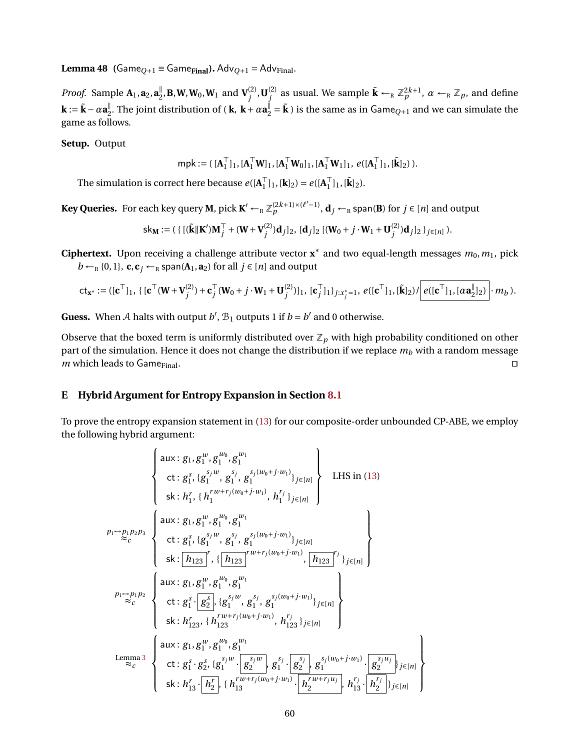<span id="page-59-0"></span>**Lemma 48 (Game** $_{Q+1}$  = Game<sub>Final</sub>). Adv<sub> $Q+1$ </sub> = Adv<sub>Final</sub>.

*Proof.* Sample  $\mathbf{A}_1$ ,  $\mathbf{a}_2$ ,  $\mathbf{a}_2^{\parallel}$  $\frac{\mathbb{I}}{2}$ , **B**, **W**, **W**<sub>0</sub>, **W**<sub>1</sub> and  $\mathbf{V}^{(2)}_j$  $j^{(2)}$ , **U** $_j^{(2)}$  $\tilde{\mathbf{k}}$  as usual. We sample  $\tilde{\mathbf{k}} \leftarrow_R \mathbb{Z}_p^{2k+1}$ ,  $\alpha \leftarrow_R \mathbb{Z}_p$ , and define  $\mathbf{k} := \tilde{\mathbf{k}} - \alpha \mathbf{a}_2^{\parallel}$  $\frac{∥}{2}$ . The joint distribution of ( **k**, **k** + α**a** $\frac{parallel}{2}$  = **k** ) is the same as in Game<sub>Q+1</sub> and we can simulate the game as follows.

**Setup.** Output

 $mpk := ( [A_1^{\top}]$  $\begin{bmatrix} 1 \\ 1 \end{bmatrix}$ <sub>1</sub>,  $[\mathbf{A}_1^{\top} \mathbf{W}]_1$ ,  $[\mathbf{A}_1^{\top} \mathbf{W}_0]_1$ ,  $[\mathbf{A}_1^{\top} \mathbf{W}_1]_1$ ,  $e([\mathbf{A}_1^{\top}$  $_{1}^{\top}$ ]<sub>1</sub>, [**k**<sup>]</sup><sub>2</sub>) ).

The simulation is correct here because  $e([A]_1^{\top})$  $\begin{bmatrix} 1 \\ 1 \end{bmatrix}$ <sub>1</sub>,  $[\mathbf{k}]_2$ ) =  $e([\mathbf{A}_1^\top]$  $_{1}^{\top}$ ]<sub>1</sub>, [**k**<sup>]</sup><sub>2</sub>).

**Key Queries.** For each key query **M**, pick  $\mathbf{K}' \leftarrow_R \mathbb{Z}_p^{(2k+1)\times(\ell'-1)}$ ,  $\mathbf{d}_j \leftarrow_R$  span(**B**) for  $j \in [n]$  and output

$$
\mathsf{sk}_M := (\{ [(\tilde{k}||K')M_j^{\top} + (W+V_j^{(2)})d_j]_2, [d_j]_2 [(W_0+j\cdot W_1+U_j^{(2)})d_j]_2 \}_{j\in[n]}).
$$

**Ciphertext.** Upon receiving a challenge attribute vector **x** ∗ and two equal-length messages *m*0,*m*1, pick  $b \leftarrow_R \{0, 1\}$ , **c**, **c**<sub>*j*</sub>  $\leftarrow_R$  span( $A_1$ , **a**<sub>2</sub>) for all  $j \in [n]$  and output

$$
ct_{\mathbf{x}^*} := ([\mathbf{c}^\top]_1, \{ [\mathbf{c}^\top(\mathbf{W} + \mathbf{V}_j^{(2)}) + \mathbf{c}_j^\top(\mathbf{W}_0 + j \cdot \mathbf{W}_1 + \mathbf{U}_j^{(2)})]_1, [\mathbf{c}_j^\top]_1 \}_{j:x_j^*=1}, e([\mathbf{c}^\top]_1, [\tilde{\mathbf{k}}]_2) / \left[ e([\mathbf{c}^\top]_1, [\alpha \mathbf{a}_2^{\parallel}]_2) \right] \cdot m_b).
$$

**Guess.** When A halts with output  $b'$ ,  $\mathcal{B}_1$  outputs 1 if  $b = b'$  and 0 otherwise.

Observe that the boxed term is uniformly distributed over  $\mathbb{Z}_p$  with high probability conditioned on other part of the simulation. Hence it does not change the distribution if we replace *m<sup>b</sup>* with a random message  $m$  which leads to Game<sub>Final</sub>.

### <span id="page-59-1"></span>**E Hybrid Argument for Entropy Expansion in Section [8.1](#page-33-2)**

To prove the entropy expansion statement in [\(13\)](#page-33-1) for our composite-order unbounded CP-ABE, we employ the following hybrid argument:

$$
\begin{cases}\n\text{aux: } g_1, g_1^{w}, g_1^{w_0}, g_1^{w_1} \\
\text{ct: } g_1^s, \{g_1^{s_j w}, g_1^{s_j (w_0 + j \cdot w_1)}\}_{j \in [n]} \\
\text{ski: } h_1^r, \{h_1^{rw + r_j (w_0 + j \cdot w_1)}, h_1^{r_j}\}_{j \in [n]}\n\end{cases}\n\text{LHS in (13)}
$$
\n
$$
p_1 \rightarrow p_1 p_2 p_3\n\begin{cases}\n\text{aux: } g_1, g_1^{w}, g_1^{w_0}, g_1^{w_1} \\
\text{ct: } g_1^s, \{g_1^{s_j w}, g_1^{s_j (w_0 + j \cdot w_1)}\}_{j \in [n]} \\
\text{ski: } [h_{123}]', \{[h_{123}]' \dots \{h_{123}\}']', \{h_{123}\} \end{cases} \begin{cases}\n\text{aux: } g_1, g_1^{w}, g_1^{w_1}, g_1^{w_1} \\
\text{cki: } g_1^s \cdot g_2^{w_0}, g_1^{w_1} \\
\text{cki: } g_1^s \cdot g_2^{s_j} \cdot g_1^{s_j w}, g_1^{s_j (w_0 + j \cdot w_1)}\}_{j \in [n]} \\
\text{ski: } h_{123}^r, \{h_{123}^{rw + r_j (w_0 + j \cdot w_1)}, h_{123}^{r_j}\}_{j \in [n]}\n\end{cases}
$$
\n
$$
p_1 \rightarrow p_1 p_2\n\begin{cases}\n\text{aux: } g_1, g_1^{w}, g_1^{w_0}, g_1^{w_1} \\
\text{six: } g_1, g_1^{w}, g_1^{w_1} \\
\text{dx: } g_1^s, g_2^s, \{g_1^{s_j w}, g_1^{s_j w}\}_{j \in [n]} \\
\text{dx: } g_1^s, g_2^s, \{g_1^{s_j w}, g_1^{s_j w}\}_{j \in [n]}.\n\end{cases}
$$
\n
$$
p_1 \rightarrow p_1 p_2\n\begin{cases}\n\text{aux: } g_1, g_1^{w}, g_1^{w} \\
\text{xki: } g_1^{r}, g_1^{w} \\
\text
$$

 $\mathbf{I}$  $\overline{\mathcal{L}}$ 

 $\int$